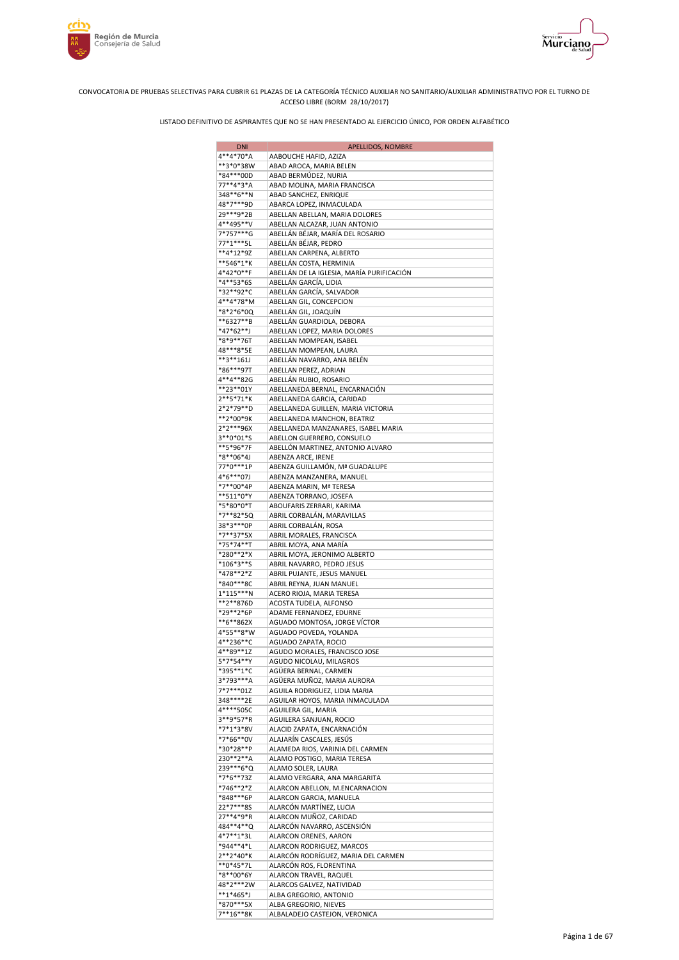



| <b>DNI</b>               | APELLIDOS, NOMBRE                                                    |
|--------------------------|----------------------------------------------------------------------|
| 4**4*70*A                | AABOUCHE HAFID, AZIZA                                                |
| **3*0*38W                | ABAD AROCA, MARIA BELEN                                              |
| *84***00D                | ABAD BERMÚDEZ, NURIA                                                 |
| 77**4*3*A<br>348**6**N   | ABAD MOLINA, MARIA FRANCISCA<br>ABAD SANCHEZ, ENRIQUE                |
| 48*7***9D                | ABARCA LOPEZ, INMACULADA                                             |
| 29***9*2B                | ABELLAN ABELLAN, MARIA DOLORES                                       |
| 4**495**V                | ABELLAN ALCAZAR, JUAN ANTONIO                                        |
| 7*757***G                | ABELLÁN BÉJAR, MARÍA DEL ROSARIO                                     |
| 77*1***5L                | ABELLÁN BÉJAR, PEDRO                                                 |
| **4*12*9Z                | ABELLAN CARPENA, ALBERTO                                             |
| **546*1*K<br>4*42*0**F   | ABELLÁN COSTA, HERMINIA<br>ABELLÁN DE LA IGLESIA, MARÍA PURIFICACIÓN |
| *4**53*6S                | ABELLÁN GARCÍA, LIDIA                                                |
| *32**92*C                | ABELLÁN GARCÍA, SALVADOR                                             |
| 4**4*78*M                | ABELLAN GIL, CONCEPCION                                              |
| *8*2*6*0Q                | ABELLÁN GIL, JOAQUÍN                                                 |
| **6327**B                | ABELLÁN GUARDIOLA, DEBORA                                            |
| *47*62**J                | ABELLAN LOPEZ, MARIA DOLORES                                         |
| *8*9**76T                | ABELLAN MOMPEAN, ISABEL                                              |
| 48***8*5E<br>**3**161J   | ABELLAN MOMPEAN, LAURA<br>ABELLÁN NAVARRO, ANA BELÉN                 |
| *86***97T                | ABELLAN PEREZ, ADRIAN                                                |
| 4**4**82G                | ABELLÁN RUBIO, ROSARIO                                               |
| **23**01Y                | ABELLANEDA BERNAL, ENCARNACIÓN                                       |
| 2**5*71*K                | ABELLANEDA GARCIA, CARIDAD                                           |
| 2*2*79**D                | ABELLANEDA GUILLEN, MARIA VICTORIA                                   |
| **2*00*9K                | ABELLANEDA MANCHON, BEATRIZ                                          |
| 2*2***96X<br>3**0*01*S   | ABELLANEDA MANZANARES, ISABEL MARIA                                  |
| **5*96*7F                | ABELLON GUERRERO, CONSUELO<br>ABELLÓN MARTINEZ, ANTONIO ALVARO       |
| *8**06*4J                | ABENZA ARCE, IRENE                                                   |
| 77*0***1P                | ABENZA GUILLAMÓN, Mª GUADALUPE                                       |
| 4*6***07J                | ABENZA MANZANERA, MANUEL                                             |
| *7**00*4P                | ABENZA MARIN, Mª TERESA                                              |
| **511*0*Y                | ABENZA TORRANO, JOSEFA                                               |
| *5*80*0*T                | ABOUFARIS ZERRARI, KARIMA                                            |
| *7**82*5Q<br>38*3***0P   | ABRIL CORBALÁN, MARAVILLAS<br>ABRIL CORBALÁN, ROSA                   |
| *7**37*5X                | ABRIL MORALES, FRANCISCA                                             |
| *75*74**T                | ABRIL MOYA, ANA MARÍA                                                |
| *280**2*X                | ABRIL MOYA, JERONIMO ALBERTO                                         |
| *106*3**S                | ABRIL NAVARRO, PEDRO JESUS                                           |
| *478**2*Z                | ABRIL PUJANTE, JESUS MANUEL                                          |
| *840***8C                | ABRIL REYNA, JUAN MANUEL                                             |
| $1*115***N$<br>**2**876D | ACERO RIOJA, MARIA TERESA                                            |
| *29**2*6P                | ACOSTA TUDELA, ALFONSO<br>ADAME FERNANDEZ, EDURNE                    |
| **6**862X                | AGUADO MONTOSA, JORGE VÍCTOR                                         |
| 4*55**8*W                | AGUADO POVEDA, YOLANDA                                               |
| 4**236**C                | AGUADO ZAPATA, ROCIO                                                 |
| 4**89**1Z                | AGUDO MORALES, FRANCISCO JOSE                                        |
| 5*7*54**Y                | AGUDO NICOLAU, MILAGROS                                              |
| *395**1*C<br>3*793***A   | AGÜERA BERNAL, CARMEN                                                |
| 7*7***01Z                | AGÜERA MUÑOZ, MARIA AURORA<br>AGUILA RODRIGUEZ, LIDIA MARIA          |
| 348****2E                | AGUILAR HOYOS, MARIA INMACULADA                                      |
| 4****505C                | AGUILERA GIL, MARIA                                                  |
| 3**9*57*R                | AGUILERA SANJUAN, ROCIO                                              |
| *7*1*3*8V                | ALACID ZAPATA, ENCARNACIÓN                                           |
| *7*66**0V                | ALAJARÍN CASCALES, JESÚS                                             |
| *30*28**P<br>230**2**A   | ALAMEDA RIOS, VARINIA DEL CARMEN                                     |
| 239 *** 6 * Q            | ALAMO POSTIGO, MARIA TERESA<br>ALAMO SOLER, LAURA                    |
| *7*6**73Z                | ALAMO VERGARA, ANA MARGARITA                                         |
| *746**2*Z                | ALARCON ABELLON, M.ENCARNACION                                       |
| *848***6P                | ALARCON GARCIA, MANUELA                                              |
| 22*7***8S                | ALARCÓN MARTÍNEZ, LUCIA                                              |
| 27**4*9*R                | ALARCON MUÑOZ, CARIDAD                                               |
| 484**4**Q                | ALARCÓN NAVARRO, ASCENSIÓN                                           |
| 4*7**1*3L<br>*944**4*L   | ALARCON ORENES, AARON<br>ALARCON RODRIGUEZ, MARCOS                   |
| 2**2*40*K                | ALARCÓN RODRÍGUEZ, MARIA DEL CARMEN                                  |
| **0*45*7L                | ALARCÓN ROS, FLORENTINA                                              |
| *8**00*6Y                | ALARCON TRAVEL, RAQUEL                                               |
| 48*2***2W                | ALARCOS GALVEZ, NATIVIDAD                                            |
| $**1*465*$               | ALBA GREGORIO, ANTONIO                                               |
| *870***5X                | ALBA GREGORIO, NIEVES                                                |
| 7**16**8K                | ALBALADEJO CASTEJON, VERONICA                                        |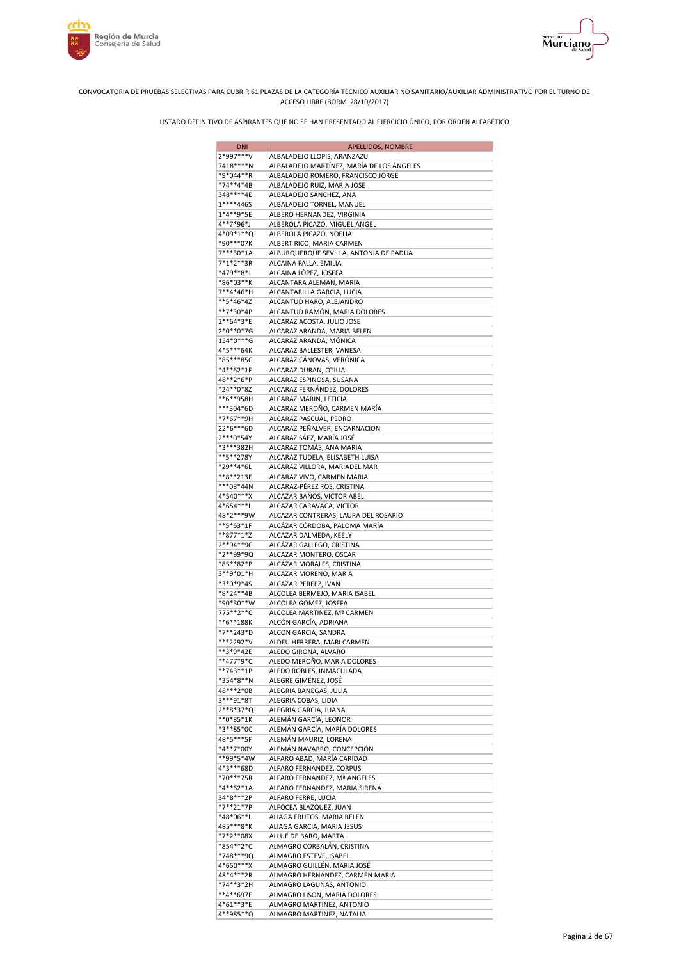



| <b>DNI</b>               | APELLIDOS, NOMBRE                                                |
|--------------------------|------------------------------------------------------------------|
| 2*997***V                | ALBALADEJO LLOPIS, ARANZAZU                                      |
| 7418****N                | ALBALADEJO MARTÍNEZ, MARÍA DE LOS ÁNGELES                        |
| *9*044**R                | ALBALADEJO ROMERO, FRANCISCO JORGE                               |
| *74**4*4B<br>348****4E   | ALBALADEJO RUIZ, MARIA JOSE<br>ALBALADEJO SÁNCHEZ, ANA           |
| 1****446S                | ALBALADEJO TORNEL, MANUEL                                        |
| 1*4**9*5E                | ALBERO HERNANDEZ, VIRGINIA                                       |
| 4**7*96*J                | ALBEROLA PICAZO, MIGUEL ÁNGEL                                    |
| 4*09*1**Q                | ALBEROLA PICAZO, NOELIA                                          |
| *90***07K                | ALBERT RICO, MARIA CARMEN                                        |
| 7***30*1A                | ALBURQUERQUE SEVILLA, ANTONIA DE PADUA                           |
| 7*1*2**3R                | ALCAINA FALLA, EMILIA                                            |
| *479**8*J<br>*86*03**K   | ALCAINA LÓPEZ, JOSEFA<br>ALCANTARA ALEMAN, MARIA                 |
| 7**4*46*H                | ALCANTARILLA GARCIA, LUCIA                                       |
| **5*46*4Z                | ALCANTUD HARO, ALEJANDRO                                         |
| **7*30*4P                | ALCANTUD RAMÓN, MARIA DOLORES                                    |
| 2**64*3*E                | ALCARAZ ACOSTA, JULIO JOSE                                       |
| 2*0**0*7G                | ALCARAZ ARANDA, MARIA BELEN                                      |
| 154*0***G                | ALCARAZ ARANDA, MÓNICA                                           |
| 4*5***64K                | ALCARAZ BALLESTER, VANESA                                        |
| *85***85C<br>*4**62*1F   | ALCARAZ CÁNOVAS, VERÓNICA<br>ALCARAZ DURAN, OTILIA               |
| 48**2*6*P                | ALCARAZ ESPINOSA, SUSANA                                         |
| *24**0*8Z                | ALCARAZ FERNÁNDEZ, DOLORES                                       |
| **6**958H                | ALCARAZ MARIN, LETICIA                                           |
| ***304*6D                | ALCARAZ MEROÑO, CARMEN MARÍA                                     |
| *7*67**9H                | ALCARAZ PASCUAL, PEDRO                                           |
| 22*6***6D                | ALCARAZ PEÑALVER, ENCARNACION                                    |
| 2***0*54Y                | ALCARAZ SÁEZ, MARÍA JOSÉ                                         |
| *3***382H<br>**5**278Y   | ALCARAZ TOMÁS, ANA MARIA                                         |
| *29**4*6L                | ALCARAZ TUDELA, ELISABETH LUISA<br>ALCARAZ VILLORA, MARIADEL MAR |
| **8**213E                | ALCARAZ VIVO, CARMEN MARIA                                       |
| ***08*44N                | ALCARAZ-PÉREZ ROS, CRISTINA                                      |
| 4*540***X                | ALCAZAR BAÑOS, VICTOR ABEL                                       |
| 4*654***L                | ALCAZAR CARAVACA, VICTOR                                         |
| 48*2***9W                | ALCAZAR CONTRERAS, LAURA DEL ROSARIO                             |
| **5*63*1F                | ALCÁZAR CÓRDOBA, PALOMA MARÍA                                    |
| **877*1*Z<br>2**94**9C   | ALCAZAR DALMEDA, KEELY<br>ALCÁZAR GALLEGO, CRISTINA              |
| *2**99*9Q                | ALCAZAR MONTERO, OSCAR                                           |
| *85**82*P                | ALCÁZAR MORALES, CRISTINA                                        |
| 3**9*01*H                | ALCAZAR MORENO, MARIA                                            |
| *3*0*9*4S                | ALCAZAR PEREEZ, IVAN                                             |
| *8*24**4B                | ALCOLEA BERMEJO, MARIA ISABEL                                    |
| *90*30**W                | ALCOLEA GOMEZ, JOSEFA                                            |
| 775**2**C<br>**6**188K   | ALCOLEA MARTINEZ, Mª CARMEN<br>ALCÓN GARCÍA, ADRIANA             |
| *7**243*D                | ALCON GARCIA, SANDRA                                             |
| ***2292*V                | ALDEU HERRERA, MARI CARMEN                                       |
| **3*9*42E                | ALEDO GIRONA, ALVARO                                             |
| **477*9*C                | ALEDO MEROÑO, MARIA DOLORES                                      |
| **743**1P                | ALEDO ROBLES, INMACULADA                                         |
| *354*8**N                | ALEGRE GIMÉNEZ, JOSÉ                                             |
| 48***2*0B                | ALEGRIA BANEGAS, JULIA                                           |
| 3***91*8T<br>2**8*37*Q   | ALEGRIA COBAS, LIDIA<br>ALEGRIA GARCIA, JUANA                    |
| $**0*85*1K$              | ALEMÁN GARCÍA, LEONOR                                            |
| *3**85*0C                | ALEMÁN GARCÍA, MARÍA DOLORES                                     |
| 48*5***5F                | ALEMÁN MAURIZ, LORENA                                            |
| *4**7*00Y                | ALEMÁN NAVARRO, CONCEPCIÓN                                       |
| **99*5*4W                | ALFARO ABAD, MARÍA CARIDAD                                       |
| 4*3***68D                | ALFARO FERNANDEZ, CORPUS                                         |
| *70***75R<br>$*4**62*1A$ | ALFARO FERNANDEZ, Mª ANGELES<br>ALFARO FERNANDEZ, MARIA SIRENA   |
| 34*8***2P                | ALFARO FERRE, LUCIA                                              |
| *7**21*7P                | ALFOCEA BLAZQUEZ, JUAN                                           |
| *48*06**L                | ALIAGA FRUTOS, MARIA BELEN                                       |
| 485***8*K                | ALIAGA GARCIA, MARIA JESUS                                       |
| *7*2**08X                | ALLUÉ DE BARO, MARTA                                             |
| *854**2*C                | ALMAGRO CORBALÁN, CRISTINA                                       |
| *748***9Q                | ALMAGRO ESTEVE, ISABEL                                           |
| 4*650***X<br>48*4***2R   | ALMAGRO GUILLÉN, MARIA JOSÉ<br>ALMAGRO HERNANDEZ, CARMEN MARIA   |
| *74**3*2H                | ALMAGRO LAGUNAS, ANTONIO                                         |
| **4**697E                | ALMAGRO LISON, MARIA DOLORES                                     |
| 4*61**3*E                | ALMAGRO MARTINEZ, ANTONIO                                        |
| 4**985**Q                | ALMAGRO MARTINEZ, NATALIA                                        |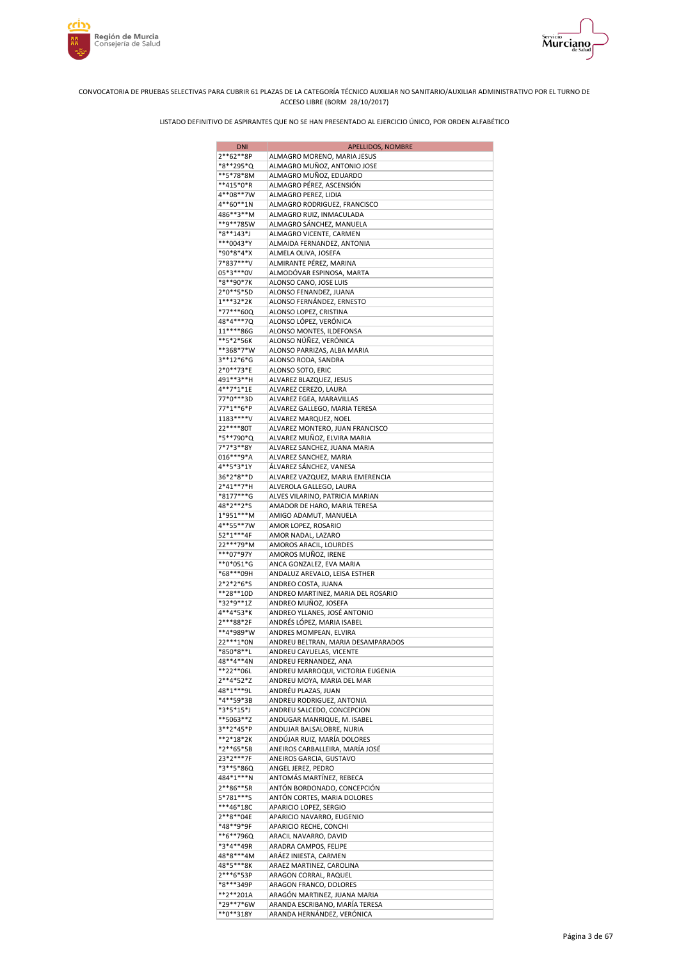



| <b>DNI</b>             | APELLIDOS, NOMBRE                                          |
|------------------------|------------------------------------------------------------|
| 2**62**8P              | ALMAGRO MORENO, MARIA JESUS                                |
| *8**295*Q              | ALMAGRO MUÑOZ, ANTONIO JOSE                                |
| **5*78*8M              | ALMAGRO MUÑOZ, EDUARDO                                     |
| **415*0*R              | ALMAGRO PÉREZ, ASCENSIÓN                                   |
| 4**08**7W              | ALMAGRO PEREZ, LIDIA                                       |
| 4**60**1N              | ALMAGRO RODRIGUEZ, FRANCISCO                               |
| 486**3**M              | ALMAGRO RUIZ, INMACULADA                                   |
| **9**785W<br>*8**143*J | ALMAGRO SÁNCHEZ, MANUELA<br>ALMAGRO VICENTE, CARMEN        |
| ***0043*Y              | ALMAIDA FERNANDEZ, ANTONIA                                 |
| *90*8*4*X              | ALMELA OLIVA, JOSEFA                                       |
| 7*837***V              | ALMIRANTE PÉREZ, MARINA                                    |
| 05*3***0V              | ALMODÓVAR ESPINOSA, MARTA                                  |
| *8**90*7K              | ALONSO CANO, JOSE LUIS                                     |
| 2*0**5*5D              | ALONSO FENANDEZ, JUANA                                     |
| $1***32*2K$            | ALONSO FERNÁNDEZ, ERNESTO                                  |
| *77***60Q              | ALONSO LOPEZ, CRISTINA                                     |
| 48*4***7Q              | ALONSO LÓPEZ, VERÓNICA                                     |
| 11****86G<br>**5*2*56K | ALONSO MONTES, ILDEFONSA                                   |
| **368*7*W              | ALONSO NÚÑEZ, VERÓNICA<br>ALONSO PARRIZAS, ALBA MARIA      |
| 3**12*6*G              | ALONSO RODA, SANDRA                                        |
| 2*0**73*E              | ALONSO SOTO, ERIC                                          |
| 491**3**H              | ALVAREZ BLAZQUEZ, JESUS                                    |
| 4**7*1*1E              | ALVAREZ CEREZO, LAURA                                      |
| 77*0***3D              | ALVAREZ EGEA, MARAVILLAS                                   |
| 77*1**6*P              | ALVAREZ GALLEGO, MARIA TERESA                              |
| 1183****V              | ALVAREZ MARQUEZ, NOEL                                      |
| 22 **** 80T            | ALVAREZ MONTERO, JUAN FRANCISCO                            |
| *5**790*Q              | ALVAREZ MUÑOZ, ELVIRA MARIA                                |
| 7*7*3**8Y              | ALVAREZ SANCHEZ, JUANA MARIA                               |
| 016***9*A<br>4**5*3*1Y | ALVAREZ SANCHEZ, MARIA<br>ÁLVAREZ SÁNCHEZ, VANESA          |
| 36*2*8**D              | ALVAREZ VAZQUEZ, MARIA EMERENCIA                           |
| 2*41**7*H              | ALVEROLA GALLEGO, LAURA                                    |
| *8177***G              | ALVES VILARINO, PATRICIA MARIAN                            |
| 48*2**2*S              | AMADOR DE HARO, MARIA TERESA                               |
| 1*951***M              | AMIGO ADAMUT, MANUELA                                      |
| 4**55**7W              | AMOR LOPEZ, ROSARIO                                        |
| 52*1***4F              | AMOR NADAL, LAZARO                                         |
| 22***79*M              | AMOROS ARACIL, LOURDES                                     |
| ***07*97Y<br>**0*051*G | AMOROS MUÑOZ, IRENE<br>ANCA GONZALEZ, EVA MARIA            |
| *68***09H              | ANDALUZ AREVALO, LEISA ESTHER                              |
| 2*2*2*6*S              | ANDREO COSTA, JUANA                                        |
| **28**10D              | ANDREO MARTINEZ, MARIA DEL ROSARIO                         |
| *32*9**1Z              | ANDREO MUÑOZ, JOSEFA                                       |
| 4**4*53*K              | ANDREO YLLANES, JOSÉ ANTONIO                               |
| 2***88*2F              | ANDRÉS LÓPEZ, MARIA ISABEL                                 |
| **4*989*W              | ANDRES MOMPEAN, ELVIRA                                     |
| 22 *** 1* 0N           | ANDREU BELTRAN, MARIA DESAMPARADOS                         |
| *850*8**L<br>48**4**4N | ANDREU CAYUELAS, VICENTE                                   |
| **22**06L              | ANDREU FERNANDEZ, ANA<br>ANDREU MARROQUI, VICTORIA EUGENIA |
| 2**4*52*Z              | ANDREU MOYA, MARIA DEL MAR                                 |
| 48*1***9L              | ANDRÉU PLAZAS, JUAN                                        |
| $*4**59*3B$            | ANDREU RODRIGUEZ, ANTONIA                                  |
| *3*5*15*J              | ANDREU SALCEDO, CONCEPCION                                 |
| **5063**Z              | ANDUGAR MANRIQUE, M. ISABEL                                |
| 3**2*45*P              | ANDUJAR BALSALOBRE, NURIA                                  |
| **2*18*2K              | ANDÚJAR RUIZ, MARÍA DOLORES                                |
| *2**65*5B              | ANEIROS CARBALLEIRA, MARÍA JOSÉ                            |
| 23*2***7F<br>*3**5*86Q | ANEIROS GARCIA, GUSTAVO                                    |
| 484*1***N              | ANGEL JEREZ, PEDRO<br>ANTOMÁS MARTÍNEZ, REBECA             |
| 2**86**5R              | ANTÓN BORDONADO, CONCEPCIÓN                                |
| 5*781***S              | ANTÓN CORTES, MARIA DOLORES                                |
| ***46*18C              | APARICIO LOPEZ, SERGIO                                     |
| 2**8**04E              | APARICIO NAVARRO, EUGENIO                                  |
| *48**9*9F              | APARICIO RECHE, CONCHI                                     |
| **6**796Q              | ARACIL NAVARRO, DAVID                                      |
| *3*4**49R              | ARADRA CAMPOS, FELIPE                                      |
| 48*8***4M<br>48*5***8K | ARÁEZ INIESTA, CARMEN<br>ARAEZ MARTINEZ, CAROLINA          |
| 2***6*53P              | ARAGON CORRAL, RAQUEL                                      |
| *8***349P              | ARAGON FRANCO, DOLORES                                     |
| **2**201A              | ARAGÓN MARTINEZ, JUANA MARIA                               |
| *29**7*6W              | ARANDA ESCRIBANO, MARÍA TERESA                             |
| **0**318Y              | ARANDA HERNÁNDEZ, VERÓNICA                                 |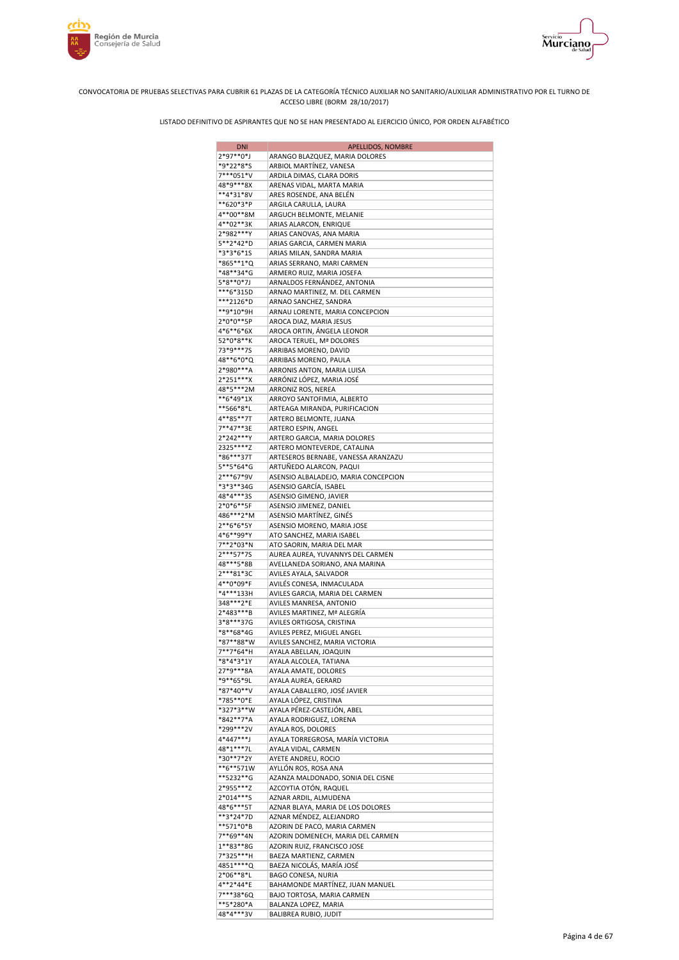

Murciano





| <b>DNI</b>             | <b>APELLIDOS, NOMBRE</b>                                     |
|------------------------|--------------------------------------------------------------|
| 2*97**0*J              | ARANGO BLAZQUEZ, MARIA DOLORES                               |
| *9*22*8*S              | ARBIOL MARTÍNEZ, VANESA                                      |
| 7***051*V              | ARDILA DIMAS, CLARA DORIS                                    |
| 48*9***8X              | ARENAS VIDAL, MARTA MARIA                                    |
| **4*31*8V<br>**620*3*P | ARES ROSENDE, ANA BELÉN<br>ARGILA CARULLA, LAURA             |
| 4**00**8M              | ARGUCH BELMONTE, MELANIE                                     |
| 4**02**3K              | ARIAS ALARCON, ENRIQUE                                       |
| 2*982***Y              | ARIAS CANOVAS, ANA MARIA                                     |
| 5**2*42*D              | ARIAS GARCIA, CARMEN MARIA                                   |
| *3*3*6*1S              | ARIAS MILAN, SANDRA MARIA                                    |
| *865**1*Q              | ARIAS SERRANO, MARI CARMEN                                   |
| *48**34*G              | ARMERO RUIZ, MARIA JOSEFA                                    |
| 5*8**0*7J              | ARNALDOS FERNÁNDEZ, ANTONIA                                  |
| ***6*315D              | ARNAO MARTINEZ, M. DEL CARMEN                                |
| ***2126*D<br>**9*10*9H | ARNAO SANCHEZ, SANDRA                                        |
| 2*0*0**5P              | ARNAU LORENTE, MARIA CONCEPCION<br>AROCA DIAZ, MARIA JESUS   |
| 4*6**6*6X              | AROCA ORTIN, ÁNGELA LEONOR                                   |
| 52*0*8**K              | AROCA TERUEL, Mª DOLORES                                     |
| 73*9***7S              | ARRIBAS MORENO, DAVID                                        |
| 48**6*0*Q              | ARRIBAS MORENO, PAULA                                        |
| 2*980***A              | ARRONIS ANTON, MARIA LUISA                                   |
| 2*251***X              | ARRÓNIZ LÓPEZ, MARIA JOSÉ                                    |
| 48*5***2M              | ARRONIZ ROS, NEREA                                           |
| **6*49*1X              | ARROYO SANTOFIMIA, ALBERTO                                   |
| **566*8*L              | ARTEAGA MIRANDA, PURIFICACION                                |
| 4**85**7T<br>7**47**3E | ARTERO BELMONTE, JUANA<br>ARTERO ESPIN, ANGEL                |
| 2*242***Y              | ARTERO GARCIA, MARIA DOLORES                                 |
| 2325****Z              | ARTERO MONTEVERDE, CATALINA                                  |
| *86***37T              | ARTESEROS BERNABE, VANESSA ARANZAZU                          |
| 5**5*64*G              | ARTUÑEDO ALARCON, PAQUI                                      |
| 2***67*9V              | ASENSIO ALBALADEJO, MARIA CONCEPCION                         |
| *3*3**34G              | ASENSIO GARCÍA, ISABEL                                       |
| 48*4***3S              | ASENSIO GIMENO, JAVIER                                       |
| 2*0*6**5F              | ASENSIO JIMENEZ, DANIEL                                      |
| 486***2*M<br>2**6*6*5Y | ASENSIO MARTÍNEZ, GINÉS                                      |
| 4*6**99*Y              | ASENSIO MORENO, MARIA JOSE<br>ATO SANCHEZ, MARIA ISABEL      |
| 7**2*03*N              | ATO SAORIN, MARIA DEL MAR                                    |
| 2***57*7S              | AUREA AUREA, YUVANNYS DEL CARMEN                             |
| 48***5*8B              | AVELLANEDA SORIANO, ANA MARINA                               |
| 2***81*3C              | AVILES AYALA, SALVADOR                                       |
| 4**0*09*F              | AVILÉS CONESA, INMACULADA                                    |
| *4***133H              | AVILES GARCIA, MARIA DEL CARMEN                              |
| 348***2*E              | AVILES MANRESA, ANTONIO                                      |
| 2*483***B              | AVILES MARTINEZ, Mª ALEGRÍA                                  |
| 3*8***37G<br>*8**68*4G | AVILES ORTIGOSA, CRISTINA                                    |
| *87**88*W              | AVILES PEREZ, MIGUEL ANGEL<br>AVILES SANCHEZ, MARIA VICTORIA |
| 7**7*64*H              | AYALA ABELLAN, JOAQUIN                                       |
| *8*4*3*1Y              | AYALA ALCOLEA, TATIANA                                       |
| 27*9***8A              | AYALA AMATE, DOLORES                                         |
| *9**65*9L              | AYALA AUREA, GERARD                                          |
| *87*40**V              | AYALA CABALLERO, JOSÉ JAVIER                                 |
| *785**0*E              | AYALA LÓPEZ, CRISTINA                                        |
| *327*3**W              | AYALA PÉREZ-CASTEJÓN, ABEL                                   |
| *842**7*A              | AYALA RODRIGUEZ, LORENA                                      |
| *299***2V              | AYALA ROS, DOLORES                                           |
| 4*447***J<br>48*1***7L | AYALA TORREGROSA, MARÍA VICTORIA<br>AYALA VIDAL, CARMEN      |
| *30**7*2Y              | AYETE ANDREU, ROCIO                                          |
| **6**571W              | AYLLÓN ROS, ROSA ANA                                         |
| **5232**G              | AZANZA MALDONADO, SONIA DEL CISNE                            |
| 2*955***Z              | AZCOYTIA OTÓN, RAQUEL                                        |
| 2*014***S              | AZNAR ARDIL, ALMUDENA                                        |
| 48*6***5T              | AZNAR BLAYA, MARIA DE LOS DOLORES                            |
| **3*24*7D              | AZNAR MÉNDEZ, ALEJANDRO                                      |
| **571*0*B              | AZORIN DE PACO, MARIA CARMEN                                 |
| 7**69**4N              | AZORIN DOMENECH, MARIA DEL CARMEN                            |
| 1**83**8G<br>7*325***H | AZORIN RUIZ, FRANCISCO JOSE                                  |
| 4851 **** Q            | BAEZA MARTIENZ, CARMEN<br>BAEZA NICOLÁS, MARÍA JOSÉ          |
| 2*06**8*L              | BAGO CONESA, NURIA                                           |
| 4**2*44*E              | BAHAMONDE MARTÍNEZ, JUAN MANUEL                              |
| 7***38*6Q              | BAJO TORTOSA, MARIA CARMEN                                   |
| **5*280*A              | BALANZA LOPEZ, MARIA                                         |
| 48*4***3V              | BALIBREA RUBIO, JUDIT                                        |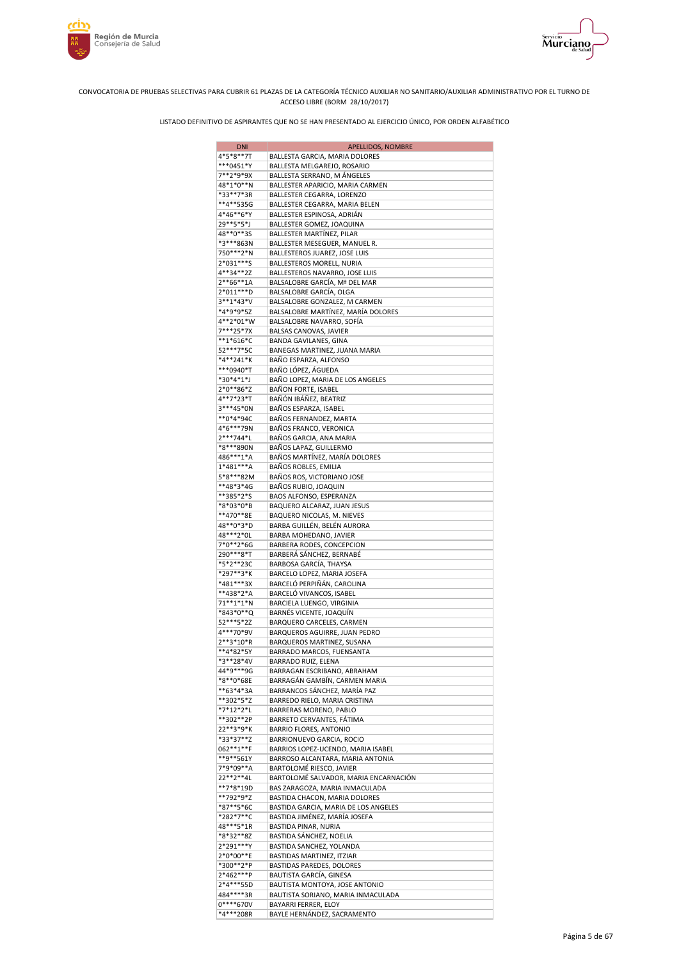

rrim

**Región de Murcia**<br>Consejería de Salud



CONVOCATORIA DE PRUEBAS SELECTIVAS PARA CUBRIR 61 PLAZAS DE LA CATEGORÍA TÉCNICO AUXILIAR NO SANITARIO/AUXILIAR ADMINISTRATIVO POR EL TURNO DE ACCESO LIBRE (BORM 28/10/2017)

| <b>DNI</b>             | APELLIDOS, NOMBRE                                                    |
|------------------------|----------------------------------------------------------------------|
| 4*5*8**7T              | BALLESTA GARCIA, MARIA DOLORES                                       |
| ***0451*Y              | BALLESTA MELGAREJO, ROSARIO                                          |
| 7**2*9*9X              | BALLESTA SERRANO, M ÁNGELES                                          |
| 48*1*0**N              | BALLESTER APARICIO, MARIA CARMEN                                     |
| *33**7*3R              | BALLESTER CEGARRA, LORENZO                                           |
| **4**535G              | BALLESTER CEGARRA, MARIA BELEN                                       |
| 4*46**6*Y              | BALLESTER ESPINOSA, ADRIÁN                                           |
| 29**5*5*J              | BALLESTER GOMEZ, JOAQUINA                                            |
| 48**0**35              | BALLESTER MARTINEZ, PILAR                                            |
| *3***863N              | BALLESTER MESEGUER, MANUEL R.                                        |
| 750***2*N              | BALLESTEROS JUAREZ, JOSE LUIS                                        |
| 2*031***S              | BALLESTEROS MORELL, NURIA                                            |
| 4**34**2Z              | BALLESTEROS NAVARRO, JOSE LUIS                                       |
| $2**66**1A$            | BALSALOBRE GARCÍA, Mª DEL MAR                                        |
| 2*011***D              | BALSALOBRE GARCÍA, OLGA                                              |
| 3**1*43*V              | BALSALOBRE GONZALEZ, M CARMEN                                        |
| *4*9*9*5Z              | BALSALOBRE MARTÍNEZ, MARÍA DOLORES                                   |
| 4**2*01*W              | BALSALOBRE NAVARRO, SOFÍA                                            |
| 7***25*7X              | BALSAS CANOVAS, JAVIER                                               |
| $**1*616*C$            | <b>BANDA GAVILANES, GINA</b>                                         |
| 52***7*5C              | BANEGAS MARTINEZ, JUANA MARIA                                        |
| *4**241*K              | BAÑO ESPARZA, ALFONSO                                                |
| ***0940*T              | BAÑO LÓPEZ, ÁGUEDA                                                   |
| *30*4*1*J              | BAÑO LOPEZ, MARIA DE LOS ANGELES                                     |
| 2*0**86*Z<br>4**7*23*T | BAÑON FORTE, ISABEL<br>BAÑÓN IBÁÑEZ, BEATRIZ                         |
|                        |                                                                      |
| 3***45*0N<br>**0*4*94C | BAÑOS ESPARZA, ISABEL<br>BAÑOS FERNANDEZ, MARTA                      |
| 4*6***79N              |                                                                      |
| 2***744*L              | BAÑOS FRANCO, VERONICA<br>BAÑOS GARCIA, ANA MARIA                    |
| *8***890N              | BAÑOS LAPAZ, GUILLERMO                                               |
| 486***1*A              | BAÑOS MARTÍNEZ, MARÍA DOLORES                                        |
| 1*481***A              | BAÑOS ROBLES, EMILIA                                                 |
| 5*8***82M              | BAÑOS ROS, VICTORIANO JOSE                                           |
| **48*3*4G              | BAÑOS RUBIO, JOAQUIN                                                 |
| **385*2*S              | BAOS ALFONSO, ESPERANZA                                              |
| *8*03*0*B              | BAQUERO ALCARAZ, JUAN JESUS                                          |
| **470**8E              | BAQUERO NICOLAS, M. NIEVES                                           |
| 48**0*3*D              | BARBA GUILLÉN, BELÉN AURORA                                          |
| 48***2*0L              | BARBA MOHEDANO, JAVIER                                               |
| 7*0**2*6G              | BARBERA RODES, CONCEPCION                                            |
| 290***8*T              | BARBERÁ SÁNCHEZ, BERNABÉ                                             |
| *5*2**23C              | BARBOSA GARCÍA, THAYSA                                               |
| *297**3*K              | BARCELO LOPEZ, MARIA JOSEFA                                          |
| *481***3X              | BARCELÓ PERPIÑÁN, CAROLINA                                           |
| **438*2*A              | BARCELÓ VIVANCOS, ISABEL                                             |
| 71**1*1*N              | BARCIELA LUENGO, VIRGINIA                                            |
| *843*0**Q              | BARNÉS VICENTE, JOAQUÍN                                              |
| 52***5*2Z              | BARQUERO CARCELES, CARMEN                                            |
| 4***70*9V              | BARQUEROS AGUIRRE, JUAN PEDRO                                        |
| $2***3*10*R$           | BARQUEROS MARTINEZ, SUSANA                                           |
| **4*82*5Y              | BARRADO MARCOS, FUENSANTA                                            |
| *3**28*4V              | BARRADO RUIZ, ELENA                                                  |
| 44*9***9G              | BARRAGAN ESCRIBANO, ABRAHAM                                          |
| *8**0*68E              | BARRAGÁN GAMBÍN, CARMEN MARIA                                        |
| **63*4*3A              | BARRANCOS SÁNCHEZ, MARÍA PAZ                                         |
| **302*5*Z              | BARREDO RIELO, MARIA CRISTINA                                        |
| *7*12*2*L              | BARRERAS MORENO, PABLO                                               |
| **302**2P              | BARRETO CERVANTES, FÁTIMA                                            |
| 22**3*9*K              | <b>BARRIO FLORES, ANTONIO</b>                                        |
| *33*37**Z              | BARRIONUEVO GARCIA, ROCIO                                            |
| 062**1**F              | BARRIOS LOPEZ-UCENDO, MARIA ISABEL                                   |
| **9**561Y              | BARROSO ALCANTARA, MARIA ANTONIA                                     |
| 7*9*09**A              | BARTOLOMÉ RIESCO, JAVIER                                             |
| 22**2**4L              | BARTOLOMÉ SALVADOR, MARIA ENCARNACIÓN                                |
| **7*8*19D              | BAS ZARAGOZA, MARIA INMACULADA                                       |
| **792*9*Z              | BASTIDA CHACON, MARIA DOLORES                                        |
| *87**5*6C              | BASTIDA GARCIA, MARIA DE LOS ANGELES                                 |
| *282*7**C              | BASTIDA JIMÉNEZ, MARÍA JOSEFA                                        |
| 48***5*1R              | BASTIDA PINAR, NURIA                                                 |
| *8*32**8Z              | BASTIDA SÁNCHEZ, NOELIA                                              |
| 2*291***Y<br>2*0*00**E | BASTIDA SANCHEZ, YOLANDA                                             |
| *300**2*P              | BASTIDAS MARTINEZ, ITZIAR                                            |
| 2*462***P              | BASTIDAS PAREDES, DOLORES                                            |
| 2*4***55D              | BAUTISTA GARCÍA, GINESA                                              |
| 484****3R              | BAUTISTA MONTOYA, JOSE ANTONIO<br>BAUTISTA SORIANO, MARIA INMACULADA |
| 0****670V              | BAYARRI FERRER, ELOY                                                 |
| *4***208R              | BAYLE HERNÁNDEZ, SACRAMENTO                                          |
|                        |                                                                      |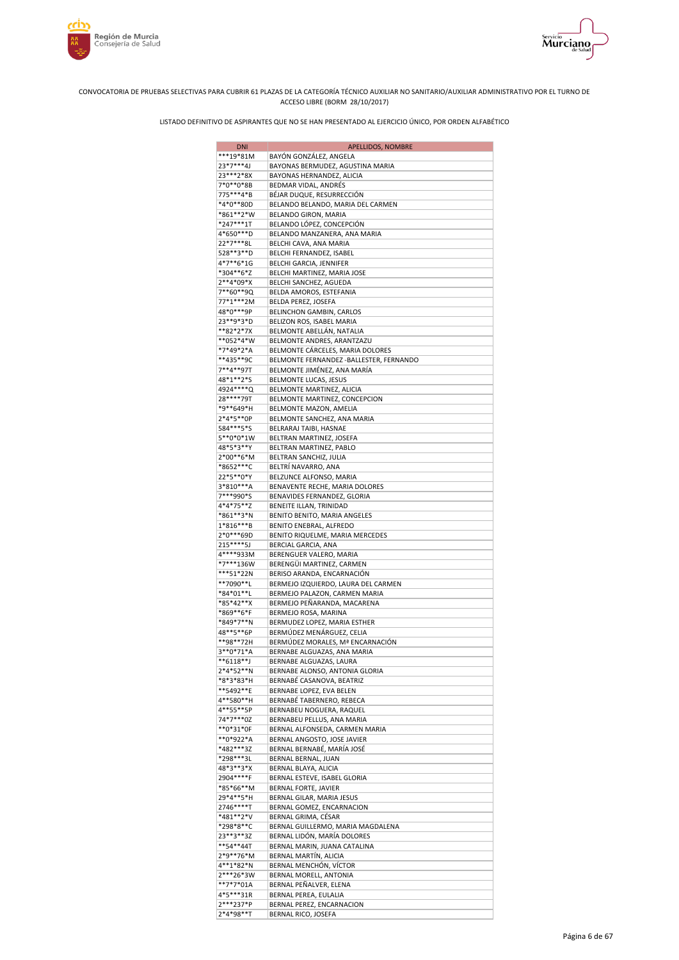



| <b>DNI</b>             | <b>APELLIDOS, NOMBRE</b>                                  |
|------------------------|-----------------------------------------------------------|
| ***19*81M              | BAYÓN GONZÁLEZ, ANGELA                                    |
| 23*7***4J              | BAYONAS BERMUDEZ, AGUSTINA MARIA                          |
| 23***2*8X              | BAYONAS HERNANDEZ, ALICIA                                 |
| 7*0**0*8B              | BEDMAR VIDAL, ANDRES                                      |
| 775***4*B              | BÉJAR DUQUE, RESURRECCIÓN                                 |
| *4*0**80D              | BELANDO BELANDO, MARIA DEL CARMEN                         |
| *861**2*W              | BELANDO GIRON, MARIA                                      |
| *247***1T              | BELANDO LÓPEZ, CONCEPCIÓN                                 |
| 4*650***D              | BELANDO MANZANERA, ANA MARIA                              |
| 22*7***8L              | BELCHI CAVA, ANA MARIA                                    |
| 528**3**D              | BELCHI FERNANDEZ, ISABEL                                  |
| 4*7**6*1G              | BELCHI GARCIA, JENNIFER                                   |
| *304**6*Z              | BELCHI MARTINEZ, MARIA JOSE                               |
| 2**4*09*X              | BELCHI SANCHEZ, AGUEDA                                    |
| 7**60**9Q              | BELDA AMOROS, ESTEFANIA                                   |
| 77*1***2M              | BELDA PEREZ, JOSEFA                                       |
| 48*0***9P              | BELINCHON GAMBIN, CARLOS                                  |
| 23**9*3*D              | BELIZON ROS, ISABEL MARIA                                 |
| **82*2*7X              | BELMONTE ABELLÁN, NATALIA                                 |
| **052*4*W              | BELMONTE ANDRES, ARANTZAZU                                |
| *7*49*2*A              | BELMONTE CÁRCELES, MARIA DOLORES                          |
| **435**9C              | BELMONTE FERNANDEZ - BALLESTER, FERNANDO                  |
| 7**4**97T              | BELMONTE JIMÉNEZ, ANA MARÍA                               |
| 48*1**2*S              | BELMONTE LUCAS, JESUS                                     |
| 4924****Q              | BELMONTE MARTINEZ, ALICIA                                 |
| 28****79T              | BELMONTE MARTINEZ, CONCEPCION                             |
| *9**649*H              | BELMONTE MAZON, AMELIA                                    |
| 2*4*5**0P              | BELMONTE SANCHEZ, ANA MARIA                               |
| 584***5*S              | BELRARAJ TAIBI, HASNAE                                    |
| 5**0*0*1W              | BELTRAN MARTINEZ, JOSEFA                                  |
| 48*5*3**Y              | BELTRAN MARTINEZ, PABLO                                   |
| 2*00**6*M              | BELTRAN SANCHIZ, JULIA                                    |
| *8652***C              | BELTRÍ NAVARRO, ANA                                       |
| 22*5**0*Y              | BELZUNCE ALFONSO, MARIA                                   |
| 3*810***A              | BENAVENTE RECHE, MARIA DOLORES                            |
| 7***990*S              | BENAVIDES FERNANDEZ, GLORIA                               |
| 4*4*75**Z              | BENEITE ILLAN, TRINIDAD                                   |
| *861**3*N              | BENITO BENITO, MARIA ANGELES                              |
| 1*816***B              | BENITO ENEBRAL, ALFREDO                                   |
| 2*0***69D              | BENITO RIQUELME, MARIA MERCEDES                           |
| 215****5J              | BERCIAL GARCIA, ANA                                       |
| 4****933M              | BERENGUER VALERO, MARIA                                   |
| *7***136W              | BERENGÜI MARTINEZ, CARMEN                                 |
| ***51*22N              | BERISO ARANDA, ENCARNACIÓN                                |
| **7090**L              | BERMEJO IZQUIERDO, LAURA DEL CARMEN                       |
| *84*01**L              | BERMEJO PALAZON, CARMEN MARIA                             |
| *85*42**X              | BERMEJO PEÑARANDA, MACARENA                               |
| *869**6*F              | BERMEJO ROSA, MARINA                                      |
| *849*7**N<br>48**5**6P | BERMUDEZ LOPEZ, MARIA ESTHER<br>BERMÚDEZ MENÁRGUEZ, CELIA |
| **98**72H              | BERMÚDEZ MORALES, Mª ENCARNACIÓN                          |
| 3**0*71*A              | BERNABE ALGUAZAS, ANA MARIA                               |
| **6118**J              | BERNABE ALGUAZAS, LAURA                                   |
| 2*4*52**N              | BERNABE ALONSO, ANTONIA GLORIA                            |
| *8*3*83*H              | BERNABÉ CASANOVA, BEATRIZ                                 |
| **5492**E              | BERNABE LOPEZ, EVA BELEN                                  |
| 4**580**H              | BERNABÉ TABERNERO, REBECA                                 |
| 4**55**5P              | BERNABEU NOGUERA, RAQUEL                                  |
| 74*7***0Z              | BERNABEU PELLUS, ANA MARIA                                |
| **0*31*0F              | BERNAL ALFONSEDA, CARMEN MARIA                            |
| **0*922*A              | BERNAL ANGOSTO, JOSE JAVIER                               |
| *482***3Z              | BERNAL BERNABÉ, MARÍA JOSÉ                                |
| *298***3L              | BERNAL BERNAL, JUAN                                       |
| 48*3**3*X              | BERNAL BLAYA, ALICIA                                      |
| 2904****F              | BERNAL ESTEVE, ISABEL GLORIA                              |
| *85*66**M              | BERNAL FORTE, JAVIER                                      |
| 29*4**5*H              | BERNAL GILAR, MARIA JESUS                                 |
| 2746****T              | BERNAL GOMEZ, ENCARNACION                                 |
| *481**2*V              | BERNAL GRIMA, CÉSAR                                       |
| *298*8**C              | BERNAL GUILLERMO, MARIA MAGDALENA                         |
| 23**3**3Z              | BERNAL LIDÓN, MARÍA DOLORES                               |
| **54**44T              | BERNAL MARIN, JUANA CATALINA                              |
| 2*9**76*M              | BERNAL MARTÍN, ALICIA                                     |
| 4**1*82*N              | BERNAL MENCHÓN, VÍCTOR                                    |
| 2***26*3W              | BERNAL MORELL, ANTONIA                                    |
| **7*7*01A              | BERNAL PEÑALVER, ELENA                                    |
| 4*5***31R<br>2***237*P | BERNAL PEREA, EULALIA                                     |
| 2*4*98**T              | BERNAL PEREZ, ENCARNACION<br>BERNAL RICO, JOSEFA          |
|                        |                                                           |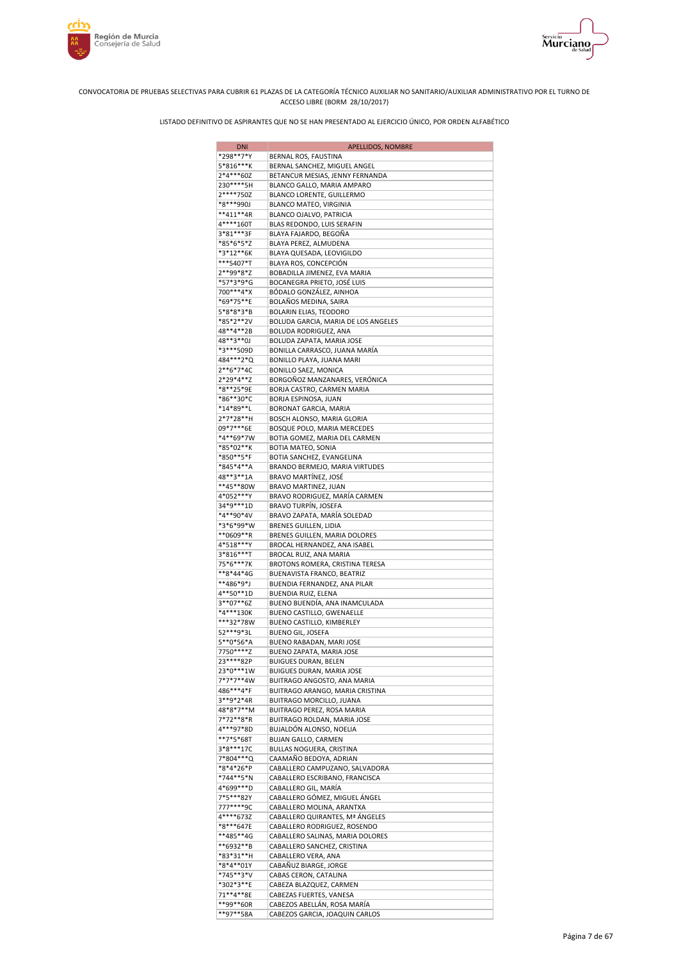



| <b>DNI</b>                | APELLIDOS, NOMBRE                                               |
|---------------------------|-----------------------------------------------------------------|
| *298**7*Y                 | BERNAL ROS, FAUSTINA                                            |
| 5*816***K                 | BERNAL SANCHEZ, MIGUEL ANGEL                                    |
| 2*4***60Z                 | BETANCUR MESIAS, JENNY FERNANDA                                 |
| 230****5H                 | BLANCO GALLO, MARIA AMPARO                                      |
| 2****750Z                 | BLANCO LORENTE, GUILLERMO                                       |
| *8***990J                 | BLANCO MATEO, VIRGINIA                                          |
| $**411**4R$               | BLANCO OJALVO, PATRICIA                                         |
| $4****160T$<br>3*81***3F  | BLAS REDONDO, LUIS SERAFIN                                      |
| *85*6*5*Z                 | BLAYA FAJARDO, BEGOÑA<br>BLAYA PEREZ, ALMUDENA                  |
| *3*12**6K                 | BLAYA QUESADA, LEOVIGILDO                                       |
| ***5407*T                 | BLAYA ROS, CONCEPCIÓN                                           |
| 2**99*8*Z                 | BOBADILLA JIMENEZ, EVA MARIA                                    |
| *57*3*9*G                 | BOCANEGRA PRIETO, JOSÉ LUIS                                     |
| 700***4*X                 | BÓDALO GONZÁLEZ, AINHOA                                         |
| *69*75**E                 | BOLAÑOS MEDINA, SAIRA                                           |
| 5*8*8*3*B                 | BOLARIN ELIAS, TEODORO                                          |
| *85*2**2V                 | BOLUDA GARCIA, MARIA DE LOS ANGELES                             |
| 48**4**2B                 | BOLUDA RODRIGUEZ, ANA                                           |
| 48**3**0J                 | BOLUDA ZAPATA, MARIA JOSE                                       |
| *3***509D                 | BONILLA CARRASCO, JUANA MARÍA                                   |
| 484 *** 2* Q<br>2**6*7*4C | BONILLO PLAYA, JUANA MARI                                       |
| 2*29*4**Z                 | BONILLO SAEZ, MONICA<br>BORGOÑOZ MANZANARES, VERÓNICA           |
| *8**25*9E                 | BORJA CASTRO, CARMEN MARIA                                      |
| *86**30*C                 | BORJA ESPINOSA, JUAN                                            |
| *14*89**L                 | BORONAT GARCIA, MARIA                                           |
| 2*7*28**H                 | BOSCH ALONSO, MARIA GLORIA                                      |
| 09*7***6E                 | BOSQUE POLO, MARIA MERCEDES                                     |
| *4**69*7W                 | BOTIA GOMEZ, MARIA DEL CARMEN                                   |
| *85*02**K                 | BOTIA MATEO, SONIA                                              |
| *850**5*F                 | BOTIA SANCHEZ, EVANGELINA                                       |
| *845*4**A                 | BRANDO BERMEJO, MARIA VIRTUDES                                  |
| 48**3**1A                 | BRAVO MARTÍNEZ, JOSÉ                                            |
| **45**80W                 | BRAVO MARTINEZ, JUAN                                            |
| 4*052***Y<br>34*9***1D    | BRAVO RODRIGUEZ, MARÍA CARMEN<br>BRAVO TURPÍN, JOSEFA           |
| *4**90*4V                 | BRAVO ZAPATA, MARÍA SOLEDAD                                     |
| *3*6*99*W                 | <b>BRENES GUILLEN, LIDIA</b>                                    |
| **0609**R                 | BRENES GUILLEN, MARIA DOLORES                                   |
| 4*518***Y                 | BROCAL HERNANDEZ, ANA ISABEL                                    |
| 3*816***T                 | BROCAL RUIZ, ANA MARIA                                          |
| 75*6***7K                 | BROTONS ROMERA, CRISTINA TERESA                                 |
| **8*44*4G                 | BUENAVISTA FRANCO, BEATRIZ                                      |
| **486*9*J                 | BUENDIA FERNANDEZ, ANA PILAR                                    |
| 4**50**1D                 | BUENDIA RUIZ, ELENA                                             |
| 3**07**6Z<br>*4***130K    | BUENO BUENDÍA, ANA INAMCULADA<br>BUENO CASTILLO, GWENAELLE      |
| ***32*78W                 | BUENO CASTILLO, KIMBERLEY                                       |
| 52***9*3L                 | BUENO GIL, JOSEFA                                               |
| 5**0*56*A                 | BUENO RABADAN, MARI JOSE                                        |
| 7750****Z                 | BUENO ZAPATA, MARIA JOSE                                        |
| 23 **** 82P               | <b>BUIGUES DURAN, BELEN</b>                                     |
| 23*0***1W                 | BUIGUES DURAN, MARIA JOSE                                       |
| 7*7*7**4W                 | BUITRAGO ANGOSTO, ANA MARIA                                     |
| 486***4*F                 | BUITRAGO ARANGO, MARIA CRISTINA                                 |
| 3**9*2*4R                 | BUITRAGO MORCILLO, JUANA                                        |
| 48*8*7**M                 | BUITRAGO PEREZ, ROSA MARIA                                      |
| 7*72**8*R<br>4***97*8D    | BUITRAGO ROLDAN, MARIA JOSE                                     |
| **7*5*68T                 | BUJALDÓN ALONSO, NOELIA<br><b>BUJAN GALLO, CARMEN</b>           |
| 3*8***17C                 | BULLAS NOGUERA, CRISTINA                                        |
| 7*804***Q                 | CAAMAÑO BEDOYA, ADRIAN                                          |
| *8*4*26*P                 | CABALLERO CAMPUZANO, SALVADORA                                  |
| *744**5*N                 | CABALLERO ESCRIBANO, FRANCISCA                                  |
| 4*699***D                 | CABALLERO GIL, MARÍA                                            |
| 7*5***82Y                 | CABALLERO GÓMEZ, MIGUEL ÁNGEL                                   |
| 777****9C                 | CABALLERO MOLINA, ARANTXA                                       |
| 4****673Z                 | CABALLERO QUIRANTES, Mª ÁNGELES                                 |
| *8***647E                 | CABALLERO RODRIGUEZ, ROSENDO                                    |
| **485**4G<br>**6932**B    | CABALLERO SALINAS, MARIA DOLORES<br>CABALLERO SANCHEZ, CRISTINA |
| *83*31**H                 | CABALLERO VERA, ANA                                             |
| *8*4**01Y                 | CABAÑUZ BIARGE, JORGE                                           |
| *745**3*V                 | CABAS CERON, CATALINA                                           |
| *302*3**E                 | CABEZA BLAZQUEZ, CARMEN                                         |
| 71**4**8E                 | CABEZAS FUERTES, VANESA                                         |
| **99**60R                 | CABEZOS ABELLÁN, ROSA MARÍA                                     |
| **97**58A                 | CABEZOS GARCIA, JOAQUIN CARLOS                                  |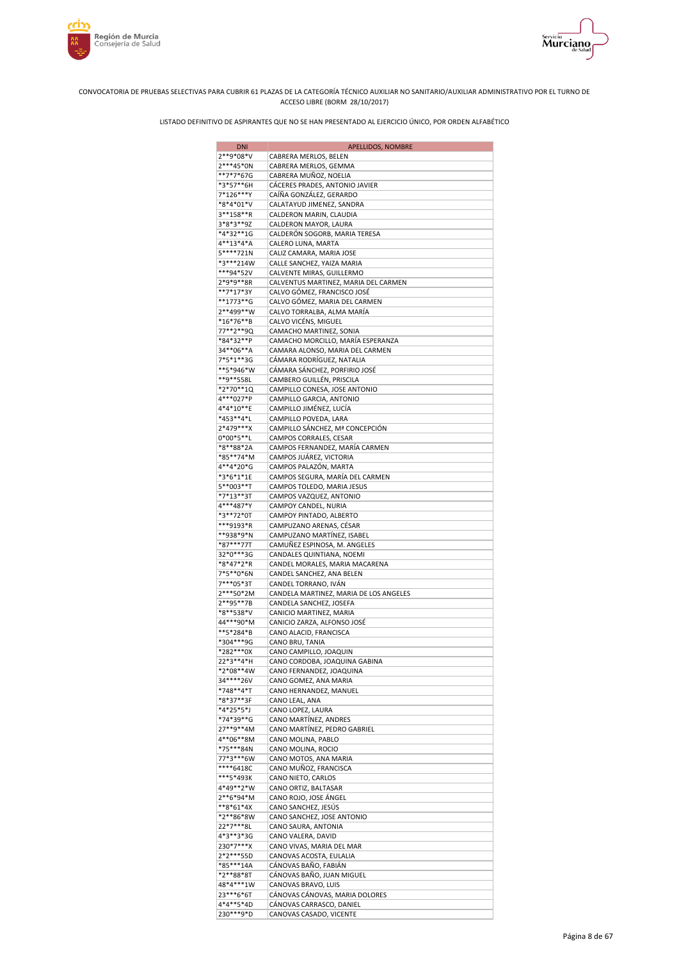



| <b>DNI</b>             | <b>APELLIDOS, NOMBRE</b>                                     |
|------------------------|--------------------------------------------------------------|
| 2**9*08*V              | CABRERA MERLOS, BELEN                                        |
| 2***45*0N              | CABRERA MERLOS, GEMMA                                        |
| **7*7*67G              | CABRERA MUÑOZ, NOELIA                                        |
| *3*57**6H<br>7*126***Y | CÁCERES PRADES, ANTONIO JAVIER<br>CAÍÑA GONZÁLEZ, GERARDO    |
| *8*4*01*V              | CALATAYUD JIMENEZ, SANDRA                                    |
| 3**158**R              | CALDERON MARIN, CLAUDIA                                      |
| 3*8*3**9Z              | CALDERON MAYOR, LAURA                                        |
| *4*32**1G              | CALDERÓN SOGORB, MARIA TERESA                                |
| 4**13*4*A              | CALERO LUNA, MARTA                                           |
| 5****721N              | CALIZ CAMARA, MARIA JOSE                                     |
| *3***214W              | CALLE SANCHEZ, YAIZA MARIA                                   |
| ***94*52V              | CALVENTE MIRAS, GUILLERMO                                    |
| 2*9*9**8R              | CALVENTUS MARTINEZ, MARIA DEL CARMEN                         |
| **7*17*3Y<br>**1773**G | CALVO GÓMEZ, FRANCISCO JOSÉ<br>CALVO GÓMEZ, MARIA DEL CARMEN |
| 2**499**W              | CALVO TORRALBA, ALMA MARÍA                                   |
| *16*76**B              | CALVO VICÉNS, MIGUEL                                         |
| 77**2**9Q              | CAMACHO MARTINEZ, SONIA                                      |
| *84*32**P              | CAMACHO MORCILLO, MARÍA ESPERANZA                            |
| 34**06**A              | CAMARA ALONSO, MARIA DEL CARMEN                              |
| 7*5*1**3G              | CÁMARA RODRÍGUEZ, NATALIA                                    |
| **5*946*W              | CÁMARA SÁNCHEZ, PORFIRIO JOSÉ                                |
| **9**558L              | CAMBERO GUILLÉN, PRISCILA                                    |
| *2*70**1Q              | CAMPILLO CONESA, JOSE ANTONIO                                |
| 4***027*P              | CAMPILLO GARCIA, ANTONIO                                     |
| 4*4*10**E<br>*453**4*L | CAMPILLO JIMÉNEZ, LUCÍA<br>CAMPILLO POVEDA, LARA             |
| 2*479***X              | CAMPILLO SÁNCHEZ, Mª CONCEPCIÓN                              |
| $0*00*5**L$            | CAMPOS CORRALES, CESAR                                       |
| *8**88*2A              | CAMPOS FERNANDEZ, MARÍA CARMEN                               |
| *85**74*M              | CAMPOS JUÁREZ, VICTORIA                                      |
| 4**4*20*G              | CAMPOS PALAZÓN, MARTA                                        |
| *3*6*1*1E              | CAMPOS SEGURA, MARÍA DEL CARMEN                              |
| 5**003**T              | CAMPOS TOLEDO, MARIA JESUS                                   |
| *7*13**3T              | CAMPOS VAZQUEZ, ANTONIO                                      |
| 4***487*Y              | CAMPOY CANDEL, NURIA                                         |
| *3**72*0T<br>***9193*R | CAMPOY PINTADO, ALBERTO<br>CAMPUZANO ARENAS, CÉSAR           |
| **938*9*N              | CAMPUZANO MARTÍNEZ, ISABEL                                   |
| *87***77T              | CAMUÑEZ ESPINOSA, M. ANGELES                                 |
| 32*0***3G              | CANDALES QUINTIANA, NOEMI                                    |
| *8*47*2*R              | CANDEL MORALES, MARIA MACARENA                               |
| 7*5**0*6N              | CANDEL SANCHEZ, ANA BELEN                                    |
| 7***05*3T              | CANDEL TORRANO, IVÁN                                         |
| 2***50*2M              | CANDELA MARTINEZ, MARIA DE LOS ANGELES                       |
| 2**95**7B              | CANDELA SANCHEZ, JOSEFA                                      |
| *8**538*V              | CANICIO MARTINEZ, MARIA                                      |
| 44***90*M<br>**5*284*B | CANICIO ZARZA, ALFONSO JOSÉ                                  |
| *304***9G              | CANO ALACID, FRANCISCA<br>CANO BRU, TANIA                    |
| *282***0X              | CANO CAMPILLO, JOAQUIN                                       |
| 22*3**4*H              | CANO CORDOBA, JOAQUINA GABINA                                |
| *2*08**4W              | CANO FERNANDEZ, JOAQUINA                                     |
| 34****26V              | CANO GOMEZ, ANA MARIA                                        |
| *748**4*T              | CANO HERNANDEZ, MANUEL                                       |
| *8*37**3F              | CANO LEAL, ANA                                               |
| *4*25*5*J              | CANO LOPEZ, LAURA                                            |
| *74*39**G<br>27**9**4M | CANO MARTÍNEZ, ANDRES                                        |
| 4**06**8M              | CANO MARTÍNEZ, PEDRO GABRIEL<br>CANO MOLINA, PABLO           |
| *75***84N              | CANO MOLINA, ROCIO                                           |
| 77*3***6W              | CANO MOTOS, ANA MARIA                                        |
| ****6418C              | CANO MUÑOZ, FRANCISCA                                        |
| ***5*493K              | CANO NIETO, CARLOS                                           |
| 4*49**2*W              | CANO ORTIZ, BALTASAR                                         |
| 2**6*94*M              | CANO ROJO, JOSE ÁNGEL                                        |
| $**8*61*4X$            | CANO SANCHEZ, JESÚS                                          |
| *2**86*8W              | CANO SANCHEZ, JOSE ANTONIO                                   |
| 22*7***8L              | CANO SAURA, ANTONIA                                          |
| 4*3**3*3G<br>230*7***X | CANO VALERA, DAVID<br>CANO VIVAS, MARIA DEL MAR              |
| 2*2***55D              | CANOVAS ACOSTA, EULALIA                                      |
| *85***14A              | CÁNOVAS BAÑO, FABIÁN                                         |
| *2**88*8T              | CÁNOVAS BAÑO, JUAN MIGUEL                                    |
| 48*4***1W              | CANOVAS BRAVO, LUIS                                          |
| 23***6*6T              | CÁNOVAS CÁNOVAS, MARIA DOLORES                               |
| 4*4**5*4D              | CÁNOVAS CARRASCO, DANIEL                                     |
| 230***9*D              | CANOVAS CASADO, VICENTE                                      |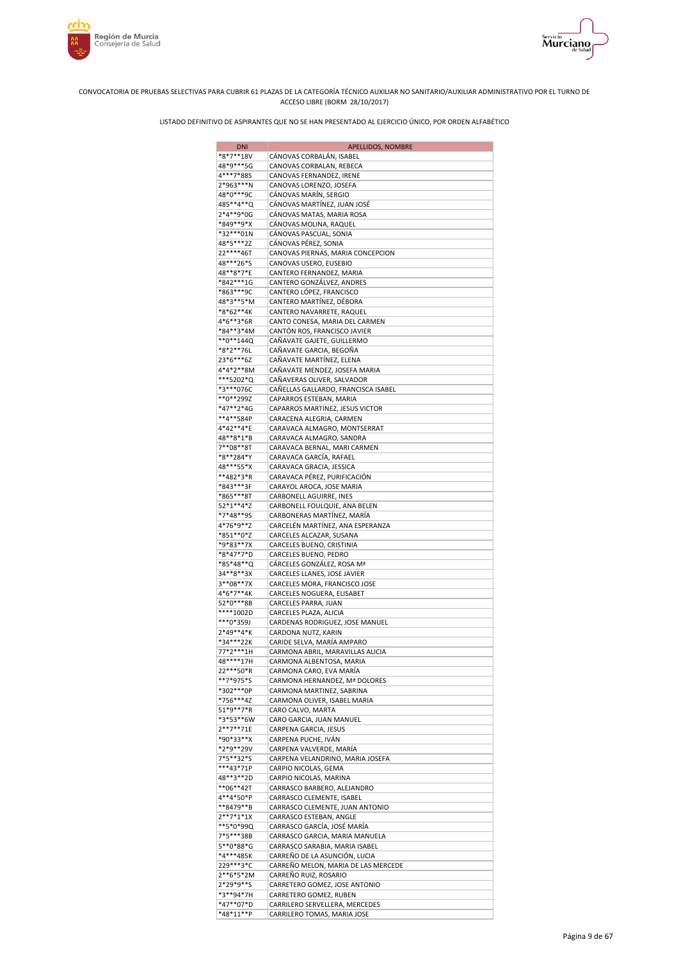



| <b>DNI</b>             | APELLIDOS, NOMBRE                                               |
|------------------------|-----------------------------------------------------------------|
| *8*7**18V              | CÁNOVAS CORBALÁN, ISABEL                                        |
| 48*9***5G              | CANOVAS CORBALAN, REBECA                                        |
| 4***7*88S              | CANOVAS FERNANDEZ, IRENE                                        |
| 2*963***N              | CANOVAS LORENZO, JOSEFA                                         |
| 48*0***9C              | CÁNOVAS MARÍN, SERGIO                                           |
| 485**4**Q              | CÁNOVAS MARTÍNEZ, JUAN JOSÉ                                     |
| 2*4**9*0G<br>*849**9*X | CÁNOVAS MATAS, MARIA ROSA<br>CÁNOVAS MOLINA, RAQUEL             |
| *32***01N              | CÁNOVAS PASCUAL, SONIA                                          |
| 48*5***2Z              | CÁNOVAS PÉREZ, SONIA                                            |
| 22****46T              | CANOVAS PIERNAS, MARIA CONCEPCION                               |
| 48***26*S              | CANOVAS USERO, EUSEBIO                                          |
| 48**8*7*E              | CANTERO FERNANDEZ, MARIA                                        |
| *842***1G              | CANTERO GONZÁLVEZ, ANDRES                                       |
| *863***9C              | CANTERO LÓPEZ, FRANCISCO                                        |
| 48*3**5*M              | CANTERO MARTÍNEZ, DÉBORA                                        |
| *8*62**4K              | CANTERO NAVARRETE, RAQUEL                                       |
| 4*6**3*6R              | CANTO CONESA, MARIA DEL CARMEN                                  |
| *84**3*4M              | CANTÓN ROS, FRANCISCO JAVIER                                    |
| **0**144Q              | CAÑAVATE GAJETE, GUILLERMO                                      |
| *8*2**76L<br>23*6***6Z | CAÑAVATE GARCIA, BEGOÑA<br>CAÑAVATE MARTÍNEZ, ELENA             |
| 4*4*2**8M              | CAÑAVATE MENDEZ, JOSEFA MARIA                                   |
| ***5202*Q              | CAÑAVERAS OLIVER, SALVADOR                                      |
| *3***076C              | CAÑELLAS GALLARDO, FRANCISCA ISABEL                             |
| **0**299Z              | CAPARROS ESTEBAN, MARIA                                         |
| *47**2*4G              | CAPARROS MARTINEZ, JESUS VICTOR                                 |
| **4**584P              | CARACENA ALEGRIA, CARMEN                                        |
| 4*42**4*E              | CARAVACA ALMAGRO, MONTSERRAT                                    |
| 48**8*1*B              | CARAVACA ALMAGRO, SANDRA                                        |
| 7**08**8T              | CARAVACA BERNAL, MARI CARMEN                                    |
| *8**284*Y              | CARAVACA GARCÍA, RAFAEL                                         |
| 48***55*X              | CARAVACA GRACIA, JESSICA                                        |
| **482*3*R              | CARAVACA PÉREZ, PURIFICACIÓN                                    |
| *843***3F              | CARAYOL AROCA, JOSE MARIA                                       |
| *865***8T<br>52*1**4*Z | CARBONELL AGUIRRE, INES<br>CARBONELL FOULQUIE, ANA BELEN        |
| *7*48**95              | CARBONERAS MARTÍNEZ, MARÍA                                      |
| 4*76*9**Z              | CARCELÉN MARTÍNEZ, ANA ESPERANZA                                |
| *851**0*Z              | CARCELES ALCAZAR, SUSANA                                        |
| *9*83**7X              | CARCELES BUENO, CRISTINIA                                       |
| *8*47*7*D              | CARCELES BUENO, PEDRO                                           |
| *85*48**Q              | CÁRCELES GONZÁLEZ, ROSA Mª                                      |
| 34**8**3X              | CARCELES LLANES, JOSE JAVIER                                    |
| 3**08**7X              | CARCELES MORA, FRANCISCO JOSE                                   |
| 4*6*7**4K              | CARCELES NOGUERA, ELISABET                                      |
| 52*0***8B<br>****1002D | CARCELES PARRA, JUAN<br>CARCELES PLAZA, ALICIA                  |
| ***0*359J              | CARDENAS RODRIGUEZ, JOSE MANUEL                                 |
| 2*49**4*K              | CARDONA NUTZ, KARIN                                             |
| *34***22K              | CARIDE SELVA, MARÍA AMPARO                                      |
| 77*2***1H              | CARMONA ABRIL, MARAVILLAS ALICIA                                |
| 48****17H              | CARMONA ALBENTOSA, MARIA                                        |
| 22 *** 50 *R           | CARMONA CARO, EVA MARÍA                                         |
| **7*975*S              | CARMONA HERNANDEZ, Mª DOLORES                                   |
| *302***0P              | CARMONA MARTINEZ, SABRINA                                       |
| *756***4Z              | CARMONA OLIVER, ISABEL MARIA                                    |
| 51*9**7*R              | CARO CALVO, MARTA                                               |
| *3*53**6W<br>2**7**71E | CARO GARCIA, JUAN MANUEL<br>CARPENA GARCIA, JESUS               |
| *90*33**X              | CARPENA PUCHE, IVÁN                                             |
| *2*9**29V              | CARPENA VALVERDE, MARÍA                                         |
| 7*5**32*S              | CARPENA VELANDRINO, MARIA JOSEFA                                |
| ***43*71P              | CARPIO NICOLAS, GEMA                                            |
| 48**3**2D              | CARPIO NICOLAS, MARINA                                          |
| **06**42T              | CARRASCO BARBERO, ALEJANDRO                                     |
| 4**4*50*P              | CARRASCO CLEMENTE, ISABEL                                       |
| **8479**B              | CARRASCO CLEMENTE, JUAN ANTONIO                                 |
| $2**7*1*1X$            | CARRASCO ESTEBAN, ANGLE                                         |
| **5*0*99Q              | CARRASCO GARCÍA, JOSÉ MARÍA                                     |
| 7*5***38B              | CARRASCO GARCIA, MARIA MANUELA                                  |
| 5**0*88*G<br>*4***485K | CARRASCO SARABIA, MARIA ISABEL<br>CARREÑO DE LA ASUNCIÓN, LUCIA |
| 229 *** 3* C           | CARREÑO MELON, MARIA DE LAS MERCEDE                             |
| $2**6*5*2M$            | CARREÑO RUIZ, ROSARIO                                           |
| 2*29*9**S              | CARRETERO GOMEZ, JOSE ANTONIO                                   |
| *3**94*7H              | CARRETERO GOMEZ, RUBEN                                          |
| *47**07*D              | CARRILERO SERVELLERA, MERCEDES                                  |
| *48*11**P              | CARRILERO TOMAS, MARIA JOSE                                     |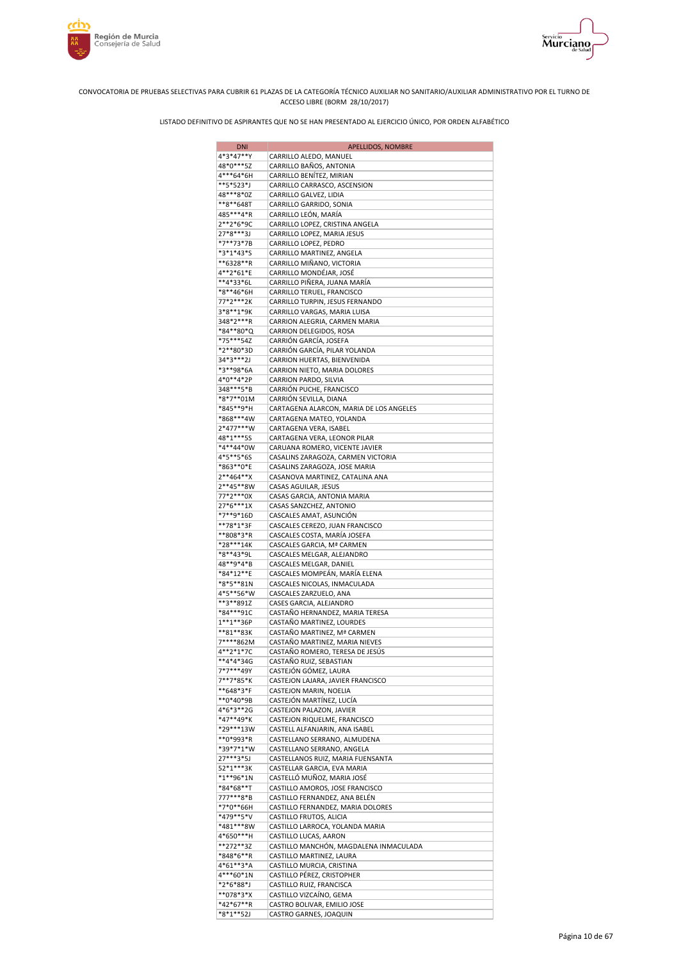



| <b>DNI</b>             | APELLIDOS, NOMBRE                                                 |
|------------------------|-------------------------------------------------------------------|
| 4*3*47**Y              | CARRILLO ALEDO, MANUEL                                            |
| 48*0***5Z              | CARRILLO BAÑOS, ANTONIA                                           |
| 4***64*6H<br>**5*523*J | CARRILLO BENÍTEZ, MIRIAN<br>CARRILLO CARRASCO, ASCENSION          |
| 48***8*0Z              | CARRILLO GALVEZ, LIDIA                                            |
| **8**648T              | CARRILLO GARRIDO, SONIA                                           |
| 485***4*R              | CARRILLO LEÓN, MARÍA                                              |
| 2**2*6*9C              | CARRILLO LOPEZ, CRISTINA ANGELA                                   |
| 27*8***3J              | CARRILLO LOPEZ, MARIA JESUS                                       |
| *7**73*7B              | CARRILLO LOPEZ, PEDRO                                             |
| *3*1*43*S<br>**6328**R | CARRILLO MARTINEZ, ANGELA<br>CARRILLO MIÑANO, VICTORIA            |
| 4**2*61*E              | CARRILLO MONDÉJAR, JOSÉ                                           |
| **4*33*6L              | CARRILLO PIÑERA, JUANA MARÍA                                      |
| *8**46*6H              | CARRILLO TERUEL, FRANCISCO                                        |
| 77*2***2K              | CARRILLO TURPIN, JESUS FERNANDO                                   |
| 3*8**1*9K              | CARRILLO VARGAS, MARIA LUISA                                      |
| 348*2***R              | CARRION ALEGRIA, CARMEN MARIA                                     |
| *84**80*Q<br>*75***54Z | CARRION DELEGIDOS, ROSA<br>CARRIÓN GARCÍA, JOSEFA                 |
| *2**80*3D              | CARRIÓN GARCÍA, PILAR YOLANDA                                     |
| 34*3***2J              | CARRION HUERTAS, BIENVENIDA                                       |
| *3**98*6A              | CARRION NIETO, MARIA DOLORES                                      |
| 4*0**4*2P              | CARRION PARDO, SILVIA                                             |
| 348***5*B              | CARRIÓN PUCHE, FRANCISCO                                          |
| *8*7**01M              | CARRIÓN SEVILLA, DIANA                                            |
| *845**9*H<br>*868***4W | CARTAGENA ALARCON, MARIA DE LOS ANGELES                           |
| 2*477***W              | CARTAGENA MATEO, YOLANDA<br>CARTAGENA VERA, ISABEL                |
| 48*1***55              | CARTAGENA VERA, LEONOR PILAR                                      |
| *4**44*0W              | CARUANA ROMERO, VICENTE JAVIER                                    |
| 4*5**5*6S              | CASALINS ZARAGOZA, CARMEN VICTORIA                                |
| *863**0*E              | CASALINS ZARAGOZA, JOSE MARIA                                     |
| $2**464**X$            | CASANOVA MARTINEZ, CATALINA ANA                                   |
| 2**45**8W<br>77*2***0X | CASAS AGUILAR, JESUS                                              |
| 27*6***1X              | CASAS GARCIA, ANTONIA MARIA<br>CASAS SANZCHEZ, ANTONIO            |
| *7**9*16D              | CASCALES AMAT, ASUNCIÓN                                           |
| **78*1*3F              | CASCALES CEREZO, JUAN FRANCISCO                                   |
| **808*3*R              | CASCALES COSTA, MARÍA JOSEFA                                      |
| *28***14K              | CASCALES GARCIA, Mª CARMEN                                        |
| *8**43*9L              | CASCALES MELGAR, ALEJANDRO                                        |
| 48**9*4*B<br>*84*12**E | CASCALES MELGAR, DANIEL                                           |
| *8*5**81N              | CASCALES MOMPEÁN, MARÍA ELENA<br>CASCALES NICOLAS, INMACULADA     |
| 4*5**56*W              | CASCALES ZARZUELO, ANA                                            |
| **3**891Z              | CASES GARCIA, ALEJANDRO                                           |
| *84***91C              | CASTAÑO HERNANDEZ, MARIA TERESA                                   |
| $1***1***36P$          | CASTAÑO MARTINEZ, LOURDES                                         |
| **81**83K<br>7****862M | CASTAÑO MARTINEZ, Mª CARMEN                                       |
| 4**2*1*7C              | CASTAÑO MARTINEZ, MARIA NIEVES<br>CASTAÑO ROMERO, TERESA DE JESÚS |
| $**4*4*34G$            | CASTAÑO RUIZ, SEBASTIAN                                           |
| 7*7***49Y              | CASTEJÓN GÓMEZ, LAURA                                             |
| 7**7*85*K              | CASTEJON LAJARA, JAVIER FRANCISCO                                 |
| **648*3*F              | CASTEJON MARIN, NOELIA                                            |
| **0*40*9B<br>4*6*3**2G | CASTEJÓN MARTÍNEZ, LUCÍA                                          |
| *47**49*K              | CASTEJON PALAZON, JAVIER<br>CASTEJON RIQUELME, FRANCISCO          |
| *29***13W              | CASTELL ALFANJARIN, ANA ISABEL                                    |
| **0*993*R              | CASTELLANO SERRANO, ALMUDENA                                      |
| *39*7*1*W              | CASTELLANO SERRANO, ANGELA                                        |
| 27***3*5J              | CASTELLANOS RUIZ, MARIA FUENSANTA                                 |
| 52*1***3K              | CASTELLAR GARCIA, EVA MARIA                                       |
| *1**96*1N<br>*84*68**T | CASTELLÓ MUÑOZ, MARIA JOSÉ<br>CASTILLO AMOROS, JOSE FRANCISCO     |
| 777***8*B              | CASTILLO FERNANDEZ, ANA BELÉN                                     |
| *7*0**66H              | CASTILLO FERNANDEZ, MARIA DOLORES                                 |
| *479**5*V              | CASTILLO FRUTOS, ALICIA                                           |
| *481***8W              | CASTILLO LARROCA, YOLANDA MARIA                                   |
| 4*650***H              | CASTILLO LUCAS, AARON                                             |
| **272**3Z              | CASTILLO MANCHÓN, MAGDALENA INMACULADA                            |
| *848*6**R<br>4*61**3*A | CASTILLO MARTINEZ, LAURA                                          |
| 4***60*1N              | CASTILLO MURCIA, CRISTINA<br>CASTILLO PÉREZ, CRISTOPHER           |
| *2*6*88*J              | CASTILLO RUIZ, FRANCISCA                                          |
| **078*3*X              | CASTILLO VIZCAÍNO, GEMA                                           |
| $*42*67**R$            | CASTRO BOLIVAR, EMILIO JOSE                                       |
| *8*1**52J              | CASTRO GARNES, JOAQUIN                                            |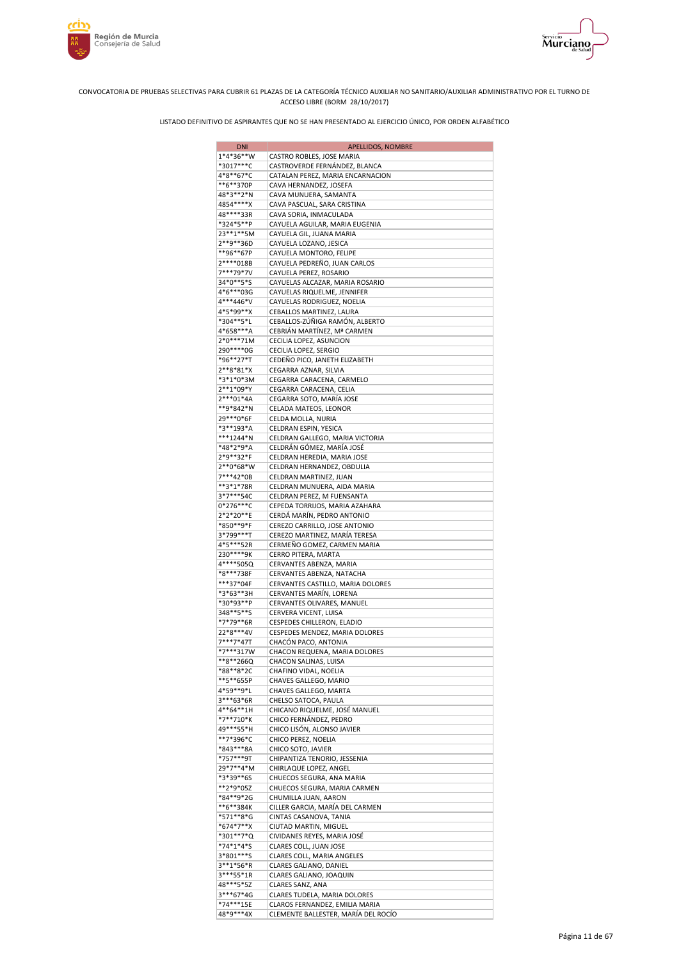



| <b>DNI</b>               | APELLIDOS, NOMBRE                                         |
|--------------------------|-----------------------------------------------------------|
| 1*4*36**W                | CASTRO ROBLES, JOSE MARIA                                 |
| *3017***C                | CASTROVERDE FERNÁNDEZ, BLANCA                             |
| 4*8**67*C<br>**6**370P   | CATALAN PEREZ, MARIA ENCARNACION                          |
| 48*3**2*N                | CAVA HERNANDEZ, JOSEFA<br>CAVA MUNUERA, SAMANTA           |
| 4854****X                | CAVA PASCUAL, SARA CRISTINA                               |
| 48****33R                | CAVA SORIA, INMACULADA                                    |
| *324*5**P                | CAYUELA AGUILAR, MARIA EUGENIA                            |
| 23**1**5M                | CAYUELA GIL, JUANA MARIA                                  |
| 2**9**36D                | CAYUELA LOZANO, JESICA                                    |
| **96**67P                | CAYUELA MONTORO, FELIPE                                   |
| 2****018B                | CAYUELA PEDREÑO, JUAN CARLOS                              |
| 7***79*7V<br>34*0**5*S   | CAYUELA PEREZ, ROSARIO<br>CAYUELAS ALCAZAR, MARIA ROSARIO |
| 4*6***03G                | CAYUELAS RIQUELME, JENNIFER                               |
| 4***446*V                | CAYUELAS RODRIGUEZ, NOELIA                                |
| 4*5*99**X                | CEBALLOS MARTINEZ, LAURA                                  |
| *304**5*L                | CEBALLOS-ZÚÑIGA RAMÓN, ALBERTO                            |
| 4*658***A                | CEBRIÁN MARTÍNEZ, Mª CARMEN                               |
| 2*0***71M                | CECILIA LOPEZ, ASUNCION                                   |
| 290 **** 0G<br>*96**27*T | CECILIA LOPEZ, SERGIO                                     |
| 2**8*81*X                | CEDEÑO PICO, JANETH ELIZABETH<br>CEGARRA AZNAR, SILVIA    |
| *3*1*0*3M                | CEGARRA CARACENA, CARMELO                                 |
| 2**1*09*Y                | CEGARRA CARACENA, CELIA                                   |
| $2***01*4A$              | CEGARRA SOTO, MARÍA JOSE                                  |
| **9*842*N                | CELADA MATEOS, LEONOR                                     |
| 29***0*6F                | CELDA MOLLA, NURIA                                        |
| *3**193*A                | CELDRAN ESPIN, YESICA                                     |
| ***1244*N                | CELDRAN GALLEGO, MARIA VICTORIA                           |
| *48*2*9*A                | CELDRÁN GÓMEZ, MARÍA JOSÉ                                 |
| 2*9**32*F<br>2**0*68*W   | CELDRAN HEREDIA, MARIA JOSE                               |
| 7***42*0B                | CELDRAN HERNANDEZ, OBDULIA<br>CELDRAN MARTINEZ, JUAN      |
| **3*1*78R                | CELDRAN MUNUERA, AIDA MARIA                               |
| 3*7***54C                | CELDRAN PEREZ, M FUENSANTA                                |
| $0*276***C$              | CEPEDA TORRIJOS, MARIA AZAHARA                            |
| 2*2*20**E                | CERDÁ MARÍN, PEDRO ANTONIO                                |
| *850**9*F                | CEREZO CARRILLO, JOSE ANTONIO                             |
| 3*799***T                | CEREZO MARTINEZ, MARÍA TERESA                             |
| 4*5***52R                | CERMEÑO GOMEZ, CARMEN MARIA                               |
| 230****9K<br>4****505Q   | CERRO PITERA, MARTA<br>CERVANTES ABENZA, MARIA            |
| *8***738F                | CERVANTES ABENZA, NATACHA                                 |
| ***37*04F                | CERVANTES CASTILLO, MARIA DOLORES                         |
| *3*63**3H                | CERVANTES MARÍN, LORENA                                   |
| *30*93**P                | CERVANTES OLIVARES, MANUEL                                |
| 348**5**S                | CERVERA VICENT, LUISA                                     |
| *7*79**6R                | CESPEDES CHILLERON, ELADIO                                |
| 22*8***4V                | CESPEDES MENDEZ, MARIA DOLORES                            |
| 7***7*47T<br>$*7***317W$ | CHACÓN PACO, ANTONIA                                      |
| **8**266Q                | CHACON REQUENA, MARIA DOLORES<br>CHACON SALINAS, LUISA    |
| *88**8*2C                | CHAFINO VIDAL, NOELIA                                     |
| **5**655P                | CHAVES GALLEGO, MARIO                                     |
| 4*59**9*L                | CHAVES GALLEGO, MARTA                                     |
| 3***63*6R                | CHELSO SATOCA, PAULA                                      |
| 4**64**1H                | CHICANO RIQUELME, JOSÉ MANUEL                             |
| *7**710*K                | CHICO FERNÁNDEZ, PEDRO                                    |
| 49***55*H                | CHICO LISÓN, ALONSO JAVIER                                |
| **7*396*C<br>*843***8A   | CHICO PEREZ, NOELIA                                       |
| *757***9T                | CHICO SOTO, JAVIER<br>CHIPANTIZA TENORIO, JESSENIA        |
| 29*7**4*M                | CHIRLAQUE LOPEZ, ANGEL                                    |
| *3*39**6S                | CHUECOS SEGURA, ANA MARIA                                 |
| **2*9*05Z                | CHUECOS SEGURA, MARIA CARMEN                              |
| *84**9*2G                | CHUMILLA JUAN, AARON                                      |
| **6**384K                | CILLER GARCIA, MARÍA DEL CARMEN                           |
| *571**8*G                | CINTAS CASANOVA, TANIA                                    |
| *674*7**X                | CIUTAD MARTIN, MIGUEL                                     |
| *301**7*Q                | CIVIDANES REYES, MARIA JOSÉ                               |
| *74*1*4*S<br>3*801***S   | CLARES COLL, JUAN JOSE<br>CLARES COLL, MARIA ANGELES      |
| 3**1*56*R                | CLARES GALIANO, DANIEL                                    |
| 3***55*1R                | CLARES GALIANO, JOAQUIN                                   |
| 48***5*5Z                | CLARES SANZ, ANA                                          |
| 3***67*4G                | CLARES TUDELA, MARIA DOLORES                              |
| *74***15E                | CLAROS FERNANDEZ, EMILIA MARIA                            |
| 48*9***4X                | CLEMENTE BALLESTER, MARÍA DEL ROCÍO                       |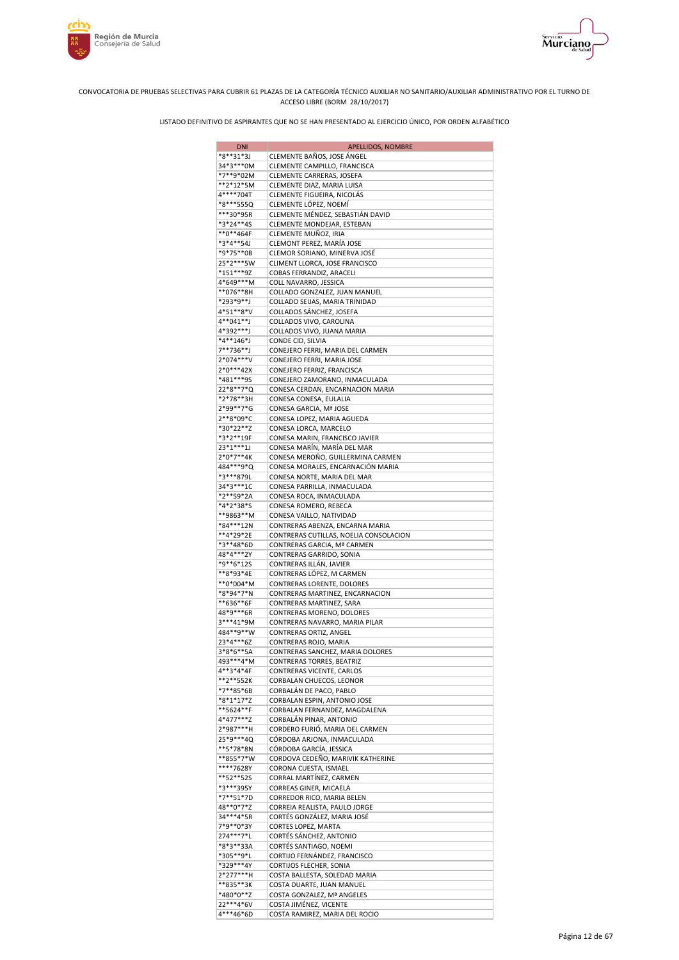



| <b>DNI</b>               | APELLIDOS, NOMBRE                                           |
|--------------------------|-------------------------------------------------------------|
| *8**31*3J                | CLEMENTE BAÑOS, JOSE ÁNGEL                                  |
| 34*3***0M                | CLEMENTE CAMPILLO, FRANCISCA                                |
| *7**9*02M<br>**2*12*5M   | CLEMENTE CARRERAS, JOSEFA<br>CLEMENTE DIAZ, MARIA LUISA     |
| 4****704T                | CLEMENTE FIGUEIRA, NICOLÁS                                  |
| *8***555Q                | CLEMENTE LÓPEZ, NOEMÍ                                       |
| ***30*95R                | CLEMENTE MÉNDEZ, SEBASTIÁN DAVID                            |
| *3*24**4S                | CLEMENTE MONDEJAR, ESTEBAN                                  |
| $**0**464F$              | CLEMENTE MUÑOZ, IRIA                                        |
| *3*4**54J                | CLEMONT PEREZ, MARÍA JOSE                                   |
| *9*75**0B                | CLEMOR SORIANO, MINERVA JOSÉ                                |
| 25*2***5W<br>$*151***9Z$ | CLIMENT LLORCA, JOSE FRANCISCO<br>COBAS FERRANDIZ, ARACELI  |
| 4*649***M                | COLL NAVARRO, JESSICA                                       |
| **076**8H                | COLLADO GONZALEZ, JUAN MANUEL                               |
| *293*9**J                | COLLADO SEIJAS, MARIA TRINIDAD                              |
| 4*51**8*V                | COLLADOS SÁNCHEZ, JOSEFA                                    |
| 4**041**J                | COLLADOS VIVO, CAROLINA                                     |
| 4*392***J                | COLLADOS VIVO, JUANA MARIA                                  |
| *4**146*J<br>7**736**J   | CONDE CID, SILVIA<br>CONEJERO FERRI, MARIA DEL CARMEN       |
| 2*074***V                | CONEJERO FERRI, MARIA JOSE                                  |
| 2*0***42X                | CONEJERO FERRIZ, FRANCISCA                                  |
| *481***95                | CONEJERO ZAMORANO, INMACULADA                               |
| 22*8**7*Q                | CONESA CERDAN, ENCARNACION MARIA                            |
| *2*78**3H                | CONESA CONESA, EULALIA                                      |
| 2*99**7*G                | CONESA GARCIA, Mª JOSE                                      |
| 2**8*09*C<br>*30*22**Z   | CONESA LOPEZ, MARIA AGUEDA<br>CONESA LORCA, MARCELO         |
| *3*2**19F                | CONESA MARIN, FRANCISCO JAVIER                              |
| $23*1***1J$              | CONESA MARÍN, MARÍA DEL MAR                                 |
| $2*0*7**4K$              | CONESA MEROÑO, GUILLERMINA CARMEN                           |
| 484***9*Q                | CONESA MORALES, ENCARNACIÓN MARIA                           |
| *3***879L                | CONESA NORTE, MARIA DEL MAR                                 |
| 34*3***1C                | CONESA PARRILLA, INMACULADA                                 |
| *2**59*2A                | CONESA ROCA, INMACULADA                                     |
| *4*2*38*S<br>**9863**M   | CONESA ROMERO, REBECA                                       |
| *84***12N                | CONESA VAILLO, NATIVIDAD<br>CONTRERAS ABENZA, ENCARNA MARIA |
| **4*29*2E                | CONTRERAS CUTILLAS, NOELIA CONSOLACION                      |
| *3**48*6D                | CONTRERAS GARCIA, Mª CARMEN                                 |
| 48*4***2Y                | CONTRERAS GARRIDO, SONIA                                    |
| *9**6*12S                | CONTRERAS ILLÁN, JAVIER                                     |
| **8*93*4E                | CONTRERAS LÓPEZ, M CARMEN                                   |
| **0*004*M                | CONTRERAS LORENTE, DOLORES                                  |
| *8*94*7*N<br>**636**6F   | CONTRERAS MARTINEZ, ENCARNACION<br>CONTRERAS MARTINEZ, SARA |
| 48*9***6R                | CONTRERAS MORENO, DOLORES                                   |
| 3***41*9M                | CONTRERAS NAVARRO, MARIA PILAR                              |
| 484**9**W                | CONTRERAS ORTIZ, ANGEL                                      |
| 23*4***6Z                | CONTRERAS ROJO, MARIA                                       |
| 3*8*6**5A                | CONTRERAS SANCHEZ, MARIA DOLORES                            |
| 493***4*M                | CONTRERAS TORRES, BEATRIZ                                   |
| 4**3*4*4F                | CONTRERAS VICENTE, CARLOS                                   |
| **2**552K<br>*7**85*6B   | CORBALAN CHUECOS, LEONOR<br>CORBALÁN DE PACO, PABLO         |
| *8*1*17*Z                | CORBALAN ESPIN, ANTONIO JOSE                                |
| **5624**F                | CORBALAN FERNANDEZ, MAGDALENA                               |
| 4*477***Z                | CORBALÁN PINAR, ANTONIO                                     |
| 2*987***H                | CORDERO FURIÓ, MARIA DEL CARMEN                             |
| 25*9***40                | CÓRDOBA ARJONA, INMACULADA                                  |
| **5*78*8N                | CÓRDOBA GARCÍA, JESSICA                                     |
| **855*7*W<br>****7628Y   | CORDOVA CEDEÑO, MARIVIK KATHERINE<br>CORONA CUESTA, ISMAEL  |
| **52**52S                | CORRAL MARTÍNEZ, CARMEN                                     |
| *3***395Y                | CORREAS GINER, MICAELA                                      |
| *7**51*7D                | CORREDOR RICO, MARIA BELEN                                  |
| 48**0*7*Z                | CORREIA REALISTA, PAULO JORGE                               |
| 34***4*5R                | CORTÉS GONZÁLEZ, MARIA JOSÉ                                 |
| 7*9**0*3Y                | CORTES LOPEZ, MARTA                                         |
| 274 *** 7*L<br>*8*3**33A | CORTÉS SÁNCHEZ, ANTONIO                                     |
| *305**9*L                | CORTÉS SANTIAGO, NOEMI<br>CORTIJO FERNÁNDEZ, FRANCISCO      |
| *329***4Y                | CORTIJOS FLECHER, SONIA                                     |
| 2*277***H                | COSTA BALLESTA, SOLEDAD MARIA                               |
| **835**3K                | COSTA DUARTE, JUAN MANUEL                                   |
| *480*0**Z                | COSTA GONZALEZ, Mª ANGELES                                  |
| 22***4*6V                | COSTA JIMÉNEZ, VICENTE                                      |
| 4***46*6D                | COSTA RAMIREZ, MARIA DEL ROCIO                              |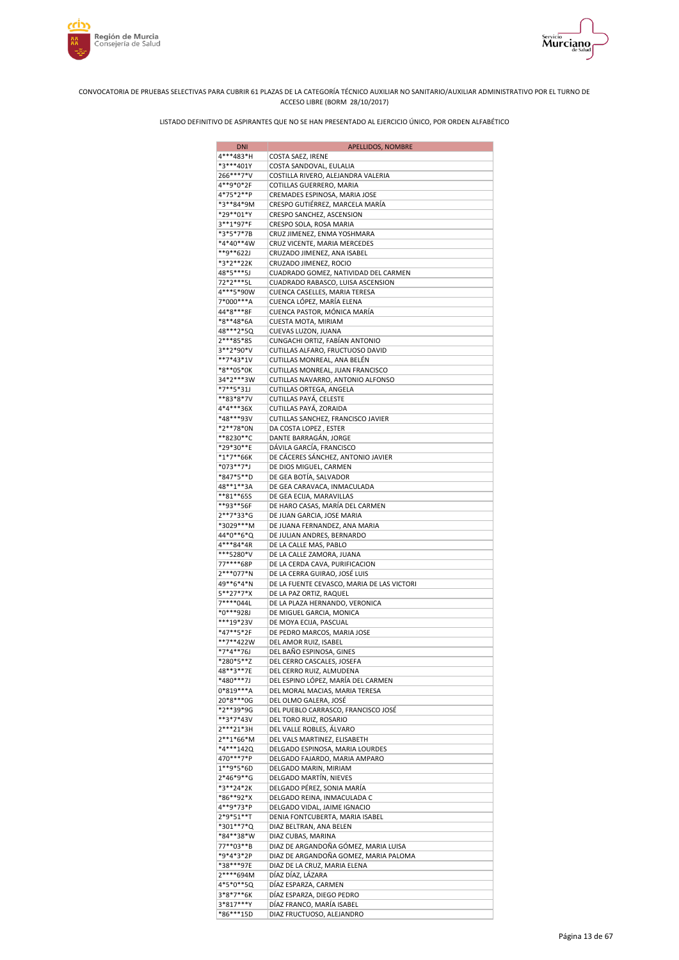



| <b>DNI</b>             | APELLIDOS, NOMBRE                                                     |
|------------------------|-----------------------------------------------------------------------|
| 4***483*H              | COSTA SAEZ, IRENE                                                     |
| *3***401Y              | COSTA SANDOVAL, EULALIA                                               |
| 266***7*V              | COSTILLA RIVERO, ALEJANDRA VALERIA                                    |
| 4**9*0*2F<br>4*75*2**P | COTILLAS GUERRERO, MARIA<br>CREMADES ESPINOSA, MARIA JOSE             |
| *3**84*9M              | CRESPO GUTIÉRREZ, MARCELA MARÍA                                       |
| *29**01*Y              | CRESPO SANCHEZ, ASCENSION                                             |
| 3**1*97*F              | CRESPO SOLA, ROSA MARIA                                               |
| *3*5*7*7B              | CRUZ JIMENEZ, ENMA YOSHMARA                                           |
| *4*40**4W              | CRUZ VICENTE, MARIA MERCEDES                                          |
| **9**622J              | CRUZADO JIMENEZ, ANA ISABEL                                           |
| *3*2**22K<br>48*5***5J | CRUZADO JIMENEZ, ROCIO<br>CUADRADO GOMEZ, NATIVIDAD DEL CARMEN        |
| 72*2***5L              | CUADRADO RABASCO, LUISA ASCENSION                                     |
| 4***5*90W              | CUENCA CASELLES, MARIA TERESA                                         |
| 7*000***A              | CUENCA LÓPEZ, MARÍA ELENA                                             |
| 44*8***8F              | CUENCA PASTOR, MÓNICA MARÍA                                           |
| *8**48*6A              | CUESTA MOTA, MIRIAM                                                   |
| 48***2*5Q              | CUEVAS LUZON, JUANA                                                   |
| 2***85*8S<br>3**2*90*V | CUNGACHI ORTIZ, FABÍAN ANTONIO<br>CUTILLAS ALFARO, FRUCTUOSO DAVID    |
| **7*43*1V              | CUTILLAS MONREAL, ANA BELÉN                                           |
| *8**05*0K              | CUTILLAS MONREAL, JUAN FRANCISCO                                      |
| 34*2***3W              | CUTILLAS NAVARRO, ANTONIO ALFONSO                                     |
| *7**5*31J              | CUTILLAS ORTEGA, ANGELA                                               |
| **83*8*7V              | CUTILLAS PAYÁ, CELESTE                                                |
| 4*4***36X              | CUTILLAS PAYÁ, ZORAIDA                                                |
| *48***93V              | CUTILLAS SANCHEZ, FRANCISCO JAVIER                                    |
| *2**78*0N<br>**8230**C | DA COSTA LOPEZ, ESTER<br>DANTE BARRAGÁN, JORGE                        |
| *29*30**E              | DÁVILA GARCÍA, FRANCISCO                                              |
| $*1*7**66K$            | DE CÁCERES SÁNCHEZ, ANTONIO JAVIER                                    |
| $*073**7*J$            | DE DIOS MIGUEL, CARMEN                                                |
| *847*5**D              | DE GEA BOTÍA, SALVADOR                                                |
| 48**1**3A              | DE GEA CARAVACA, INMACULADA                                           |
| **81**655              | DE GEA ECIJA, MARAVILLAS                                              |
| **93**56F<br>2**7*33*G | DE HARO CASAS, MARÍA DEL CARMEN                                       |
| *3029***M              | DE JUAN GARCIA, JOSE MARIA<br>DE JUANA FERNANDEZ, ANA MARIA           |
| 44*0**6*Q              | DE JULIAN ANDRES, BERNARDO                                            |
| 4***84*4R              | DE LA CALLE MAS, PABLO                                                |
| ***5280*V              | DE LA CALLE ZAMORA, JUANA                                             |
| 77****68P              | DE LA CERDA CAVA, PURIFICACION                                        |
| 2***077*N              | DE LA CERRA GUIRAO, JOSÉ LUIS                                         |
| 49**6*4*N<br>5**27*7*X | DE LA FUENTE CEVASCO, MARIA DE LAS VICTORI<br>DE LA PAZ ORTIZ, RAQUEL |
| 7****044L              | DE LA PLAZA HERNANDO, VERONICA                                        |
| *0***928J              | DE MIGUEL GARCIA, MONICA                                              |
| ***19*23V              | DE MOYA ECIJA, PASCUAL                                                |
| *47**5*2F              | DE PEDRO MARCOS, MARIA JOSE                                           |
| **7**422W              | DEL AMOR RUIZ, ISABEL                                                 |
| *7*4**76J              | DEL BAÑO ESPINOSA, GINES                                              |
| *280*5**Z              | DEL CERRO CASCALES, JOSEFA                                            |
| 48**3**7E<br>*480***7J | DEL CERRO RUIZ, ALMUDENA<br>DEL ESPINO LÓPEZ, MARÍA DEL CARMEN        |
| 0*819***A              | DEL MORAL MACIAS, MARIA TERESA                                        |
| 20*8***0G              | DEL OLMO GALERA, JOSÉ                                                 |
| *2**39*9G              | DEL PUEBLO CARRASCO, FRANCISCO JOSÉ                                   |
| **3*7*43V              | DEL TORO RUIZ, ROSARIO                                                |
| 2***21*3H              | DEL VALLE ROBLES, ÁLVARO                                              |
| $2**1*66*M$            | DEL VALS MARTINEZ, ELISABETH                                          |
| *4***142Q<br>470***7*P | DELGADO ESPINOSA, MARIA LOURDES<br>DELGADO FAJARDO, MARIA AMPARO      |
| 1**9*5*6D              | DELGADO MARIN, MIRIAM                                                 |
| 2*46*9**G              | DELGADO MARTÍN, NIEVES                                                |
| *3**24*2K              | DELGADO PÉREZ, SONIA MARÍA                                            |
| *86**92*X              | DELGADO REINA, INMACULADA C                                           |
| 4**9*73*P              | DELGADO VIDAL, JAIME IGNACIO                                          |
| 2*9*51**T              | DENIA FONTCUBERTA, MARIA ISABEL                                       |
| *301**7*Q<br>*84**38*W | DIAZ BELTRAN, ANA BELEN<br>DIAZ CUBAS, MARINA                         |
| 77**03**B              | DIAZ DE ARGANDOÑA GÓMEZ, MARIA LUISA                                  |
| *9*4*3*2P              | DIAZ DE ARGANDOÑA GOMEZ, MARIA PALOMA                                 |
| *38***97E              | DIAZ DE LA CRUZ, MARIA ELENA                                          |
| 2****694M              | DÍAZ DÍAZ, LÁZARA                                                     |
| 4*5*0**5Q              | DÍAZ ESPARZA, CARMEN                                                  |
| 3*8*7**6K              | DÍAZ ESPARZA, DIEGO PEDRO                                             |
| 3*817***Y<br>*86***15D | DÍAZ FRANCO, MARÍA ISABEL<br>DIAZ FRUCTUOSO, ALEJANDRO                |
|                        |                                                                       |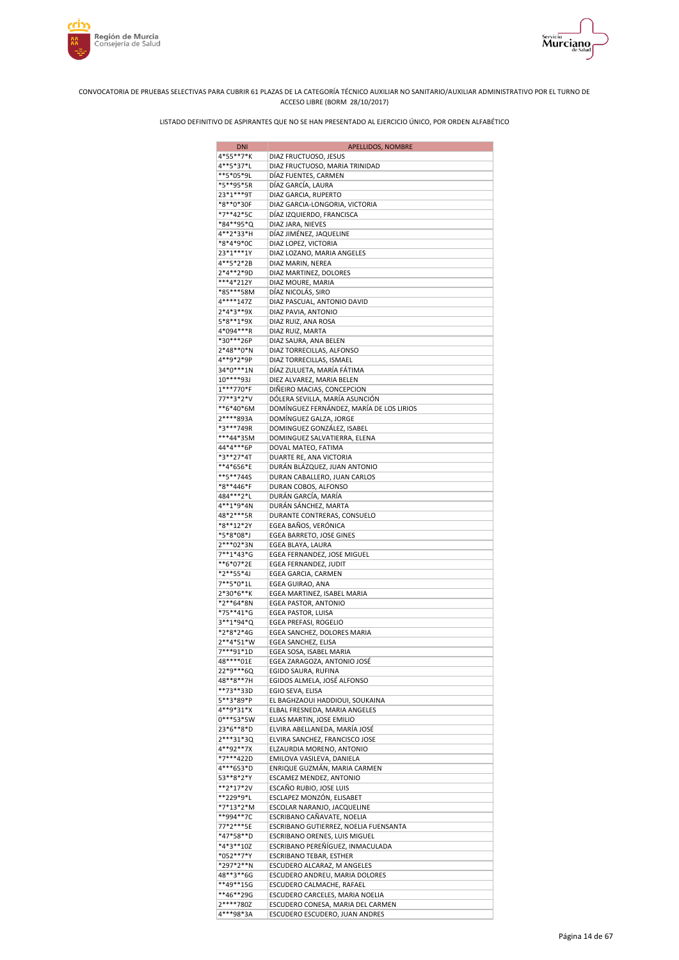



| <b>DNI</b>             | APELLIDOS, NOMBRE                                                |
|------------------------|------------------------------------------------------------------|
| 4*55**7*K              | DIAZ FRUCTUOSO, JESUS                                            |
| 4**5*37*L              | DIAZ FRUCTUOSO, MARIA TRINIDAD                                   |
| **5*05*9L              | DÍAZ FUENTES, CARMEN                                             |
| *5**95*5R<br>23*1***9T | DÍAZ GARCÍA, LAURA<br>DIAZ GARCIA, RUPERTO                       |
| *8**0*30F              | DIAZ GARCIA-LONGORIA, VICTORIA                                   |
| *7**42*5C              | DÍAZ IZQUIERDO, FRANCISCA                                        |
| *84**95*Q              | DIAZ JARA, NIEVES                                                |
| 4**2*33*H              | DÍAZ JIMÉNEZ, JAQUELINE                                          |
| *8*4*9*0C              | DIAZ LOPEZ, VICTORIA                                             |
| 23*1***1Y              | DIAZ LOZANO, MARIA ANGELES                                       |
| 4**5*2*2B              | DIAZ MARIN, NEREA                                                |
| 2*4**2*9D<br>***4*212Y | DIAZ MARTINEZ, DOLORES<br>DIAZ MOURE, MARIA                      |
| *85***58M              | DÍAZ NICOLÁS, SIRO                                               |
| 4****147Z              | DIAZ PASCUAL, ANTONIO DAVID                                      |
| 2*4*3**9X              | DIAZ PAVIA, ANTONIO                                              |
| 5*8**1*9X              | DIAZ RUIZ, ANA ROSA                                              |
| 4*094***R              | DIAZ RUIZ, MARTA                                                 |
| *30***26P              | DIAZ SAURA, ANA BELEN                                            |
| 2*48**0*N              | DIAZ TORRECILLAS, ALFONSO                                        |
| 4**9*2*9P<br>34*0***1N | DIAZ TORRECILLAS, ISMAEL<br>DÍAZ ZULUETA, MARÍA FÁTIMA           |
| 10****93J              | DIEZ ALVAREZ, MARIA BELEN                                        |
| 1***770*F              | DIÑEIRO MACIAS, CONCEPCION                                       |
| 77**3*2*V              | DÓLERA SEVILLA, MARÍA ASUNCIÓN                                   |
| **6*40*6M              | DOMÍNGUEZ FERNÁNDEZ, MARÍA DE LOS LIRIOS                         |
| 2****893A              | DOMÍNGUEZ GALZA, JORGE                                           |
| *3***749R              | DOMINGUEZ GONZÁLEZ, ISABEL                                       |
| ***44*35M<br>44*4***6P | DOMINGUEZ SALVATIERRA, ELENA                                     |
| *3**27*4T              | DOVAL MATEO, FATIMA<br>DUARTE RE, ANA VICTORIA                   |
| **4*656*E              | DURÁN BLÁZQUEZ, JUAN ANTONIO                                     |
| **5**744S              | DURAN CABALLERO, JUAN CARLOS                                     |
| *8**446*F              | DURAN COBOS, ALFONSO                                             |
| 484 *** 2*L            | DURÁN GARCÍA, MARÍA                                              |
| 4**1*9*4N              | DURÁN SÁNCHEZ, MARTA                                             |
| 48*2***5R              | DURANTE CONTRERAS, CONSUELO                                      |
| *8**12*2Y<br>*5*8*08*J | EGEA BAÑOS, VERÓNICA                                             |
| 2***02*3N              | EGEA BARRETO, JOSE GINES<br>EGEA BLAYA, LAURA                    |
| $7**1*43*G$            | EGEA FERNANDEZ, JOSE MIGUEL                                      |
| **6*07*2E              | EGEA FERNANDEZ, JUDIT                                            |
| *2**55*4J              | EGEA GARCIA, CARMEN                                              |
| $7***5*0*1L$           | EGEA GUIRAO, ANA                                                 |
| 2*30*6**K              | EGEA MARTINEZ, ISABEL MARIA                                      |
| *2**64*8N              | EGEA PASTOR, ANTONIO                                             |
| *75**41*G<br>3**1*94*Q | EGEA PASTOR, LUISA<br>EGEA PREFASI, ROGELIO                      |
| *2*8*2*4G              | EGEA SANCHEZ, DOLORES MARIA                                      |
| 2**4*51*W              | EGEA SANCHEZ, ELISA                                              |
| 7***91*1D              | EGEA SOSA, ISABEL MARIA                                          |
| 48****01E              | EGEA ZARAGOZA, ANTONIO JOSÉ                                      |
| 22*9***6Q              | EGIDO SAURA, RUFINA                                              |
| 48**8**7H              | EGIDOS ALMELA, JOSÉ ALFONSO                                      |
| **73**33D              | EGIO SEVA, ELISA                                                 |
| 5**3*89*P<br>4**9*31*X | EL BAGHZAOUI HADDIOUI, SOUKAINA<br>ELBAL FRESNEDA, MARIA ANGELES |
| $0***53*5W$            | ELIAS MARTIN, JOSE EMILIO                                        |
| 23*6**8*D              | ELVIRA ABELLANEDA, MARÍA JOSÉ                                    |
| 2***31*30              | ELVIRA SANCHEZ, FRANCISCO JOSE                                   |
| 4**92**7X              | ELZAURDIA MORENO, ANTONIO                                        |
| *7***422D              | EMILOVA VASILEVA, DANIELA                                        |
| 4***653*D              | ENRIQUE GUZMÁN, MARIA CARMEN                                     |
| 53**8*2*Y<br>**2*17*2V | ESCAMEZ MENDEZ, ANTONIO<br>ESCAÑO RUBIO, JOSE LUIS               |
| **229*9*L              | ESCLAPEZ MONZÓN, ELISABET                                        |
| *7*13*2*M              | ESCOLAR NARANJO, JACQUELINE                                      |
| **994**7C              | ESCRIBANO CAÑAVATE, NOELIA                                       |
| 77*2***5E              | ESCRIBANO GUTIERREZ, NOELIA FUENSANTA                            |
| *47*58**D              | ESCRIBANO ORENES, LUIS MIGUEL                                    |
| *4*3**10Z              | ESCRIBANO PEREÑÍGUEZ, INMACULADA                                 |
| *052**7*Y<br>*297*2**N | ESCRIBANO TEBAR, ESTHER                                          |
| 48**3**6G              | ESCUDERO ALCARAZ, M ANGELES<br>ESCUDERO ANDREU, MARIA DOLORES    |
| **49**15G              | ESCUDERO CALMACHE, RAFAEL                                        |
| **46**29G              | ESCUDERO CARCELES, MARIA NOELIA                                  |
| 2****780Z              | ESCUDERO CONESA, MARIA DEL CARMEN                                |
| 4***98*3A              | ESCUDERO ESCUDERO, JUAN ANDRES                                   |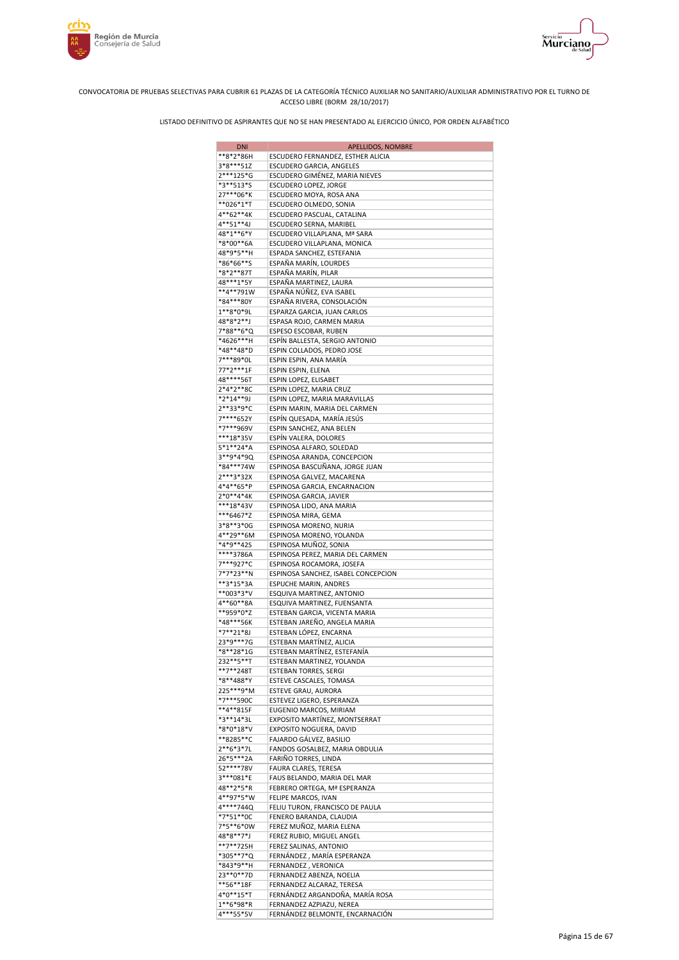



| <b>DNI</b>             | APELLIDOS, NOMBRE                                             |
|------------------------|---------------------------------------------------------------|
| **8*2*86H              | ESCUDERO FERNANDEZ, ESTHER ALICIA                             |
| 3*8***51Z              | ESCUDERO GARCIA, ANGELES                                      |
| 2***125*G              | ESCUDERO GIMÉNEZ, MARIA NIEVES                                |
| *3**513*S              | ESCUDERO LOPEZ, JORGE                                         |
| 27***06*K              | ESCUDERO MOYA, ROSA ANA                                       |
| **026*1*T<br>4**62**4K | ESCUDERO OLMEDO, SONIA<br>ESCUDERO PASCUAL, CATALINA          |
| 4**51**4J              | ESCUDERO SERNA, MARIBEL                                       |
| 48*1**6*Y              | ESCUDERO VILLAPLANA, Mª SARA                                  |
| *8*00**6A              | ESCUDERO VILLAPLANA, MONICA                                   |
| 48*9*5**H              | ESPADA SANCHEZ, ESTEFANIA                                     |
| *86*66**S              | ESPAÑA MARÍN, LOURDES                                         |
| *8*2**87T              | ESPAÑA MARÍN, PILAR                                           |
| 48***1*5Y              | ESPAÑA MARTINEZ, LAURA                                        |
| **4**791W              | ESPAÑA NÚÑEZ, EVA ISABEL                                      |
| *84***80Y              | ESPAÑA RIVERA, CONSOLACIÓN                                    |
| 1**8*0*9L<br>48*8*2**J | ESPARZA GARCIA, JUAN CARLOS<br>ESPASA ROJO, CARMEN MARIA      |
| 7*88**6*Q              | ESPESO ESCOBAR, RUBEN                                         |
| *4626***H              | ESPÍN BALLESTA, SERGIO ANTONIO                                |
| *48**48*D              | ESPIN COLLADOS, PEDRO JOSE                                    |
| 7***89*0L              | ESPIN ESPIN, ANA MARÍA                                        |
| 77*2***1F              | ESPIN ESPIN, ELENA                                            |
| 48****56T              | ESPIN LOPEZ, ELISABET                                         |
| 2*4*2**8C              | ESPIN LOPEZ, MARIA CRUZ                                       |
| *2*14**9J              | ESPIN LOPEZ, MARIA MARAVILLAS                                 |
| 2**33*9*C              | ESPIN MARIN, MARIA DEL CARMEN                                 |
| 7****652Y              | ESPÍN QUESADA, MARÍA JESÚS                                    |
| *7***969V              | ESPIN SANCHEZ, ANA BELEN                                      |
| ***18*35V              | ESPÍN VALERA, DOLORES                                         |
| 5*1**24*A<br>3**9*4*9Q | ESPINOSA ALFARO, SOLEDAD                                      |
| *84***74W              | ESPINOSA ARANDA, CONCEPCION<br>ESPINOSA BASCUÑANA, JORGE JUAN |
| 2***3*32X              | ESPINOSA GALVEZ, MACARENA                                     |
| 4*4**65*P              | ESPINOSA GARCIA, ENCARNACION                                  |
| $2*0**4*4K$            | ESPINOSA GARCIA, JAVIER                                       |
| ***18*43V              | ESPINOSA LIDO, ANA MARIA                                      |
| ***6467*Z              | ESPINOSA MIRA, GEMA                                           |
| 3*8**3*0G              | ESPINOSA MORENO, NURIA                                        |
| 4**29**6M              | ESPINOSA MORENO, YOLANDA                                      |
| *4*9**42S              | ESPINOSA MUÑOZ, SONIA                                         |
| ****3786A              | ESPINOSA PEREZ, MARIA DEL CARMEN                              |
| 7***927*C              | ESPINOSA ROCAMORA, JOSEFA                                     |
| 7*7*23**N<br>**3*15*3A | ESPINOSA SANCHEZ, ISABEL CONCEPCION                           |
| **003*3*V              | ESPUCHE MARIN, ANDRES<br>ESQUIVA MARTINEZ, ANTONIO            |
| 4**60**8A              | ESQUIVA MARTINEZ, FUENSANTA                                   |
| **959*0*Z              | ESTEBAN GARCIA, VICENTA MARIA                                 |
| *48***56K              | ESTEBAN JAREÑO, ANGELA MARIA                                  |
| *7**21*8J              | ESTEBAN LÓPEZ, ENCARNA                                        |
| 23*9***7G              | ESTEBAN MARTÍNEZ, ALICIA                                      |
| *8**28*1G              | ESTEBAN MARTÍNEZ, ESTEFANÍA                                   |
| 232**5**T              | ESTEBAN MARTINEZ, YOLANDA                                     |
| **7**248T              | <b>ESTEBAN TORRES, SERGI</b>                                  |
| *8**488*Y              | ESTEVE CASCALES, TOMASA                                       |
| 225***9*M              | ESTEVE GRAU, AURORA                                           |
| *7***590C<br>**4**815F | ESTEVEZ LIGERO, ESPERANZA<br>EUGENIO MARCOS, MIRIAM           |
| *3**14*3L              | EXPOSITO MARTÍNEZ, MONTSERRAT                                 |
| *8*0*18*V              | EXPOSITO NOGUERA, DAVID                                       |
| **8285**C              | FAJARDO GÁLVEZ, BASILIO                                       |
| 2**6*3*7L              | FANDOS GOSALBEZ, MARIA OBDULIA                                |
| 26*5***2A              | FARIÑO TORRES, LINDA                                          |
| 52****78V              | FAURA CLARES, TERESA                                          |
| 3***081*E              | FAUS BELANDO, MARIA DEL MAR                                   |
| 48**2*5*R              | FEBRERO ORTEGA, Mª ESPERANZA                                  |
| 4**97*5*W              | FELIPE MARCOS, IVAN                                           |
| 4****744Q              | FELIU TURON, FRANCISCO DE PAULA                               |
| *7*51**0C<br>7*5**6*0W | FENERO BARANDA, CLAUDIA                                       |
|                        | FEREZ MUÑOZ, MARIA ELENA                                      |
| 48*8**7*J<br>**7**725H | FEREZ RUBIO, MIGUEL ANGEL<br>FEREZ SALINAS, ANTONIO           |
| *305**7*Q              | FERNÁNDEZ , MARÍA ESPERANZA                                   |
| *843*9**H              | FERNANDEZ, VERONICA                                           |
| 23 ** 0 ** 7D          | FERNANDEZ ABENZA, NOELIA                                      |
| **56**18F              | FERNANDEZ ALCARAZ, TERESA                                     |
| 4*0**15*T              | FERNÁNDEZ ARGANDOÑA, MARÍA ROSA                               |
| 1**6*98*R              | FERNANDEZ AZPIAZU, NEREA                                      |
| 4***55*5V              | FERNÁNDEZ BELMONTE, ENCARNACIÓN                               |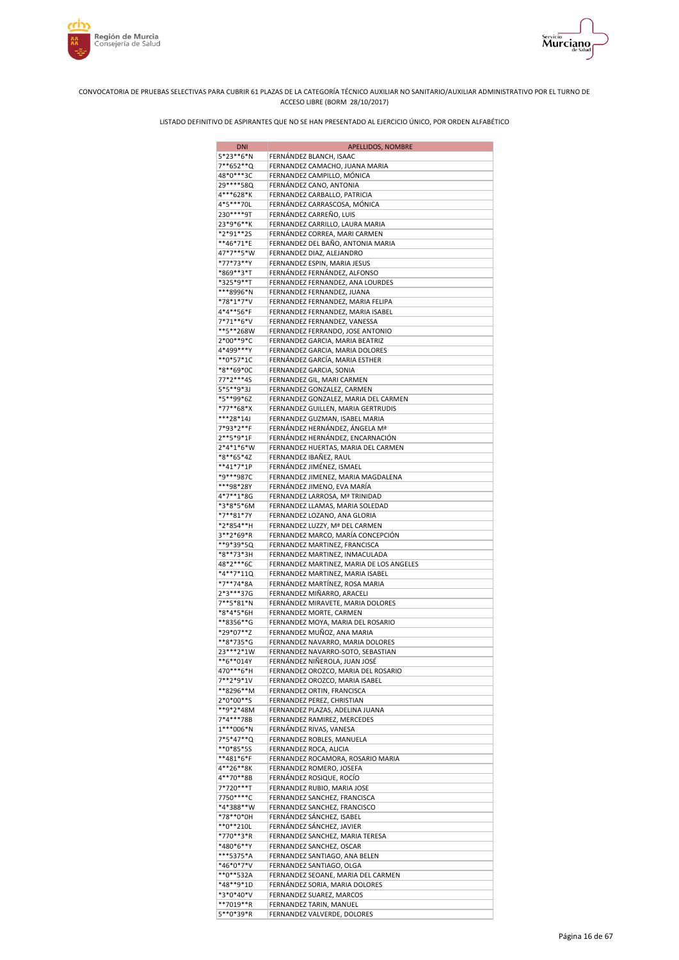



| <b>DNI</b>               | APELLIDOS, NOMBRE                                                          |
|--------------------------|----------------------------------------------------------------------------|
| 5*23**6*N                | FERNÁNDEZ BLANCH, ISAAC                                                    |
| 7**652**Q                | FERNANDEZ CAMACHO, JUANA MARIA                                             |
| 48*0***3C<br>29 **** 58Q | FERNANDEZ CAMPILLO, MÓNICA<br>FERNÁNDEZ CANO, ANTONIA                      |
| 4***628*K                | FERNANDEZ CARBALLO, PATRICIA                                               |
| 4*5***70L                | FERNÁNDEZ CARRASCOSA, MÓNICA                                               |
| 230****9T                | FERNÁNDEZ CARREÑO, LUIS                                                    |
| 23*9*6**K                | FERNANDEZ CARRILLO, LAURA MARIA                                            |
| *2*91**2S                | FERNÁNDEZ CORREA, MARI CARMEN                                              |
| **46*71*E<br>47*7**5*W   | FERNANDEZ DEL BAÑO, ANTONIA MARIA                                          |
| *77*73**Y                | FERNANDEZ DIAZ, ALEJANDRO<br>FERNANDEZ ESPIN, MARIA JESUS                  |
| *869**3*T                | FERNÁNDEZ FERNÁNDEZ, ALFONSO                                               |
| *325*9**T                | FERNANDEZ FERNANDEZ, ANA LOURDES                                           |
| ***8996*N                | FERNANDEZ FERNANDEZ, JUANA                                                 |
| *78*1*7*V                | FERNANDEZ FERNANDEZ, MARIA FELIPA                                          |
| 4*4**56*F                | FERNANDEZ FERNANDEZ, MARIA ISABEL                                          |
| 7*71**6*V<br>**5**268W   | FERNANDEZ FERNANDEZ, VANESSA<br>FERNANDEZ FERRANDO, JOSE ANTONIO           |
| 2*00**9*C                | FERNANDEZ GARCIA, MARIA BEATRIZ                                            |
| 4*499***Y                | FERNANDEZ GARCIA, MARIA DOLORES                                            |
| **0*57*1C                | FERNÁNDEZ GARCÍA, MARIA ESTHER                                             |
| *8**69*0C                | FERNANDEZ GARCIA, SONIA                                                    |
| 77*2***4S                | FERNANDEZ GIL, MARI CARMEN                                                 |
| 5*5**9*3J<br>*5**99*6Z   | FERNANDEZ GONZALEZ, CARMEN                                                 |
| *77**68*X                | FERNANDEZ GONZALEZ, MARIA DEL CARMEN<br>FERNANDEZ GUILLEN, MARIA GERTRUDIS |
| ***28*14J                | FERNANDEZ GUZMAN, ISABEL MARIA                                             |
| 7*93*2**F                | FERNÁNDEZ HERNÁNDEZ, ÁNGELA Mª                                             |
| 2**5*9*1F                | FERNÁNDEZ HERNÁNDEZ, ENCARNACIÓN                                           |
| 2*4*1*6*W                | FERNANDEZ HUERTAS, MARIA DEL CARMEN                                        |
| *8**65*4Z<br>**41*7*1P   | FERNANDEZ IBAÑEZ, RAUL<br>FERNÁNDEZ JIMÉNEZ, ISMAEL                        |
| *9***987C                | FERNANDEZ JIMENEZ, MARIA MAGDALENA                                         |
| ***98*28Y                | FERNÁNDEZ JIMENO, EVA MARÍA                                                |
| 4*7**1*8G                | FERNANDEZ LARROSA, Mª TRINIDAD                                             |
| *3*8*5*6M                | FERNANDEZ LLAMAS, MARIA SOLEDAD                                            |
| *7**81*7Y                | FERNANDEZ LOZANO, ANA GLORIA                                               |
| *2*854**H                | FERNANDEZ LUZZY, Mª DEL CARMEN                                             |
| 3**2*69*R<br>**9*39*5Q   | FERNANDEZ MARCO, MARÍA CONCEPCIÓN<br>FERNANDEZ MARTINEZ, FRANCISCA         |
| *8**73*3H                | FERNANDEZ MARTINEZ, INMACULADA                                             |
| 48*2***6C                | FERNANDEZ MARTINEZ, MARIA DE LOS ANGELES                                   |
| *4**7*11Q                | FERNANDEZ MARTINEZ, MARIA ISABEL                                           |
| *7**74*8A<br>2*3***37G   | FERNÁNDEZ MARTÍNEZ, ROSA MARIA<br>FERNANDEZ MIÑARRO, ARACELI               |
| 7**5*81*N                | FERNÁNDEZ MIRAVETE, MARIA DOLORES                                          |
| *8*4*5*6H                | FERNANDEZ MORTE, CARMEN                                                    |
| **8356**G                | FERNANDEZ MOYA, MARIA DEL ROSARIO                                          |
| *29*07**Z                | FERNANDEZ MUÑOZ, ANA MARIA                                                 |
| **8*735*G                | FERNANDEZ NAVARRO, MARIA DOLORES                                           |
| 23***2*1W<br>**6**014Y   | FERNANDEZ NAVARRO-SOTO, SEBASTIAN<br>FERNÁNDEZ NIÑEROLA, JUAN JOSÉ         |
| 470***6*H                | FERNANDEZ OROZCO, MARIA DEL ROSARIO                                        |
| 7**2*9*1V                | FERNANDEZ OROZCO, MARIA ISABEL                                             |
| **8296**M                | FERNANDEZ ORTIN, FRANCISCA                                                 |
| 2*0*00**S                | FERNANDEZ PEREZ, CHRISTIAN                                                 |
| **9*2*48M                | FERNANDEZ PLAZAS, ADELINA JUANA                                            |
| 7*4***78B<br>1***006*N   | FERNANDEZ RAMIREZ, MERCEDES<br>FERNÁNDEZ RIVAS, VANESA                     |
| 7*5*47**Q                | FERNANDEZ ROBLES, MANUELA                                                  |
| **0*85*5\$               | FERNANDEZ ROCA, ALICIA                                                     |
| **481*6*F                | FERNANDEZ ROCAMORA, ROSARIO MARIA                                          |
| 4**26**8K                | FERNANDEZ ROMERO, JOSEFA                                                   |
| 4**70**8B<br>7*720***T   | FERNÁNDEZ ROSIQUE, ROCÍO                                                   |
| 7750****C                | FERNANDEZ RUBIO, MARIA JOSE<br>FERNANDEZ SANCHEZ, FRANCISCA                |
| *4*388**W                | FERNANDEZ SANCHEZ, FRANCISCO                                               |
| *78**0*0H                | FERNÁNDEZ SÁNCHEZ, ISABEL                                                  |
| **0**210L                | FERNÁNDEZ SÁNCHEZ, JAVIER                                                  |
| *770**3*R                | FERNANDEZ SANCHEZ, MARIA TERESA                                            |
| *480*6**Y<br>***5375*A   | FERNANDEZ SANCHEZ, OSCAR                                                   |
| *46*0*7*V                | FERNANDEZ SANTIAGO, ANA BELEN<br>FERNANDEZ SANTIAGO, OLGA                  |
| **0**532A                | FERNANDEZ SEOANE, MARIA DEL CARMEN                                         |
| *48**9*1D                | FERNÁNDEZ SORIA, MARIA DOLORES                                             |
| *3*0*40*V                | FERNANDEZ SUAREZ, MARCOS                                                   |
| **7019**R                | FERNANDEZ TARIN, MANUEL                                                    |
| 5**0*39*R                | FERNANDEZ VALVERDE, DOLORES                                                |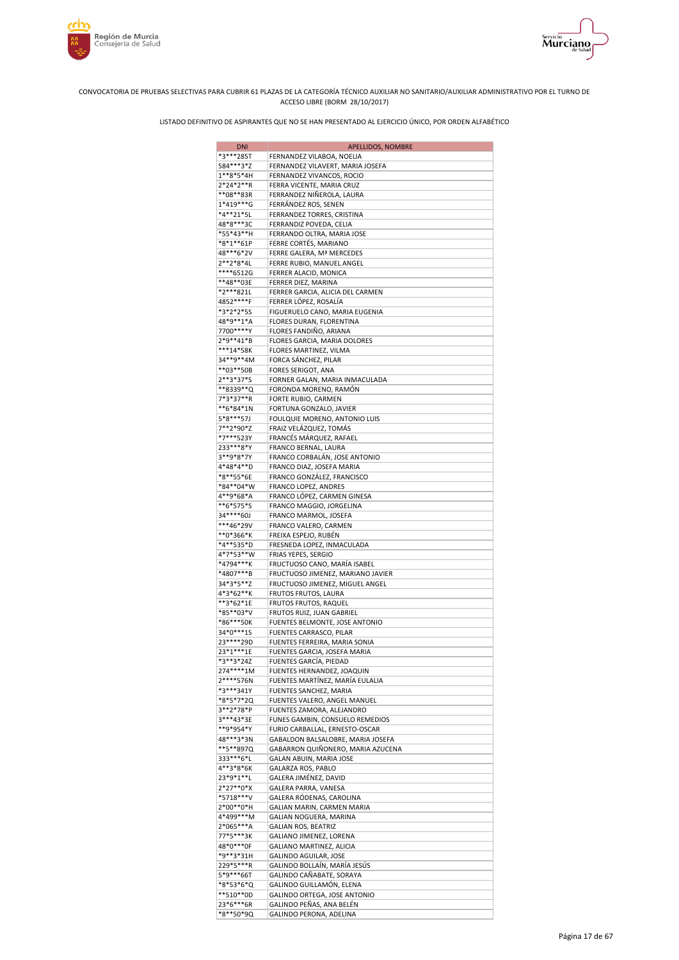



| <b>DNI</b>             | APELLIDOS, NOMBRE                                                    |
|------------------------|----------------------------------------------------------------------|
| *3***285T              | FERNANDEZ VILABOA, NOELIA                                            |
| 584***3*Z              | FERNANDEZ VILAVERT, MARIA JOSEFA                                     |
| $1***8*5*4H$           | FERNANDEZ VIVANCOS, ROCIO                                            |
| 2*24*2**R              | FERRA VICENTE, MARIA CRUZ                                            |
| **08**83R              | FERRANDEZ NIÑEROLA, LAURA                                            |
| 1*419***G              | FERRÁNDEZ ROS, SENEN                                                 |
| *4**21*5L              | FERRANDEZ TORRES, CRISTINA                                           |
| 48*8***3C              | FERRANDIZ POVEDA, CELIA                                              |
| *55*43**H<br>*8*1**61P | FERRANDO OLTRA, MARIA JOSE                                           |
| 48***6*2V              | FERRE CORTÉS, MARIANO<br>FERRE GALERA, Mª MERCEDES                   |
| 2**2*8*4L              | FERRE RUBIO, MANUEL ANGEL                                            |
| ****6512G              | FERRER ALACID, MONICA                                                |
| **48**03E              | FERRER DIEZ, MARINA                                                  |
| *2***821L              | FERRER GARCIA, ALICIA DEL CARMEN                                     |
| 4852****F              | FERRER LÓPEZ, ROSALÍA                                                |
| *3*2*2*5S              | FIGUERUELO CANO, MARIA EUGENIA                                       |
| 48*9**1*A              | FLORES DURAN, FLORENTINA                                             |
| 7700****Y              | FLORES FANDIÑO, ARIANA                                               |
| 2*9**41*B              | FLORES GARCIA, MARIA DOLORES                                         |
| ***14*58K              | FLORES MARTINEZ, VILMA                                               |
| 34**9**4M              | FORCA SÁNCHEZ, PILAR                                                 |
| **03**50B              | FORES SERIGOT, ANA                                                   |
| 2**3*37*S              | FORNER GALAN, MARIA INMACULADA                                       |
| **8339**Q              | FORONDA MORENO, RAMÓN                                                |
| 7*3*37**R<br>**6*84*1N | FORTE RUBIO, CARMEN                                                  |
| 5*8***57J              | FORTUNA GONZALO, JAVIER<br>FOULQUIE MORENO, ANTONIO LUIS             |
| 7**2*90*Z              | FRAIZ VELÁZQUEZ, TOMÁS                                               |
| *7***523Y              | FRANCÉS MÁRQUEZ, RAFAEL                                              |
| 233***8*Y              | FRANCO BERNAL, LAURA                                                 |
| 3**9*8*7Y              | FRANCO CORBALÁN, JOSE ANTONIO                                        |
| 4*48*4**D              | FRANCO DIAZ, JOSEFA MARIA                                            |
| *8**55*6E              | FRANCO GONZÁLEZ, FRANCISCO                                           |
| *84**04*W              | FRANCO LOPEZ, ANDRES                                                 |
| 4**9*68*A              | FRANCO LÓPEZ, CARMEN GINESA                                          |
| **6*575*S              | FRANCO MAGGIO, JORGELINA                                             |
| 34****60J              | FRANCO MARMOL, JOSEFA                                                |
| ***46*29V              | FRANCO VALERO, CARMEN                                                |
| **0*366*K              | FREIXA ESPEJO, RUBÉN                                                 |
| *4**535*D              | FRESNEDA LOPEZ, INMACULADA                                           |
| 4*7*53**W              | FRIAS YEPES, SERGIO                                                  |
| *4794***K<br>*4807***B | FRUCTUOSO CANO, MARÍA ISABEL                                         |
| 34*3*5**Z              | FRUCTUOSO JIMENEZ, MARIANO JAVIER<br>FRUCTUOSO JIMENEZ, MIGUEL ANGEL |
| 4*3*62**K              | FRUTOS FRUTOS, LAURA                                                 |
| **3*62*1E              | FRUTOS FRUTOS, RAQUEL                                                |
| *85**03*V              | FRUTOS RUIZ, JUAN GABRIEL                                            |
| *86***50K              | FUENTES BELMONTE, JOSE ANTONIO                                       |
| 34*0***1S              | FUENTES CARRASCO, PILAR                                              |
| 23 **** 29D            | FUENTES FERREIRA, MARIA SONIA                                        |
| 23*1***1E              | FUENTES GARCIA, JOSEFA MARIA                                         |
| *3**3*24Z              | FUENTES GARCÍA, PIEDAD                                               |
| 274****1M              | FUENTES HERNANDEZ, JOAQUIN                                           |
| 2****576N              | FUENTES MARTÍNEZ, MARÍA EULALIA                                      |
| *3***341Y              | FUENTES SANCHEZ, MARIA                                               |
| *8*5*7*2Q              | FUENTES VALERO, ANGEL MANUEL                                         |
| 3**2*78*P              | FUENTES ZAMORA, ALEJANDRO                                            |
| 3***43*3E<br>**9*954*Y | FUNES GAMBIN, CONSUELO REMEDIOS<br>FURIO CARBALLAL, ERNESTO-OSCAR    |
| 48***3*3N              | GABALDON BALSALOBRE, MARIA JOSEFA                                    |
| **5**897Q              | GABARRON QUIÑONERO, MARIA AZUCENA                                    |
| 333***6*L              | GALAN ABUIN, MARIA JOSE                                              |
| 4**3*8*6K              | GALARZA ROS, PABLO                                                   |
| 23*9*1**L              | GALERA JIMÉNEZ, DAVID                                                |
| 2*27**0*X              | GALERA PARRA, VANESA                                                 |
| *5718***V              | GALERA RÓDENAS, CAROLINA                                             |
| 2*00**0*H              | GALIAN MARIN, CARMEN MARIA                                           |
| 4*499***M              | GALIAN NOGUERA, MARINA                                               |
| 2*065***A              | GALIAN ROS, BEATRIZ                                                  |
| 77*5***3K              | GALIANO JIMENEZ, LORENA                                              |
| 48*0***0F              | GALIANO MARTINEZ, ALICIA                                             |
| *9**3*31H              | GALINDO AGUILAR, JOSE                                                |
| 229*5***R              | GALINDO BOLLAÍN, MARIA JESÚS                                         |
| 5*9***66T              | GALINDO CAÑABATE, SORAYA                                             |
| *8*53*6*Q<br>**510**0D | GALINDO GUILLAMÓN, ELENA<br>GALINDO ORTEGA, JOSE ANTONIO             |
| 23*6***6R              | GALINDO PEÑAS, ANA BELÉN                                             |
| *8**50*9Q              | GALINDO PERONA, ADELINA                                              |
|                        |                                                                      |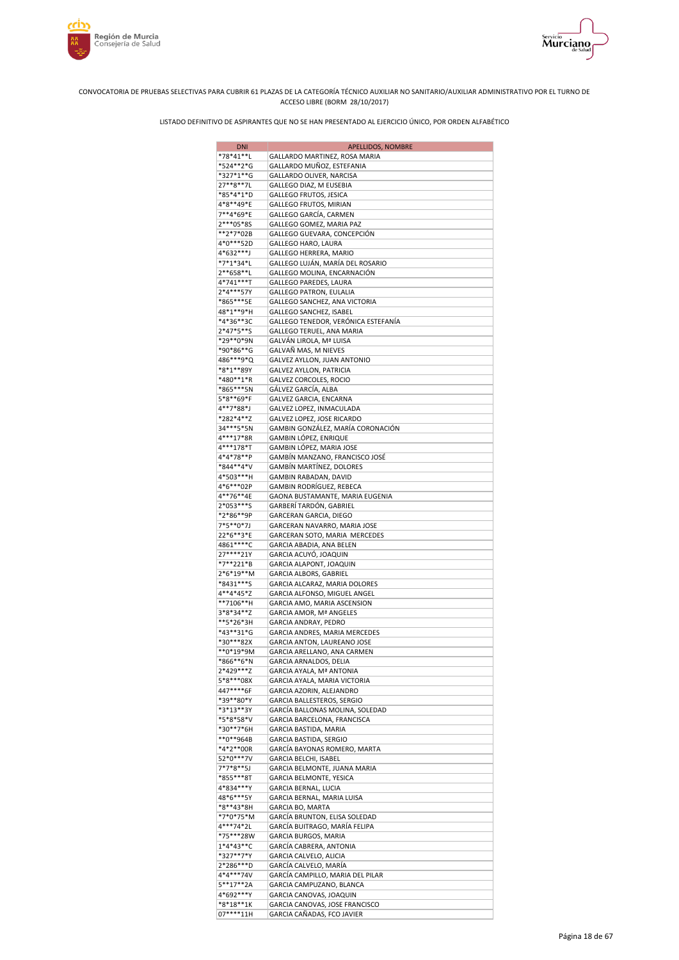



| <b>DNI</b>                  | <b>APELLIDOS, NOMBRE</b>                                       |
|-----------------------------|----------------------------------------------------------------|
| *78*41**L                   | GALLARDO MARTINEZ, ROSA MARIA                                  |
| *524**2*G                   | GALLARDO MUÑOZ, ESTEFANIA                                      |
| *327*1**G                   | GALLARDO OLIVER, NARCISA                                       |
| 27**8**7L                   | GALLEGO DIAZ, M EUSEBIA                                        |
| *85*4*1*D                   | GALLEGO FRUTOS, JESICA                                         |
| 4*8**49*E                   | GALLEGO FRUTOS, MIRIAN                                         |
| 7**4*69*E                   | GALLEGO GARCÍA, CARMEN                                         |
| 2***05*8S                   | GALLEGO GOMEZ, MARIA PAZ                                       |
| **2*7*02B                   | GALLEGO GUEVARA, CONCEPCIÓN                                    |
| 4*0***52D                   | GALLEGO HARO, LAURA                                            |
| 4*632***J<br>*7*1*34*L      | GALLEGO HERRERA, MARIO<br>GALLEGO LUJÁN, MARÍA DEL ROSARIO     |
| 2**658**L                   | GALLEGO MOLINA, ENCARNACIÓN                                    |
| 4*741***T                   | GALLEGO PAREDES, LAURA                                         |
| 2*4***57Y                   | GALLEGO PATRON, EULALIA                                        |
| *865***5E                   | GALLEGO SANCHEZ, ANA VICTORIA                                  |
| 48*1**9*H                   | GALLEGO SANCHEZ, ISABEL                                        |
| *4*36**3C                   | GALLEGO TENEDOR, VERÓNICA ESTEFANÍA                            |
| 2*47*5**S                   | GALLEGO TERUEL, ANA MARIA                                      |
| *29**0*9N                   | GALVÁN LIROLA, Mª LUISA                                        |
| *90*86**G                   | GALVAÑ MAS, M NIEVES                                           |
| 486***9*Q                   | GALVEZ AYLLON, JUAN ANTONIO                                    |
| *8*1**89Y                   | GALVEZ AYLLON, PATRICIA                                        |
| *480**1*R                   | GALVEZ CORCOLES, ROCIO                                         |
| *865***5N                   | GÁLVEZ GARCÍA, ALBA                                            |
| 5*8**69*F                   | GALVEZ GARCIA, ENCARNA                                         |
| 4**7*88*J                   | GALVEZ LOPEZ, INMACULADA                                       |
| *282*4**Z                   | GALVEZ LOPEZ, JOSE RICARDO                                     |
| 34 *** 5 * 5 N<br>4***17*8R | GAMBIN GONZÁLEZ, MARÍA CORONACIÓN                              |
| 4***178*T                   | GAMBIN LÓPEZ, ENRIQUE<br>GAMBIN LÓPEZ, MARIA JOSE              |
| 4*4*78**P                   | GAMBÍN MANZANO, FRANCISCO JOSÉ                                 |
| *844**4*V                   | GAMBIN MARTINEZ, DOLORES                                       |
| 4*503***H                   | GAMBIN RABADAN, DAVID                                          |
| 4*6***02P                   | GAMBIN RODRÍGUEZ, REBECA                                       |
| 4**76**4E                   | GAONA BUSTAMANTE, MARIA EUGENIA                                |
| 2*053***S                   | GARBERÍ TARDÓN, GABRIEL                                        |
| *2*86**9P                   | GARCERAN GARCIA, DIEGO                                         |
| 7*5**0*7J                   | GARCERAN NAVARRO, MARIA JOSE                                   |
| 22*6**3*E                   | GARCERAN SOTO, MARIA MERCEDES                                  |
| 4861****C                   | GARCIA ABADIA, ANA BELEN                                       |
| 27****21Y                   | GARCIA ACUYÓ, JOAQUIN                                          |
| *7**221*B                   | GARCIA ALAPONT, JOAQUIN                                        |
| 2*6*19**M                   | GARCIA ALBORS, GABRIEL                                         |
| *8431***S                   | GARCIA ALCARAZ, MARIA DOLORES                                  |
| 4**4*45*Z<br>**7106**H      | GARCIA ALFONSO, MIGUEL ANGEL                                   |
| 3*8*34**Z                   | GARCIA AMO, MARIA ASCENSION<br>GARCIA AMOR, Mª ANGELES         |
| **5*26*3H                   | GARCIA ANDRAY, PEDRO                                           |
| *43**31*G                   | GARCIA ANDRES, MARIA MERCEDES                                  |
| *30***82X                   | GARCIA ANTON, LAUREANO JOSE                                    |
| **0*19*9M                   | GARCIA ARELLANO, ANA CARMEN                                    |
| *866**6*N                   | GARCIA ARNALDOS, DELIA                                         |
| 2*429***Z                   | GARCIA AYALA, Mª ANTONIA                                       |
| 5*8***08X                   | GARCIA AYALA, MARIA VICTORIA                                   |
| 447****6F                   | GARCIA AZORIN, ALEJANDRO                                       |
| *39**80*Y                   | GARCIA BALLESTEROS, SERGIO                                     |
| *3*13**3Y                   | GARCÍA BALLONAS MOLINA, SOLEDAD                                |
| *5*8*58*V                   | GARCIA BARCELONA, FRANCISCA                                    |
| *30**7*6H                   | GARCIA BASTIDA, MARIA                                          |
| **0**964B                   | GARCIA BASTIDA, SERGIO                                         |
| *4*2**00R<br>52*0***7V      | GARCÍA BAYONAS ROMERO, MARTA                                   |
| 7*7*8**5J                   | GARCIA BELCHI, ISABEL                                          |
| *855***8T                   | GARCIA BELMONTE, JUANA MARIA<br><b>GARCIA BELMONTE, YESICA</b> |
| 4*834***Y                   | GARCIA BERNAL, LUCIA                                           |
| 48*6***5Y                   | GARCIA BERNAL, MARIA LUISA                                     |
| *8**43*8H                   | GARCIA BO, MARTA                                               |
| *7*0*75*M                   | GARCÍA BRUNTON, ELISA SOLEDAD                                  |
| 4***74*2L                   | GARCÍA BUITRAGO, MARÍA FELIPA                                  |
| *75***28W                   | GARCIA BURGOS, MARIA                                           |
| $1*4*43**C$                 | GARCÍA CABRERA, ANTONIA                                        |
| *327**7*Y                   | GARCIA CALVELO, ALICIA                                         |
| 2*286***D                   | GARCÍA CALVELO, MARÍA                                          |
| 4*4***74V                   | GARCÍA CAMPILLO, MARIA DEL PILAR                               |
| 5**17**2A                   | GARCIA CAMPUZANO, BLANCA                                       |
| 4*692***Y                   | GARCIA CANOVAS, JOAQUIN                                        |
| *8*18**1K                   | GARCIA CANOVAS, JOSE FRANCISCO                                 |
| 07****11H                   | GARCIA CAÑADAS, FCO JAVIER                                     |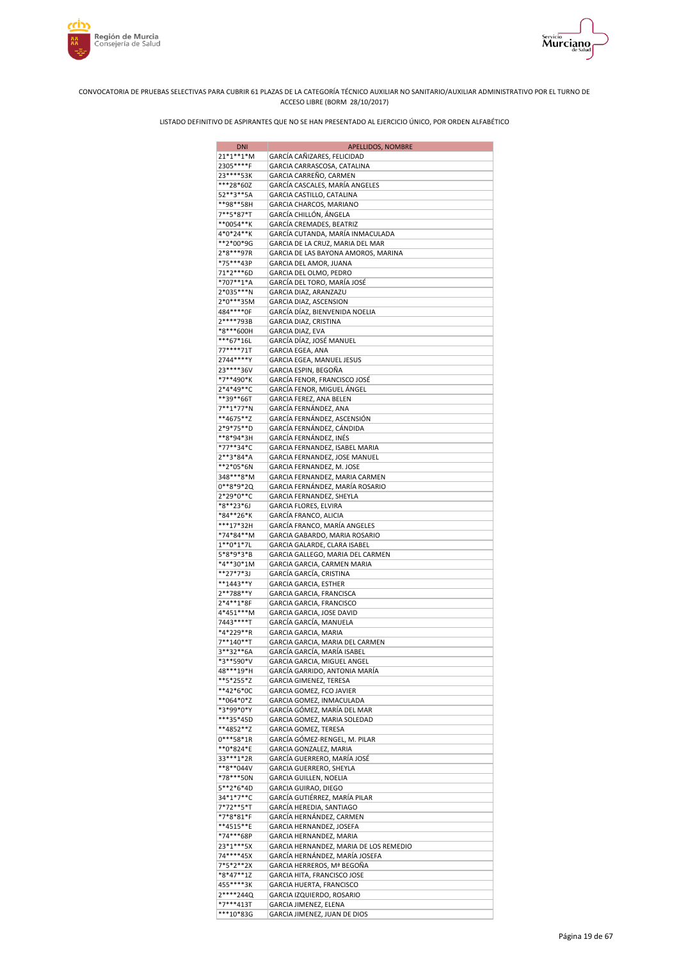



| <b>DNI</b>                | APELLIDOS, NOMBRE                                             |
|---------------------------|---------------------------------------------------------------|
| 21*1**1*M                 | GARCÍA CAÑIZARES, FELICIDAD                                   |
| 2305****F                 | GARCIA CARRASCOSA, CATALINA                                   |
| 23****53K                 | GARCIA CARREÑO, CARMEN                                        |
| ***28*60Z                 | GARCÍA CASCALES, MARÍA ANGELES                                |
| 52**3**5A                 | GARCIA CASTILLO, CATALINA                                     |
| **98**58H                 | GARCIA CHARCOS, MARIANO                                       |
| 7**5*87*T<br>**0054**K    | GARCÍA CHILLÓN, ÁNGELA                                        |
| 4*0*24**K                 | GARCÍA CREMADES, BEATRIZ<br>GARCÍA CUTANDA, MARÍA INMACULADA  |
| **2*00*9G                 | GARCIA DE LA CRUZ, MARIA DEL MAR                              |
| 2*8***97R                 | GARCIA DE LAS BAYONA AMOROS, MARINA                           |
| *75***43P                 | GARCIA DEL AMOR, JUANA                                        |
| 71*2***6D                 | GARCIA DEL OLMO, PEDRO                                        |
| *707**1*A                 | GARCÍA DEL TORO, MARÍA JOSÉ                                   |
| 2*035***N                 | GARCIA DIAZ, ARANZAZU                                         |
| 2*0***35M                 | GARCIA DIAZ, ASCENSION                                        |
| 484****0F                 | GARCÍA DÍAZ, BIENVENIDA NOELIA                                |
| 2****793B                 | GARCIA DIAZ, CRISTINA                                         |
| *8***600H                 | GARCIA DIAZ, EVA                                              |
| ***67*16L                 | GARCÍA DÍAZ, JOSÉ MANUEL                                      |
| 77****71T                 | GARCIA EGEA, ANA                                              |
| 2744****Y                 | GARCIA EGEA, MANUEL JESUS                                     |
| 23****36V<br>*7**490*K    | GARCIA ESPIN, BEGOÑA<br>GARCÍA FENOR, FRANCISCO JOSÉ          |
| 2*4*49**C                 | GARCÍA FENOR, MIGUEL ÁNGEL                                    |
| **39**66T                 | GARCIA FEREZ, ANA BELEN                                       |
| 7**1*77*N                 | GARCÍA FERNÁNDEZ, ANA                                         |
| **4675**Z                 | GARCÍA FERNÁNDEZ, ASCENSIÓN                                   |
| 2*9*75**D                 | GARCÍA FERNÁNDEZ, CÁNDIDA                                     |
| **8*94*3H                 | GARCÍA FERNÁNDEZ, INÉS                                        |
| *77**34*C                 | GARCIA FERNANDEZ, ISABEL MARIA                                |
| 2**3*84*A                 | GARCIA FERNANDEZ, JOSE MANUEL                                 |
| **2*05*6N                 | GARCIA FERNANDEZ, M. JOSE                                     |
| 348***8*M                 | GARCIA FERNANDEZ, MARIA CARMEN                                |
| 0**8*9*2Q                 | GARCIA FERNÁNDEZ, MARÍA ROSARIO                               |
| 2*29*0**C                 | GARCIA FERNANDEZ, SHEYLA                                      |
| *8**23*6J                 | GARCIA FLORES, ELVIRA                                         |
| *84**26*K<br>***17*32H    | GARCÍA FRANCO, ALICIA                                         |
| *74*84**M                 | GARCÍA FRANCO, MARÍA ANGELES<br>GARCIA GABARDO, MARIA ROSARIO |
| $1**0*1*7L$               | GARCIA GALARDE, CLARA ISABEL                                  |
| 5*8*9*3*B                 | GARCIA GALLEGO, MARIA DEL CARMEN                              |
| *4**30*1M                 | GARCIA GARCIA, CARMEN MARIA                                   |
| **27*7*3J                 | GARCÍA GARCÍA, CRISTINA                                       |
| **1443**Y                 | GARCIA GARCIA, ESTHER                                         |
| 2**788**Y                 | GARCIA GARCIA, FRANCISCA                                      |
| 2*4**1*8F                 | GARCIA GARCIA, FRANCISCO                                      |
| 4*451***M                 | GARCIA GARCIA, JOSE DAVID                                     |
| 7443****T                 | GARCÍA GARCÍA, MANUELA                                        |
| *4*229**R                 | GARCIA GARCIA, MARIA                                          |
| 7**140**T<br>$3***32**6A$ | GARCIA GARCIA, MARIA DEL CARMEN                               |
| *3**590*V                 | GARCÍA GARCÍA, MARÍA ISABEL                                   |
| 48***19*H                 | GARCIA GARCIA, MIGUEL ANGEL<br>GARCÍA GARRIDO, ANTONIA MARÍA  |
| **5*255*Z                 | GARCIA GIMENEZ, TERESA                                        |
| **42*6*0C                 | GARCIA GOMEZ, FCO JAVIER                                      |
| **064*0*Z                 | GARCIA GOMEZ, INMACULADA                                      |
| *3*99*0*Y                 | GARCÍA GÓMEZ, MARÍA DEL MAR                                   |
| ***35*45D                 | GARCIA GOMEZ, MARIA SOLEDAD                                   |
| **4852**Z                 | GARCIA GOMEZ, TERESA                                          |
| $0***58*1R$               | GARCÍA GÓMEZ-RENGEL, M. PILAR                                 |
| **0*824*E                 | GARCIA GONZALEZ, MARIA                                        |
| 33 *** 1 * 2R             | GARCÍA GUERRERO, MARÍA JOSÉ                                   |
| **8**044V                 | GARCIA GUERRERO, SHEYLA                                       |
| *78***50N<br>5**2*6*4D    | GARCIA GUILLEN, NOELIA<br>GARCIA GUIRAO, DIEGO                |
| 34*1*7**C                 | GARCÍA GUTIÉRREZ, MARÍA PILAR                                 |
| 7*72**5*T                 | GARCÍA HEREDIA, SANTIAGO                                      |
| *7*8*81*F                 | GARCÍA HERNÁNDEZ, CARMEN                                      |
| **4515**E                 | GARCIA HERNANDEZ, JOSEFA                                      |
| *74***68P                 | GARCIA HERNANDEZ, MARIA                                       |
| 23*1***5X                 | GARCIA HERNANDEZ, MARIA DE LOS REMEDIO                        |
| 74****45X                 | GARCÍA HERNÁNDEZ, MARÍA JOSEFA                                |
| $7*5*2**2X$               | GARCIA HERREROS, Mª BEGOÑA                                    |
| *8*47**1Z                 | GARCIA HITA, FRANCISCO JOSE                                   |
| 455****3K                 | GARCIA HUERTA, FRANCISCO                                      |
| 2****244Q                 | GARCIA IZQUIERDO, ROSARIO                                     |
| *7***413T<br>***10*83G    | GARCIA JIMENEZ, ELENA<br>GARCIA JIMENEZ, JUAN DE DIOS         |
|                           |                                                               |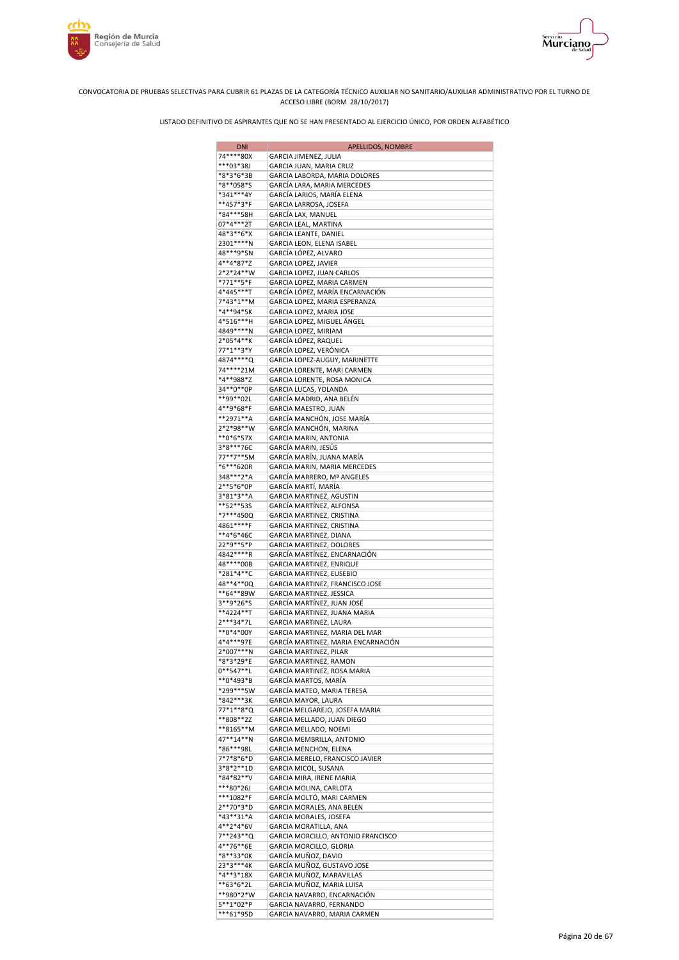



| <b>DNI</b>                    | APELLIDOS, NOMBRE                                            |
|-------------------------------|--------------------------------------------------------------|
| 74****80X                     | GARCIA JIMENEZ, JULIA                                        |
| ***03*38J                     | GARCIA JUAN, MARIA CRUZ                                      |
| *8*3*6*3B<br>*8**058*S        | GARCIA LABORDA, MARIA DOLORES<br>GARCÍA LARA, MARIA MERCEDES |
| *341***4Y                     | GARCÍA LARIOS, MARÍA ELENA                                   |
| **457*3*F                     | GARCIA LARROSA, JOSEFA                                       |
| *84***58H                     | GARCÍA LAX, MANUEL                                           |
| 07*4***2T                     | GARCIA LEAL, MARTINA                                         |
| 48*3**6*X                     | GARCIA LEANTE, DANIEL                                        |
| 2301 **** N<br>48 *** 9 * 5 N | GARCIA LEON, ELENA ISABEL<br>GARCÍA LÓPEZ, ALVARO            |
| 4**4*87*Z                     | GARCIA LOPEZ, JAVIER                                         |
| 2*2*24**W                     | GARCIA LOPEZ, JUAN CARLOS                                    |
| *771**5*F                     | GARCIA LOPEZ, MARIA CARMEN                                   |
| 4*445***T                     | GARCÍA LÓPEZ, MARÍA ENCARNACIÓN                              |
| 7*43*1**M                     | GARCIA LOPEZ, MARIA ESPERANZA                                |
| *4**94*5K<br>4*516***H        | GARCIA LOPEZ, MARIA JOSE<br>GARCIA LOPEZ, MIGUEL ÁNGEL       |
| 4849 **** N                   | GARCIA LOPEZ, MIRIAM                                         |
| 2*05*4**K                     | GARCÍA LÓPEZ, RAQUEL                                         |
| 77*1**3*Y                     | GARCÍA LOPEZ, VERÓNICA                                       |
| 4874 **** Q                   | GARCIA LOPEZ-AUGUY, MARINETTE                                |
| 74****21M                     | GARCIA LORENTE, MARI CARMEN                                  |
| *4**988*Z<br>34**0**0P        | GARCIA LORENTE, ROSA MONICA                                  |
| **99**02L                     | GARCIA LUCAS, YOLANDA<br>GARCÍA MADRID, ANA BELÉN            |
| 4**9*68*F                     | GARCIA MAESTRO, JUAN                                         |
| **2971**A                     | GARCÍA MANCHÓN, JOSE MARÍA                                   |
| 2*2*98**W                     | GARCÍA MANCHÓN, MARINA                                       |
| **0*6*57X                     | GARCIA MARIN, ANTONIA                                        |
| 3*8***76C<br>77**7**5M        | GARCÍA MARIN, JESÚS<br>GARCÍA MARÍN, JUANA MARÍA             |
| *6***620R                     | GARCIA MARIN, MARIA MERCEDES                                 |
| 348***2*A                     | GARCÍA MARRERO, Mª ANGELES                                   |
| 2**5*6*0P                     | GARCÍA MARTÍ, MARÍA                                          |
| 3*81*3**A                     | GARCIA MARTINEZ, AGUSTIN                                     |
| **52**53S<br>*7***450Q        | GARCÍA MARTÍNEZ, ALFONSA<br>GARCIA MARTINEZ, CRISTINA        |
| 4861 **** F                   | GARCIA MARTINEZ, CRISTINA                                    |
| **4*6*46C                     | GARCIA MARTINEZ, DIANA                                       |
| 22*9**5*P                     | GARCIA MARTINEZ, DOLORES                                     |
| 4842****R<br>48****00B        | GARCÍA MARTÍNEZ, ENCARNACIÓN<br>GARCIA MARTINEZ, ENRIQUE     |
| *281*4**C                     | GARCIA MARTINEZ, EUSEBIO                                     |
| 48**4**0Q                     | GARCIA MARTINEZ, FRANCISCO JOSE                              |
| **64**89W                     | GARCIA MARTINEZ, JESSICA                                     |
| 3**9*26*S                     | GARCÍA MARTÍNEZ, JUAN JOSÉ                                   |
| **4224**T<br>2***34*7L        | GARCIA MARTINEZ, JUANA MARIA<br>GARCIA MARTINEZ, LAURA       |
| **0*4*00Y                     | GARCIA MARTINEZ, MARIA DEL MAR                               |
| 4*4***97E                     | GARCÍA MARTINEZ, MARIA ENCARNACIÓN                           |
| 2*007***N                     | GARCIA MARTINEZ, PILAR                                       |
| *8*3*29*E                     | GARCIA MARTINEZ, RAMON                                       |
| $0***$ 547**L<br>**0*493*B    | GARCIA MARTINEZ, ROSA MARIA<br>GARCÍA MARTOS, MARIA          |
| *299***5W                     | GARCÍA MATEO, MARIA TERESA                                   |
| *842***3K                     | GARCIA MAYOR, LAURA                                          |
| 77*1**8*Q                     | GARCIA MELGAREJO, JOSEFA MARIA                               |
| **808**2Z                     | GARCIA MELLADO, JUAN DIEGO                                   |
| **8165**M<br>47**14**N        | GARCIA MELLADO, NOEMI<br>GARCIA MEMBRILLA, ANTONIO           |
| *86***98L                     | GARCIA MENCHON, ELENA                                        |
| 7*7*8*6*D                     | GARCIA MERELO, FRANCISCO JAVIER                              |
| 3*8*2**1D                     | GARCIA MICOL, SUSANA                                         |
| *84*82**V<br>***80*26J        | GARCIA MIRA, IRENE MARIA                                     |
| ***1082*F                     | GARCIA MOLINA, CARLOTA<br>GARCÍA MOLTÓ, MARI CARMEN          |
| 2**70*3*D                     | GARCIA MORALES, ANA BELEN                                    |
| *43**31*A                     | GARCIA MORALES, JOSEFA                                       |
| 4**2*4*6V                     | GARCIA MORATILLA, ANA                                        |
| 7**243**Q<br>4**76**6E        | GARCIA MORCILLO, ANTONIO FRANCISCO                           |
| *8**33*0K                     | GARCIA MORCILLO, GLORIA<br>GARCÍA MUÑOZ, DAVID               |
| 23*3***4K                     | GARCÍA MUÑOZ, GUSTAVO JOSE                                   |
| *4**3*18X                     | GARCIA MUÑOZ, MARAVILLAS                                     |
| **63*6*2L                     | GARCIA MUÑOZ, MARIA LUISA                                    |
| **980*2*W<br>5**1*02*P        | GARCIA NAVARRO, ENCARNACIÓN<br>GARCIA NAVARRO, FERNANDO      |
| ***61*95D                     | GARCIA NAVARRO, MARIA CARMEN                                 |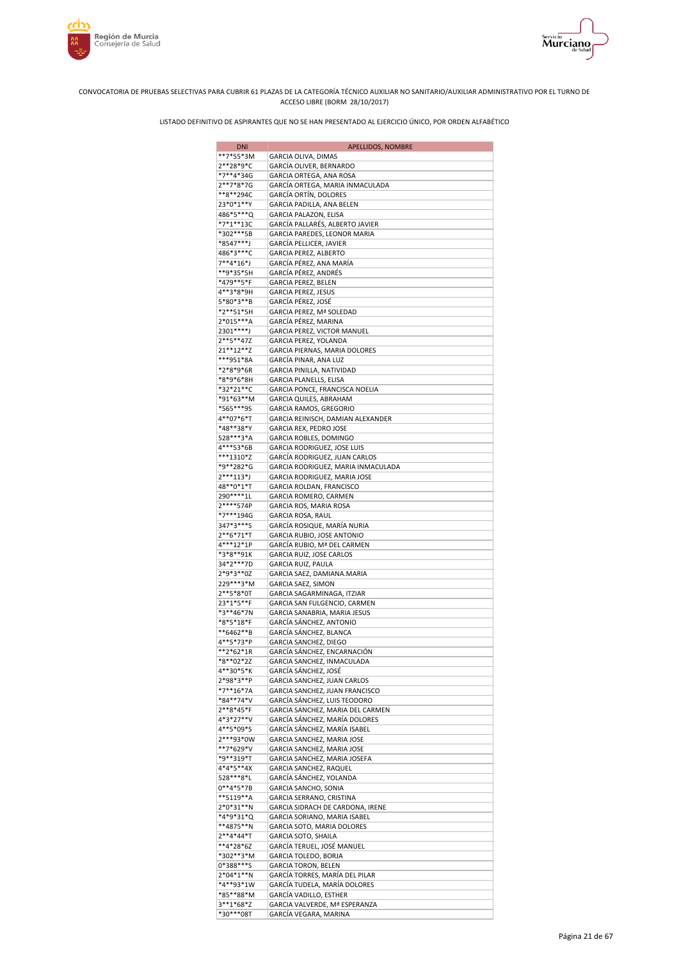





| <b>DNI</b>               | APELLIDOS, NOMBRE                                             |
|--------------------------|---------------------------------------------------------------|
| **7*55*3M                | GARCIA OLIVA, DIMAS                                           |
| 2**28*9*C                | GARCÍA OLIVER, BERNARDO                                       |
| *7**4*34G                | GARCIA ORTEGA, ANA ROSA                                       |
| 2**7*8*7G                | GARCÍA ORTEGA, MARIA INMACULADA                               |
| **8**294C                | GARCÍA ORTÍN, DOLORES                                         |
| 23*0*1**Y<br>486*5***Q   | GARCIA PADILLA, ANA BELEN<br>GARCIA PALAZON, ELISA            |
| *7*1**13C                | GARCÍA PALLARÉS, ALBERTO JAVIER                               |
| *302***5B                | GARCIA PAREDES, LEONOR MARIA                                  |
| *8547***J                | GARCÍA PELLICER, JAVIER                                       |
| 486*3***C                | GARCIA PEREZ, ALBERTO                                         |
| 7**4*16*J                | GARCÍA PÉREZ, ANA MARÍA                                       |
| **9*35*5H                | GARCÍA PÉREZ, ANDRÉS                                          |
| *479**5*F                | GARCIA PEREZ, BELEN                                           |
| 4**3*8*9H                | GARCIA PEREZ, JESUS                                           |
| 5*80*3**B                | GARCÍA PÉREZ, JOSÉ                                            |
| *2**51*5H                | GARCIA PEREZ, Mª SOLEDAD                                      |
| 2*015***A<br>2301****J   | GARCÍA PÉREZ, MARINA<br>GARCIA PEREZ, VICTOR MANUEL           |
| 2**5**47Z                | GARCIA PEREZ, YOLANDA                                         |
| 21**12**Z                | GARCIA PIERNAS, MARIA DOLORES                                 |
| ***951*8A                | GARCÍA PINAR, ANA LUZ                                         |
| *2*8*9*6R                | GARCIA PINILLA, NATIVIDAD                                     |
| *8*9*6*8H                | GARCIA PLANELLS, ELISA                                        |
| *32*21**C                | GARCIA PONCE, FRANCISCA NOELIA                                |
| *91*63**M                | GARCIA QUILES, ABRAHAM                                        |
| *565***95                | GARCIA RAMOS, GREGORIO                                        |
| 4**07*6*T                | GARCIA REINISCH, DAMIAN ALEXANDER                             |
| *48**38*Y                | GARCIA REX, PEDRO JOSE                                        |
| 528***3*A                | GARCIA ROBLES, DOMINGO                                        |
| 4***53*6B                | GARCIA RODRIGUEZ, JOSE LUIS                                   |
| ***1310*Z                | GARCÍA RODRIGUEZ, JUAN CARLOS                                 |
| *9**282*G                | GARCIA RODRIGUEZ, MARIA INMACULADA                            |
| $2***113*J$              | GARCIA RODRIGUEZ, MARIA JOSE                                  |
| 48**0*1*T<br>290 **** 1L | GARCIA ROLDAN, FRANCISCO<br>GARCIA ROMERO, CARMEN             |
| 2****574P                | GARCIA ROS, MARIA ROSA                                        |
| *7***194G                | GARCIA ROSA, RAUL                                             |
| 347*3***S                | GARCÍA ROSIQUE, MARÍA NURIA                                   |
| $2**6*71*T$              | GARCIA RUBIO, JOSE ANTONIO                                    |
| 4***12*1P                | GARCÍA RUBIO, Mª DEL CARMEN                                   |
| *3*8**91K                | GARCIA RUIZ, JOSE CARLOS                                      |
| 34*2***7D                | GARCIA RUIZ, PAULA                                            |
| 2*9*3**0Z                | GARCIA SAEZ, DAMIANA.MARIA                                    |
| 229***3*M                | GARCIA SAEZ, SIMON                                            |
| 2**5*8*0T                | GARCIA SAGARMINAGA, ITZIAR                                    |
| 23*1*5**F                | GARCIA SAN FULGENCIO, CARMEN                                  |
| *3**46*7N<br>*8*5*18*F   | GARCIA SANABRIA, MARIA JESUS                                  |
| **6462**B                | GARCÍA SÁNCHEZ, ANTONIO<br>GARCÍA SÁNCHEZ, BLANCA             |
| 4**5*73*P                | GARCIA SANCHEZ, DIEGO                                         |
| **2*62*1R                | <b>GARCÍA SÁNCHEZ, ENCARNACIÓN</b>                            |
| *8**02*2Z                | GARCIA SANCHEZ, INMACULADA                                    |
| 4**30*5*K                | GARCÍA SÁNCHEZ, JOSÉ                                          |
| 2*98*3**P                | GARCIA SANCHEZ, JUAN CARLOS                                   |
| *7**16*7A                | GARCIA SANCHEZ, JUAN FRANCISCO                                |
| *84**74*V                | GARCÍA SÁNCHEZ, LUIS TEODORO                                  |
| 2**8*45*F                | GARCIA SANCHEZ, MARIA DEL CARMEN                              |
| 4*3*27**V                | GARCÍA SÁNCHEZ, MARÍA DOLORES                                 |
| 4**5*09*S                | GARCÍA SÁNCHEZ, MARÍA ISABEL                                  |
| 2***93*0W                | GARCIA SANCHEZ, MARIA JOSE                                    |
| **7*629*V<br>*9**319*T   | GARCIA SANCHEZ, MARIA JOSE                                    |
| 4*4*5**4X                | GARCIA SANCHEZ, MARIA JOSEFA<br><b>GARCIA SANCHEZ, RAQUEL</b> |
| 528 *** 8*L              | GARCÍA SÁNCHEZ, YOLANDA                                       |
| $0**4*5*7B$              | GARCIA SANCHO, SONIA                                          |
| **5119**A                | GARCIA SERRANO, CRISTINA                                      |
| 2*0*31**N                | GARCIA SIDRACH DE CARDONA, IRENE                              |
| *4*9*31*Q                | GARCIA SORIANO, MARIA ISABEL                                  |
| **4875**N                | GARCIA SOTO, MARIA DOLORES                                    |
| 2**4*44*T                | GARCIA SOTO, SHAILA                                           |
| **4*28*6Z                | GARCÍA TERUEL, JOSÉ MANUEL                                    |
| *302**3*M                | GARCIA TOLEDO, BORJA                                          |
| 0*388***S                | <b>GARCIA TORON, BELEN</b>                                    |
| 2*04*1**N                | GARCÍA TORRES, MARÍA DEL PILAR                                |
| *4**93*1W                | GARCÍA TUDELA, MARÍA DOLORES                                  |
| *85**88*M<br>3**1*68*Z   | GARCÍA VADILLO, ESTHER                                        |
| *30***08T                | GARCIA VALVERDE, Mª ESPERANZA<br>GARCÍA VEGARA, MARINA        |
|                          |                                                               |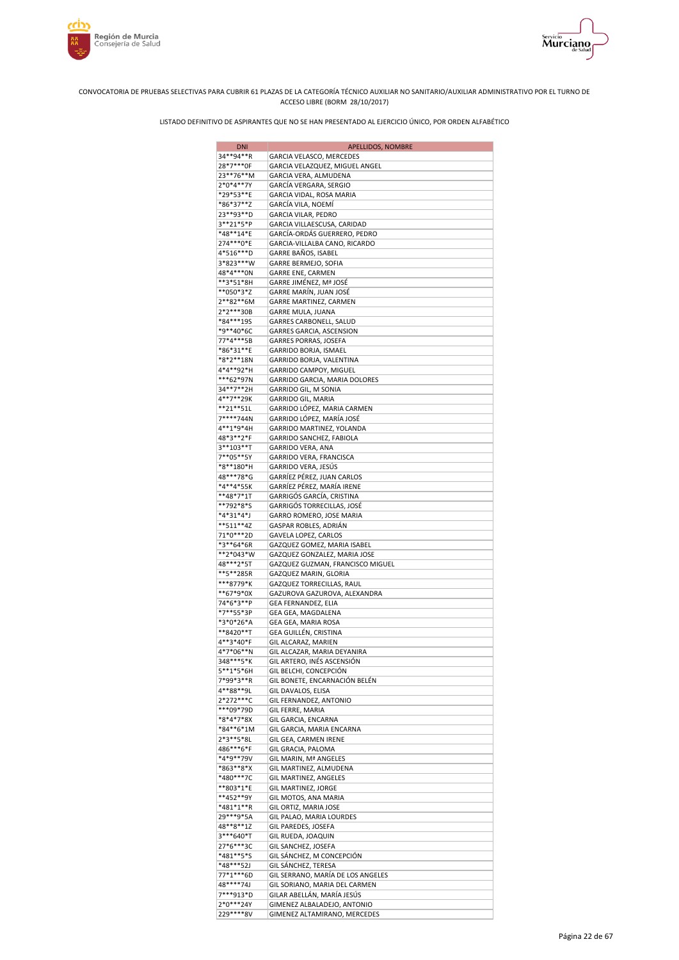



| 34**94**R<br>GARCIA VELASCO, MERCEDES<br>28*7***0F<br>GARCIA VELAZQUEZ, MIGUEL ANGEL<br>23**76**M<br>GARCIA VERA, ALMUDENA<br>2*0*4**7Y<br>GARCÍA VERGARA, SERGIO<br>*29*53**E<br>GARCIA VIDAL, ROSA MARIA<br>*86*37**Z<br>GARCÍA VILA, NOEMÍ<br>23 ** 93 ** D<br>GARCIA VILAR, PEDRO<br>3**21*5*P<br>GARCIA VILLAESCUSA, CARIDAD<br>*48**14*E<br>GARCÍA-ORDÁS GUERRERO, PEDRO<br>274 *** 0*E<br>GARCIA-VILLALBA CANO, RICARDO<br>4*516***D<br>GARRE BAÑOS, ISABEL<br>3*823***W<br>GARRE BERMEJO, SOFIA<br>48*4***0N<br>GARRE ENE, CARMEN<br>**3*51*8H<br>GARRE JIMÉNEZ, Mª JOSÉ<br>GARRE MARÍN, JUAN JOSÉ<br>**050*3*Z<br>2**82**6M<br>GARRE MARTINEZ, CARMEN<br>2*2***30B<br>GARRE MULA, JUANA<br>*84***195<br>GARRES CARBONELL, SALUD<br>*9**40*6C<br>GARRES GARCIA, ASCENSION<br>77*4***5B<br>GARRES PORRAS, JOSEFA<br>*86*31**E<br>GARRIDO BORJA, ISMAEL<br>*8*2**18N<br>GARRIDO BORJA, VALENTINA<br>4*4**92*H<br>GARRIDO CAMPOY, MIGUEL<br>***62*97N<br>GARRIDO GARCIA, MARIA DOLORES<br>34**7**2H<br>GARRIDO GIL, M SONIA<br>4**7**29K<br>GARRIDO GIL, MARIA<br>**21**51L<br>GARRIDO LÓPEZ, MARIA CARMEN<br>7****744N<br>GARRIDO LÓPEZ, MARÍA JOSÉ<br>4**1*9*4H<br>GARRIDO MARTINEZ, YOLANDA<br>48*3**2*F<br>GARRIDO SANCHEZ, FABIOLA<br>3**103**T<br>GARRIDO VERA, ANA<br>7**05**5Y<br>GARRIDO VERA, FRANCISCA<br>*8**180*H<br>GARRIDO VERA, JESÚS<br>48***78*G<br>GARRÍEZ PÉREZ, JUAN CARLOS<br>GARRÍEZ PÉREZ, MARÍA IRENE<br>*4**4*55K<br>**48*7*1T<br>GARRIGÓS GARCÍA, CRISTINA<br>**792*8*S<br>GARRIGÓS TORRECILLAS, JOSÉ<br>GARRO ROMERO, JOSE MARIA<br>*4*31*4*J<br>**511**4Z<br>GASPAR ROBLES, ADRIÁN<br>71*0***2D<br>GAVELA LOPEZ, CARLOS<br>*3**64*6R<br>GAZQUEZ GOMEZ, MARIA ISABEL<br>**2*043*W<br>GAZQUEZ GONZALEZ, MARIA JOSE<br>48***2*5T<br>GAZQUEZ GUZMAN, FRANCISCO MIGUEL<br>**5**285R<br>GAZQUEZ MARIN, GLORIA<br>***8779*K<br>GAZQUEZ TORRECILLAS, RAUL<br>**67*9*0X<br>GAZUROVA GAZUROVA, ALEXANDRA<br>74*6*3**P<br>GEA FERNANDEZ, ELIA<br>*7**55*3P<br>GEA GEA, MAGDALENA<br>*3*0*26*A<br>GEA GEA, MARIA ROSA<br>**8420**T<br>GEA GUILLÉN, CRISTINA<br>4**3*40*F<br>GIL ALCARAZ, MARIEN<br>4*7*06**N<br>GIL ALCAZAR, MARIA DEYANIRA<br>348***5*K<br>GIL ARTERO, INÉS ASCENSIÓN |
|--------------------------------------------------------------------------------------------------------------------------------------------------------------------------------------------------------------------------------------------------------------------------------------------------------------------------------------------------------------------------------------------------------------------------------------------------------------------------------------------------------------------------------------------------------------------------------------------------------------------------------------------------------------------------------------------------------------------------------------------------------------------------------------------------------------------------------------------------------------------------------------------------------------------------------------------------------------------------------------------------------------------------------------------------------------------------------------------------------------------------------------------------------------------------------------------------------------------------------------------------------------------------------------------------------------------------------------------------------------------------------------------------------------------------------------------------------------------------------------------------------------------------------------------------------------------------------------------------------------------------------------------------------------------------------------------------------------------------------------------------------------------------------------------------------------------------------------------------------------------------------------------------------------------------------------------------------------------------------------------------------------------------------------------------------------------------------------------------------------------------------------------------------------------------------------------------------------|
|                                                                                                                                                                                                                                                                                                                                                                                                                                                                                                                                                                                                                                                                                                                                                                                                                                                                                                                                                                                                                                                                                                                                                                                                                                                                                                                                                                                                                                                                                                                                                                                                                                                                                                                                                                                                                                                                                                                                                                                                                                                                                                                                                                                                              |
|                                                                                                                                                                                                                                                                                                                                                                                                                                                                                                                                                                                                                                                                                                                                                                                                                                                                                                                                                                                                                                                                                                                                                                                                                                                                                                                                                                                                                                                                                                                                                                                                                                                                                                                                                                                                                                                                                                                                                                                                                                                                                                                                                                                                              |
|                                                                                                                                                                                                                                                                                                                                                                                                                                                                                                                                                                                                                                                                                                                                                                                                                                                                                                                                                                                                                                                                                                                                                                                                                                                                                                                                                                                                                                                                                                                                                                                                                                                                                                                                                                                                                                                                                                                                                                                                                                                                                                                                                                                                              |
|                                                                                                                                                                                                                                                                                                                                                                                                                                                                                                                                                                                                                                                                                                                                                                                                                                                                                                                                                                                                                                                                                                                                                                                                                                                                                                                                                                                                                                                                                                                                                                                                                                                                                                                                                                                                                                                                                                                                                                                                                                                                                                                                                                                                              |
|                                                                                                                                                                                                                                                                                                                                                                                                                                                                                                                                                                                                                                                                                                                                                                                                                                                                                                                                                                                                                                                                                                                                                                                                                                                                                                                                                                                                                                                                                                                                                                                                                                                                                                                                                                                                                                                                                                                                                                                                                                                                                                                                                                                                              |
|                                                                                                                                                                                                                                                                                                                                                                                                                                                                                                                                                                                                                                                                                                                                                                                                                                                                                                                                                                                                                                                                                                                                                                                                                                                                                                                                                                                                                                                                                                                                                                                                                                                                                                                                                                                                                                                                                                                                                                                                                                                                                                                                                                                                              |
|                                                                                                                                                                                                                                                                                                                                                                                                                                                                                                                                                                                                                                                                                                                                                                                                                                                                                                                                                                                                                                                                                                                                                                                                                                                                                                                                                                                                                                                                                                                                                                                                                                                                                                                                                                                                                                                                                                                                                                                                                                                                                                                                                                                                              |
|                                                                                                                                                                                                                                                                                                                                                                                                                                                                                                                                                                                                                                                                                                                                                                                                                                                                                                                                                                                                                                                                                                                                                                                                                                                                                                                                                                                                                                                                                                                                                                                                                                                                                                                                                                                                                                                                                                                                                                                                                                                                                                                                                                                                              |
|                                                                                                                                                                                                                                                                                                                                                                                                                                                                                                                                                                                                                                                                                                                                                                                                                                                                                                                                                                                                                                                                                                                                                                                                                                                                                                                                                                                                                                                                                                                                                                                                                                                                                                                                                                                                                                                                                                                                                                                                                                                                                                                                                                                                              |
|                                                                                                                                                                                                                                                                                                                                                                                                                                                                                                                                                                                                                                                                                                                                                                                                                                                                                                                                                                                                                                                                                                                                                                                                                                                                                                                                                                                                                                                                                                                                                                                                                                                                                                                                                                                                                                                                                                                                                                                                                                                                                                                                                                                                              |
|                                                                                                                                                                                                                                                                                                                                                                                                                                                                                                                                                                                                                                                                                                                                                                                                                                                                                                                                                                                                                                                                                                                                                                                                                                                                                                                                                                                                                                                                                                                                                                                                                                                                                                                                                                                                                                                                                                                                                                                                                                                                                                                                                                                                              |
|                                                                                                                                                                                                                                                                                                                                                                                                                                                                                                                                                                                                                                                                                                                                                                                                                                                                                                                                                                                                                                                                                                                                                                                                                                                                                                                                                                                                                                                                                                                                                                                                                                                                                                                                                                                                                                                                                                                                                                                                                                                                                                                                                                                                              |
|                                                                                                                                                                                                                                                                                                                                                                                                                                                                                                                                                                                                                                                                                                                                                                                                                                                                                                                                                                                                                                                                                                                                                                                                                                                                                                                                                                                                                                                                                                                                                                                                                                                                                                                                                                                                                                                                                                                                                                                                                                                                                                                                                                                                              |
|                                                                                                                                                                                                                                                                                                                                                                                                                                                                                                                                                                                                                                                                                                                                                                                                                                                                                                                                                                                                                                                                                                                                                                                                                                                                                                                                                                                                                                                                                                                                                                                                                                                                                                                                                                                                                                                                                                                                                                                                                                                                                                                                                                                                              |
|                                                                                                                                                                                                                                                                                                                                                                                                                                                                                                                                                                                                                                                                                                                                                                                                                                                                                                                                                                                                                                                                                                                                                                                                                                                                                                                                                                                                                                                                                                                                                                                                                                                                                                                                                                                                                                                                                                                                                                                                                                                                                                                                                                                                              |
|                                                                                                                                                                                                                                                                                                                                                                                                                                                                                                                                                                                                                                                                                                                                                                                                                                                                                                                                                                                                                                                                                                                                                                                                                                                                                                                                                                                                                                                                                                                                                                                                                                                                                                                                                                                                                                                                                                                                                                                                                                                                                                                                                                                                              |
|                                                                                                                                                                                                                                                                                                                                                                                                                                                                                                                                                                                                                                                                                                                                                                                                                                                                                                                                                                                                                                                                                                                                                                                                                                                                                                                                                                                                                                                                                                                                                                                                                                                                                                                                                                                                                                                                                                                                                                                                                                                                                                                                                                                                              |
|                                                                                                                                                                                                                                                                                                                                                                                                                                                                                                                                                                                                                                                                                                                                                                                                                                                                                                                                                                                                                                                                                                                                                                                                                                                                                                                                                                                                                                                                                                                                                                                                                                                                                                                                                                                                                                                                                                                                                                                                                                                                                                                                                                                                              |
|                                                                                                                                                                                                                                                                                                                                                                                                                                                                                                                                                                                                                                                                                                                                                                                                                                                                                                                                                                                                                                                                                                                                                                                                                                                                                                                                                                                                                                                                                                                                                                                                                                                                                                                                                                                                                                                                                                                                                                                                                                                                                                                                                                                                              |
|                                                                                                                                                                                                                                                                                                                                                                                                                                                                                                                                                                                                                                                                                                                                                                                                                                                                                                                                                                                                                                                                                                                                                                                                                                                                                                                                                                                                                                                                                                                                                                                                                                                                                                                                                                                                                                                                                                                                                                                                                                                                                                                                                                                                              |
|                                                                                                                                                                                                                                                                                                                                                                                                                                                                                                                                                                                                                                                                                                                                                                                                                                                                                                                                                                                                                                                                                                                                                                                                                                                                                                                                                                                                                                                                                                                                                                                                                                                                                                                                                                                                                                                                                                                                                                                                                                                                                                                                                                                                              |
|                                                                                                                                                                                                                                                                                                                                                                                                                                                                                                                                                                                                                                                                                                                                                                                                                                                                                                                                                                                                                                                                                                                                                                                                                                                                                                                                                                                                                                                                                                                                                                                                                                                                                                                                                                                                                                                                                                                                                                                                                                                                                                                                                                                                              |
|                                                                                                                                                                                                                                                                                                                                                                                                                                                                                                                                                                                                                                                                                                                                                                                                                                                                                                                                                                                                                                                                                                                                                                                                                                                                                                                                                                                                                                                                                                                                                                                                                                                                                                                                                                                                                                                                                                                                                                                                                                                                                                                                                                                                              |
|                                                                                                                                                                                                                                                                                                                                                                                                                                                                                                                                                                                                                                                                                                                                                                                                                                                                                                                                                                                                                                                                                                                                                                                                                                                                                                                                                                                                                                                                                                                                                                                                                                                                                                                                                                                                                                                                                                                                                                                                                                                                                                                                                                                                              |
|                                                                                                                                                                                                                                                                                                                                                                                                                                                                                                                                                                                                                                                                                                                                                                                                                                                                                                                                                                                                                                                                                                                                                                                                                                                                                                                                                                                                                                                                                                                                                                                                                                                                                                                                                                                                                                                                                                                                                                                                                                                                                                                                                                                                              |
|                                                                                                                                                                                                                                                                                                                                                                                                                                                                                                                                                                                                                                                                                                                                                                                                                                                                                                                                                                                                                                                                                                                                                                                                                                                                                                                                                                                                                                                                                                                                                                                                                                                                                                                                                                                                                                                                                                                                                                                                                                                                                                                                                                                                              |
|                                                                                                                                                                                                                                                                                                                                                                                                                                                                                                                                                                                                                                                                                                                                                                                                                                                                                                                                                                                                                                                                                                                                                                                                                                                                                                                                                                                                                                                                                                                                                                                                                                                                                                                                                                                                                                                                                                                                                                                                                                                                                                                                                                                                              |
|                                                                                                                                                                                                                                                                                                                                                                                                                                                                                                                                                                                                                                                                                                                                                                                                                                                                                                                                                                                                                                                                                                                                                                                                                                                                                                                                                                                                                                                                                                                                                                                                                                                                                                                                                                                                                                                                                                                                                                                                                                                                                                                                                                                                              |
|                                                                                                                                                                                                                                                                                                                                                                                                                                                                                                                                                                                                                                                                                                                                                                                                                                                                                                                                                                                                                                                                                                                                                                                                                                                                                                                                                                                                                                                                                                                                                                                                                                                                                                                                                                                                                                                                                                                                                                                                                                                                                                                                                                                                              |
|                                                                                                                                                                                                                                                                                                                                                                                                                                                                                                                                                                                                                                                                                                                                                                                                                                                                                                                                                                                                                                                                                                                                                                                                                                                                                                                                                                                                                                                                                                                                                                                                                                                                                                                                                                                                                                                                                                                                                                                                                                                                                                                                                                                                              |
|                                                                                                                                                                                                                                                                                                                                                                                                                                                                                                                                                                                                                                                                                                                                                                                                                                                                                                                                                                                                                                                                                                                                                                                                                                                                                                                                                                                                                                                                                                                                                                                                                                                                                                                                                                                                                                                                                                                                                                                                                                                                                                                                                                                                              |
|                                                                                                                                                                                                                                                                                                                                                                                                                                                                                                                                                                                                                                                                                                                                                                                                                                                                                                                                                                                                                                                                                                                                                                                                                                                                                                                                                                                                                                                                                                                                                                                                                                                                                                                                                                                                                                                                                                                                                                                                                                                                                                                                                                                                              |
|                                                                                                                                                                                                                                                                                                                                                                                                                                                                                                                                                                                                                                                                                                                                                                                                                                                                                                                                                                                                                                                                                                                                                                                                                                                                                                                                                                                                                                                                                                                                                                                                                                                                                                                                                                                                                                                                                                                                                                                                                                                                                                                                                                                                              |
|                                                                                                                                                                                                                                                                                                                                                                                                                                                                                                                                                                                                                                                                                                                                                                                                                                                                                                                                                                                                                                                                                                                                                                                                                                                                                                                                                                                                                                                                                                                                                                                                                                                                                                                                                                                                                                                                                                                                                                                                                                                                                                                                                                                                              |
|                                                                                                                                                                                                                                                                                                                                                                                                                                                                                                                                                                                                                                                                                                                                                                                                                                                                                                                                                                                                                                                                                                                                                                                                                                                                                                                                                                                                                                                                                                                                                                                                                                                                                                                                                                                                                                                                                                                                                                                                                                                                                                                                                                                                              |
|                                                                                                                                                                                                                                                                                                                                                                                                                                                                                                                                                                                                                                                                                                                                                                                                                                                                                                                                                                                                                                                                                                                                                                                                                                                                                                                                                                                                                                                                                                                                                                                                                                                                                                                                                                                                                                                                                                                                                                                                                                                                                                                                                                                                              |
|                                                                                                                                                                                                                                                                                                                                                                                                                                                                                                                                                                                                                                                                                                                                                                                                                                                                                                                                                                                                                                                                                                                                                                                                                                                                                                                                                                                                                                                                                                                                                                                                                                                                                                                                                                                                                                                                                                                                                                                                                                                                                                                                                                                                              |
|                                                                                                                                                                                                                                                                                                                                                                                                                                                                                                                                                                                                                                                                                                                                                                                                                                                                                                                                                                                                                                                                                                                                                                                                                                                                                                                                                                                                                                                                                                                                                                                                                                                                                                                                                                                                                                                                                                                                                                                                                                                                                                                                                                                                              |
|                                                                                                                                                                                                                                                                                                                                                                                                                                                                                                                                                                                                                                                                                                                                                                                                                                                                                                                                                                                                                                                                                                                                                                                                                                                                                                                                                                                                                                                                                                                                                                                                                                                                                                                                                                                                                                                                                                                                                                                                                                                                                                                                                                                                              |
|                                                                                                                                                                                                                                                                                                                                                                                                                                                                                                                                                                                                                                                                                                                                                                                                                                                                                                                                                                                                                                                                                                                                                                                                                                                                                                                                                                                                                                                                                                                                                                                                                                                                                                                                                                                                                                                                                                                                                                                                                                                                                                                                                                                                              |
|                                                                                                                                                                                                                                                                                                                                                                                                                                                                                                                                                                                                                                                                                                                                                                                                                                                                                                                                                                                                                                                                                                                                                                                                                                                                                                                                                                                                                                                                                                                                                                                                                                                                                                                                                                                                                                                                                                                                                                                                                                                                                                                                                                                                              |
|                                                                                                                                                                                                                                                                                                                                                                                                                                                                                                                                                                                                                                                                                                                                                                                                                                                                                                                                                                                                                                                                                                                                                                                                                                                                                                                                                                                                                                                                                                                                                                                                                                                                                                                                                                                                                                                                                                                                                                                                                                                                                                                                                                                                              |
|                                                                                                                                                                                                                                                                                                                                                                                                                                                                                                                                                                                                                                                                                                                                                                                                                                                                                                                                                                                                                                                                                                                                                                                                                                                                                                                                                                                                                                                                                                                                                                                                                                                                                                                                                                                                                                                                                                                                                                                                                                                                                                                                                                                                              |
|                                                                                                                                                                                                                                                                                                                                                                                                                                                                                                                                                                                                                                                                                                                                                                                                                                                                                                                                                                                                                                                                                                                                                                                                                                                                                                                                                                                                                                                                                                                                                                                                                                                                                                                                                                                                                                                                                                                                                                                                                                                                                                                                                                                                              |
|                                                                                                                                                                                                                                                                                                                                                                                                                                                                                                                                                                                                                                                                                                                                                                                                                                                                                                                                                                                                                                                                                                                                                                                                                                                                                                                                                                                                                                                                                                                                                                                                                                                                                                                                                                                                                                                                                                                                                                                                                                                                                                                                                                                                              |
|                                                                                                                                                                                                                                                                                                                                                                                                                                                                                                                                                                                                                                                                                                                                                                                                                                                                                                                                                                                                                                                                                                                                                                                                                                                                                                                                                                                                                                                                                                                                                                                                                                                                                                                                                                                                                                                                                                                                                                                                                                                                                                                                                                                                              |
|                                                                                                                                                                                                                                                                                                                                                                                                                                                                                                                                                                                                                                                                                                                                                                                                                                                                                                                                                                                                                                                                                                                                                                                                                                                                                                                                                                                                                                                                                                                                                                                                                                                                                                                                                                                                                                                                                                                                                                                                                                                                                                                                                                                                              |
|                                                                                                                                                                                                                                                                                                                                                                                                                                                                                                                                                                                                                                                                                                                                                                                                                                                                                                                                                                                                                                                                                                                                                                                                                                                                                                                                                                                                                                                                                                                                                                                                                                                                                                                                                                                                                                                                                                                                                                                                                                                                                                                                                                                                              |
|                                                                                                                                                                                                                                                                                                                                                                                                                                                                                                                                                                                                                                                                                                                                                                                                                                                                                                                                                                                                                                                                                                                                                                                                                                                                                                                                                                                                                                                                                                                                                                                                                                                                                                                                                                                                                                                                                                                                                                                                                                                                                                                                                                                                              |
| 5**1*5*6H<br>GIL BELCHI, CONCEPCIÓN                                                                                                                                                                                                                                                                                                                                                                                                                                                                                                                                                                                                                                                                                                                                                                                                                                                                                                                                                                                                                                                                                                                                                                                                                                                                                                                                                                                                                                                                                                                                                                                                                                                                                                                                                                                                                                                                                                                                                                                                                                                                                                                                                                          |
| 7*99*3**R<br>GIL BONETE, ENCARNACIÓN BELÉN                                                                                                                                                                                                                                                                                                                                                                                                                                                                                                                                                                                                                                                                                                                                                                                                                                                                                                                                                                                                                                                                                                                                                                                                                                                                                                                                                                                                                                                                                                                                                                                                                                                                                                                                                                                                                                                                                                                                                                                                                                                                                                                                                                   |
| 4**88**9L<br>GIL DAVALOS, ELISA                                                                                                                                                                                                                                                                                                                                                                                                                                                                                                                                                                                                                                                                                                                                                                                                                                                                                                                                                                                                                                                                                                                                                                                                                                                                                                                                                                                                                                                                                                                                                                                                                                                                                                                                                                                                                                                                                                                                                                                                                                                                                                                                                                              |
| GIL FERNANDEZ, ANTONIO<br>2*272***C                                                                                                                                                                                                                                                                                                                                                                                                                                                                                                                                                                                                                                                                                                                                                                                                                                                                                                                                                                                                                                                                                                                                                                                                                                                                                                                                                                                                                                                                                                                                                                                                                                                                                                                                                                                                                                                                                                                                                                                                                                                                                                                                                                          |
| ***09*79D<br>GIL FERRE, MARIA                                                                                                                                                                                                                                                                                                                                                                                                                                                                                                                                                                                                                                                                                                                                                                                                                                                                                                                                                                                                                                                                                                                                                                                                                                                                                                                                                                                                                                                                                                                                                                                                                                                                                                                                                                                                                                                                                                                                                                                                                                                                                                                                                                                |
| *8*4*7*8X<br>GIL GARCIA, ENCARNA                                                                                                                                                                                                                                                                                                                                                                                                                                                                                                                                                                                                                                                                                                                                                                                                                                                                                                                                                                                                                                                                                                                                                                                                                                                                                                                                                                                                                                                                                                                                                                                                                                                                                                                                                                                                                                                                                                                                                                                                                                                                                                                                                                             |
| *84**6*1M<br>GIL GARCIA, MARIA ENCARNA                                                                                                                                                                                                                                                                                                                                                                                                                                                                                                                                                                                                                                                                                                                                                                                                                                                                                                                                                                                                                                                                                                                                                                                                                                                                                                                                                                                                                                                                                                                                                                                                                                                                                                                                                                                                                                                                                                                                                                                                                                                                                                                                                                       |
| 2*3**5*8L<br>GIL GEA, CARMEN IRENE                                                                                                                                                                                                                                                                                                                                                                                                                                                                                                                                                                                                                                                                                                                                                                                                                                                                                                                                                                                                                                                                                                                                                                                                                                                                                                                                                                                                                                                                                                                                                                                                                                                                                                                                                                                                                                                                                                                                                                                                                                                                                                                                                                           |
| 486***6*F<br>GIL GRACIA, PALOMA<br>*4*9**79V                                                                                                                                                                                                                                                                                                                                                                                                                                                                                                                                                                                                                                                                                                                                                                                                                                                                                                                                                                                                                                                                                                                                                                                                                                                                                                                                                                                                                                                                                                                                                                                                                                                                                                                                                                                                                                                                                                                                                                                                                                                                                                                                                                 |
| GIL MARIN, Mª ANGELES<br>*863**8*X<br>GIL MARTINEZ, ALMUDENA                                                                                                                                                                                                                                                                                                                                                                                                                                                                                                                                                                                                                                                                                                                                                                                                                                                                                                                                                                                                                                                                                                                                                                                                                                                                                                                                                                                                                                                                                                                                                                                                                                                                                                                                                                                                                                                                                                                                                                                                                                                                                                                                                 |
| *480***7C<br>GIL MARTINEZ, ANGELES                                                                                                                                                                                                                                                                                                                                                                                                                                                                                                                                                                                                                                                                                                                                                                                                                                                                                                                                                                                                                                                                                                                                                                                                                                                                                                                                                                                                                                                                                                                                                                                                                                                                                                                                                                                                                                                                                                                                                                                                                                                                                                                                                                           |
| **803*1*E<br>GIL MARTINEZ, JORGE                                                                                                                                                                                                                                                                                                                                                                                                                                                                                                                                                                                                                                                                                                                                                                                                                                                                                                                                                                                                                                                                                                                                                                                                                                                                                                                                                                                                                                                                                                                                                                                                                                                                                                                                                                                                                                                                                                                                                                                                                                                                                                                                                                             |
| **452**9Y<br>GIL MOTOS, ANA MARIA                                                                                                                                                                                                                                                                                                                                                                                                                                                                                                                                                                                                                                                                                                                                                                                                                                                                                                                                                                                                                                                                                                                                                                                                                                                                                                                                                                                                                                                                                                                                                                                                                                                                                                                                                                                                                                                                                                                                                                                                                                                                                                                                                                            |
| *481*1**R<br>GIL ORTIZ, MARIA JOSE                                                                                                                                                                                                                                                                                                                                                                                                                                                                                                                                                                                                                                                                                                                                                                                                                                                                                                                                                                                                                                                                                                                                                                                                                                                                                                                                                                                                                                                                                                                                                                                                                                                                                                                                                                                                                                                                                                                                                                                                                                                                                                                                                                           |
| 29 *** 9 * 5 A<br>GIL PALAO, MARIA LOURDES                                                                                                                                                                                                                                                                                                                                                                                                                                                                                                                                                                                                                                                                                                                                                                                                                                                                                                                                                                                                                                                                                                                                                                                                                                                                                                                                                                                                                                                                                                                                                                                                                                                                                                                                                                                                                                                                                                                                                                                                                                                                                                                                                                   |
|                                                                                                                                                                                                                                                                                                                                                                                                                                                                                                                                                                                                                                                                                                                                                                                                                                                                                                                                                                                                                                                                                                                                                                                                                                                                                                                                                                                                                                                                                                                                                                                                                                                                                                                                                                                                                                                                                                                                                                                                                                                                                                                                                                                                              |
| 48**8**1Z<br>GIL PAREDES, JOSEFA                                                                                                                                                                                                                                                                                                                                                                                                                                                                                                                                                                                                                                                                                                                                                                                                                                                                                                                                                                                                                                                                                                                                                                                                                                                                                                                                                                                                                                                                                                                                                                                                                                                                                                                                                                                                                                                                                                                                                                                                                                                                                                                                                                             |
| 3***640*T<br>GIL RUEDA, JOAQUIN                                                                                                                                                                                                                                                                                                                                                                                                                                                                                                                                                                                                                                                                                                                                                                                                                                                                                                                                                                                                                                                                                                                                                                                                                                                                                                                                                                                                                                                                                                                                                                                                                                                                                                                                                                                                                                                                                                                                                                                                                                                                                                                                                                              |
| 27*6***3C<br>GIL SANCHEZ, JOSEFA                                                                                                                                                                                                                                                                                                                                                                                                                                                                                                                                                                                                                                                                                                                                                                                                                                                                                                                                                                                                                                                                                                                                                                                                                                                                                                                                                                                                                                                                                                                                                                                                                                                                                                                                                                                                                                                                                                                                                                                                                                                                                                                                                                             |
| *481**5*S<br>GIL SÁNCHEZ, M CONCEPCIÓN                                                                                                                                                                                                                                                                                                                                                                                                                                                                                                                                                                                                                                                                                                                                                                                                                                                                                                                                                                                                                                                                                                                                                                                                                                                                                                                                                                                                                                                                                                                                                                                                                                                                                                                                                                                                                                                                                                                                                                                                                                                                                                                                                                       |
| *48***52J<br>GIL SÁNCHEZ, TERESA                                                                                                                                                                                                                                                                                                                                                                                                                                                                                                                                                                                                                                                                                                                                                                                                                                                                                                                                                                                                                                                                                                                                                                                                                                                                                                                                                                                                                                                                                                                                                                                                                                                                                                                                                                                                                                                                                                                                                                                                                                                                                                                                                                             |
| 77*1***6D<br>GIL SERRANO, MARÍA DE LOS ANGELES                                                                                                                                                                                                                                                                                                                                                                                                                                                                                                                                                                                                                                                                                                                                                                                                                                                                                                                                                                                                                                                                                                                                                                                                                                                                                                                                                                                                                                                                                                                                                                                                                                                                                                                                                                                                                                                                                                                                                                                                                                                                                                                                                               |
| 48****74J<br>GIL SORIANO, MARIA DEL CARMEN                                                                                                                                                                                                                                                                                                                                                                                                                                                                                                                                                                                                                                                                                                                                                                                                                                                                                                                                                                                                                                                                                                                                                                                                                                                                                                                                                                                                                                                                                                                                                                                                                                                                                                                                                                                                                                                                                                                                                                                                                                                                                                                                                                   |
| 7***913*D<br>GILAR ABELLÁN, MARÍA JESÚS<br>2*0***24Y<br>GIMENEZ ALBALADEJO, ANTONIO                                                                                                                                                                                                                                                                                                                                                                                                                                                                                                                                                                                                                                                                                                                                                                                                                                                                                                                                                                                                                                                                                                                                                                                                                                                                                                                                                                                                                                                                                                                                                                                                                                                                                                                                                                                                                                                                                                                                                                                                                                                                                                                          |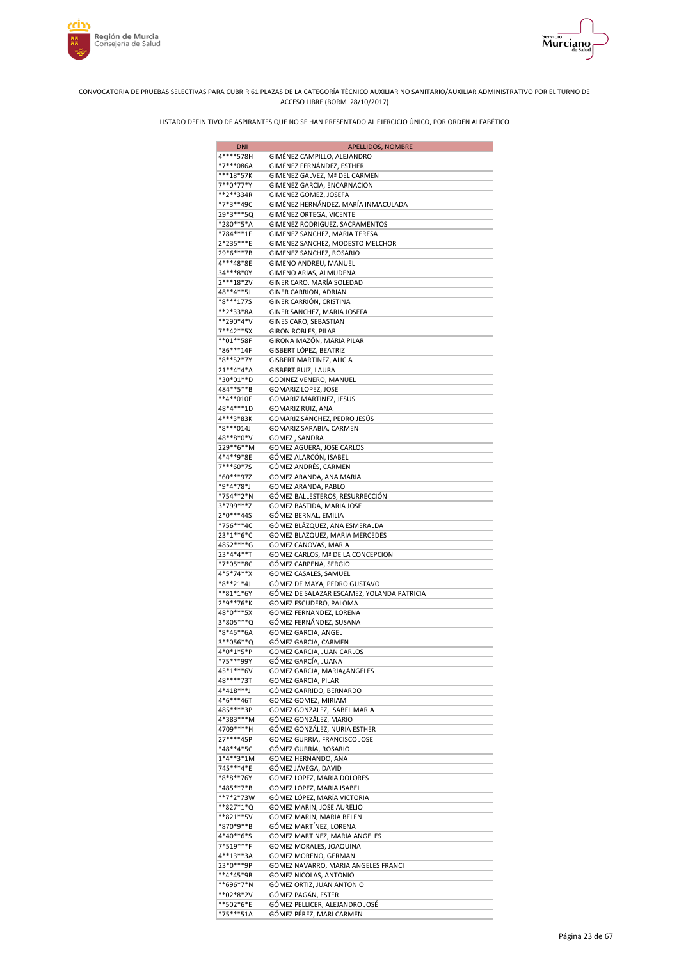





| <b>DNI</b>             | APELLIDOS, NOMBRE                                         |
|------------------------|-----------------------------------------------------------|
| 4****578H              | GIMÉNEZ CAMPILLO, ALEJANDRO                               |
| *7***086A              | GIMÉNEZ FERNÁNDEZ, ESTHER                                 |
| ***18*57K              | GIMENEZ GALVEZ, Mª DEL CARMEN                             |
| 7**0*77*Y              | GIMENEZ GARCIA, ENCARNACION                               |
| **2**334R              | GIMENEZ GOMEZ, JOSEFA                                     |
| *7*3**49C              | GIMÉNEZ HERNÁNDEZ, MARÍA INMACULADA                       |
| 29*3***5Q              | GIMÉNEZ ORTEGA, VICENTE                                   |
| *280**5*A              | GIMENEZ RODRIGUEZ, SACRAMENTOS                            |
| *784***1F              | GIMENEZ SANCHEZ, MARIA TERESA                             |
| 2*235***E              | GIMENEZ SANCHEZ, MODESTO MELCHOR                          |
| 29*6***7B              | GIMENEZ SANCHEZ, ROSARIO                                  |
| 4***48*8E              | GIMENO ANDREU, MANUEL                                     |
| 34***8*0Y              | GIMENO ARIAS, ALMUDENA                                    |
| 2***18*2V              | GINER CARO, MARÍA SOLEDAD                                 |
| 48**4**5J              | GINER CARRION, ADRIAN                                     |
| *8***1775              | GINER CARRIÓN, CRISTINA                                   |
| **2*33*8A              | GINER SANCHEZ, MARIA JOSEFA                               |
| **290*4*V              | GINES CARO, SEBASTIAN                                     |
| 7**42**5X              | GIRON ROBLES, PILAR                                       |
| **01**58F              | GIRONA MAZÓN, MARIA PILAR                                 |
| *86***14F              | GISBERT LÓPEZ, BEATRIZ                                    |
| *8**52*7Y              | GISBERT MARTINEZ, ALICIA                                  |
| 21**4*4*A              | <b>GISBERT RUIZ, LAURA</b>                                |
| *30*01**D              | GODINEZ VENERO, MANUEL                                    |
| 484**5**B              | GOMARIZ LOPEZ, JOSE                                       |
| **4**010F              | GOMARIZ MARTINEZ, JESUS                                   |
| 48*4***1D              | GOMARIZ RUIZ, ANA                                         |
| 4***3*83K              | GOMARIZ SÁNCHEZ, PEDRO JESÚS                              |
| *8***014J              | GOMARIZ SARABIA, CARMEN                                   |
| 48**8*0*V              | GOMEZ, SANDRA                                             |
| 229**6**M              | GOMEZ AGUERA, JOSE CARLOS                                 |
| 4*4**9*8E              | GÓMEZ ALARCÓN, ISABEL                                     |
| 7***60*7S              | GÓMEZ ANDRÉS, CARMEN                                      |
| *60***97Z              | GOMEZ ARANDA, ANA MARIA                                   |
| *9*4*78*J              | GOMEZ ARANDA, PABLO                                       |
| *754**2*N              | GÓMEZ BALLESTEROS, RESURRECCIÓN                           |
| 3*799***Z              | GOMEZ BASTIDA, MARIA JOSE                                 |
| 2*0***44S              | GÓMEZ BERNAL, EMILIA                                      |
| *756***4C<br>23*1**6*C | GÓMEZ BLÁZQUEZ, ANA ESMERALDA                             |
| 4852****G              | GOMEZ BLAZQUEZ, MARIA MERCEDES                            |
| 23*4*4**T              | GOMEZ CANOVAS, MARIA<br>GOMEZ CARLOS, Mª DE LA CONCEPCION |
| *7*05**8C              | GÓMEZ CARPENA, SERGIO                                     |
| 4*5*74**X              | GOMEZ CASALES, SAMUEL                                     |
| *8**21*4J              | GÓMEZ DE MAYA, PEDRO GUSTAVO                              |
| **81*1*6Y              | GÓMEZ DE SALAZAR ESCAMEZ, YOLANDA PATRICIA                |
| 2*9**76*K              | GOMEZ ESCUDERO, PALOMA                                    |
| 48*0***5X              | GOMEZ FERNANDEZ, LORENA                                   |
| 3*805***Q              | GÓMEZ FERNÁNDEZ, SUSANA                                   |
| *8*45**6A              | GOMEZ GARCIA, ANGEL                                       |
| 3**056**Q              | GÓMEZ GARCIA, CARMEN                                      |
| 4*0*1*5*P              | GOMEZ GARCIA, JUAN CARLOS                                 |
| *75***99Y              | GÓMEZ GARCÍA, JUANA                                       |
| 45*1***6V              | GOMEZ GARCIA, MARIA¿ANGELES                               |
| 48****73T              | GOMEZ GARCIA, PILAR                                       |
| 4*418***J              | GÓMEZ GARRIDO, BERNARDO                                   |
| 4*6***46T              | GOMEZ GOMEZ, MIRIAM                                       |
| 485****3P              | GOMEZ GONZALEZ, ISABEL MARIA                              |
| 4*383***M              | GÓMEZ GONZÁLEZ, MARIO                                     |
| 4709****H              | GÓMEZ GONZÁLEZ, NURIA ESTHER                              |
| 27****45P              | GOMEZ GURRIA, FRANCISCO JOSE                              |
| *48**4*5C              | GÓMEZ GURRÍA, ROSARIO                                     |
| $1*4**3*1M$            | GOMEZ HERNANDO, ANA                                       |
| 745***4*E              | GÓMEZ JÁVEGA, DAVID                                       |
| *8*8**76Y              | GOMEZ LOPEZ, MARIA DOLORES                                |
| *485**7*B              | GOMEZ LOPEZ, MARIA ISABEL                                 |
| **7*2*73W              | GÓMEZ LÓPEZ, MARÍA VICTORIA                               |
| **827*1*Q              | GOMEZ MARIN, JOSE AURELIO                                 |
| **821**5V              | GOMEZ MARIN, MARIA BELEN                                  |
| *870*9**B              | GÓMEZ MARTÍNEZ, LORENA                                    |
| 4*40**6*S              | GOMEZ MARTINEZ, MARIA ANGELES                             |
| 7*519***F              | GOMEZ MORALES, JOAQUINA                                   |
| 4**13**3A              | GOMEZ MORENO, GERMAN                                      |
| 23*0***9P              | GOMEZ NAVARRO, MARIA ANGELES FRANCI                       |
| **4*45*9B              | GOMEZ NICOLAS, ANTONIO                                    |
| **696*7*N              | GÓMEZ ORTIZ, JUAN ANTONIO                                 |
| **02*8*2V              | GÓMEZ PAGÁN, ESTER                                        |
| **502*6*E              | GÓMEZ PELLICER, ALEJANDRO JOSÉ                            |
| *75***51A              | GÓMEZ PÉREZ, MARI CARMEN                                  |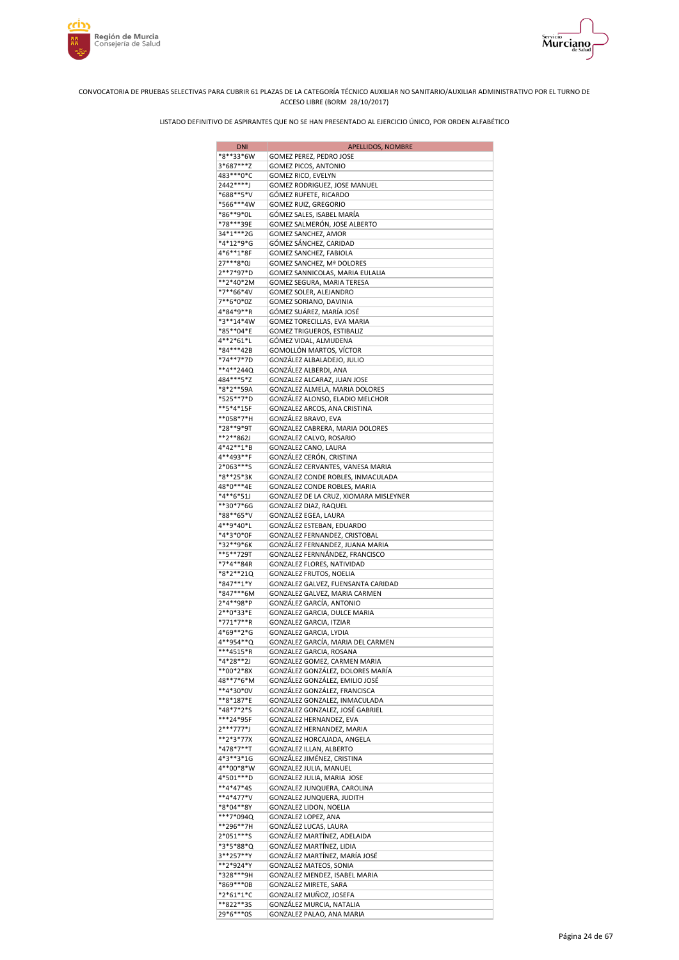



| <b>DNI</b>             | APELLIDOS, NOMBRE                                       |
|------------------------|---------------------------------------------------------|
| *8**33*6W              | GOMEZ PEREZ, PEDRO JOSE                                 |
| 3*687***Z              | GOMEZ PICOS, ANTONIO                                    |
| 483***0*C<br>2442****J | GOMEZ RICO, EVELYN                                      |
| *688**5*V              | GOMEZ RODRIGUEZ, JOSE MANUEL<br>GÓMEZ RUFETE, RICARDO   |
| *566***4W              | GOMEZ RUIZ, GREGORIO                                    |
| *86**9*0L              | GÓMEZ SALES, ISABEL MARÍA                               |
| *78***39E              | GOMEZ SALMERÓN, JOSE ALBERTO                            |
| 34*1***2G              | GOMEZ SANCHEZ, AMOR                                     |
| *4*12*9*G              | GÓMEZ SÁNCHEZ, CARIDAD                                  |
| 4*6**1*8F              | GOMEZ SANCHEZ, FABIOLA                                  |
| 27***8*0J              | GOMEZ SANCHEZ, Mª DOLORES                               |
| 2**7*97*D              | GOMEZ SANNICOLAS, MARIA EULALIA                         |
| **2*40*2M              | GOMEZ SEGURA, MARIA TERESA                              |
| *7**66*4V<br>7**6*0*0Z | GOMEZ SOLER, ALEJANDRO                                  |
| 4*84*9**R              | GOMEZ SORIANO, DAVINIA<br>GÓMEZ SUÁREZ, MARÍA JOSÉ      |
| *3**14*4W              | GOMEZ TORECILLAS, EVA MARIA                             |
| *85**04*E              | GOMEZ TRIGUEROS, ESTIBALIZ                              |
| 4**2*61*L              | GÓMEZ VIDAL, ALMUDENA                                   |
| *84***42B              | GOMOLLÓN MARTOS, VÍCTOR                                 |
| *74**7*7D              | GONZÁLEZ ALBALADEJO, JULIO                              |
| **4**244Q              | GONZÁLEZ ALBERDI, ANA                                   |
| 484***5*Z              | GONZALEZ ALCARAZ, JUAN JOSE                             |
| *8*2**59A              | GONZALEZ ALMELA, MARIA DOLORES                          |
| *525**7*D              | GONZÁLEZ ALONSO, ELADIO MELCHOR                         |
| **5*4*15F<br>**058*7*H | GONZALEZ ARCOS, ANA CRISTINA<br>GONZÁLEZ BRAVO, EVA     |
| *28**9*9T              | GONZALEZ CABRERA, MARIA DOLORES                         |
| **2**862J              | GONZALEZ CALVO, ROSARIO                                 |
| 4*42**1*B              | GONZALEZ CANO, LAURA                                    |
| 4**493**F              | GONZÁLEZ CERÓN, CRISTINA                                |
| 2*063***S              | GONZÁLEZ CERVANTES, VANESA MARIA                        |
| *8**25*3K              | GONZALEZ CONDE ROBLES, INMACULADA                       |
| 48*0***4E              | GONZALEZ CONDE ROBLES, MARIA                            |
| *4**6*51J              | GONZALEZ DE LA CRUZ, XIOMARA MISLEYNER                  |
| **30*7*6G              | GONZALEZ DIAZ, RAQUEL                                   |
| *88**65*V<br>4**9*40*L | GONZALEZ EGEA, LAURA<br>GONZÁLEZ ESTEBAN, EDUARDO       |
| *4*3*0*0F              | GONZALEZ FERNANDEZ, CRISTOBAL                           |
| *32**9*6K              | GONZÁLEZ FERNANDEZ, JUANA MARIA                         |
| **5**729T              | GONZALEZ FERNNÁNDEZ, FRANCISCO                          |
| *7*4**84R              | GONZALEZ FLORES, NATIVIDAD                              |
| *8*2**21Q              | GONZALEZ FRUTOS, NOELIA                                 |
| *847**1*Y              | GONZALEZ GALVEZ, FUENSANTA CARIDAD                      |
| *847***6M              | GONZALEZ GALVEZ, MARIA CARMEN                           |
| 2*4**98*P              | GONZÁLEZ GARCÍA, ANTONIO                                |
| 2**0*33*E<br>*771*7**R | GONZALEZ GARCIA, DULCE MARIA                            |
| 4*69**2*G              | GONZALEZ GARCIA, ITZIAR<br>GONZALEZ GARCIA, LYDIA       |
| 4**954**Q              | GONZALEZ GARCÍA, MARIA DEL CARMEN                       |
| ***4515*R              | GONZALEZ GARCIA, ROSANA                                 |
| *4*28**2J              | GONZALEZ GOMEZ, CARMEN MARIA                            |
| **00*2*8X              | GONZÁLEZ GONZÁLEZ, DOLORES MARÍA                        |
| 48**7*6*M              | GONZÁLEZ GONZÁLEZ, EMILIO JOSÉ                          |
| **4*30*0V              | GONZÁLEZ GONZÁLEZ, FRANCISCA                            |
| **8*187*E              | GONZALEZ GONZALEZ, INMACULADA                           |
| *48*7*2*S              | GONZALEZ GONZALEZ, JOSÉ GABRIEL                         |
| ***24*95F<br>2***777*J | GONZALEZ HERNANDEZ, EVA<br>GONZALEZ HERNANDEZ, MARIA    |
| **2*3*77X              | GONZALEZ HORCAJADA, ANGELA                              |
| *478*7**T              | GONZALEZ ILLAN, ALBERTO                                 |
| 4*3**3*1G              | GONZÁLEZ JIMÉNEZ, CRISTINA                              |
| 4**00*8*W              | GONZALEZ JULIA, MANUEL                                  |
| 4*501***D              | GONZALEZ JULIA, MARIA JOSE                              |
| **4*47*4S              | GONZALEZ JUNQUERA, CAROLINA                             |
| **4*477*V              | GONZALEZ JUNQUERA, JUDITH                               |
| *8*04**8Y              | GONZALEZ LIDON, NOELIA                                  |
| ***7*094Q              | GONZALEZ LOPEZ, ANA                                     |
| **296**7H              | GONZÁLEZ LUCAS, LAURA                                   |
| 2*051***S<br>*3*5*88*Q | GONZÁLEZ MARTÍNEZ, ADELAIDA<br>GONZÁLEZ MARTÍNEZ, LIDIA |
| 3**257**Y              | GONZÁLEZ MARTÍNEZ, MARÍA JOSÉ                           |
| **2*924*Y              | GONZALEZ MATEOS, SONIA                                  |
| *328***9H              | GONZALEZ MENDEZ, ISABEL MARIA                           |
| *869***0B              | GONZALEZ MIRETE, SARA                                   |
| *2*61*1*C              | GONZALEZ MUÑOZ, JOSEFA                                  |
| **822**35              | GONZÁLEZ MURCIA, NATALIA                                |
| 29*6***0S              | GONZALEZ PALAO, ANA MARIA                               |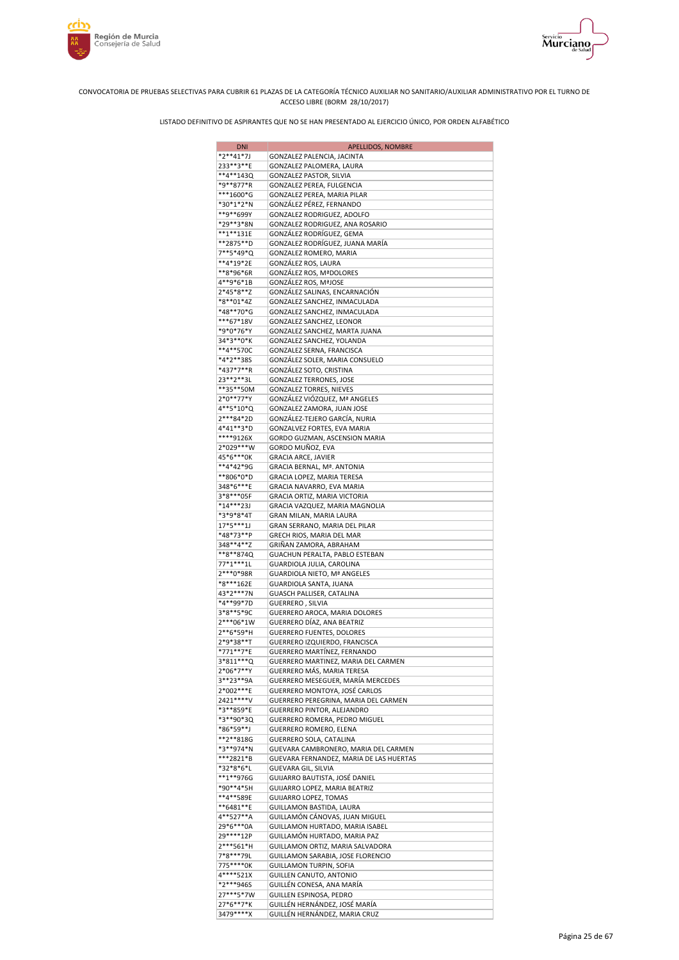



| <b>DNI</b>             | APELLIDOS, NOMBRE                                                 |
|------------------------|-------------------------------------------------------------------|
| $*2**41*7J$            | GONZALEZ PALENCIA, JACINTA                                        |
| 233**3**E              | GONZALEZ PALOMERA, LAURA                                          |
| **4**143Q<br>*9**877*R | GONZALEZ PASTOR, SILVIA<br>GONZALEZ PEREA, FULGENCIA              |
| ***1600*G              | GONZALEZ PEREA, MARIA PILAR                                       |
| *30*1*2*N              | GONZÁLEZ PÉREZ, FERNANDO                                          |
| **9**699Y              | GONZALEZ RODRIGUEZ, ADOLFO                                        |
| *29**3*8N              | GONZALEZ RODRIGUEZ, ANA ROSARIO                                   |
| **1**131E              | GONZÁLEZ RODRÍGUEZ, GEMA                                          |
| **2875**D              | GONZALEZ RODRÍGUEZ, JUANA MARÍA                                   |
| 7**5*49*Q<br>**4*19*2E | GONZALEZ ROMERO, MARIA<br>GONZÁLEZ ROS, LAURA                     |
| **8*96*6R              | <b>GONZALEZ ROS, MªDOLORES</b>                                    |
| 4**9*6*1B              | <b>GONZÁLEZ ROS, MªJOSE</b>                                       |
| 2*45*8**Z              | GONZÁLEZ SALINAS, ENCARNACIÓN                                     |
| *8**01*4Z              | GONZALEZ SANCHEZ, INMACULADA                                      |
| *48**70*G              | GONZALEZ SANCHEZ, INMACULADA                                      |
| ***67*18V              | GONZALEZ SANCHEZ, LEONOR                                          |
| *9*0*76*Y<br>34*3**0*K | GONZALEZ SANCHEZ, MARTA JUANA                                     |
| **4**570C              | GONZALEZ SANCHEZ, YOLANDA<br>GONZALEZ SERNA, FRANCISCA            |
| *4*2**38S              | GONZÁLEZ SOLER, MARIA CONSUELO                                    |
| *437*7**R              | GONZÁLEZ SOTO, CRISTINA                                           |
| 23**2**3L              | GONZALEZ TERRONES, JOSE                                           |
| **35**50M              | <b>GONZALEZ TORRES, NIEVES</b>                                    |
| 2*0**77*Y              | GONZÁLEZ VIÓZQUEZ, Mª ANGELES                                     |
| 4**5*10*Q              | GONZALEZ ZAMORA, JUAN JOSE                                        |
| 2***84*2D<br>4*41**3*D | GONZÁLEZ-TEJERO GARCÍA, NURIA<br>GONZALVEZ FORTES, EVA MARIA      |
| ****9126X              | GORDO GUZMAN, ASCENSION MARIA                                     |
| 2*029***W              | GORDO MUÑOZ, EVA                                                  |
| 45*6***0K              | GRACIA ARCE, JAVIER                                               |
| **4*42*9G              | <b>GRACIA BERNAL, Mª. ANTONIA</b>                                 |
| **806*0*D              | GRACIA LOPEZ, MARIA TERESA                                        |
| 348*6***E              | GRACIA NAVARRO, EVA MARIA                                         |
| 3*8***05F<br>*14***23J | GRACIA ORTIZ, MARIA VICTORIA                                      |
| *3*9*8*4T              | GRACIA VAZQUEZ, MARIA MAGNOLIA<br>GRAN MILAN, MARIA LAURA         |
| $17*5***1J$            | GRAN SERRANO, MARIA DEL PILAR                                     |
| *48*73**P              | GRECH RIOS, MARIA DEL MAR                                         |
| 348**4**Z              | GRIÑAN ZAMORA, ABRAHAM                                            |
| **8**874Q              | GUACHUN PERALTA, PABLO ESTEBAN                                    |
| 77*1***1L              | GUARDIOLA JULIA, CAROLINA                                         |
| 2***0*98R<br>*8***162E | GUARDIOLA NIETO, Mª ANGELES                                       |
| 43*2***7N              | GUARDIOLA SANTA, JUANA<br>GUASCH PALLISER, CATALINA               |
| *4**99*7D              | GUERRERO, SILVIA                                                  |
| 3*8**5*9C              | GUERRERO AROCA, MARIA DOLORES                                     |
| 2***06*1W              | GUERRERO DÍAZ, ANA BEATRIZ                                        |
| 2**6*59*H              | <b>GUERRERO FUENTES, DOLORES</b>                                  |
| 2*9*38**T              | GUERRERO IZQUIERDO, FRANCISCA                                     |
| *771**7*E<br>3*811***Q | <b>GUERRERO MARTÍNEZ, FERNANDO</b>                                |
| 2*06*7**Y              | GUERRERO MARTINEZ, MARIA DEL CARMEN<br>GUERRERO MÁS, MARIA TERESA |
| 3**23**9A              | GUERRERO MESEGUER, MARÍA MERCEDES                                 |
| 2*002***E              | GUERRERO MONTOYA, JOSÉ CARLOS                                     |
| 2421****V              | GUERRERO PEREGRINA, MARIA DEL CARMEN                              |
| *3**859*E              | GUERRERO PINTOR, ALEJANDRO                                        |
| *3**90*3Q              | GUERRERO ROMERA, PEDRO MIGUEL                                     |
| *86*59**J<br>**2**818G | <b>GUERRERO ROMERO, ELENA</b><br>GUERRERO SOLA, CATALINA          |
| *3**974*N              | GUEVARA CAMBRONERO, MARIA DEL CARMEN                              |
| ***2821*B              | GUEVARA FERNANDEZ, MARIA DE LAS HUERTAS                           |
| *32*8*6*L              | GUEVARA GIL, SILVIA                                               |
| **1**976G              | GUIJARRO BAUTISTA, JOSÉ DANIEL                                    |
| *90**4*5H              | GUIJARRO LOPEZ, MARIA BEATRIZ                                     |
| **4**589E              | <b>GUIJARRO LOPEZ, TOMAS</b>                                      |
| **6481**E<br>4**527**A | GUILLAMON BASTIDA, LAURA<br>GUILLAMÓN CÁNOVAS, JUAN MIGUEL        |
| 29*6***0A              | GUILLAMON HURTADO, MARIA ISABEL                                   |
| 29 **** 12P            | GUILLAMÓN HURTADO, MARIA PAZ                                      |
| 2***561*H              | GUILLAMON ORTIZ, MARIA SALVADORA                                  |
| 7*8***79L              | GUILLAMON SARABIA, JOSE FLORENCIO                                 |
| 775****0K              | GUILLAMON TURPIN, SOFIA                                           |
| 4****521X              | GUILLEN CANUTO, ANTONIO                                           |
| *2***946S<br>27***5*7W | GUILLÉN CONESA, ANA MARÍA                                         |
| 27*6**7*K              | GUILLEN ESPINOSA, PEDRO<br>GUILLÉN HERNÁNDEZ, JOSÉ MARÍA          |
| 3479****X              | GUILLÉN HERNÁNDEZ, MARIA CRUZ                                     |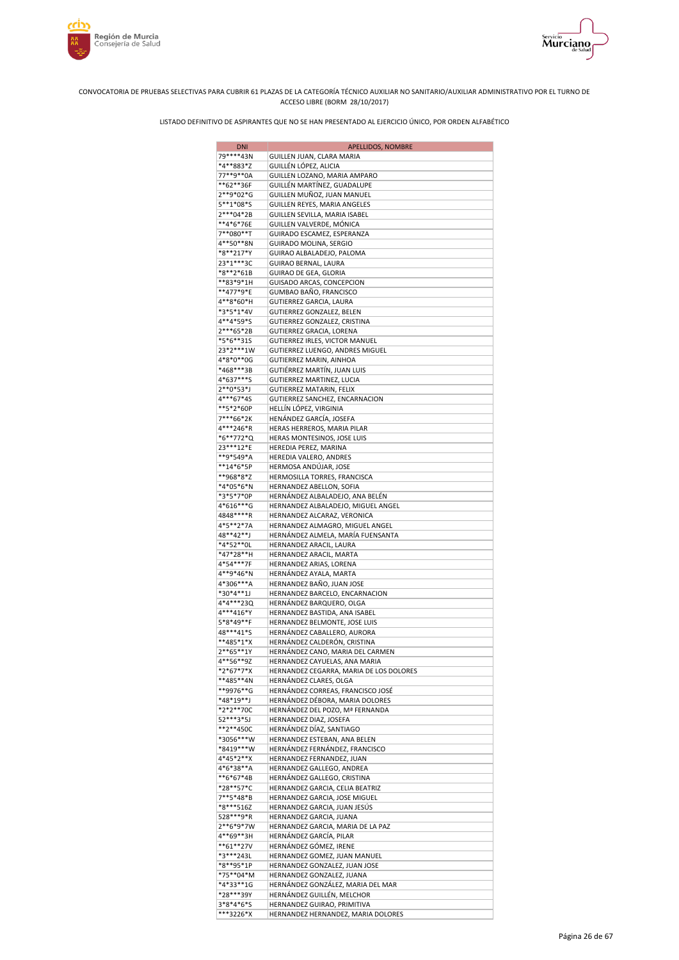



| <b>DNI</b>                 | APELLIDOS, NOMBRE                                                  |
|----------------------------|--------------------------------------------------------------------|
| 79****43N                  | GUILLEN JUAN, CLARA MARIA                                          |
| *4**883*Z                  | GUILLÉN LÓPEZ, ALICIA                                              |
| 77**9**0A                  | GUILLEN LOZANO, MARIA AMPARO                                       |
| **62**36F<br>2**9*02*G     | GUILLÉN MARTÍNEZ, GUADALUPE<br>GUILLEN MUÑOZ, JUAN MANUEL          |
| 5**1*08*S                  | GUILLEN REYES, MARIA ANGELES                                       |
| 2***04*2B                  | GUILLEN SEVILLA, MARIA ISABEL                                      |
| **4*6*76E                  | GUILLEN VALVERDE, MÓNICA                                           |
| 7**080**T                  | GUIRADO ESCAMEZ, ESPERANZA                                         |
| 4**50**8N                  | GUIRADO MOLINA, SERGIO                                             |
| *8**217*Y                  | GUIRAO ALBALADEJO, PALOMA                                          |
| 23*1***3C                  | GUIRAO BERNAL, LAURA                                               |
| *8**2*61B<br>**83*9*1H     | GUIRAO DE GEA, GLORIA<br>GUISADO ARCAS, CONCEPCION                 |
| **477*9*E                  | GUMBAO BAÑO, FRANCISCO                                             |
| 4**8*60*H                  | GUTIERREZ GARCIA, LAURA                                            |
| *3*5*1*4V                  | GUTIERREZ GONZALEZ, BELEN                                          |
| 4**4*59*S                  | GUTIERREZ GONZALEZ, CRISTINA                                       |
| 2***65*2B                  | GUTIERREZ GRACIA, LORENA                                           |
| *5*6**315                  | GUTIERREZ IRLES, VICTOR MANUEL                                     |
| 23*2***1W                  | GUTIERREZ LUENGO, ANDRES MIGUEL                                    |
| 4*8*0**0G<br>*468***3B     | GUTIERREZ MARIN, AINHOA<br>GUTIĖRREZ MARTÍN, JUAN LUIS             |
| 4*637***S                  | GUTIERREZ MARTINEZ, LUCIA                                          |
| $2**0*53*J$                | GUTIERREZ MATARIN, FELIX                                           |
| 4***67*4S                  | GUTIERREZ SANCHEZ, ENCARNACION                                     |
| **5*2*60P                  | HELLÍN LÓPEZ, VIRGINIA                                             |
| 7***66*2K                  | HENÁNDEZ GARCÍA, JOSEFA                                            |
| 4***246*R                  | HERAS HERREROS, MARIA PILAR                                        |
| *6**772*Q                  | HERAS MONTESINOS, JOSE LUIS                                        |
| 23 *** 12 * E<br>**9*549*A | HEREDIA PEREZ, MARINA<br>HEREDIA VALERO, ANDRES                    |
| **14*6*5P                  | HERMOSA ANDÚJAR, JOSE                                              |
| **968*8*Z                  | HERMOSILLA TORRES, FRANCISCA                                       |
| *4*05*6*N                  | HERNANDEZ ABELLON, SOFIA                                           |
| *3*5*7*0P                  | HERNÁNDEZ ALBALADEJO, ANA BELÉN                                    |
| 4*616***G                  | HERNANDEZ ALBALADEJO, MIGUEL ANGEL                                 |
| 4848****R                  | HERNANDEZ ALCARAZ, VERONICA                                        |
| 4*5**2*7A                  | HERNANDEZ ALMAGRO, MIGUEL ANGEL                                    |
| 48**42**J<br>*4*52**0L     | HERNÁNDEZ ALMELA, MARÍA FUENSANTA<br>HERNANDEZ ARACIL, LAURA       |
| *47*28**H                  | HERNANDEZ ARACIL, MARTA                                            |
| 4*54***7F                  | HERNANDEZ ARIAS, LORENA                                            |
| 4**9*46*N                  | HERNÁNDEZ AYALA, MARTA                                             |
| 4*306***A                  | HERNANDEZ BAÑO, JUAN JOSE                                          |
| *30*4**1J                  | HERNANDEZ BARCELO, ENCARNACION                                     |
| 4*4***23Q                  | HERNÁNDEZ BARQUERO, OLGA                                           |
| 4***416*Y<br>5*8*49**F     | HERNANDEZ BASTIDA, ANA ISABEL                                      |
| 48***41*S                  | HERNANDEZ BELMONTE, JOSE LUIS<br>HERNÁNDEZ CABALLERO, AURORA       |
| **485*1*X                  | HERNÁNDEZ CALDERÓN, CRISTINA                                       |
| 2**65**1Y                  | HERNÁNDEZ CANO, MARIA DEL CARMEN                                   |
| 4**56**9Z                  | HERNANDEZ CAYUELAS, ANA MARIA                                      |
| *2*67*7*X                  | HERNANDEZ CEGARRA, MARIA DE LOS DOLORES                            |
| **485**4N                  | HERNÁNDEZ CLARES, OLGA                                             |
| **9976**G                  | HERNÁNDEZ CORREAS, FRANCISCO JOSÉ                                  |
| *48*19**J<br>*2*2**70C     | HERNÁNDEZ DÉBORA, MARIA DOLORES<br>HERNÁNDEZ DEL POZO, Mª FERNANDA |
| 52***3*5J                  | HERNANDEZ DIAZ, JOSEFA                                             |
| **2**450C                  | HERNÁNDEZ DÍAZ, SANTIAGO                                           |
| *3056***W                  | HERNANDEZ ESTEBAN, ANA BELEN                                       |
| *8419***W                  | HERNÁNDEZ FERNÁNDEZ, FRANCISCO                                     |
| 4*45*2**X                  | HERNANDEZ FERNANDEZ, JUAN                                          |
| 4*6*38**A                  | HERNANDEZ GALLEGO, ANDREA                                          |
| **6*67*4B<br>*28**57*C     | HERNÁNDEZ GALLEGO, CRISTINA                                        |
| 7**5*48*B                  | HERNANDEZ GARCIA, CELIA BEATRIZ<br>HERNANDEZ GARCIA, JOSE MIGUEL   |
| *8***516Z                  | HERNANDEZ GARCIA, JUAN JESÚS                                       |
| 528 *** 9 * R              | HERNANDEZ GARCIA, JUANA                                            |
| 2**6*9*7W                  | HERNANDEZ GARCIA, MARIA DE LA PAZ                                  |
| 4**69**3H                  | HERNÁNDEZ GARCÍA, PILAR                                            |
| **61**27V                  | HERNÁNDEZ GÓMEZ, IRENE                                             |
| *3***243L                  | HERNANDEZ GOMEZ, JUAN MANUEL                                       |
| *8**95*1P                  | HERNANDEZ GONZALEZ, JUAN JOSE                                      |
| *75**04*M<br>*4*33**1G     | HERNANDEZ GONZALEZ, JUANA<br>HERNÁNDEZ GONZÁLEZ, MARIA DEL MAR     |
| *28***39Y                  | HERNÁNDEZ GUILLÉN, MELCHOR                                         |
| 3*8*4*6*S                  | HERNANDEZ GUIRAO, PRIMITIVA                                        |
| ***3226*X                  | HERNANDEZ HERNANDEZ, MARIA DOLORES                                 |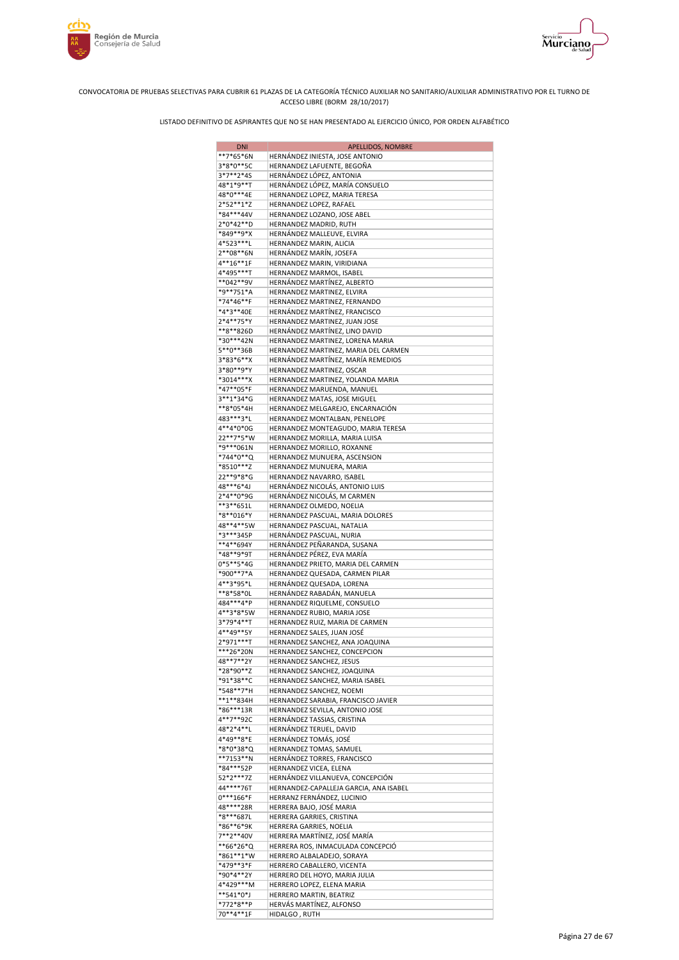



| <b>DNI</b>             | APELLIDOS, NOMBRE                                                          |
|------------------------|----------------------------------------------------------------------------|
| **7*65*6N              | HERNÁNDEZ INIESTA, JOSE ANTONIO                                            |
| 3*8*0**5C              | HERNANDEZ LAFUENTE, BEGOÑA                                                 |
| 3*7**2*4S              | HERNÁNDEZ LÓPEZ, ANTONIA                                                   |
| 48*1*9**T<br>48*0***4E | HERNÁNDEZ LÓPEZ, MARÍA CONSUELO<br>HERNANDEZ LOPEZ, MARIA TERESA           |
| $2*52**1*Z$            | HERNANDEZ LOPEZ, RAFAEL                                                    |
| *84***44V              | HERNANDEZ LOZANO, JOSE ABEL                                                |
| 2*0*42**D              | HERNANDEZ MADRID, RUTH                                                     |
| *849**9*X              | HERNÁNDEZ MALLEUVE, ELVIRA                                                 |
| 4*523***L              | HERNANDEZ MARIN, ALICIA                                                    |
| 2**08**6N              | HERNÁNDEZ MARÍN, JOSEFA                                                    |
| $4**16**1F$            | HERNANDEZ MARIN, VIRIDIANA                                                 |
| 4*495***T<br>**042**9V | HERNANDEZ MARMOL, ISABEL<br>HERNÁNDEZ MARTÍNEZ, ALBERTO                    |
| *9**751*A              | HERNANDEZ MARTINEZ, ELVIRA                                                 |
| *74*46**F              | HERNANDEZ MARTINEZ, FERNANDO                                               |
| *4*3**40E              | HERNÁNDEZ MARTÍNEZ, FRANCISCO                                              |
| 2*4**75*Y              | HERNANDEZ MARTINEZ, JUAN JOSE                                              |
| **8**826D              | HERNÁNDEZ MARTÍNEZ, LINO DAVID                                             |
| *30***42N              | HERNANDEZ MARTINEZ, LORENA MARIA                                           |
| 5**0**36B<br>3*83*6**X | HERNANDEZ MARTINEZ, MARIA DEL CARMEN<br>HERNÁNDEZ MARTÍNEZ, MARÍA REMEDIOS |
| 3*80**9*Y              | HERNANDEZ MARTINEZ, OSCAR                                                  |
| *3014***X              | HERNANDEZ MARTINEZ, YOLANDA MARIA                                          |
| *47**05*F              | HERNANDEZ MARUENDA, MANUEL                                                 |
| 3**1*34*G              | HERNANDEZ MATAS, JOSE MIGUEL                                               |
| **8*05*4H              | HERNANDEZ MELGAREJO, ENCARNACIÓN                                           |
| 483***3*L              | HERNANDEZ MONTALBAN, PENELOPE                                              |
| 4**4*0*0G<br>22**7*5*W | HERNANDEZ MONTEAGUDO, MARIA TERESA                                         |
| *9***061N              | HERNANDEZ MORILLA, MARIA LUISA<br>HERNANDEZ MORILLO, ROXANNE               |
| *744*0**Q              | HERNANDEZ MUNUERA, ASCENSION                                               |
| *8510***Z              | HERNANDEZ MUNUERA, MARIA                                                   |
| 22**9*8*G              | HERNANDEZ NAVARRO, ISABEL                                                  |
| 48***6*4J              | HERNÁNDEZ NICOLÁS, ANTONIO LUIS                                            |
| 2*4**0*9G              | HERNÁNDEZ NICOLÁS, M CARMEN                                                |
| **3**651L              | HERNANDEZ OLMEDO, NOELIA                                                   |
| *8**016*Y<br>48**4**5W | HERNANDEZ PASCUAL, MARIA DOLORES<br>HERNANDEZ PASCUAL, NATALIA             |
| *3***345P              | HERNÁNDEZ PASCUAL, NURIA                                                   |
| **4**694Y              | HERNÁNDEZ PEÑARANDA, SUSANA                                                |
| *48**9*9T              | HERNÁNDEZ PÉREZ, EVA MARÍA                                                 |
| 0*5**5*4G              | HERNANDEZ PRIETO, MARIA DEL CARMEN                                         |
| *900**7*A              | HERNANDEZ QUESADA, CARMEN PILAR                                            |
| 4**3*95*L              | HERNÁNDEZ QUESADA, LORENA                                                  |
| **8*58*0L<br>484***4*P | HERNÁNDEZ RABADÁN, MANUELA<br>HERNANDEZ RIQUELME, CONSUELO                 |
| 4**3*8*5W              | HERNANDEZ RUBIO, MARIA JOSE                                                |
| 3*79*4**T              | HERNANDEZ RUIZ, MARIA DE CARMEN                                            |
| 4**49**5Y              | HERNANDEZ SALES, JUAN JOSÉ                                                 |
| 2*971***T              | HERNANDEZ SANCHEZ, ANA JOAQUINA                                            |
| ***26*20N              | HERNANDEZ SANCHEZ, CONCEPCION                                              |
| 48**7**2Y              | HERNANDEZ SANCHEZ, JESUS                                                   |
| *28*90**Z<br>*91*38**C | HERNANDEZ SANCHEZ, JOAQUINA<br>HERNANDEZ SANCHEZ, MARIA ISABEL             |
| *548**7*H              | HERNANDEZ SANCHEZ, NOEMI                                                   |
| **1**834H              | HERNANDEZ SARABIA, FRANCISCO JAVIER                                        |
| *86***13R              | HERNANDEZ SEVILLA, ANTONIO JOSE                                            |
| 4**7**92C              | HERNÁNDEZ TASSIAS, CRISTINA                                                |
| 48*2*4**L              | HERNÁNDEZ TERUEL, DAVID                                                    |
| 4*49**8*E<br>*8*0*38*Q | HERNÁNDEZ TOMÁS, JOSÉ<br>HERNANDEZ TOMAS, SAMUEL                           |
| **7153**N              | HERNÁNDEZ TORRES, FRANCISCO                                                |
| *84***52P              | HERNANDEZ VICEA, ELENA                                                     |
| 52*2***7Z              | HERNÁNDEZ VILLANUEVA, CONCEPCIÓN                                           |
| 44****76T              | HERNANDEZ-CAPALLEJA GARCIA, ANA ISABEL                                     |
| $0***166*F$            | HERRANZ FERNÁNDEZ, LUCINIO                                                 |
| 48****28R              | HERRERA BAJO, JOSÉ MARIA                                                   |
| *8***687L              | HERRERA GARRIES, CRISTINA                                                  |
| *86**6*9K<br>7**2**40V | HERRERA GARRIES, NOELIA<br>HERRERA MARTÍNEZ, JOSÉ MARÍA                    |
| **66*26*Q              | HERRERA ROS, INMACULADA CONCEPCIÓ                                          |
| *861**1*W              | HERRERO ALBALADEJO, SORAYA                                                 |
| *479**3*F              | HERRERO CABALLERO, VICENTA                                                 |
| *90*4**2Y              | HERRERO DEL HOYO, MARIA JULIA                                              |
| 4*429***M              | HERRERO LOPEZ, ELENA MARIA                                                 |
| **541*0*J<br>*772*8**P | HERRERO MARTIN, BEATRIZ<br>HERVÁS MARTÍNEZ, ALFONSO                        |
| 70**4**1F              | HIDALGO, RUTH                                                              |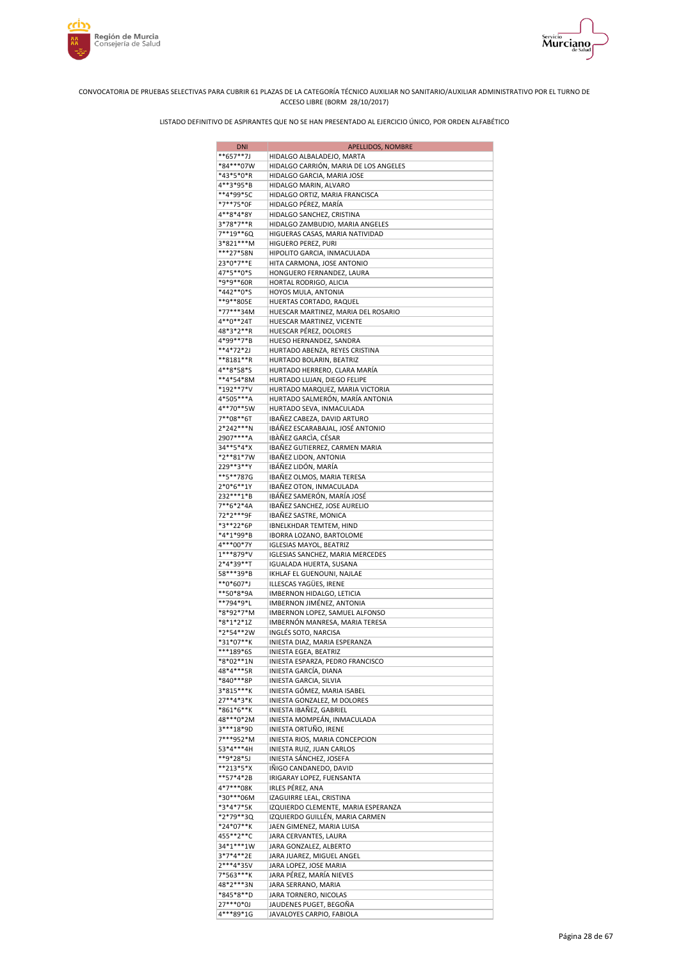



| <b>DNI</b>             | APELLIDOS, NOMBRE                                               |
|------------------------|-----------------------------------------------------------------|
| **657**7J              | HIDALGO ALBALADEJO, MARTA                                       |
| *84***07W              | HIDALGO CARRIÓN, MARIA DE LOS ANGELES                           |
| *43*5*0*R<br>4**3*95*B | HIDALGO GARCIA, MARIA JOSE<br>HIDALGO MARIN, ALVARO             |
| **4*99*5C              | HIDALGO ORTIZ, MARIA FRANCISCA                                  |
| *7**75*0F              | HIDALGO PÉREZ, MARÍA                                            |
| 4**8*4*8Y              | HIDALGO SANCHEZ, CRISTINA                                       |
| 3*78*7**R              | HIDALGO ZAMBUDIO, MARIA ANGELES                                 |
| 7**19**6Q              | HIGUERAS CASAS, MARIA NATIVIDAD                                 |
| 3*821***M              | HIGUERO PEREZ, PURI                                             |
| ***27*58N<br>23*0*7**E | HIPOLITO GARCIA, INMACULADA<br>HITA CARMONA, JOSE ANTONIO       |
| 47*5**0*S              | HONGUERO FERNANDEZ, LAURA                                       |
| *9*9**60R              | HORTAL RODRIGO, ALICIA                                          |
| *442**0*S              | HOYOS MULA, ANTONIA                                             |
| **9**805E              | HUERTAS CORTADO, RAQUEL                                         |
| *77***34M              | HUESCAR MARTINEZ, MARIA DEL ROSARIO                             |
| 4**0**24T              | HUESCAR MARTINEZ, VICENTE                                       |
| 48*3*2**R<br>4*99**7*B | HUESCAR PÉREZ, DOLORES                                          |
| **4*72*2J              | HUESO HERNANDEZ, SANDRA<br>HURTADO ABENZA, REYES CRISTINA       |
| **8181**R              | HURTADO BOLARIN, BEATRIZ                                        |
| 4**8*58*S              | HURTADO HERRERO, CLARA MARÍA                                    |
| **4*54*8M              | HURTADO LUJAN, DIEGO FELIPE                                     |
| *192**7*V              | HURTADO MARQUEZ, MARIA VICTORIA                                 |
| 4*505***A              | HURTADO SALMERÓN, MARÍA ANTONIA                                 |
| 4**70**5W              | HURTADO SEVA, INMACULADA                                        |
| 7**08**6T<br>2*242***N | IBAÑEZ CABEZA, DAVID ARTURO<br>IBÁÑEZ ESCARABAJAL, JOSÉ ANTONIO |
| 2907****A              | IBÀÑEZ GARCÌA, CÉSAR                                            |
| 34**5*4*X              | IBAÑEZ GUTIERREZ, CARMEN MARIA                                  |
| *2**81*7W              | IBAÑEZ LIDON, ANTONIA                                           |
| 229**3**Y              | IBÁÑEZ LIDÓN, MARÍA                                             |
| **5**787G              | IBAÑEZ OLMOS, MARIA TERESA                                      |
| 2*0*6**1Y              | IBAÑEZ OTON, INMACULADA                                         |
| 232 *** 1 * B          | IBÁÑEZ SAMERÓN, MARÍA JOSÉ                                      |
| 7**6*2*4A<br>72*2***9F | IBAÑEZ SANCHEZ, JOSE AURELIO<br>IBAÑEZ SASTRE, MONICA           |
| *3**22*6P              | IBNELKHDAR TEMTEM, HIND                                         |
| *4*1*99*B              | IBORRA LOZANO, BARTOLOME                                        |
| 4***00*7Y              | <b>IGLESIAS MAYOL, BEATRIZ</b>                                  |
| 1***879*V              | IGLESIAS SANCHEZ, MARIA MERCEDES                                |
| 2*4*39**T              | IGUALADA HUERTA, SUSANA                                         |
| 58***39*B              | IKHLAF EL GUENOUNI, NAJLAE                                      |
| **0*607*J<br>**50*8*9A | ILLESCAS YAGÜES, IRENE<br>IMBERNON HIDALGO, LETICIA             |
| **794*9*L              | IMBERNON JIMÉNEZ, ANTONIA                                       |
| *8*92*7*M              | IMBERNON LOPEZ, SAMUEL ALFONSO                                  |
| *8*1*2*1Z              | IMBERNÓN MANRESA, MARIA TERESA                                  |
| *2*54**2W              | INGLÉS SOTO, NARCISA                                            |
| *31*07**K              | INIESTA DIAZ, MARIA ESPERANZA                                   |
| ***189*6S              | INIESTA EGEA, BEATRIZ                                           |
| *8*02**1N<br>48*4***5R | INIESTA ESPARZA, PEDRO FRANCISCO<br>INIESTA GARCÍA, DIANA       |
| *840***8P              | INIESTA GARCIA, SILVIA                                          |
| 3*815***K              | INIESTA GÓMEZ, MARIA ISABEL                                     |
| 27**4*3*K              | INIESTA GONZALEZ, M DOLORES                                     |
| *861*6**K              | INIESTA IBAÑEZ, GABRIEL                                         |
| 48***0*2M              | INIESTA MOMPEÁN, INMACULADA                                     |
| 3***18*9D              | INIESTA ORTUÑO, IRENE                                           |
| 7***952*M<br>53*4***4H | INIESTA RIOS, MARIA CONCEPCION                                  |
| **9*28*5J              | INIESTA RUIZ, JUAN CARLOS<br>INIESTA SÁNCHEZ, JOSEFA            |
| **213*5*X              | IÑIGO CANDANEDO, DAVID                                          |
| **57*4*2B              | IRIGARAY LOPEZ, FUENSANTA                                       |
| 4*7***08K              | IRLES PÉREZ, ANA                                                |
| *30***06M              | IZAGUIRRE LEAL, CRISTINA                                        |
| *3*4*7*5K              | IZQUIERDO CLEMENTE, MARIA ESPERANZA                             |
| *2*79**3Q              | IZQUIERDO GUILLÉN, MARIA CARMEN                                 |
| *24*07**K<br>455**2**C | JAEN GIMENEZ, MARIA LUISA<br>JARA CERVANTES, LAURA              |
| 34*1***1W              | JARA GONZALEZ, ALBERTO                                          |
| 3*7*4**2E              | JARA JUAREZ, MIGUEL ANGEL                                       |
| 2***4*35V              | JARA LOPEZ, JOSE MARIA                                          |
| 7*563***K              | JARA PÉREZ, MARÍA NIEVES                                        |
| 48*2***3N              | JARA SERRANO, MARIA                                             |
| *845*8**D              | JARA TORNERO, NICOLAS                                           |
| 27***0*0J<br>4***89*1G | JAUDENES PUGET, BEGOÑA<br>JAVALOYES CARPIO, FABIOLA             |
|                        |                                                                 |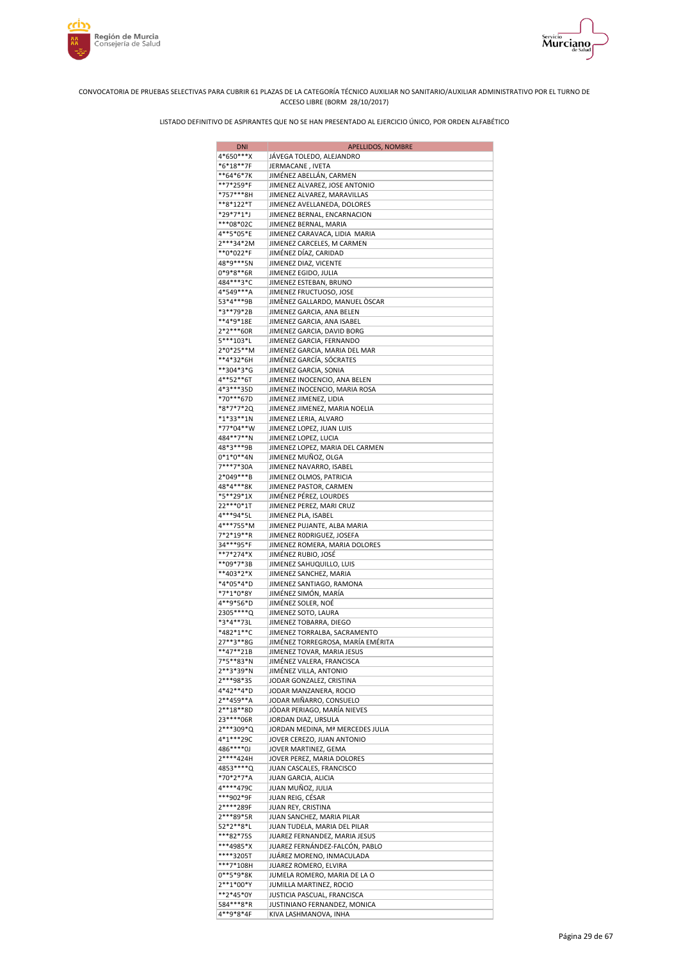



| <b>DNI</b>             | APELLIDOS, NOMBRE                                         |
|------------------------|-----------------------------------------------------------|
| 4*650***X              | JÁVEGA TOLEDO, ALEJANDRO                                  |
| *6*18**7F              | JERMACANE , IVETA                                         |
| **64*6*7K              | JIMÉNEZ ABELLÁN, CARMEN                                   |
| **7*259*F              | JIMENEZ ALVAREZ, JOSE ANTONIO                             |
| *757***8H              | JIMENEZ ALVAREZ, MARAVILLAS                               |
| **8*122*T              | JIMENEZ AVELLANEDA, DOLORES                               |
| *29*7*1*J<br>***08*02C | JIMENEZ BERNAL, ENCARNACION<br>JIMENEZ BERNAL, MARIA      |
| 4**5*05*E              | JIMENEZ CARAVACA, LIDIA MARIA                             |
| 2***34*2M              | JIMENEZ CARCELES, M CARMEN                                |
| **0*022*F              | JIMÉNEZ DÍAZ, CARIDAD                                     |
| 48*9***5N              | JIMENEZ DIAZ, VICENTE                                     |
| 0*9*8**6R              | JIMENEZ EGIDO, JULIA                                      |
| 484***3*C              | JIMENEZ ESTEBAN, BRUNO                                    |
| 4*549***A              | JIMENEZ FRUCTUOSO, JOSE                                   |
| 53*4***9B              | JIMÈNEZ GALLARDO, MANUEL ÒSCAR                            |
| *3**79*2B              | JIMENEZ GARCIA, ANA BELEN                                 |
| **4*9*18E              | JIMENEZ GARCIA, ANA ISABEL                                |
| 2*2***60R              | JIMENEZ GARCIA, DAVID BORG                                |
| 5***103*L              | JIMENEZ GARCIA, FERNANDO                                  |
| 2*0*25**M<br>**4*32*6H | JIMENEZ GARCIA, MARIA DEL MAR<br>JIMÉNEZ GARCÍA, SÓCRATES |
| **304*3*G              | JIMENEZ GARCIA, SONIA                                     |
| 4**52**6T              | JIMENEZ INOCENCIO, ANA BELEN                              |
| 4*3***35D              | JIMENEZ INOCENCIO, MARIA ROSA                             |
| *70***67D              | JIMENEZ JIMENEZ, LIDIA                                    |
| *8*7*7*2Q              | JIMENEZ JIMENEZ, MARIA NOELIA                             |
| *1*33**1N              | JIMENEZ LERIA, ALVARO                                     |
| *77*04**W              | JIMENEZ LOPEZ, JUAN LUIS                                  |
| 484**7**N              | JIMENEZ LOPEZ, LUCIA                                      |
| 48*3***9B              | JIMENEZ LOPEZ, MARIA DEL CARMEN                           |
| $0*1*0**4N$            | JIMENEZ MUÑOZ, OLGA                                       |
| 7***7*30A              | JIMENEZ NAVARRO, ISABEL                                   |
| 2*049***B<br>48*4***8K | JIMENEZ OLMOS, PATRICIA                                   |
| *5**29*1X              | JIMENEZ PASTOR, CARMEN<br>JIMÉNEZ PÉREZ, LOURDES          |
| 22***0*1T              | JIMENEZ PEREZ, MARI CRUZ                                  |
| 4***94*5L              | JIMENEZ PLA, ISABEL                                       |
| 4***755*M              | JIMENEZ PUJANTE, ALBA MARIA                               |
| 7*2*19**R              | JIMENEZ RODRIGUEZ, JOSEFA                                 |
| 34***95*F              | JIMENEZ ROMERA, MARIA DOLORES                             |
| **7*274*X              | JIMÉNEZ RUBIO, JOSÉ                                       |
| **09*7*3B              | JIMENEZ SAHUQUILLO, LUIS                                  |
| **403*2*X<br>*4*05*4*D | JIMENEZ SANCHEZ, MARIA<br>JIMENEZ SANTIAGO, RAMONA        |
| *7*1*0*8Y              | JIMÉNEZ SIMÓN, MARÍA                                      |
| 4**9*56*D              | JIMÉNEZ SOLER, NOÉ                                        |
| 2305 **** Q            | JIMENEZ SOTO, LAURA                                       |
| *3*4**73L              | JIMENEZ TOBARRA, DIEGO                                    |
| *482*1**C              | JIMENEZ TORRALBA, SACRAMENTO                              |
| 27**3**8G              | JIMÉNEZ TORREGROSA, MARÍA EMÉRITA                         |
| $**47**21B$            | JIMENEZ TOVAR, MARIA JESUS                                |
| 7*5**83*N              | JIMÉNEZ VALERA, FRANCISCA                                 |
| 2**3*39*N              | JIMÉNEZ VILLA, ANTONIO                                    |
| 2***98*3S<br>4*42**4*D | JODAR GONZALEZ, CRISTINA<br>JODAR MANZANERA, ROCIO        |
| 2**459**A              | JODAR MIÑARRO, CONSUELO                                   |
| 2**18**8D              | JÓDAR PERIAGO, MARÍA NIEVES                               |
| 23 **** 06R            | JORDAN DIAZ, URSULA                                       |
| 2***309*Q              | JORDAN MEDINA, Mª MERCEDES JULIA                          |
| 4*1***29C              | JOVER CEREZO, JUAN ANTONIO                                |
| 486****0J              | JOVER MARTINEZ, GEMA                                      |
| 2****424H              | JOVER PEREZ, MARIA DOLORES                                |
| 4853 **** Q            | JUAN CASCALES, FRANCISCO                                  |
| *70*2*7*A              | JUAN GARCIA, ALICIA                                       |
| 4****479C<br>***902*9F | JUAN MUÑOZ, JULIA                                         |
| 2****289F              | JUAN REIG, CÉSAR<br>JUAN REY, CRISTINA                    |
| 2***89*5R              | JUAN SANCHEZ, MARIA PILAR                                 |
| 52*2**8*L              | JUAN TUDELA, MARIA DEL PILAR                              |
| ***82*75S              | JUAREZ FERNANDEZ, MARIA JESUS                             |
| ***4985*X              | JUAREZ FERNÁNDEZ-FALCÓN, PABLO                            |
| ****3205T              | JUÁREZ MORENO, INMACULADA                                 |
| ***7*108H              | JUAREZ ROMERO, ELVIRA                                     |
| 0**5*9*8K              | JUMELA ROMERO, MARIA DE LA O                              |
| 2**1*00*Y<br>**2*45*0Y | JUMILLA MARTINEZ, ROCIO<br>JUSTICIA PASCUAL, FRANCISCA    |
| 584***8*R              | JUSTINIANO FERNANDEZ, MONICA                              |
| 4**9*8*4F              | KIVA LASHMANOVA, INHA                                     |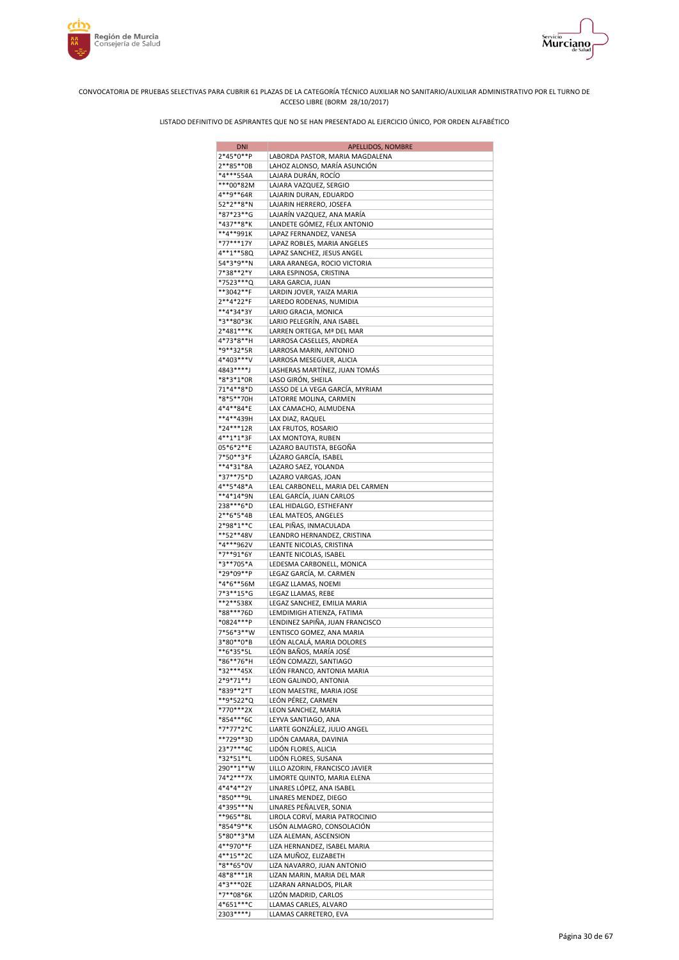



| <b>DNI</b>               | APELLIDOS, NOMBRE                                     |
|--------------------------|-------------------------------------------------------|
| 2*45*0**P                | LABORDA PASTOR, MARIA MAGDALENA                       |
| 2**85**0B                | LAHOZ ALONSO, MARÍA ASUNCIÓN                          |
| *4***554A                | LAJARA DURÁN, ROCÍO                                   |
| ***00*82M<br>4**9**64R   | LAJARA VAZQUEZ, SERGIO<br>LAJARIN DURAN, EDUARDO      |
| 52*2**8*N                | LAJARIN HERRERO, JOSEFA                               |
| *87*23**G                | LAJARÍN VAZQUEZ, ANA MARÍA                            |
| *437**8*K                | LANDETE GÓMEZ, FÉLIX ANTONIO                          |
| $**4**991K$              | LAPAZ FERNANDEZ, VANESA                               |
| *77***17Y                | LAPAZ ROBLES, MARIA ANGELES                           |
| 4**1**58Q                | LAPAZ SANCHEZ, JESUS ANGEL                            |
| 54*3*9**N                | LARA ARANEGA, ROCIO VICTORIA                          |
| 7*38**2*Y<br>*7523***Q   | LARA ESPINOSA, CRISTINA<br>LARA GARCIA, JUAN          |
| **3042**F                | LARDIN JOVER, YAIZA MARIA                             |
| 2**4*22*F                | LAREDO RODENAS, NUMIDIA                               |
| **4*34*3Y                | LARIO GRACIA, MONICA                                  |
| *3**80*3K                | LARIO PELEGRÍN, ANA ISABEL                            |
| 2*481***K                | LARREN ORTEGA, Mª DEL MAR                             |
| 4*73*8**H                | LARROSA CASELLES, ANDREA                              |
| *9**32*5R<br>4*403***V   | LARROSA MARIN, ANTONIO<br>LARROSA MESEGUER, ALICIA    |
| 4843****J                | LASHERAS MARTÍNEZ, JUAN TOMÁS                         |
| *8*3*1*0R                | LASO GIRÓN, SHEILA                                    |
| 71*4**8*D                | LASSO DE LA VEGA GARCÍA, MYRIAM                       |
| *8*5**70H                | LATORRE MOLINA, CARMEN                                |
| 4*4**84*E                | LAX CAMACHO, ALMUDENA                                 |
| **4**439H                | LAX DIAZ, RAQUEL                                      |
| *24***12R                | LAX FRUTOS, ROSARIO                                   |
| 4**1*1*3F<br>05*6*2**E   | LAX MONTOYA, RUBEN<br>LAZARO BAUTISTA, BEGOÑA         |
| 7*50**3*F                | LÁZARO GARCÍA, ISABEL                                 |
| **4*31*8A                | LAZARO SAEZ, YOLANDA                                  |
| *37**75*D                | LAZARO VARGAS, JOAN                                   |
| 4**5*48*A                | LEAL CARBONELL, MARIA DEL CARMEN                      |
| **4*14*9N                | LEAL GARCÍA, JUAN CARLOS                              |
| 238***6*D                | LEAL HIDALGO, ESTHEFANY                               |
| $2**6*5*4B$<br>2*98*1**C | LEAL MATEOS, ANGELES                                  |
| **52**48V                | LEAL PIÑAS, INMACULADA<br>LEANDRO HERNANDEZ, CRISTINA |
| *4***962V                | LEANTE NICOLAS, CRISTINA                              |
| *7**91*6Y                | LEANTE NICOLAS, ISABEL                                |
| *3**705*A                | LEDESMA CARBONELL, MONICA                             |
| *29*09**P                | LEGAZ GARCÍA, M. CARMEN                               |
| *4*6**56M                | LEGAZ LLAMAS, NOEMI                                   |
| 7*3**15*G<br>**2**538X   | LEGAZ LLAMAS, REBE<br>LEGAZ SANCHEZ, EMILIA MARIA     |
| *88***76D                | LEMDIMIGH ATIENZA, FATIMA                             |
| *0824***P                | LENDINEZ SAPIÑA, JUAN FRANCISCO                       |
| 7*56*3**W                | LENTISCO GOMEZ, ANA MARIA                             |
| 3*80**0*B                | LEÓN ALCALÁ, MARIA DOLORES                            |
| **6*35*5L                | LEÓN BAÑOS, MARÍA JOSÉ                                |
| *86**76*H                | LEÓN COMAZZI, SANTIAGO                                |
| *32***45X<br>2*9*71**J   | LEÓN FRANCO, ANTONIA MARIA<br>LEON GALINDO, ANTONIA   |
| *839**2*T                | LEON MAESTRE, MARIA JOSE                              |
| **9*522*Q                | LEÓN PÉREZ, CARMEN                                    |
| *770***2X                | LEON SANCHEZ, MARIA                                   |
| *854***6C                | LEYVA SANTIAGO, ANA                                   |
| *7*77*2*C                | LIARTE GONZÁLEZ, JULIO ANGEL                          |
| **729**3D                | LIDÓN CAMARA, DAVINIA                                 |
| 23*7***4C<br>*32*51**L   | LIDÓN FLORES, ALICIA<br>LIDÓN FLORES, SUSANA          |
| 290**1**W                | LILLO AZORIN, FRANCISCO JAVIER                        |
| 74*2***7X                | LIMORTE QUINTO, MARIA ELENA                           |
| 4*4*4**2Y                | LINARES LÓPEZ, ANA ISABEL                             |
| *850***9L                | LINARES MENDEZ, DIEGO                                 |
| 4*395***N                | LINARES PEÑALVER, SONIA                               |
| **965**8L                | LIROLA CORVÍ, MARIA PATROCINIO                        |
| *854*9**K<br>5*80**3*M   | LISÓN ALMAGRO, CONSOLACIÓN<br>LIZA ALEMAN, ASCENSION  |
| 4**970**F                | LIZA HERNANDEZ, ISABEL MARIA                          |
| 4**15**2C                | LIZA MUÑOZ, ELIZABETH                                 |
| *8**65*0V                | LIZA NAVARRO, JUAN ANTONIO                            |
| 48*8***1R                | LIZAN MARIN, MARIA DEL MAR                            |
| 4*3***02E                | LIZARAN ARNALDOS, PILAR                               |
| $*7**08*6K$              | LIZÓN MADRID, CARLOS                                  |
| 4*651***C<br>2303 **** J | LLAMAS CARLES, ALVARO                                 |
|                          | LLAMAS CARRETERO, EVA                                 |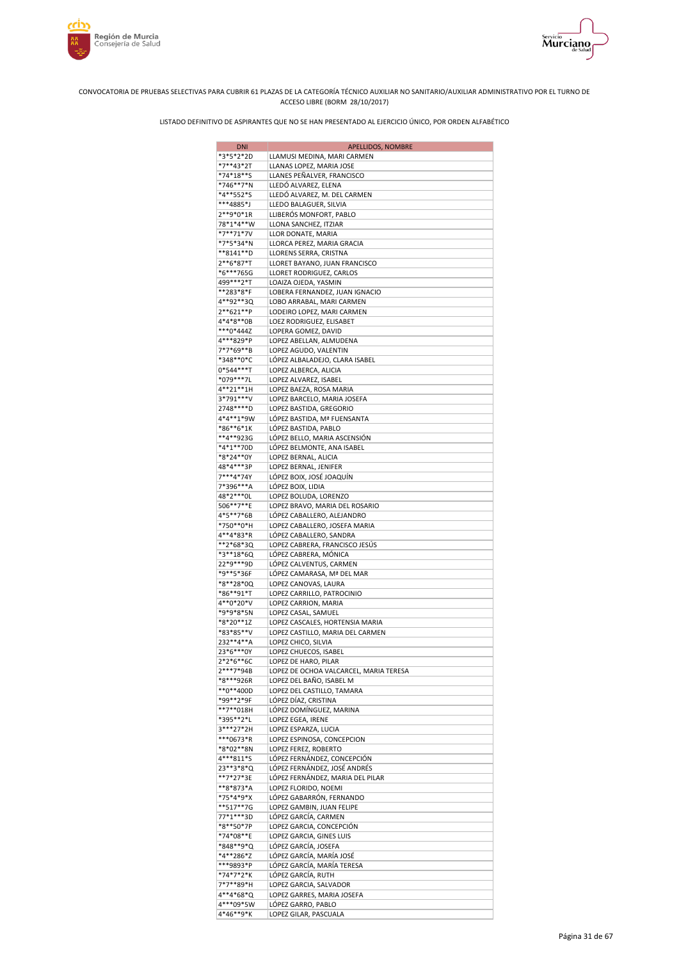

Servicio<br>**Murciano** 





| DNI                    | <b>APELLIDOS, NOMBRE</b>               |
|------------------------|----------------------------------------|
| *3*5*2*2D              | LLAMUSI MEDINA, MARI CARMEN            |
| *7**43*2T              | LLANAS LOPEZ, MARIA JOSE               |
| *74*18**S              | LLANES PEÑALVER, FRANCISCO             |
| *746**7*N              | LLEDÓ ALVAREZ, ELENA                   |
| *4**552*S              | LLEDÓ ALVAREZ, M. DEL CARMEN           |
| ***4885*J              | LLEDO BALAGUER, SILVIA                 |
| 2**9*0*1R              | LLIBERÓS MONFORT, PABLO                |
| 78*1*4**W              | LLONA SANCHEZ, ITZIAR                  |
| *7**71*7V              | LLOR DONATE, MARIA                     |
| *7*5*34*N              | LLORCA PEREZ, MARIA GRACIA             |
|                        |                                        |
| **8141**D              | LLORENS SERRA, CRISTNA                 |
| 2**6*87*T              | LLORET BAYANO, JUAN FRANCISCO          |
| *6***765G              | LLORET RODRIGUEZ, CARLOS               |
| 499***2*T              | LOAIZA OJEDA, YASMIN                   |
| **283*8*F              | LOBERA FERNANDEZ, JUAN IGNACIO         |
| 4**92**3Q              | LOBO ARRABAL, MARI CARMEN              |
| 2**621**P              | LODEIRO LOPEZ, MARI CARMEN             |
| 4*4*8**0B              | LOEZ RODRIGUEZ, ELISABET               |
| ***0*444Z              | LOPERA GOMEZ, DAVID                    |
| 4***829*P              | LOPEZ ABELLAN, ALMUDENA                |
| 7*7*69**B              | LOPEZ AGUDO, VALENTIN                  |
| *348**0*C              | LÓPEZ ALBALADEJO, CLARA ISABEL         |
| 0*544***T              | LOPEZ ALBERCA, ALICIA                  |
| *079***7L              | LOPEZ ALVAREZ, ISABEL                  |
| 4**21**1H              | LOPEZ BAEZA, ROSA MARIA                |
| 3*791***V              | LOPEZ BARCELO, MARIA JOSEFA            |
| 2748****D              | LOPEZ BASTIDA, GREGORIO                |
| 4*4**1*9W              | LÓPEZ BASTIDA, Mª FUENSANTA            |
| *86**6*1K              | LÓPEZ BASTIDA, PABLO                   |
| **4**923G              | LÓPEZ BELLO, MARIA ASCENSIÓN           |
| *4*1**70D              | LÓPEZ BELMONTE, ANA ISABEL             |
| *8*24**0Y              | LOPEZ BERNAL, ALICIA                   |
| 48*4***3P              | LOPEZ BERNAL, JENIFER                  |
| 7***4*74Y              | LÓPEZ BOIX, JOSÉ JOAQUÍN               |
|                        |                                        |
| 7*396***A              | LÓPEZ BOIX, LIDIA                      |
| 48*2***0L              | LOPEZ BOLUDA, LORENZO                  |
| 506**7**E              | LOPEZ BRAVO, MARIA DEL ROSARIO         |
| 4*5**7*6B              | LÓPEZ CABALLERO, ALEJANDRO             |
| *750**0*H              | LOPEZ CABALLERO, JOSEFA MARIA          |
| 4**4*83*R              | LÓPEZ CABALLERO, SANDRA                |
| **2*68*3Q              | LOPEZ CABRERA, FRANCISCO JESÚS         |
| *3**18*6Q              | LÓPEZ CABRERA, MÓNICA                  |
| 22*9***9D              | LÓPEZ CALVENTUS, CARMEN                |
| *9**5*36F              | LÓPEZ CAMARASA, Mª DEL MAR             |
| *8**28*0Q              | LOPEZ CANOVAS, LAURA                   |
| *86**91*T              | LOPEZ CARRILLO, PATROCINIO             |
| 4**0*20*V              | LOPEZ CARRION, MARIA                   |
| *9*9*8*5N              | LOPEZ CASAL, SAMUEL                    |
| $*8*20**12$            | LOPEZ CASCALES, HORTENSIA MARIA        |
| *83*85**V              | LOPEZ CASTILLO, MARIA DEL CARMEN       |
| 232**4**A              | LOPEZ CHICO, SILVIA                    |
| 23*6***0Y              | LOPEZ CHUECOS, ISABEL                  |
| 2*2*6**6C              | LOPEZ DE HARO, PILAR                   |
| 2***7*94B              | LOPEZ DE OCHOA VALCARCEL, MARIA TERESA |
| *8***926R              | LOPEZ DEL BAÑO, ISABEL M               |
| **0**400D              | LOPEZ DEL CASTILLO, TAMARA             |
| *99**2*9F              | LÓPEZ DÍAZ, CRISTINA                   |
| **7**018H              | LÓPEZ DOMÍNGUEZ, MARINA                |
| *395**2*L              | LOPEZ EGEA, IRENE                      |
| 3***27*2H              | LOPEZ ESPARZA, LUCIA                   |
| ***0673*R              | LOPEZ ESPINOSA, CONCEPCION             |
|                        |                                        |
| *8*02**8N              | LOPEZ FEREZ, ROBERTO                   |
| 4***811*S<br>23**3*8*Q | LÓPEZ FERNÁNDEZ, CONCEPCIÓN            |
|                        | LÓPEZ FERNÁNDEZ, JOSÉ ANDRÉS           |
| **7*27*3E              | LÓPEZ FERNÁNDEZ, MARIA DEL PILAR       |
| **8*873*A              | LOPEZ FLORIDO, NOEMI                   |
| *75*4*9*X              | LÓPEZ GABARRÓN, FERNANDO               |
| **517**7G              | LOPEZ GAMBIN, JUAN FELIPE              |
| 77*1***3D              | LÓPEZ GARCÍA, CARMEN                   |
| *8**50*7P              | LOPEZ GARCIA, CONCEPCIÓN               |
| *74*08**E              | LOPEZ GARCIA, GINES LUIS               |
| *848**9*Q              | LÓPEZ GARCÍA, JOSEFA                   |
| *4**286*Z              | LÓPEZ GARCÍA, MARÍA JOSÉ               |
| ***9893*P              | LÓPEZ GARCÍA, MARÍA TERESA             |
| *74*7*2*K              | LÓPEZ GARCÍA, RUTH                     |
| 7*7**89*H              | LOPEZ GARCIA, SALVADOR                 |
| 4**4*68*Q              | LOPEZ GARRES, MARIA JOSEFA             |
| 4***09*5W              | LÓPEZ GARRO, PABLO                     |
| 4*46**9*K              | LOPEZ GILAR, PASCUALA                  |
|                        |                                        |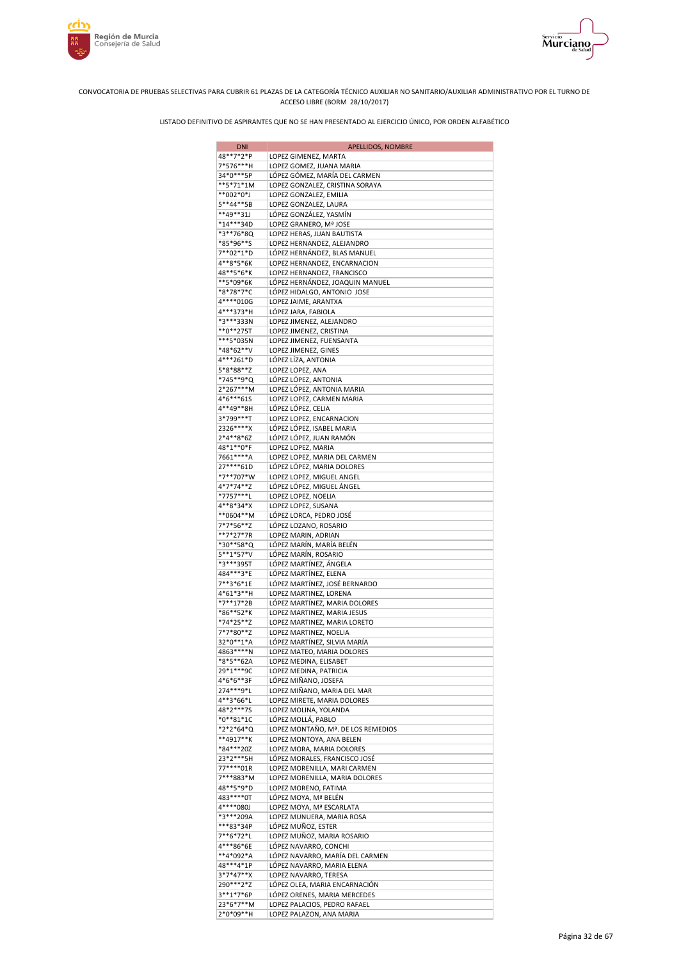

Murciano



#### CONVOCATORIA DE PRUEBAS SELECTIVAS PARA CUBRIR 61 PLAZAS DE LA CATEGORÍA TÉCNICO AUXILIAR NO SANITARIO/AUXILIAR ADMINISTRATIVO POR EL TURNO DE ACCESO LIBRE (BORM 28/10/2017)

| <b>DNI</b>             | <b>APELLIDOS, NOMBRE</b>                                |
|------------------------|---------------------------------------------------------|
| 48**7*2*P              | LOPEZ GIMENEZ, MARTA                                    |
| 7*576***H              | LOPEZ GOMEZ, JUANA MARIA                                |
| 34*0***5P              | LÓPEZ GÓMEZ, MARÍA DEL CARMEN                           |
| **5*71*1M              | LOPEZ GONZALEZ, CRISTINA SORAYA                         |
| **002*0*J              | LOPEZ GONZALEZ, EMILIA                                  |
| 5**44**5B              | LOPEZ GONZALEZ, LAURA                                   |
| **49**31J              | LÓPEZ GONZÁLEZ, YASMÍN                                  |
| *14***34D              | LOPEZ GRANERO, Mª JOSE                                  |
| *3**76*8Q              | LOPEZ HERAS, JUAN BAUTISTA                              |
| *85*96**S              | LOPEZ HERNANDEZ, ALEJANDRO                              |
| 7**02*1*D              | LÓPEZ HERNÁNDEZ, BLAS MANUEL                            |
| 4**8*5*6K              | LOPEZ HERNANDEZ, ENCARNACION                            |
| 48**5*6*K              | LOPEZ HERNANDEZ, FRANCISCO                              |
| **5*09*6K              | LÓPEZ HERNÁNDEZ, JOAQUIN MANUEL                         |
| *8*78*7*C              | LÓPEZ HIDALGO, ANTONIO JOSE                             |
| 4****010G              | LOPEZ JAIME, ARANTXA                                    |
| 4***373*H              | LÓPEZ JARA, FABIOLA                                     |
| *3***333N              | LOPEZ JIMENEZ, ALEJANDRO                                |
| **0**275T              | LOPEZ JIMENEZ, CRISTINA                                 |
| ***5*035N              | LOPEZ JIMENEZ, FUENSANTA                                |
| *48*62**V              | LOPEZ JIMENEZ, GINES                                    |
| 4***261*D              | LÓPEZ LÍZA, ANTONIA                                     |
| 5*8*88**Z              | LOPEZ LOPEZ, ANA                                        |
| *745**9*Q              | LÓPEZ LÓPEZ, ANTONIA                                    |
| 2*267***M              | LOPEZ LÓPEZ, ANTONIA MARIA                              |
| 4*6***615              | LOPEZ LOPEZ, CARMEN MARIA                               |
| 4**49**8H              | LÓPEZ LÓPEZ, CELIA                                      |
| 3*799***T              | LOPEZ LOPEZ, ENCARNACION                                |
| 2326****X              | LÓPEZ LÓPEZ, ISABEL MARIA                               |
| $2*4**8*6Z$            | LÓPEZ LÓPEZ, JUAN RAMÓN                                 |
| 48*1**0*F<br>7661****A | LOPEZ LOPEZ, MARIA                                      |
| 27****61D              | LOPEZ LOPEZ, MARIA DEL CARMEN                           |
| *7**707*W              | LÓPEZ LÓPEZ, MARIA DOLORES<br>LOPEZ LOPEZ, MIGUEL ANGEL |
| 4*7*74**Z              | LÓPEZ LÓPEZ, MIGUEL ÁNGEL                               |
| *7757***L              | LOPEZ LOPEZ, NOELIA                                     |
| 4**8*34*X              | LOPEZ LOPEZ, SUSANA                                     |
| **0604**M              | LÓPEZ LORCA, PEDRO JOSÉ                                 |
| 7*7*56**Z              | LÓPEZ LOZANO, ROSARIO                                   |
| **7*27*7R              | LOPEZ MARIN, ADRIAN                                     |
| *30**58*Q              | LÓPEZ MARÍN, MARÍA BELÉN                                |
| 5**1*57*V              | LÓPEZ MARÍN, ROSARIO                                    |
| *3***395T              | LÓPEZ MARTÍNEZ, ÁNGELA                                  |
| 484***3*E              | LÓPEZ MARTÍNEZ, ELENA                                   |
| 7**3*6*1E              | LÓPEZ MARTÍNEZ, JOSÉ BERNARDO                           |
| 4*61*3**H              | LOPEZ MARTINEZ, LORENA                                  |
| *7**17*2B              | LÓPEZ MARTÍNEZ, MARIA DOLORES                           |
| *86**52*K              | LOPEZ MARTINEZ, MARIA JESUS                             |
| *74*25**Z              | LOPEZ MARTINEZ, MARIA LORETO                            |
| 7*7*80**Z              | LOPEZ MARTINEZ, NOELIA                                  |
| 32*0**1*A<br>4863****N | LÓPEZ MARTÍNEZ, SILVIA MARÍA                            |
| *8*5**62A              | LOPEZ MATEO, MARIA DOLORES                              |
| 29*1***9C              | LOPEZ MEDINA, ELISABET<br>LOPEZ MEDINA, PATRICIA        |
| 4*6*6**3F              | LÓPEZ MIÑANO, JOSEFA                                    |
| 274***9*L              | LOPEZ MIÑANO, MARIA DEL MAR                             |
| 4**3*66*L              | LOPEZ MIRETE, MARIA DOLORES                             |
| 48*2***7S              | LOPEZ MOLINA, YOLANDA                                   |
| $*0**81*1C$            | LÓPEZ MOLLÁ, PABLO                                      |
| *2*2*64*Q              | LOPEZ MONTAÑO, Mª. DE LOS REMEDIOS                      |
| **4917**K              | LOPEZ MONTOYA, ANA BELEN                                |
| *84***20Z              | LOPEZ MORA, MARIA DOLORES                               |
| 23*2***5H              | LÓPEZ MORALES, FRANCISCO JOSÉ                           |
| 77****01R              | LOPEZ MORENILLA, MARI CARMEN                            |
| 7***883*M              | LOPEZ MORENILLA, MARIA DOLORES                          |
| 48**5*9*D              | LOPEZ MORENO, FATIMA                                    |
| 483****0T              | LÓPEZ MOYA, Mª BELÉN                                    |
| 4****080J              | LOPEZ MOYA, Mª ESCARLATA                                |
| *3***209A              | LOPEZ MUNUERA, MARIA ROSA                               |
| ***83*34P              | LÓPEZ MUÑOZ, ESTER                                      |
| 7**6*72*L<br>4***86*6E | LOPEZ MUÑOZ, MARIA ROSARIO<br>LÓPEZ NAVARRO, CONCHI     |
| **4*092*A              | LÓPEZ NAVARRO, MARÍA DEL CARMEN                         |
| 48***4*1P              | LÓPEZ NAVARRO, MARIA ELENA                              |
| 3*7*47**X              | LOPEZ NAVARRO, TERESA                                   |
| 290***2*Z              | LÓPEZ OLEA, MARIA ENCARNACIÓN                           |
| 3**1*7*6P              | LÓPEZ ORENES, MARIA MERCEDES                            |
| 23*6*7**M              | LOPEZ PALACIOS, PEDRO RAFAEL                            |
| 2*0*09**H              | LOPEZ PALAZON, ANA MARIA                                |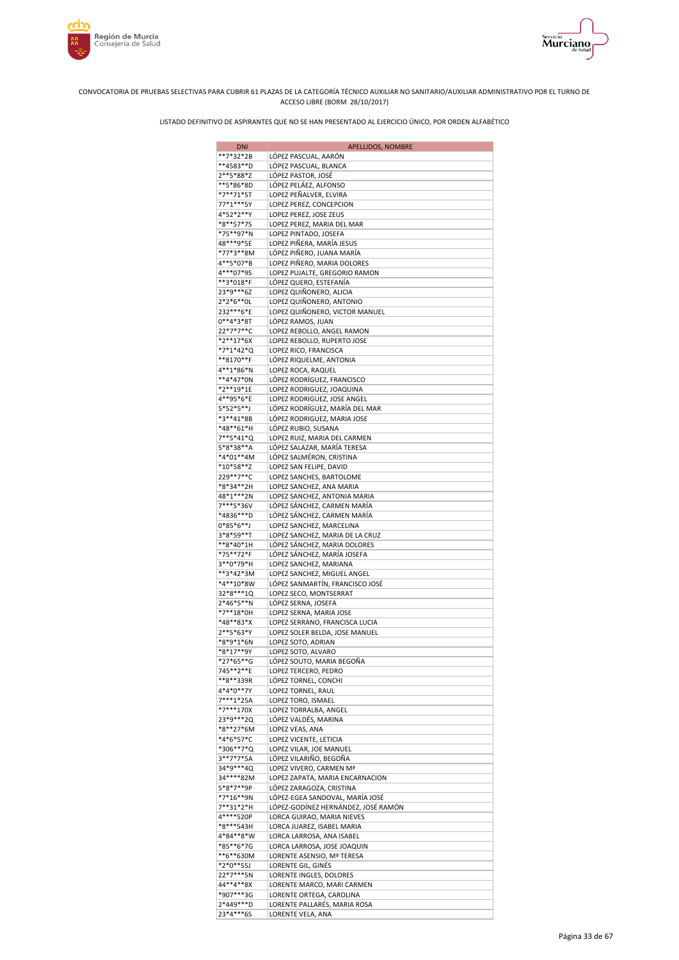

Murciano





| <b>DNI</b>             | APELLIDOS, NOMBRE                                        |
|------------------------|----------------------------------------------------------|
| **7*32*2B              | LÓPEZ PASCUAL, AARÓN                                     |
| **4583**D              | LÓPEZ PASCUAL, BLANCA                                    |
| 2**5*88*Z              | LÓPEZ PASTOR, JOSÉ                                       |
| **5*86*8D<br>*7**71*5T | LÓPEZ PELÁEZ, ALFONSO                                    |
| 77*1***5Y              | LOPEZ PEÑALVER, ELVIRA<br>LOPEZ PEREZ, CONCEPCION        |
| 4*52*2**Y              | LOPEZ PEREZ, JOSE ZEUS                                   |
| *8**57*7S              | LOPEZ PEREZ, MARIA DEL MAR                               |
| *75**97*N              | LOPEZ PINTADO, JOSEFA                                    |
| 48***9*5E              | LOPEZ PIÑERA, MARÍA JESUS                                |
| *77*3**8M              | LÓPEZ PIÑERO, JUANA MARÍA                                |
| 4**5*07*B              | LOPEZ PIÑERO, MARIA DOLORES                              |
| 4***07*9S<br>**3*018*F | LOPEZ PUJALTE, GREGORIO RAMON<br>LÓPEZ QUERO, ESTEFANÍA  |
| 23*9***6Z              | LOPEZ QUIÑONERO, ALICIA                                  |
| 2*2*6**0L              | LOPEZ QUIÑONERO, ANTONIO                                 |
| 232***6*E              | LOPEZ QUIÑONERO, VICTOR MANUEL                           |
| $0***4*3*8T$           | LÓPEZ RAMOS, JUAN                                        |
| 22*7*7**C              | LOPEZ REBOLLO, ANGEL RAMON                               |
| $*2**17*6X$            | LOPEZ REBOLLO, RUPERTO JOSE                              |
| *7*1*42*Q<br>**8170**F | LOPEZ RICO, FRANCISCA<br>LÓPEZ RIQUELME, ANTONIA         |
| 4**1*86*N              | LOPEZ ROCA, RAQUEL                                       |
| **4*47*0N              | LÓPEZ RODRÍGUEZ, FRANCISCO                               |
| *2**19*1E              | LOPEZ RODRIGUEZ, JOAQUINA                                |
| 4**95*6*E              | LOPEZ RODRIGUEZ, JOSE ANGEL                              |
| 5*52*5**J              | LÓPEZ RODRÍGUEZ, MARÍA DEL MAR                           |
| *3**41*8B              | LÓPEZ RODRIGUEZ, MARIA JOSE                              |
| *48**61*H<br>7**5*41*Q | LÓPEZ RUBIO, SUSANA<br>LOPEZ RUIZ, MARIA DEL CARMEN      |
| 5*8*38**A              | LÓPEZ SALAZAR, MARÍA TERESA                              |
| *4*01**4M              | LÓPEZ SALMÉRON, CRISTINA                                 |
| $*10*58**Z$            | LOPEZ SAN FELIPE, DAVID                                  |
| 229**7**C              | LOPEZ SANCHES, BARTOLOME                                 |
| *8*34**2H              | LOPEZ SANCHEZ, ANA MARIA                                 |
| 48*1***2N              | LOPEZ SANCHEZ, ANTONIA MARIA                             |
| 7***5*36V              | LÓPEZ SÁNCHEZ, CARMEN MARÍA                              |
| *4836***D<br>0*85*6**J | LÓPEZ SÁNCHEZ, CARMEN MARÍA<br>LOPEZ SANCHEZ, MARCELINA  |
| 3*8*59**T              | LOPEZ SANCHEZ, MARIA DE LA CRUZ                          |
| **8*40*1H              | LÓPEZ SÁNCHEZ, MARIA DOLORES                             |
| *75**72*F              | LÓPEZ SÁNCHEZ, MARÍA JOSEFA                              |
| 3**0*79*H              | LOPEZ SANCHEZ, MARIANA                                   |
| **3*42*3M              | LOPEZ SANCHEZ, MIGUEL ANGEL                              |
| *4**10*8W              | LÓPEZ SANMARTÍN, FRANCISCO JOSÉ                          |
| 32*8***1Q<br>2*46*5**N | LOPEZ SECO, MONTSERRAT<br>LÓPEZ SERNA, JOSEFA            |
| *7**18*0H              | LOPEZ SERNA, MARIA JOSE                                  |
| *48**83*X              | LOPEZ SERRANO, FRANCISCA LUCIA                           |
| 2**5*63*Y              | LOPEZ SOLER BELDA, JOSE MANUEL                           |
| *8*9*1*6N              | LOPEZ SOTO, ADRIAN                                       |
| $*8*17**9Y$            | LOPEZ SOTO, ALVARO                                       |
| *27*65**G              | LÓPEZ SOUTO, MARIA BEGOÑA                                |
| 745**2**E<br>**8**339R | LOPEZ TERCERO, PEDRO<br>LÓPEZ TORNEL, CONCHI             |
| 4*4*0**7Y              | LOPEZ TORNEL, RAUL                                       |
| 7***1*25A              | LOPEZ TORO, ISMAEL                                       |
| *7***170X              | LOPEZ TORRALBA, ANGEL                                    |
| 23*9***2Q              | LÓPEZ VALDÉS, MARINA                                     |
| *8**27*6M              | LOPEZ VEAS, ANA                                          |
| *4*6*57*C<br>*306**7*Q | LOPEZ VICENTE, LETICIA                                   |
| 3**7*7*5A              | LOPEZ VILAR, JOE MANUEL<br>LÓPEZ VILARIÑO, BEGOÑA        |
| 34*9***4Q              | LOPEZ VIVERO, CARMEN Mª                                  |
| 34****82M              | LOPEZ ZAPATA, MARIA ENCARNACION                          |
| 5*8*7**9P              | LÓPEZ ZARAGOZA, CRISTINA                                 |
| $*7*16**9N$            | LÓPEZ-EGEA SANDOVAL, MARÍA JOSÉ                          |
| 7**31*2*H              | LÓPEZ-GODÍNEZ HERNÁNDEZ, JOSÉ RAMÓN                      |
| 4****520P              | LORCA GUIRAO, MARIA NIEVES                               |
| *8***543H<br>4*84**8*W | LORCA JUAREZ, ISABEL MARIA                               |
| *85**6*7G              | LORCA LARROSA, ANA ISABEL<br>LORCA LARROSA, JOSE JOAQUIN |
| **6**630M              | LORENTE ASENSIO, Mª TERESA                               |
| *2*0**55J              | LORENTE GIL, GINÉS                                       |
| 22*7***5N              | LORENTE INGLES, DOLORES                                  |
| 44**4**8X              | LORENTE MARCO, MARI CARMEN                               |
| *907***3G              | LORENTE ORTEGA, CAROLINA                                 |
| 2*449***D<br>23*4***6S | LORENTE PALLARÉS, MARIA ROSA<br>LORENTE VELA, ANA        |
|                        |                                                          |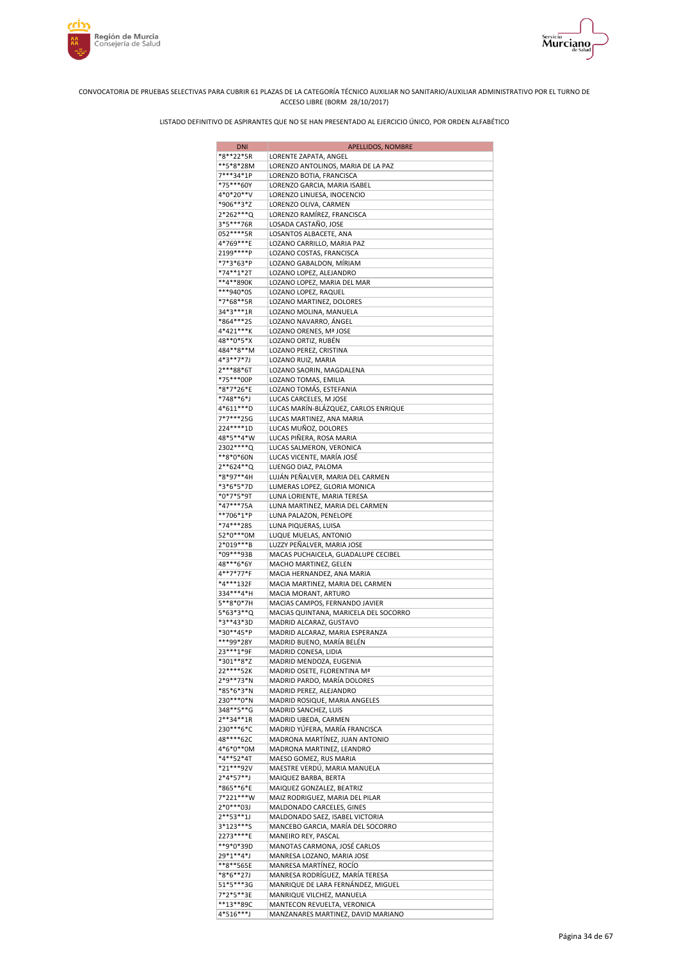



| <b>DNI</b>               | APELLIDOS, NOMBRE                                                |
|--------------------------|------------------------------------------------------------------|
| *8**22*5R                | LORENTE ZAPATA, ANGEL                                            |
| **5*8*28M<br>7***34*1P   | LORENZO ANTOLINOS, MARIA DE LA PAZ                               |
| *75***60Y                | LORENZO BOTIA, FRANCISCA<br>LORENZO GARCIA, MARIA ISABEL         |
| 4*0*20**V                | LORENZO LINUESA, INOCENCIO                                       |
| *906**3*Z                | LORENZO OLIVA, CARMEN                                            |
| 2*262***Q<br>3*5***76R   | LORENZO RAMÍREZ, FRANCISCA<br>LOSADA CASTAÑO, JOSE               |
| 052 **** 5R              | LOSANTOS ALBACETE, ANA                                           |
| 4*769***E                | LOZANO CARRILLO, MARIA PAZ                                       |
| 2199****P                | LOZANO COSTAS, FRANCISCA                                         |
| *7*3*63*P                | LOZANO GABALDON, MÍRIAM                                          |
| *74**1*2T<br>**4**890K   | LOZANO LOPEZ, ALEJANDRO<br>LOZANO LOPEZ, MARIA DEL MAR           |
| ***940*0S                | LOZANO LOPEZ, RAQUEL                                             |
| *7*68**5R                | LOZANO MARTINEZ, DOLORES                                         |
| 34*3***1R                | LOZANO MOLINA, MANUELA                                           |
| *864***25<br>4*421***K   | LOZANO NAVARRO, ÁNGEL<br>LOZANO ORENES, Mª JOSE                  |
| 48**0*5*X                | LOZANO ORTIZ, RUBÉN                                              |
| 484**8**M                | LOZANO PEREZ, CRISTINA                                           |
| 4*3**7*7J                | LOZANO RUIZ, MARIA                                               |
| 2***88*6T<br>*75***00P   | LOZANO SAORIN, MAGDALENA<br>LOZANO TOMAS, EMILIA                 |
| *8*7*26*E                | LOZANO TOMÁS, ESTEFANIA                                          |
| *748**6*J                | LUCAS CARCELES, M JOSE                                           |
| 4*611***D                | LUCAS MARÍN-BLÁZQUEZ, CARLOS ENRIQUE                             |
| 7*7***25G<br>224 **** 1D | LUCAS MARTINEZ, ANA MARIA<br>LUCAS MUÑOZ, DOLORES                |
| 48*5**4*W                | LUCAS PIÑERA, ROSA MARIA                                         |
| 2302****Q                | LUCAS SALMERON, VERONICA                                         |
| **8*0*60N                | LUCAS VICENTE, MARÍA JOSÉ                                        |
| 2**624**Q<br>*8*97**4H   | LUENGO DIAZ, PALOMA<br>LUJÁN PEÑALVER, MARIA DEL CARMEN          |
| *3*6*5*7D                | LUMERAS LOPEZ, GLORIA MONICA                                     |
| *0*7*5*9T                | LUNA LORIENTE, MARIA TERESA                                      |
| *47***75A                | LUNA MARTINEZ, MARIA DEL CARMEN                                  |
| **706*1*P<br>*74***285   | LUNA PALAZON, PENELOPE<br>LUNA PIQUERAS, LUISA                   |
| 52*0***0M                | LUQUE MUELAS, ANTONIO                                            |
| 2*019***B                | LUZZY PEÑALVER, MARIA JOSE                                       |
| *09***93B                | MACAS PUCHAICELA, GUADALUPE CECIBEL                              |
| 48***6*6Y<br>4**7*77*F   | MACHO MARTINEZ, GELEN<br>MACIA HERNANDEZ, ANA MARIA              |
| *4***132F                | MACIA MARTINEZ, MARIA DEL CARMEN                                 |
| 334***4*H                | MACIA MORANT, ARTURO                                             |
| 5**8*0*7H                | MACIAS CAMPOS, FERNANDO JAVIER                                   |
| 5*63*3**Q<br>*3**43*3D   | MACIAS QUINTANA, MARICELA DEL SOCORRO<br>MADRID ALCARAZ, GUSTAVO |
| *30**45*P                | MADRID ALCARAZ, MARIA ESPERANZA                                  |
| ***99*28Y                | MADRID BUENO, MARÍA BELÉN                                        |
| 23 *** 1*9F<br>*301**8*Z | MADRID CONESA, LIDIA                                             |
| 22****52K                | MADRID MENDOZA, EUGENIA<br>MADRID OSETE, FLORENTINA Mª           |
| 2*9**73*N                | MADRID PARDO, MARÍA DOLORES                                      |
| *85*6*3*N                | MADRID PEREZ, ALEJANDRO                                          |
| 230***0*N<br>348**5**G   | MADRID ROSIQUE, MARIA ANGELES<br>MADRID SANCHEZ, LUIS            |
| $2***34***1R$            | MADRID UBEDA, CARMEN                                             |
| 230***6*C                | MADRID YÚFERA, MARÍA FRANCISCA                                   |
| 48****62C                | MADRONA MARTÍNEZ, JUAN ANTONIO                                   |
| 4*6*0**0M<br>*4**52*4T   | MADRONA MARTINEZ, LEANDRO<br>MAESO GOMEZ, RUS MARIA              |
| *21***92V                | MAESTRE VERDÚ, MARIA MANUELA                                     |
| $2*4*57**$ J             | MAIQUEZ BARBA, BERTA                                             |
| *865**6*E                | MAIQUEZ GONZALEZ, BEATRIZ                                        |
| 7*221***W<br>2*0***03J   | MAIZ RODRIGUEZ, MARIA DEL PILAR<br>MALDONADO CARCELES, GINES     |
| $2***53***1J$            | MALDONADO SAEZ, ISABEL VICTORIA                                  |
| 3*123***S                | MANCEBO GARCIA, MARÍA DEL SOCORRO                                |
| 2273****E                | MANEIRO REY, PASCAL                                              |
| **9*0*39D<br>29*1**4*J   | MANOTAS CARMONA, JOSÉ CARLOS<br>MANRESA LOZANO, MARIA JOSE       |
| **8**565E                | MANRESA MARTÍNEZ, ROCÍO                                          |
| *8*6**27J                | MANRESA RODRÍGUEZ, MARÍA TERESA                                  |
| 51*5***3G                | MANRIQUE DE LARA FERNÁNDEZ, MIGUEL                               |
| 7*2*5**3E<br>**13**89C   | MANRIQUE VILCHEZ, MANUELA<br>MANTECON REVUELTA, VERONICA         |
| 4*516***J                | MANZANARES MARTINEZ, DAVID MARIANO                               |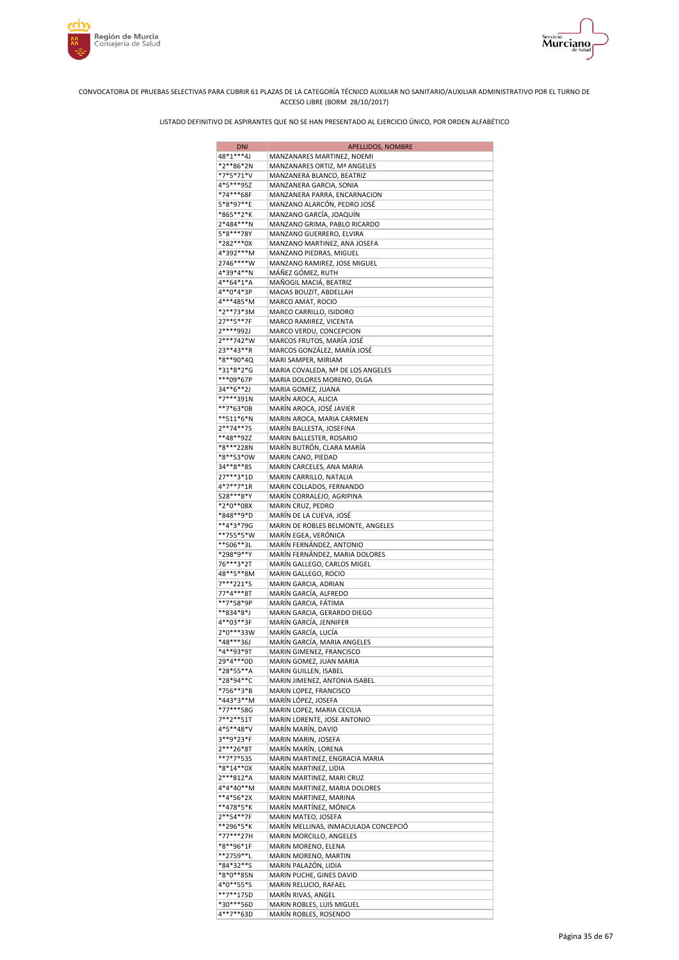



| <b>DNI</b>                 | APELLIDOS, NOMBRE                                               |
|----------------------------|-----------------------------------------------------------------|
| 48*1***4J                  | MANZANARES MARTINEZ, NOEMI                                      |
| *2**86*2N                  | MANZANARES ORTIZ, Mª ANGELES                                    |
| *7*5*71*V                  | MANZANERA BLANCO, BEATRIZ                                       |
| 4*5***95Z<br>*74***68F     | MANZANERA GARCIA, SONIA<br>MANZANERA PARRA, ENCARNACION         |
| 5*8*97**E                  | MANZANO ALARCÓN, PEDRO JOSÉ                                     |
| *865**2*K                  | MANZANO GARCÍA, JOAQUÍN                                         |
| 2*484***N                  | MANZANO GRIMA, PABLO RICARDO                                    |
| 5*8***78Y                  | MANZANO GUERRERO, ELVIRA                                        |
| *282***0X                  | MANZANO MARTINEZ, ANA JOSEFA                                    |
| 4*392***M                  | MANZANO PIEDRAS, MIGUEL                                         |
| 2746****W<br>4*39*4**N     | MANZANO RAMIREZ, JOSE MIGUEL<br>MÁÑEZ GÓMEZ, RUTH               |
| 4**64*1*A                  | MAÑOGIL MACIÁ, BEATRIZ                                          |
| 4**0*4*3P                  | MAOAS BOUZIT, ABDELLAH                                          |
| 4***485*M                  | MARCO AMAT, ROCIO                                               |
| *2**73*3M                  | MARCO CARRILLO, ISIDORO                                         |
| 27**5**7F                  | MARCO RAMIREZ, VICENTA                                          |
| 2****992J                  | MARCO VERDU, CONCEPCION                                         |
| 2***742*W                  | MARCOS FRUTOS, MARÍA JOSÉ                                       |
| 23**43**R<br>*8**90*4Q     | MARCOS GONZÁLEZ, MARÍA JOSÉ<br>MARI SAMPER, MIRIAM              |
| *31*8*2*G                  | MARIA COVALEDA, Mª DE LOS ANGELES                               |
| ***09*67P                  | MARIA DOLORES MORENO, OLGA                                      |
| 34**6**2J                  | MARIA GOMEZ, JUANA                                              |
| *7***391N                  | MARÍN AROCA, ALICIA                                             |
| **7*63*0B                  | MARÍN AROCA, JOSÉ JAVIER                                        |
| **511*6*N                  | MARIN AROCA, MARIA CARMEN                                       |
| $2***74***75$<br>**48**92Z | MARÍN BALLESTA, JOSEFINA<br>MARIN BALLESTER, ROSARIO            |
| *8***228N                  | MARÍN BUTRÓN, CLARA MARÍA                                       |
| *8**53*0W                  | MARIN CANO, PIEDAD                                              |
| 34**8**8S                  | MARIN CARCELES, ANA MARIA                                       |
| 27***3*1D                  | MARIN CARRILLO, NATALIA                                         |
| 4*7**7*1R                  | MARIN COLLADOS, FERNANDO                                        |
| 528***8*Y                  | MARÍN CORRALEJO, AGRIPINA                                       |
| *2*0**08X                  | MARIN CRUZ, PEDRO                                               |
| *848**9*D<br>**4*3*79G     | MARÍN DE LA CUEVA, JOSÉ<br>MARIN DE ROBLES BELMONTE, ANGELES    |
| **755*5*W                  | MARÍN EGEA, VERÓNICA                                            |
| **506**3L                  | MARÍN FERNÁNDEZ, ANTONIO                                        |
| *298*9**Y                  | MARÍN FERNÁNDEZ, MARIA DOLORES                                  |
| 76***3*2T                  | MARÍN GALLEGO, CARLOS MIGEL                                     |
| 48**5**8M                  | MARIN GALLEGO, ROCIO                                            |
| 7***221*S                  | MARIN GARCIA, ADRIAN<br>MARÍN GARCÍA, ALFREDO                   |
| 77*4***8T<br>**7*58*9P     | MARÍN GARCIA, FÁTIMA                                            |
| **834*8*J                  | MARIN GARCIA, GERARDO DIEGO                                     |
| 4**03**3F                  | MARÍN GARCÍA, JENNIFER                                          |
| 2*0***33W                  | MARÍN GARCÍA, LUCÍA                                             |
| *48***36J                  | MARÍN GARCÍA, MARIA ANGELES                                     |
| *4**93*9T                  | MARIN GIMENEZ, FRANCISCO                                        |
| 29*4***0D<br>*28*55**A     | MARIN GOMEZ, JUAN MARIA                                         |
| *28*94**C                  | MARIN GUILLEN, ISABEL<br>MARIN JIMENEZ, ANTONIA ISABEL          |
| *756**3*B                  | MARIN LOPEZ, FRANCISCO                                          |
| *443*3**M                  | MARÍN LÓPEZ, JOSEFA                                             |
| *77***58G                  | MARIN LOPEZ, MARIA CECILIA                                      |
| 7**2**51T                  | MARIN LORENTE, JOSE ANTONIO                                     |
| 4*5**48*V                  | MARÍN MARÍN, DAVID                                              |
| 3**9*23*F                  | MARIN MARIN, JOSEFA                                             |
| 2***26*8T<br>**7*7*53S     | MARÍN MARÍN, LORENA<br>MARIN MARTINEZ, ENGRACIA MARIA           |
| *8*14**0X                  | MARÍN MARTINEZ, LIDIA                                           |
| 2***812*A                  | MARIN MARTINEZ, MARI CRUZ                                       |
| 4*4*40**M                  | MARIN MARTINEZ, MARIA DOLORES                                   |
| **4*56*2X                  | MARIN MARTINEZ, MARINA                                          |
| **478*5*K                  | MARÍN MARTÍNEZ, MÓNICA                                          |
| 2**54**7F                  | MARIN MATEO, JOSEFA                                             |
| **296*5*K<br>*77***27H     | MARÍN MELLINAS, INMACULADA CONCEPCIÓ<br>MARIN MORCILLO, ANGELES |
| *8**96*1F                  | MARIN MORENO, ELENA                                             |
| **2759**L                  | MARIN MORENO, MARTIN                                            |
| *84*32**S                  | MARIN PALAZÓN, LIDIA                                            |
| *8*0**85N                  | MARIN PUCHE, GINES DAVID                                        |
| 4*0**55*S                  | MARIN RELUCIO, RAFAEL                                           |
| **7**175D<br>*30***56D     | MARÍN RIVAS, ANGEL                                              |
| 4**7**63D                  | MARIN ROBLES, LUIS MIGUEL<br>MARÍN ROBLES, ROSENDO              |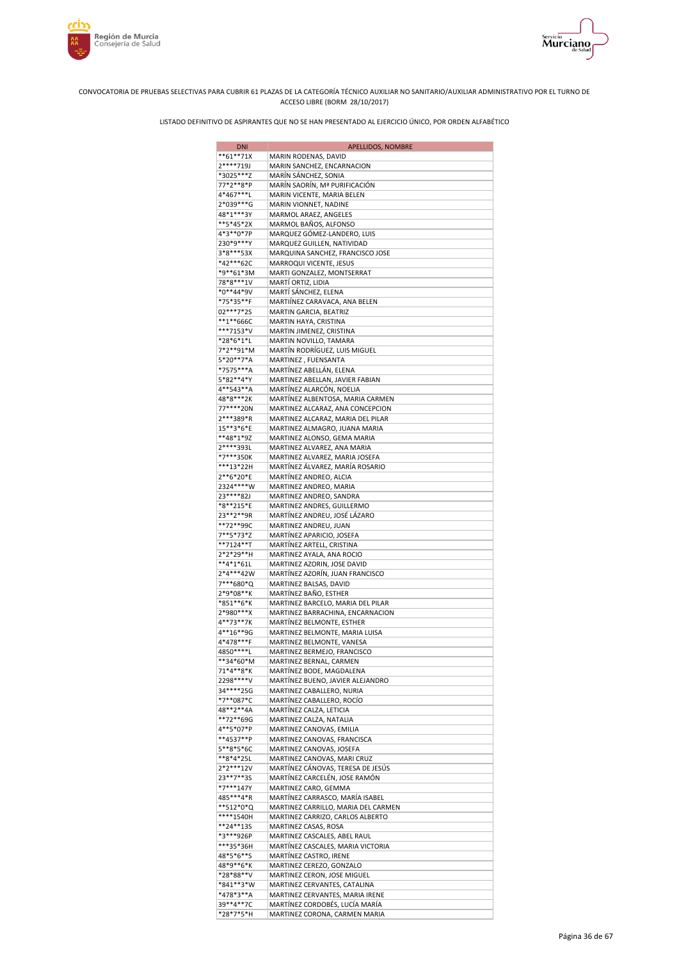



| <b>DNI</b>             | APELLIDOS, NOMBRE                                                      |
|------------------------|------------------------------------------------------------------------|
| $**61**71X$            | MARIN RODENAS, DAVID                                                   |
| 2****719J              | MARIN SANCHEZ, ENCARNACION                                             |
| *3025***Z<br>77*2**8*P | MARÍN SÁNCHEZ, SONIA<br>MARÍN SAORÍN, Mª PURIFICACIÓN                  |
| 4*467***L              | MARIN VICENTE, MARIA BELEN                                             |
| 2*039***G              | MARIN VIONNET, NADINE                                                  |
| 48*1***3Y              | MARMOL ARAEZ, ANGELES                                                  |
| **5*45*2X              | MARMOL BAÑOS, ALFONSO                                                  |
| 4*3**0*7P              | MARQUEZ GÓMEZ-LANDERO, LUIS                                            |
| 230*9***Y<br>3*8***53X | MARQUEZ GUILLEN, NATIVIDAD<br>MARQUINA SANCHEZ, FRANCISCO JOSE         |
| *42***62C              | MARROQUI VICENTE, JESUS                                                |
| *9**61*3M              | MARTI GONZALEZ, MONTSERRAT                                             |
| 78*8***1V              | MARTÍ ORTIZ, LIDIA                                                     |
| *0**44*9V              | MARTÍ SÁNCHEZ, ELENA                                                   |
| *75*35**F              | MARTIÍNEZ CARAVACA, ANA BELEN                                          |
| 02***7*2S              | MARTIN GARCIA, BEATRIZ                                                 |
| **1**666C<br>***7153*V | MARTIN HAYA, CRISTINA<br>MARTIN JIMENEZ, CRISTINA                      |
| *28*6*1*L              | MARTIN NOVILLO, TAMARA                                                 |
| 7*2**91*M              | MARTÍN RODRÍGUEZ, LUIS MIGUEL                                          |
| 5*20**7*A              | MARTINEZ, FUENSANTA                                                    |
| *7575***A              | MARTÍNEZ ABELLÁN, ELENA                                                |
| 5*82**4*Y              | MARTINEZ ABELLAN, JAVIER FABIAN                                        |
| 4**543**A<br>48*8***2K | MARTÍNEZ ALARCÓN, NOELIA<br>MARTÍNEZ ALBENTOSA, MARIA CARMEN           |
| 77****20N              | MARTINEZ ALCARAZ, ANA CONCEPCION                                       |
| 2***389*R              | MARTINEZ ALCARAZ, MARIA DEL PILAR                                      |
| 15**3*6*E              | MARTINEZ ALMAGRO, JUANA MARIA                                          |
| **48*1*9Z              | MARTINEZ ALONSO, GEMA MARIA                                            |
| 2****393L              | MARTINEZ ALVAREZ, ANA MARIA                                            |
| *7***350K<br>***13*22H | MARTINEZ ALVAREZ, MARIA JOSEFA                                         |
| 2**6*20*E              | MARTÍNEZ ÁLVAREZ, MARÍA ROSARIO<br>MARTÍNEZ ANDREO, ALCIA              |
| 2324****W              | MARTINEZ ANDREO, MARIA                                                 |
| 23****82J              | MARTINEZ ANDREO, SANDRA                                                |
| *8**215*E              | MARTINEZ ANDRES, GUILLERMO                                             |
| 23**2**9R              | MARTÍNEZ ANDREU, JOSÉ LÁZARO                                           |
| **72**99C              | MARTINEZ ANDREU, JUAN                                                  |
| 7**5*73*Z<br>**7124**T | MARTÍNEZ APARICIO, JOSEFA<br>MARTÍNEZ ARTELL, CRISTINA                 |
| 2*2*29**H              | MARTINEZ AYALA, ANA ROCIO                                              |
| **4*1*61L              | MARTINEZ AZORIN, JOSE DAVID                                            |
| 2*4***42W              | MARTÍNEZ AZORÍN, JUAN FRANCISCO                                        |
| 7***680*Q              | MARTINEZ BALSAS, DAVID                                                 |
| 2*9*08**K              | MARTÍNEZ BAÑO, ESTHER                                                  |
| *851**6*K<br>2*980***X | MARTINEZ BARCELO, MARIA DEL PILAR<br>MARTINEZ BARRACHINA, ENCARNACION  |
| 4**73**7K              | MARTINEZ BELMONTE, ESTHER                                              |
| 4**16**9G              | MARTINEZ BELMONTE, MARIA LUISA                                         |
| 4*478***F              | MARTINEZ BELMONTE, VANESA                                              |
| 4850 ***** L           | MARTINEZ BERMEJO, FRANCISCO                                            |
| **34*60*M<br>71*4**8*K | MARTINEZ BERNAL, CARMEN                                                |
| 2298****V              | MARTÍNEZ BODE, MAGDALENA<br>MARTÍNEZ BUENO, JAVIER ALEJANDRO           |
| 34****25G              | MARTINEZ CABALLERO, NURIA                                              |
| *7**087*C              | MARTÍNEZ CABALLERO, ROCÍO                                              |
| 48**2**4A              | MARTÍNEZ CALZA, LETICIA                                                |
| **72**69G              | MARTINEZ CALZA, NATALIA                                                |
| 4**5*07*P<br>**4537**P | MARTINEZ CANOVAS, EMILIA<br>MARTINEZ CANOVAS, FRANCISCA                |
| 5**8*5*6C              | MARTINEZ CANOVAS, JOSEFA                                               |
| **8*4*25L              | MARTINEZ CANOVAS, MARI CRUZ                                            |
| 2*2***12V              | MARTÍNEZ CÁNOVAS, TERESA DE JESÚS                                      |
| 23**7**3S              | MARTÍNEZ CARCELÉN, JOSE RAMÓN                                          |
| *7***147Y<br>485***4*R | MARTINEZ CARO, GEMMA                                                   |
| **512*0*Q              | MARTÍNEZ CARRASCO, MARÍA ISABEL<br>MARTINEZ CARRILLO, MARIA DEL CARMEN |
| ****1540H              | MARTINEZ CARRIZO, CARLOS ALBERTO                                       |
| **24**13S              | MARTINEZ CASAS, ROSA                                                   |
| *3***926P              | MARTINEZ CASCALES, ABEL RAUL                                           |
| ***35*36H              | MARTÍNEZ CASCALES, MARIA VICTORIA                                      |
| 48*5*6**S<br>48*9**6*K | MARTÍNEZ CASTRO, IRENE<br>MARTINEZ CEREZO, GONZALO                     |
| *28*88**V              | MARTINEZ CERON, JOSE MIGUEL                                            |
| *841**3*W              | MARTINEZ CERVANTES, CATALINA                                           |
| *478*3**A              | MARTINEZ CERVANTES, MARIA IRENE                                        |
| 39**4**7C              | MARTÍNEZ CORDOBÉS, LUCÍA MARÍA                                         |
| *28*7*5*H              | MARTINEZ CORONA, CARMEN MARIA                                          |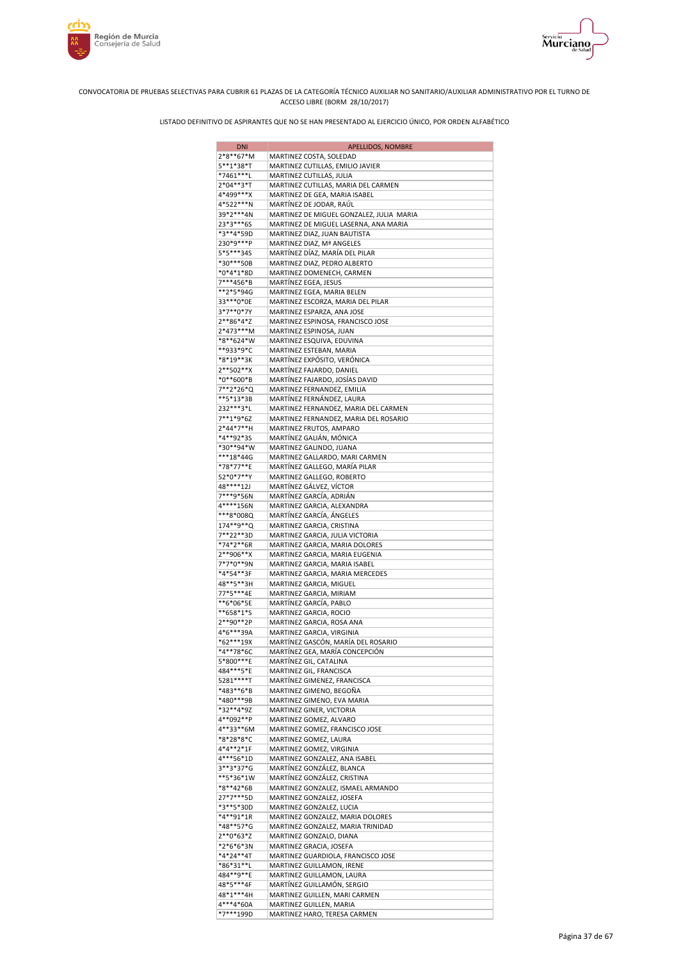



| <b>DNI</b>               | APELLIDOS, NOMBRE                                                             |
|--------------------------|-------------------------------------------------------------------------------|
| 2*8**67*M                | MARTINEZ COSTA, SOLEDAD                                                       |
| 5**1*38*T<br>*7461***L   | MARTINEZ CUTILLAS, EMILIO JAVIER<br>MARTINEZ CUTILLAS, JULIA                  |
| 2*04**3*T                | MARTINEZ CUTILLAS, MARIA DEL CARMEN                                           |
| 4*499***X                | MARTINEZ DE GEA, MARIA ISABEL                                                 |
| 4*522***N                | MARTÍNEZ DE JODAR, RAÚL                                                       |
| 39*2***4N                | MARTINEZ DE MIGUEL GONZALEZ, JULIA MARIA                                      |
| 23*3***6S<br>*3**4*59D   | MARTINEZ DE MIGUEL LASERNA, ANA MARIA<br>MARTINEZ DIAZ, JUAN BAUTISTA         |
| 230*9***P                | MARTINEZ DIAZ, Mª ANGELES                                                     |
| 5*5***34S                | MARTÍNEZ DÍAZ, MARÍA DEL PILAR                                                |
| *30***50B                | MARTINEZ DIAZ, PEDRO ALBERTO                                                  |
| *0*4*1*8D                | MARTINEZ DOMENECH, CARMEN                                                     |
| 7***456*B<br>**2*5*94G   | MARTÍNEZ EGEA, JESUS<br>MARTINEZ EGEA, MARIA BELEN                            |
| 33***0*0E                | MARTINEZ ESCORZA, MARIA DEL PILAR                                             |
| 3*7**0*7Y                | MARTINEZ ESPARZA, ANA JOSE                                                    |
| 2**86*4*Z                | MARTINEZ ESPINOSA, FRANCISCO JOSE                                             |
| 2*473***M                | MARTINEZ ESPINOSA, JUAN                                                       |
| *8**624*W<br>**933*9*C   | MARTINEZ ESQUIVA, EDUVINA<br>MARTINEZ ESTEBAN, MARIA                          |
| *8*19**3K                | MARTÍNEZ EXPÓSITO, VERÓNICA                                                   |
| 2**502**X                | MARTÍNEZ FAJARDO, DANIEL                                                      |
| *0**600*B                | MARTÍNEZ FAJARDO, JOSÍAS DAVID                                                |
| 7**2*26*Q                | MARTINEZ FERNANDEZ, EMILIA                                                    |
| **5*13*3B<br>232 *** 3*L | MARTÍNEZ FERNÁNDEZ, LAURA                                                     |
| 7**1*9*6Z                | MARTINEZ FERNANDEZ, MARIA DEL CARMEN<br>MARTINEZ FERNANDEZ, MARIA DEL ROSARIO |
| 2*44*7**H                | MARTINEZ FRUTOS, AMPARO                                                       |
| *4**92*3S                | MARTÍNEZ GALIÁN, MÓNICA                                                       |
| *30**94*W                | MARTINEZ GALINDO, JUANA                                                       |
| ***18*44G                | MARTINEZ GALLARDO, MARI CARMEN                                                |
| *78*77**E<br>52*0*7**Y   | MARTÍNEZ GALLEGO, MARÍA PILAR<br>MARTINEZ GALLEGO, ROBERTO                    |
| 48****12J                | MARTÍNEZ GÁLVEZ, VÍCTOR                                                       |
| 7***9*56N                | MARTÍNEZ GARCÍA, ADRIÁN                                                       |
| 4****156N                | MARTINEZ GARCIA, ALEXANDRA                                                    |
| ***8*008Q                | MARTÍNEZ GARCÍA, ÁNGELES                                                      |
| 174**9**Q<br>7**22**3D   | MARTINEZ GARCIA, CRISTINA<br>MARTINEZ GARCIA, JULIA VICTORIA                  |
| *74*2**6R                | MARTINEZ GARCIA, MARIA DOLORES                                                |
| 2**906**X                | MARTINEZ GARCIA, MARIA EUGENIA                                                |
| 7*7*0**9N                | MARTINEZ GARCIA, MARIA ISABEL                                                 |
| *4*54**3F                | MARTINEZ GARCIA, MARIA MERCEDES                                               |
| 48**5**3H<br>77*5***4E   | MARTINEZ GARCIA, MIGUEL<br>MARTINEZ GARCIA, MIRIAM                            |
| **6*06*5E                | MARTÍNEZ GARCÍA, PABLO                                                        |
| **658*1*S                | MARTINEZ GARCIA, ROCIO                                                        |
| 2**90**2P                | MARTINEZ GARCIA, ROSA ANA                                                     |
| 4*6***39A                | MARTINEZ GARCIA, VIRGINIA                                                     |
| *62***19X<br>*4**78*6C   | MARTÍNEZ GASCÓN, MARÍA DEL ROSARIO<br>MARTÍNEZ GEA, MARÍA CONCEPCIÓN          |
| 5*800***E                | MARTÍNEZ GIL, CATALINA                                                        |
| 484***5*E                | MARTINEZ GIL, FRANCISCA                                                       |
| 5281 **** T              | MARTÍNEZ GIMENEZ, FRANCISCA                                                   |
| *483**6*B<br>*480***9B   | MARTINEZ GIMENO, BEGOÑA                                                       |
| *32**4*9Z                | MARTINEZ GIMENO, EVA MARIA<br>MARTINEZ GINER, VICTORIA                        |
| 4**092**P                | MARTINEZ GOMEZ, ALVARO                                                        |
| 4**33**6M                | MARTINEZ GOMEZ, FRANCISCO JOSE                                                |
| *8*28*8*C                | MARTINEZ GOMEZ, LAURA                                                         |
| 4*4**2*1F<br>4***56*1D   | MARTINEZ GOMEZ, VIRGINIA                                                      |
| 3**3*37*G                | MARTINEZ GONZALEZ, ANA ISABEL<br>MARTÍNEZ GONZÁLEZ, BLANCA                    |
| **5*36*1W                | MARTÍNEZ GONZÁLEZ, CRISTINA                                                   |
| *8**42*6B                | MARTINEZ GONZALEZ, ISMAEL ARMANDO                                             |
| 27*7***5D                | MARTINEZ GONZALEZ, JOSEFA                                                     |
| *3**5*30D                | MARTINEZ GONZALEZ, LUCIA                                                      |
| *4**91*1R<br>*48**57*G   | MARTINEZ GONZALEZ, MARIA DOLORES<br>MARTINEZ GONZALEZ, MARIA TRINIDAD         |
| 2**0*63*Z                | MARTINEZ GONZALO, DIANA                                                       |
| *2*6*6*3N                | MARTINEZ GRACIA, JOSEFA                                                       |
| *4*24**4T                | MARTINEZ GUARDIOLA, FRANCISCO JOSE                                            |
| *86*31**L                | MARTINEZ GUILLAMON, IRENE                                                     |
| 484**9**E                | MARTINEZ GUILLAMON, LAURA                                                     |
| 48*5***4F<br>48*1***4H   | MARTÍNEZ GUILLAMÓN, SERGIO<br>MARTINEZ GUILLEN, MARI CARMEN                   |
| 4***4*60A                | MARTINEZ GUILLEN, MARIA                                                       |
| *7***199D                | MARTINEZ HARO, TERESA CARMEN                                                  |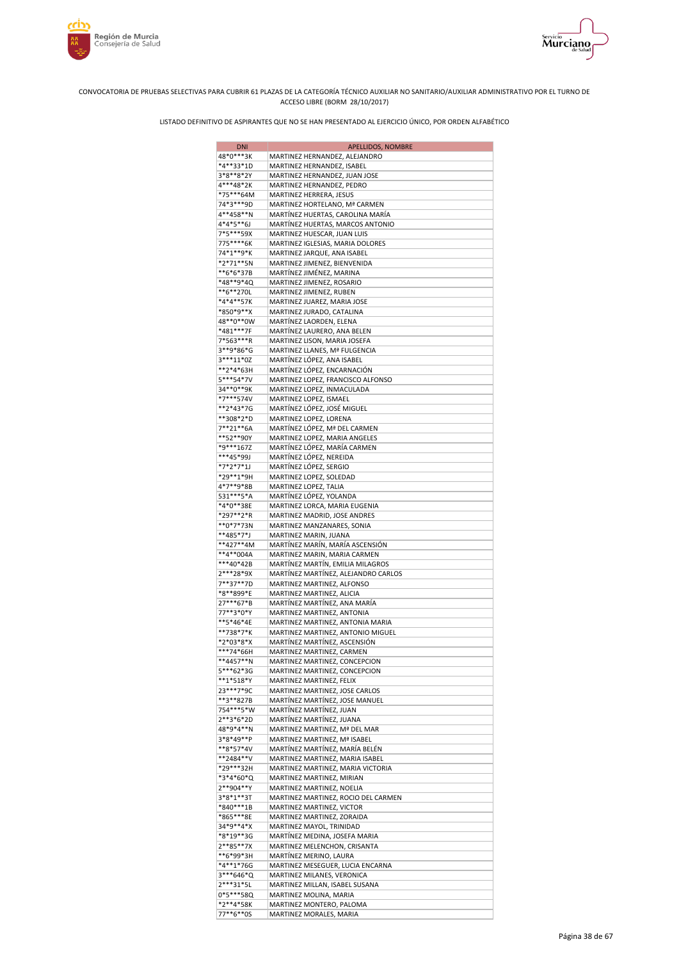



| <b>DNI</b>             | APELLIDOS, NOMBRE                                                 |
|------------------------|-------------------------------------------------------------------|
| 48*0***3K              | MARTINEZ HERNANDEZ, ALEJANDRO                                     |
| *4**33*1D              | MARTINEZ HERNANDEZ, ISABEL                                        |
| 3*8**8*2Y              | MARTINEZ HERNANDEZ, JUAN JOSE                                     |
| 4***48*2K<br>*75***64M | MARTINEZ HERNANDEZ, PEDRO<br>MARTINEZ HERRERA, JESUS              |
| 74*3***9D              | MARTINEZ HORTELANO, Mª CARMEN                                     |
| 4**458**N              | MARTÍNEZ HUERTAS, CAROLINA MARÍA                                  |
| 4*4*5**6J              | MARTÍNEZ HUERTAS, MARCOS ANTONIO                                  |
| 7*5***59X              | MARTINEZ HUESCAR, JUAN LUIS                                       |
| 775****6K              | MARTINEZ IGLESIAS, MARIA DOLORES                                  |
| 74*1**9*K              | MARTINEZ JARQUE, ANA ISABEL                                       |
| *2*71**5N<br>**6*6*37B | MARTINEZ JIMENEZ, BIENVENIDA<br>MARTÍNEZ JIMÉNEZ, MARINA          |
| *48**9*4Q              | MARTINEZ JIMENEZ, ROSARIO                                         |
| **6**270L              | MARTINEZ JIMENEZ, RUBEN                                           |
| *4*4**57K              | MARTINEZ JUAREZ, MARIA JOSE                                       |
| *850*9**X              | MARTINEZ JURADO, CATALINA                                         |
| 48**0**0W              | MARTÍNEZ LAORDEN, ELENA                                           |
| *481***7F              | MARTÍNEZ LAURERO, ANA BELEN                                       |
| 7*563***R              | MARTINEZ LISON, MARIA JOSEFA                                      |
| 3**9*86*G<br>3***11*0Z | MARTINEZ LLANES, Mª FULGENCIA<br>MARTÍNEZ LÓPEZ, ANA ISABEL       |
| **2*4*63H              | MARTÍNEZ LÓPEZ, ENCARNACIÓN                                       |
| 5***54*7V              | MARTINEZ LOPEZ, FRANCISCO ALFONSO                                 |
| 34**0**9K              | MARTINEZ LOPEZ, INMACULADA                                        |
| *7***574V              | MARTINEZ LOPEZ, ISMAEL                                            |
| **2*43*7G              | MARTÍNEZ LÓPEZ, JOSÉ MIGUEL                                       |
| **308*2*D              | MARTINEZ LOPEZ, LORENA                                            |
| 7**21**6A<br>**52**90Y | MARTÍNEZ LÓPEZ, Mª DEL CARMEN                                     |
| *9***167Z              | MARTINEZ LOPEZ, MARIA ANGELES<br>MARTÍNEZ LÓPEZ, MARÍA CARMEN     |
| ***45*99J              | MARTÍNEZ LÓPEZ, NEREIDA                                           |
| *7*2*7*1J              | MARTÍNEZ LÓPEZ, SERGIO                                            |
| *29**1*9H              | MARTINEZ LOPEZ, SOLEDAD                                           |
| 4*7**9*8B              | MARTINEZ LOPEZ, TALIA                                             |
| 531 *** 5 * A          | MARTÍNEZ LÓPEZ, YOLANDA                                           |
| *4*0**38E              | MARTINEZ LORCA, MARIA EUGENIA                                     |
| *297**2*R<br>**0*7*73N | MARTINEZ MADRID, JOSE ANDRES<br>MARTINEZ MANZANARES, SONIA        |
| **485*7*J              | MARTINEZ MARIN, JUANA                                             |
| **427**4M              | MARTÍNEZ MARÍN, MARÍA ASCENSIÓN                                   |
| **4**004A              | MARTINEZ MARIN, MARIA CARMEN                                      |
| ***40*42B              | MARTÍNEZ MARTÍN, EMILIA MILAGROS                                  |
| 2***28*9X              | MARTÍNEZ MARTÍNEZ, ALEJANDRO CARLOS                               |
| 7**37**7D              | MARTINEZ MARTINEZ, ALFONSO<br>MARTINEZ MARTINEZ, ALICIA           |
| *8**899*E<br>27***67*B | MARTÍNEZ MARTÍNEZ, ANA MARÍA                                      |
| 77**3*0*Y              | MARTINEZ MARTINEZ, ANTONIA                                        |
| **5*46*4E              | MARTINEZ MARTINEZ, ANTONIA MARIA                                  |
| **738*7*K              | MARTINEZ MARTINEZ, ANTONIO MIGUEL                                 |
| *2*03*8*X              | MARTÍNEZ MARTÍNEZ, ASCENSIÓN                                      |
| ***74*66H              | MARTINEZ MARTINEZ, CARMEN                                         |
| **4457**N              | MARTINEZ MARTINEZ, CONCEPCION                                     |
| 5***62*3G<br>**1*518*Y | MARTINEZ MARTINEZ, CONCEPCION<br>MARTINEZ MARTINEZ, FELIX         |
| 23 *** 7* 9C           | MARTINEZ MARTINEZ, JOSE CARLOS                                    |
| **3**827B              | MARTÍNEZ MARTÍNEZ, JOSE MANUEL                                    |
| 754 *** 5 * W          | MARTÍNEZ MARTÍNEZ, JUAN                                           |
| 2**3*6*2D              | MARTÍNEZ MARTÍNEZ, JUANA                                          |
| 48*9*4**N              | MARTINEZ MARTINEZ, Mª DEL MAR                                     |
| 3*8*49**P<br>**8*57*4V | MARTINEZ MARTINEZ, Mª ISABEL                                      |
| **2484**V              | MARTÍNEZ MARTÍNEZ, MARÍA BELÉN<br>MARTINEZ MARTINEZ, MARIA ISABEL |
| *29***32H              | MARTINEZ MARTINEZ, MARIA VICTORIA                                 |
| *3*4*60*Q              | MARTINEZ MARTINEZ, MIRIAN                                         |
| 2**904**Y              | MARTINEZ MARTINEZ, NOELIA                                         |
| 3*8*1**3T              | MARTINEZ MARTINEZ, ROCIO DEL CARMEN                               |
| *840***1B              | MARTINEZ MARTINEZ, VICTOR                                         |
| *865***8E              | MARTINEZ MARTINEZ, ZORAIDA                                        |
| 34*9**4*X<br>*8*19**3G | MARTINEZ MAYOL, TRINIDAD<br>MARTÍNEZ MEDINA, JOSEFA MARIA         |
| 2**85**7X              | MARTINEZ MELENCHON, CRISANTA                                      |
| **6*99*3H              | MARTÍNEZ MERINO, LAURA                                            |
| *4**1*76G              | MARTINEZ MESEGUER, LUCIA ENCARNA                                  |
| 3***646*Q              | MARTINEZ MILANES, VERONICA                                        |
| 2***31*5L              | MARTINEZ MILLAN, ISABEL SUSANA                                    |
| 0*5***58Q<br>*2**4*58K | MARTINEZ MOLINA, MARIA                                            |
| 77**6**0S              | MARTINEZ MONTERO, PALOMA<br>MARTINEZ MORALES, MARIA               |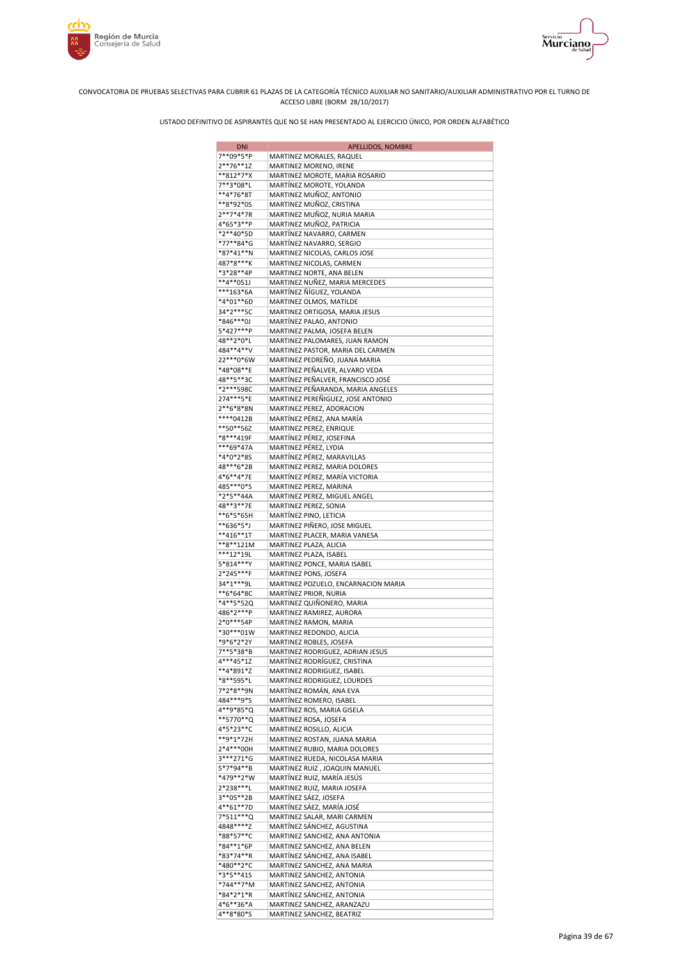



| <b>DNI</b>             | APELLIDOS, NOMBRE                                              |
|------------------------|----------------------------------------------------------------|
| 7**09*5*P              | MARTINEZ MORALES, RAQUEL                                       |
| $2***76***1Z$          | MARTINEZ MORENO, IRENE                                         |
| **812*7*X<br>7**3*08*L | MARTINEZ MOROTE, MARIA ROSARIO                                 |
| **4*76*8T              | MARTÍNEZ MOROTE, YOLANDA<br>MARTINEZ MUÑOZ, ANTONIO            |
| **8*92*0S              | MARTINEZ MUÑOZ, CRISTINA                                       |
| 2**7*4*7R              | MARTINEZ MUÑOZ, NURIA MARIA                                    |
| 4*65*3**P              | MARTINEZ MUÑOZ, PATRICIA                                       |
| *2**40*5D              | MARTÍNEZ NAVARRO, CARMEN                                       |
| *77**84*G              | MARTÍNEZ NAVARRO, SERGIO                                       |
| *87*41**N<br>487*8***K | MARTINEZ NICOLAS, CARLOS JOSE<br>MARTINEZ NICOLAS, CARMEN      |
| *3*28**4P              | MARTINEZ NORTE, ANA BELEN                                      |
| $**4**051J$            | MARTINEZ NUÑEZ, MARIA MERCEDES                                 |
| ***163*6A              | MARTÍNEZ ÑÍGUEZ, YOLANDA                                       |
| *4*01**6D              | MARTINEZ OLMOS, MATILDE                                        |
| 34*2***5C              | MARTINEZ ORTIGOSA, MARIA JESUS                                 |
| *846***0J              | MARTÍNEZ PALAO, ANTONIO                                        |
| 5*427***P<br>48**2*0*L | MARTINEZ PALMA, JOSEFA BELEN<br>MARTINEZ PALOMARES, JUAN RAMON |
| 484**4**V              | MARTINEZ PASTOR, MARIA DEL CARMEN                              |
| 22***0*6W              | MARTINEZ PEDREÑO, JUANA MARIA                                  |
| *48*08**E              | MARTÍNEZ PEÑALVER, ALVARO VEDA                                 |
| 48**5**3C              | MARTÍNEZ PEÑALVER, FRANCISCO JOSÉ                              |
| *2***598C              | MARTINEZ PEÑARANDA, MARIA ANGELES                              |
| 274***5*E              | MARTINEZ PEREÑIGUEZ, JOSE ANTONIO                              |
| 2**6*8*8N<br>****0412B | MARTINEZ PEREZ, ADORACION<br>MARTÍNEZ PÉREZ, ANA MARÍA         |
| **50**56Z              | MARTINEZ PEREZ, ENRIQUE                                        |
| *8***419F              | MARTÍNEZ PÉREZ, JOSEFINA                                       |
| ***69*47A              | MARTINEZ PÉREZ, LYDIA                                          |
| *4*0*2*8S              | MARTÍNEZ PÉREZ, MARAVILLAS                                     |
| 48***6*2B              | MARTINEZ PEREZ, MARIA DOLORES                                  |
| 4*6**4*7E              | MARTÍNEZ PÉREZ, MARÍA VICTORIA                                 |
| 485***0*S<br>*2*5**44A | MARTINEZ PEREZ, MARINA                                         |
| 48**3**7E              | MARTINEZ PEREZ, MIGUEL ANGEL<br>MARTINEZ PEREZ, SONIA          |
| **6*5*65H              | MARTÍNEZ PINO, LETICIA                                         |
| **636*5*J              | MARTINEZ PIÑERO, JOSE MIGUEL                                   |
| **416**1T              | MARTINEZ PLACER, MARIA VANESA                                  |
| **8**121M              | MARTINEZ PLAZA, ALICIA                                         |
| ***12*19L              | MARTINEZ PLAZA, ISABEL                                         |
| 5*814***Y<br>2*245***F | MARTINEZ PONCE, MARIA ISABEL<br>MARTINEZ PONS, JOSEFA          |
| 34*1***9L              | MARTINEZ POZUELO, ENCARNACION MARIA                            |
| **6*64*8C              | MARTÍNEZ PRIOR, NURIA                                          |
| *4**5*52Q              | MARTINEZ QUIÑONERO, MARIA                                      |
| 486*2***P              | MARTINEZ RAMIREZ, AURORA                                       |
| 2*0***54P              | MARTINEZ RAMON, MARIA                                          |
| *30***01W<br>*9*6*2*2Y | MARTINEZ REDONDO, ALICIA<br>MARTINEZ ROBLES, JOSEFA            |
| 7**5*38*B              | MARTINEZ RODRIGUEZ, ADRIAN JESUS                               |
| 4***45*1Z              | MARTÍNEZ RODRÍGUEZ, CRISTINA                                   |
| **4*891*Z              | MARTINEZ RODRIGUEZ, ISABEL                                     |
| *8**595*L              | MARTINEZ RODRIGUEZ, LOURDES                                    |
| 7*2*8**9N              | MARTÍNEZ ROMÁN, ANA EVA                                        |
| 484***9*S              | MARTÍNEZ ROMERO, ISABEL                                        |
| 4**9*85*Q<br>**5770**Q | MARTÍNEZ ROS, MARIA GISELA<br>MARTINEZ ROSA, JOSEFA            |
| 4*5*23**C              | MARTINEZ ROSILLO, ALICIA                                       |
| **9*1*72H              | MARTINEZ ROSTAN, JUANA MARIA                                   |
| 2*4***00H              | MARTINEZ RUBIO, MARIA DOLORES                                  |
| 3***271*G              | MARTINEZ RUEDA, NICOLASA MARIA                                 |
| 5*7*94**B              | MARTINEZ RUIZ, JOAQUIN MANUEL                                  |
| *479**2*W<br>2*238***L | MARTÍNEZ RUIZ, MARÍA JESÚS<br>MARTINEZ RUIZ, MARIA JOSEFA      |
| 3**05**2B              | MARTÍNEZ SÁEZ, JOSEFA                                          |
| 4**61**7D              | MARTÍNEZ SÁEZ, MARÍA JOSÉ                                      |
| 7*511***Q              | MARTINEZ SALAR, MARI CARMEN                                    |
| 4848****Z              | MARTÍNEZ SÁNCHEZ, AGUSTINA                                     |
| *88*57**C              | MARTINEZ SANCHEZ, ANA ANTONIA                                  |
| *84**1*6P<br>*83*74**R | MARTINEZ SANCHEZ, ANA BELEN<br>MARTÍNEZ SÁNCHEZ, ANA ISABEL    |
| *480**2*C              | MARTINEZ SANCHEZ, ANA MARIA                                    |
| *3*5**415              | MARTINEZ SANCHEZ, ANTONIA                                      |
| *744**7*M              | MARTINEZ SANCHEZ, ANTONIA                                      |
| *84*2*1*R              | MARTÍNEZ SÁNCHEZ, ANTONIA                                      |
| 4*6**36*A              | MARTINEZ SANCHEZ, ARANZAZU                                     |
| 4**8*80*S              | MARTINEZ SANCHEZ, BEATRIZ                                      |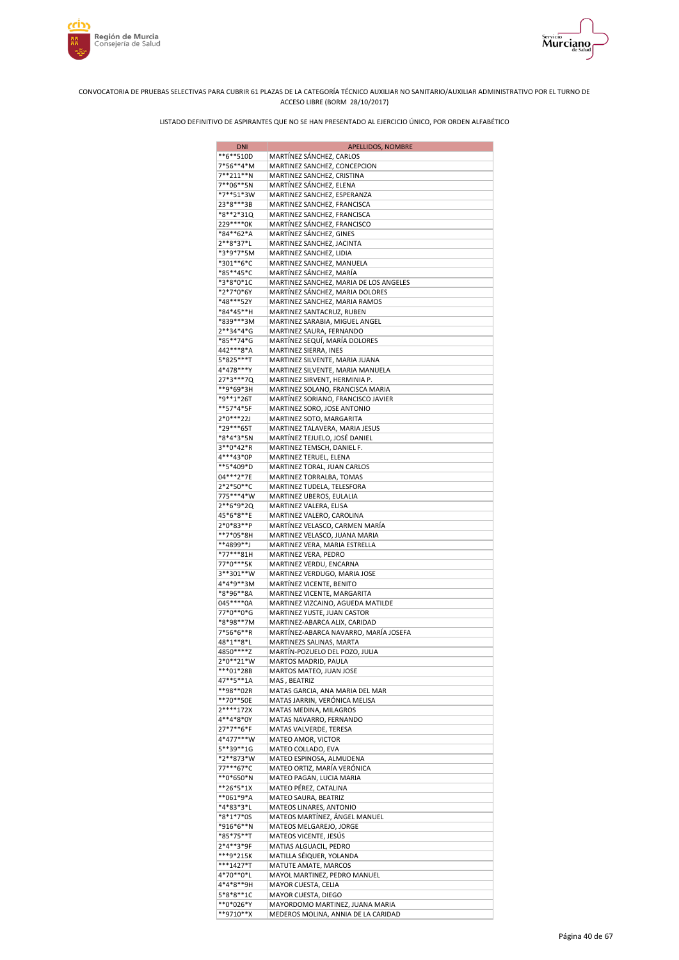



| <b>DNI</b>               | APELLIDOS, NOMBRE                                                      |
|--------------------------|------------------------------------------------------------------------|
| **6**510D                | MARTÍNEZ SÁNCHEZ, CARLOS                                               |
| 7*56**4*M<br>7**211**N   | MARTINEZ SANCHEZ, CONCEPCION<br>MARTINEZ SANCHEZ, CRISTINA             |
| 7**06**5N                | MARTÍNEZ SÁNCHEZ, ELENA                                                |
| *7**51*3W                | MARTINEZ SANCHEZ, ESPERANZA                                            |
| 23*8***3B                | MARTINEZ SANCHEZ, FRANCISCA                                            |
| *8**2*31Q<br>229****0K   | MARTINEZ SANCHEZ, FRANCISCA                                            |
| *84**62*A                | MARTÍNEZ SÁNCHEZ, FRANCISCO<br>MARTÍNEZ SÁNCHEZ, GINES                 |
| 2**8*37*L                | MARTINEZ SANCHEZ, JACINTA                                              |
| *3*9*7*5M                | MARTINEZ SANCHEZ, LIDIA                                                |
| *301**6*C<br>*85**45*C   | MARTINEZ SANCHEZ, MANUELA                                              |
| *3*8*0*1C                | MARTÍNEZ SÁNCHEZ, MARÍA<br>MARTINEZ SANCHEZ, MARIA DE LOS ANGELES      |
| *2*7*0*6Y                | MARTÍNEZ SÁNCHEZ, MARIA DOLORES                                        |
| *48***52Y                | MARTINEZ SANCHEZ, MARIA RAMOS                                          |
| *84*45**H                | MARTINEZ SANTACRUZ, RUBEN                                              |
| *839***3M<br>2**34*4*G   | MARTINEZ SARABIA, MIGUEL ANGEL<br>MARTINEZ SAURA, FERNANDO             |
| *85**74*G                | MARTÍNEZ SEQUÍ, MARÍA DOLORES                                          |
| 442***8*A                | MARTINEZ SIERRA, INES                                                  |
| 5*825***T                | MARTINEZ SILVENTE, MARIA JUANA                                         |
| 4*478***Y<br>27*3***7Q   | MARTINEZ SILVENTE, MARIA MANUELA<br>MARTINEZ SIRVENT, HERMINIA P.      |
| **9*69*3H                | MARTINEZ SOLANO, FRANCISCA MARIA                                       |
| *9**1*26T                | MARTÍNEZ SORIANO, FRANCISCO JAVIER                                     |
| **57*4*5F                | MARTINEZ SORO, JOSE ANTONIO                                            |
| $2*0***22J$<br>*29***65T | MARTINEZ SOTO, MARGARITA                                               |
| *8*4*3*5N                | MARTINEZ TALAVERA, MARIA JESUS<br>MARTÍNEZ TEJUELO, JOSÉ DANIEL        |
| 3**0*42*R                | MARTINEZ TEMSCH, DANIEL F.                                             |
| 4***43*0P                | MARTINEZ TERUEL, ELENA                                                 |
| **5*409*D<br>04***2*7E   | MARTINEZ TORAL, JUAN CARLOS                                            |
| 2*2*50**C                | MARTINEZ TORRALBA, TOMAS<br>MARTINEZ TUDELA, TELESFORA                 |
| 775***4*W                | MARTINEZ UBEROS, EULALIA                                               |
| 2**6*9*2Q                | MARTINEZ VALERA, ELISA                                                 |
| 45*6*8**E<br>2*0*83**P   | MARTINEZ VALERO, CAROLINA                                              |
| **7*05*8H                | MARTÍNEZ VELASCO, CARMEN MARÍA<br>MARTINEZ VELASCO, JUANA MARIA        |
| **4899**J                | MARTINEZ VERA, MARIA ESTRELLA                                          |
| *77***81H                | MARTINEZ VERA, PEDRO                                                   |
| 77*0***5K<br>3**301**W   | MARTINEZ VERDU, ENCARNA                                                |
| 4*4*9**3M                | MARTINEZ VERDUGO, MARIA JOSE<br>MARTÍNEZ VICENTE, BENITO               |
| *8*96**8A                | MARTINEZ VICENTE, MARGARITA                                            |
| 045 **** 0A              | MARTINEZ VIZCAINO, AGUEDA MATILDE                                      |
| 77*0**0*G<br>*8*98**7M   | MARTINEZ YUSTE, JUAN CASTOR<br>MARTINEZ-ABARCA ALIX, CARIDAD           |
| 7*56*6**R                | MARTÍNEZ-ABARCA NAVARRO, MARÍA JOSEFA                                  |
| 48*1**8*L                | MARTINEZS SALINAS, MARTA                                               |
| 4850****Z                | MARTÍN-POZUELO DEL POZO, JULIA                                         |
| 2*0**21*W<br>***01*28B   | MARTOS MADRID, PAULA<br>MARTOS MATEO, JUAN JOSE                        |
| 47**5**1A                | MAS, BEATRIZ                                                           |
| **98**02R                | MATAS GARCIA, ANA MARIA DEL MAR                                        |
| **70**50E                | MATAS JARRIN, VERÓNICA MELISA                                          |
| 2****172X<br>4**4*8*0Y   | MATAS MEDINA, MILAGROS<br>MATAS NAVARRO, FERNANDO                      |
| 27*7**6*F                | MATAS VALVERDE, TERESA                                                 |
| 4*477***W                | MATEO AMOR, VICTOR                                                     |
| 5**39**1G                | MATEO COLLADO, EVA                                                     |
| *2**873*W<br>77***67*C   | MATEO ESPINOSA, ALMUDENA<br>MATEO ORTIZ, MARÍA VERÓNICA                |
| **0*650*N                | MATEO PAGAN, LUCIA MARIA                                               |
| **26*5*1X                | MATEO PÉREZ, CATALINA                                                  |
| **061*9*A                | MATEO SAURA, BEATRIZ                                                   |
| *4*83*3*L<br>*8*1*7*0S   | MATEOS LINARES, ANTONIO<br>MATEOS MARTÍNEZ, ÁNGEL MANUEL               |
| *916*6**N                | MATEOS MELGAREJO, JORGE                                                |
| *85*75**T                | MATEOS VICENTE, JESÚS                                                  |
| 2*4**3*9F                | MATIAS ALGUACIL, PEDRO                                                 |
| ***9*215K<br>***1427*T   | MATILLA SÉIQUER, YOLANDA<br>MATUTE AMATE, MARCOS                       |
| 4*70**0*L                | MAYOL MARTINEZ, PEDRO MANUEL                                           |
| 4*4*8**9H                | MAYOR CUESTA, CELIA                                                    |
| 5*8*8**1C                | MAYOR CUESTA, DIEGO                                                    |
| **0*026*Y<br>**9710**X   | MAYORDOMO MARTINEZ, JUANA MARIA<br>MEDEROS MOLINA, ANNIA DE LA CARIDAD |
|                          |                                                                        |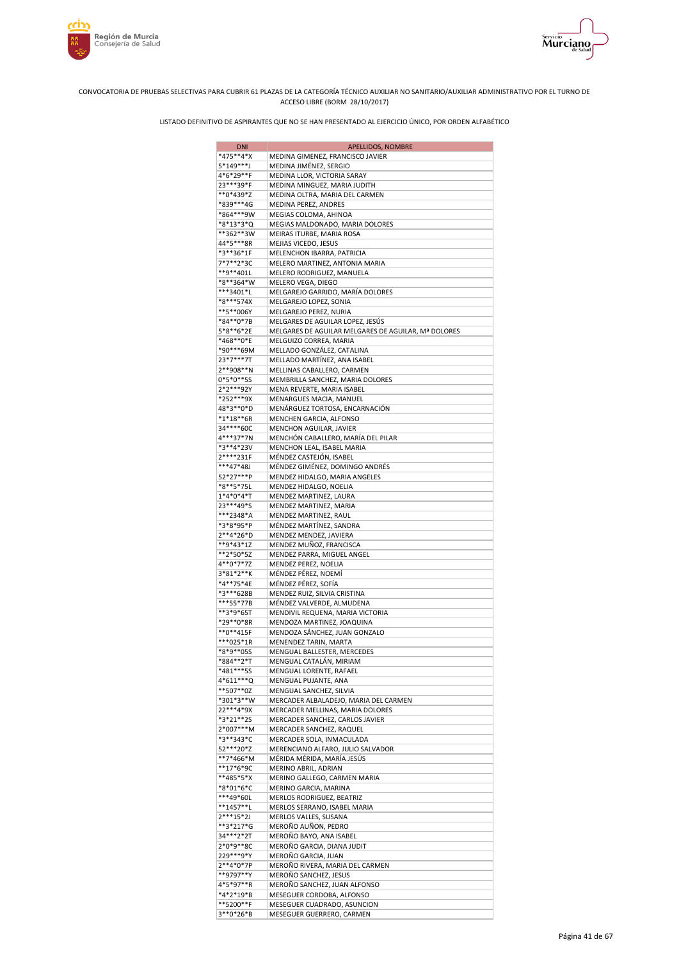



| <b>DNI</b>             | APELLIDOS, NOMBRE                                        |
|------------------------|----------------------------------------------------------|
| *475**4*X              | MEDINA GIMENEZ, FRANCISCO JAVIER                         |
| 5*149***J              | MEDINA JIMÉNEZ, SERGIO                                   |
| 4*6*29**F              | MEDINA LLOR, VICTORIA SARAY                              |
| 23***39*F              | MEDINA MINGUEZ, MARIA JUDITH                             |
| **0*439*Z              | MEDINA OLTRA, MARIA DEL CARMEN                           |
| *839***4G              | MEDINA PEREZ, ANDRES                                     |
| *864***9W              | MEGIAS COLOMA, AHINOA<br>MEGIAS MALDONADO, MARIA DOLORES |
| *8*13*3*Q<br>**362**3W | MEIRAS ITURBE, MARIA ROSA                                |
| 44*5***8R              | MEJIAS VICEDO, JESUS                                     |
| *3**36*1F              | MELENCHON IBARRA, PATRICIA                               |
| 7*7**2*3C              | MELERO MARTINEZ, ANTONIA MARIA                           |
| **9**401L              | MELERO RODRIGUEZ, MANUELA                                |
| *8**364*W              | MELERO VEGA, DIEGO                                       |
| ***3401*L              | MELGAREJO GARRIDO, MARÍA DOLORES                         |
| *8***574X              | MELGAREJO LOPEZ, SONIA                                   |
| **5**006Y              | MELGAREJO PEREZ, NURIA                                   |
| *84**0*7B              | MELGARES DE AGUILAR LOPEZ, JESÚS                         |
| 5*8**6*2E              | MELGARES DE AGUILAR MELGARES DE AGUILAR, Mª DOLORES      |
| *468**0*E<br>*90***69M | MELGUIZO CORREA, MARIA<br>MELLADO GONZÁLEZ, CATALINA     |
| 23*7***7T              | MELLADO MARTÍNEZ, ANA ISABEL                             |
| 2**908**N              | MELLINAS CABALLERO, CARMEN                               |
| $0*5*0**5S$            | MEMBRILLA SANCHEZ, MARIA DOLORES                         |
| 2*2***92Y              | MENA REVERTE, MARIA ISABEL                               |
| *252***9X              | MENARGUES MACIA, MANUEL                                  |
| 48*3**0*D              | MENÁRGUEZ TORTOSA, ENCARNACIÓN                           |
| $*1*18**6R$            | MENCHEN GARCIA, ALFONSO                                  |
| 34****60C              | MENCHON AGUILAR, JAVIER                                  |
| 4***37*7N              | MENCHÓN CABALLERO, MARÍA DEL PILAR                       |
| *3**4*23V              | MENCHON LEAL, ISABEL MARIA                               |
| 2****231F              | MÉNDEZ CASTEJÓN, ISABEL                                  |
| ***47*48J              | MÉNDEZ GIMÉNEZ, DOMINGO ANDRÉS                           |
| 52*27***P<br>*8**5*75L | MENDEZ HIDALGO, MARIA ANGELES<br>MENDEZ HIDALGO, NOELIA  |
| 1*4*0*4*T              | MENDEZ MARTINEZ, LAURA                                   |
| 23***49*S              | MENDEZ MARTINEZ, MARIA                                   |
| ***2348*A              | MENDEZ MARTINEZ, RAUL                                    |
| *3*8*95*P              | MÉNDEZ MARTÍNEZ, SANDRA                                  |
| 2**4*26*D              | MENDEZ MENDEZ, JAVIERA                                   |
| **9*43*1Z              | MENDEZ MUÑOZ, FRANCISCA                                  |
| **2*50*5Z              | MENDEZ PARRA, MIGUEL ANGEL                               |
| 4**0*7*7Z<br>3*81*2**K | MENDEZ PEREZ, NOELIA<br>MÉNDEZ PÉREZ, NOEMÍ              |
| *4**75*4E              | MÉNDEZ PÉREZ, SOFÍA                                      |
| *3***628B              | MENDEZ RUIZ, SILVIA CRISTINA                             |
| ***55*77B              | MÉNDEZ VALVERDE, ALMUDENA                                |
| **3*9*65T              | MENDIVIL REQUENA, MARIA VICTORIA                         |
| *29**0*8R              | MENDOZA MARTINEZ, JOAQUINA                               |
| **0**415F              | MENDOZA SÁNCHEZ, JUAN GONZALO                            |
| ***025*1R              | MENENDEZ TARIN, MARTA                                    |
| *8*9**05S              | MENGUAL BALLESTER, MERCEDES                              |
| *884**2*T              | MENGUAL CATALÁN, MIRIAM                                  |
| *481***55<br>4*611***Q | MENGUAL LORENTE, RAFAEL<br>MENGUAL PUJANTE, ANA          |
| **507**0Z              | MENGUAL SANCHEZ, SILVIA                                  |
| *301*3**W              | MERCADER ALBALADEJO, MARIA DEL CARMEN                    |
| 22***4*9X              | MERCADER MELLINAS, MARIA DOLORES                         |
| *3*21**2S              | MERCADER SANCHEZ, CARLOS JAVIER                          |
| 2*007***M              | MERCADER SANCHEZ, RAQUEL                                 |
| *3**343*C              | MERCADER SOLA, INMACULADA                                |
| 52***20*Z              | MERENCIANO ALFARO, JULIO SALVADOR                        |
| **7*466*M              | MÉRIDA MÉRIDA, MARÍA JESÚS                               |
| **17*6*9C              | MERINO ABRIL, ADRIAN                                     |
| **485*5*X<br>*8*01*6*C | MERINO GALLEGO, CARMEN MARIA<br>MERINO GARCIA, MARINA    |
| ***49*60L              | MERLOS RODRIGUEZ, BEATRIZ                                |
| **1457**L              | MERLOS SERRANO, ISABEL MARIA                             |
| $2***15*2J$            | MERLOS VALLES, SUSANA                                    |
| **3*217*G              | MEROÑO AUÑON, PEDRO                                      |
| 34***2*2T              | MEROÑO BAYO, ANA ISABEL                                  |
| 2*0*9**8C              | MEROÑO GARCIA, DIANA JUDIT                               |
| 229***9*Y              | MEROÑO GARCIA, JUAN                                      |
| 2**4*0*7P              | MEROÑO RIVERA, MARIA DEL CARMEN                          |
| **9797**Y<br>4*5*97**R | MEROÑO SANCHEZ, JESUS<br>MEROÑO SANCHEZ, JUAN ALFONSO    |
| *4*2*19*B              | MESEGUER CORDOBA, ALFONSO                                |
| **5200**F              | MESEGUER CUADRADO, ASUNCION                              |
| 3**0*26*B              | MESEGUER GUERRERO, CARMEN                                |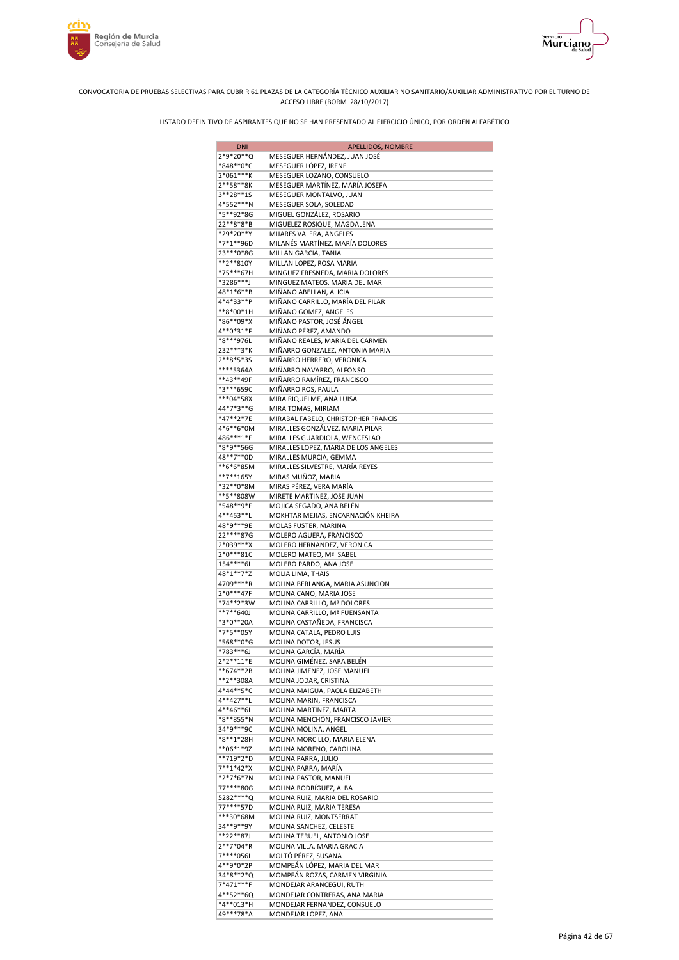



| <b>DNI</b>               | APELLIDOS, NOMBRE                                              |
|--------------------------|----------------------------------------------------------------|
| 2*9*20**Q                | MESEGUER HERNÁNDEZ, JUAN JOSÉ                                  |
| *848**0*C                | MESEGUER LÓPEZ, IRENE                                          |
| 2*061***K                | MESEGUER LOZANO, CONSUELO                                      |
| 2**58**8K                | MESEGUER MARTÍNEZ, MARÍA JOSEFA                                |
| 3**28**1S                | MESEGUER MONTALVO, JUAN                                        |
| 4*552***N                | MESEGUER SOLA, SOLEDAD                                         |
| *5**92*8G                | MIGUEL GONZÁLEZ, ROSARIO                                       |
| 22**8*8*B                | MIGUELEZ ROSIQUE, MAGDALENA                                    |
| *29*20**Y                | MIJARES VALERA, ANGELES                                        |
| *7*1**96D                | MILANÉS MARTÍNEZ, MARÍA DOLORES                                |
| 23 *** 0 * 8 G           | MILLAN GARCIA, TANIA                                           |
| **2**810Y                | MILLAN LOPEZ, ROSA MARIA                                       |
| *75***67H                | MINGUEZ FRESNEDA, MARIA DOLORES                                |
| *3286***J                | MINGUEZ MATEOS, MARIA DEL MAR                                  |
| 48*1*6**B                | MIÑANO ABELLAN, ALICIA                                         |
| 4*4*33**P                | MIÑANO CARRILLO, MARÍA DEL PILAR                               |
| **8*00*1H                | MIÑANO GOMEZ, ANGELES                                          |
| *86**09*X                | MIÑANO PASTOR, JOSÉ ÁNGEL                                      |
| 4**0*31*F                | MIÑANO PÉREZ, AMANDO                                           |
| *8***976L                | MIÑANO REALES, MARIA DEL CARMEN                                |
| 232***3*K                | MIÑARRO GONZALEZ, ANTONIA MARIA                                |
| 2**8*5*3S                | MIÑARRO HERRERO, VERONICA                                      |
| ****5364A                | MIÑARRO NAVARRO, ALFONSO                                       |
| **43**49F                | MIÑARRO RAMÍREZ, FRANCISCO                                     |
| *3***659C                | MIÑARRO ROS, PAULA                                             |
| ***04*58X                | MIRA RIQUELME, ANA LUISA                                       |
| 44*7*3**G                | MIRA TOMAS, MIRIAM                                             |
| *47**2*7E                | MIRABAL FABELO, CHRISTOPHER FRANCIS                            |
| 4*6**6*0M                | MIRALLES GONZÁLVEZ, MARIA PILAR                                |
| 486***1*F                | MIRALLES GUARDIOLA, WENCESLAO                                  |
| *8*9**56G<br>48**7**0D   | MIRALLES LOPEZ, MARIA DE LOS ANGELES<br>MIRALLES MURCIA, GEMMA |
| **6*6*85M                | MIRALLES SILVESTRE, MARÍA REYES                                |
| **7**165Y                | MIRAS MUÑOZ, MARIA                                             |
| *32**0*8M                | MIRAS PÉREZ, VERA MARÍA                                        |
| **5**808W                | MIRETE MARTINEZ, JOSE JUAN                                     |
| *548**9*F                | MOJICA SEGADO, ANA BELÉN                                       |
| 4**453**L                | MOKHTAR MEJIAS, ENCARNACIÓN KHEIRA                             |
| 48*9***9E                | MOLAS FUSTER, MARINA                                           |
| 22****87G                | MOLERO AGUERA, FRANCISCO                                       |
| 2*039***X                | MOLERO HERNANDEZ, VERONICA                                     |
| 2*0***81C                | MOLERO MATEO, Mª ISABEL                                        |
| 154****6L                | MOLERO PARDO, ANA JOSE                                         |
| 48*1**7*Z                | MOLIA LIMA, THAIS                                              |
| 4709 **** R              | MOLINA BERLANGA, MARIA ASUNCION                                |
| 2*0***47F                | MOLINA CANO, MARIA JOSE                                        |
| *74**2*3W                | MOLINA CARRILLO, Mª DOLORES                                    |
| **7**640J                | MOLINA CARRILLO, Mª FUENSANTA                                  |
| *3*0**20A                | MOLINA CASTAÑEDA, FRANCISCA                                    |
| *7*5**05Y<br>*568**0*G   | MOLINA CATALA, PEDRO LUIS<br>MOLINA DOTOR, JESUS               |
| *783***6J                | MOLINA GARCÍA, MARÍA                                           |
| 2*2**11*E                | MOLINA GIMÉNEZ, SARA BELÉN                                     |
| **674**2B                | MOLINA JIMENEZ, JOSE MANUEL                                    |
| **2**308A                | MOLINA JODAR, CRISTINA                                         |
| 4*44**5*C                | MOLINA MAIGUA, PAOLA ELIZABETH                                 |
| 4**427**L                | MOLINA MARIN, FRANCISCA                                        |
| 4**46**6L                | MOLINA MARTINEZ, MARTA                                         |
| *8**855*N                | MOLINA MENCHÓN, FRANCISCO JAVIER                               |
| 34*9***9C                | MOLINA MOLINA, ANGEL                                           |
| *8**1*28H                | MOLINA MORCILLO, MARIA ELENA                                   |
| **06*1*9Z                | MOLINA MORENO, CAROLINA                                        |
| **719*2*D                | MOLINA PARRA, JULIO                                            |
| $7**1*42*X$              | MOLINA PARRA, MARÍA                                            |
| *2*7*6*7N                | MOLINA PASTOR, MANUEL                                          |
| 77****80G                | MOLINA RODRÍGUEZ, ALBA                                         |
| 5282 **** Q<br>77****57D | MOLINA RUIZ, MARIA DEL ROSARIO                                 |
|                          | MOLINA RUIZ, MARIA TERESA                                      |
| ***30*68M<br>34**9**9Y   | MOLINA RUIZ, MONTSERRAT<br>MOLINA SANCHEZ, CELESTE             |
| **22**87J                | MOLINA TERUEL, ANTONIO JOSE                                    |
| 2**7*04*R                | MOLINA VILLA, MARIA GRACIA                                     |
| 7****056L                | MOLTÓ PÉREZ, SUSANA                                            |
| 4**9*0*2P                | MOMPEÁN LÓPEZ, MARIA DEL MAR                                   |
| 34*8**2*Q                | MOMPEÁN ROZAS, CARMEN VIRGINIA                                 |
| 7*471***F                | MONDEJAR ARANCEGUI, RUTH                                       |
| 4**52**6Q                | MONDEJAR CONTRERAS, ANA MARIA                                  |
| *4**013*H                | MONDEJAR FERNANDEZ, CONSUELO                                   |
| 49***78*A                | MONDEJAR LOPEZ, ANA                                            |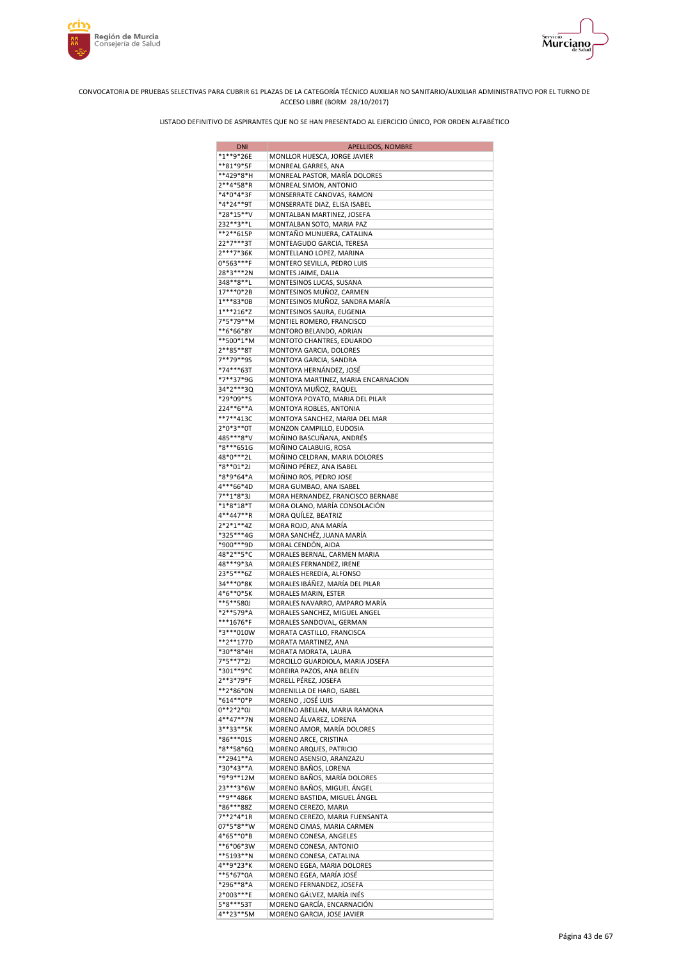



| <b>DNI</b>             | APELLIDOS, NOMBRE                                            |
|------------------------|--------------------------------------------------------------|
| *1**9*26E              | MONLLOR HUESCA, JORGE JAVIER                                 |
| **81*9*5F              | MONREAL GARRES, ANA                                          |
| **429*8*H              | MONREAL PASTOR, MARÍA DOLORES                                |
| 2**4*58*R              | MONREAL SIMON, ANTONIO                                       |
| *4*0*4*3F              | MONSERRATE CANOVAS, RAMON                                    |
| *4*24**9T<br>*28*15**V | MONSERRATE DIAZ, ELISA ISABEL<br>MONTALBAN MARTINEZ, JOSEFA  |
| 232**3**L              | MONTALBAN SOTO, MARIA PAZ                                    |
| **2**615P              | MONTAÑO MUNUERA, CATALINA                                    |
| 22*7***3T              | MONTEAGUDO GARCIA, TERESA                                    |
| 2***7*36K              | MONTELLANO LOPEZ, MARINA                                     |
| 0*563***F              | MONTERO SEVILLA, PEDRO LUIS                                  |
| 28*3***2N              | MONTES JAIME, DALIA                                          |
| 348**8**L              | MONTESINOS LUCAS, SUSANA                                     |
| 17***0*2B<br>1***83*0B | MONTESINOS MUÑOZ, CARMEN                                     |
| $1***216*Z$            | MONTESINOS MUÑOZ, SANDRA MARÍA<br>MONTESINOS SAURA, EUGENIA  |
| 7*5*79**M              | MONTIEL ROMERO, FRANCISCO                                    |
| **6*66*8Y              | MONTORO BELANDO, ADRIAN                                      |
| **500*1*M              | MONTOTO CHANTRES, EDUARDO                                    |
| 2**85**8T              | MONTOYA GARCIA, DOLORES                                      |
| 7**79**9S              | MONTOYA GARCIA, SANDRA                                       |
| *74***63T              | MONTOYA HERNÁNDEZ, JOSÉ                                      |
| *7**37*9G              | MONTOYA MARTINEZ, MARIA ENCARNACION                          |
| 34*2***3Q<br>*29*09**S | MONTOYA MUÑOZ, RAQUEL<br>MONTOYA POYATO, MARIA DEL PILAR     |
| 224**6**A              | MONTOYA ROBLES, ANTONIA                                      |
| **7**413C              | MONTOYA SANCHEZ, MARIA DEL MAR                               |
| 2*0*3**0T              | MONZON CAMPILLO, EUDOSIA                                     |
| 485***8*V              | MOÑINO BASCUÑANA, ANDRÉS                                     |
| *8***651G              | MOÑINO CALABUIG, ROSA                                        |
| 48*0***2L              | MOÑINO CELDRAN, MARIA DOLORES                                |
| *8**01*2J              | MOÑINO PÉREZ, ANA ISABEL                                     |
| *8*9*64*A<br>4***66*4D | MOÑINO ROS, PEDRO JOSE                                       |
| 7**1*8*3J              | MORA GUMBAO, ANA ISABEL<br>MORA HERNANDEZ, FRANCISCO BERNABE |
| *1*8*18*T              | MORA OLANO, MARÍA CONSOLACIÓN                                |
| 4**447**R              | MORA QUILEZ, BEATRIZ                                         |
| $2*2*1**4Z$            | MORA ROJO, ANA MARÍA                                         |
| *325***4G              | MORA SANCHÉZ, JUANA MARÍA                                    |
| *900***9D              | MORAL CENDÓN, AIDA                                           |
| 48*2**5*C              | MORALES BERNAL, CARMEN MARIA                                 |
| 48***9*3A<br>23*5***6Z | MORALES FERNANDEZ, IRENE<br>MORALES HEREDIA, ALFONSO         |
| 34***0*8K              | MORALES IBÁÑEZ, MARÍA DEL PILAR                              |
| 4*6**0*5K              | MORALES MARIN, ESTER                                         |
| **5**580J              | MORALES NAVARRO, AMPARO MARÍA                                |
| *2**579*A              | MORALES SANCHEZ, MIGUEL ANGEL                                |
| ***1676*F              | MORALES SANDOVAL, GERMAN                                     |
| *3***010W              | MORATA CASTILLO, FRANCISCA                                   |
| **2**177D              | MORATA MARTINEZ, ANA                                         |
| *30**8*4H<br>7*5**7*2J | MORATA MORATA, LAURA<br>MORCILLO GUARDIOLA, MARIA JOSEFA     |
| *301**9*C              | MOREIRA PAZOS, ANA BELEN                                     |
| 2**3*79*F              | MORELL PÉREZ, JOSEFA                                         |
| **2*86*0N              | MORENILLA DE HARO, ISABEL                                    |
| *614**0*P              | MORENO, JOSÉ LUIS                                            |
| 0**2*2*0J              | MORENO ABELLAN, MARIA RAMONA                                 |
| 4**47**7N              | MORENO ÁLVAREZ, LORENA                                       |
| 3**33**5K              | MORENO AMOR, MARÍA DOLORES                                   |
| *86***015<br>*8**58*6Q | MORENO ARCE, CRISTINA<br>MORENO ARQUES, PATRICIO             |
| **2941**A              | MORENO ASENSIO, ARANZAZU                                     |
| *30*43**A              | MORENO BAÑOS, LORENA                                         |
| *9*9**12M              | MORENO BAÑOS, MARÍA DOLORES                                  |
| 23***3*6W              | MORENO BAÑOS, MIGUEL ANGEL                                   |
| **9**486K              | MORENO BASTIDA, MIGUEL ÁNGEL                                 |
| *86***88Z              | MORENO CEREZO, MARIA                                         |
| 7**2*4*1R              | MORENO CEREZO, MARIA FUENSANTA                               |
| 07*5*8**W<br>4*65**0*B | MORENO CIMAS, MARIA CARMEN<br>MORENO CONESA, ANGELES         |
| **6*06*3W              | MORENO CONESA, ANTONIO                                       |
| **5193**N              | MORENO CONESA, CATALINA                                      |
| 4**9*23*K              | MORENO EGEA, MARIA DOLORES                                   |
| **5*67*0A              | MORENO EGEA, MARÍA JOSÉ                                      |
| *296**8*A              | MORENO FERNANDEZ, JOSEFA                                     |
| 2*003***E              | MORENO GÁLVEZ, MARÍA INÉS                                    |
| 5*8***53T              | MORENO GARCÍA, ENCARNACIÓN                                   |
| 4**23**5M              | MORENO GARCIA, JOSE JAVIER                                   |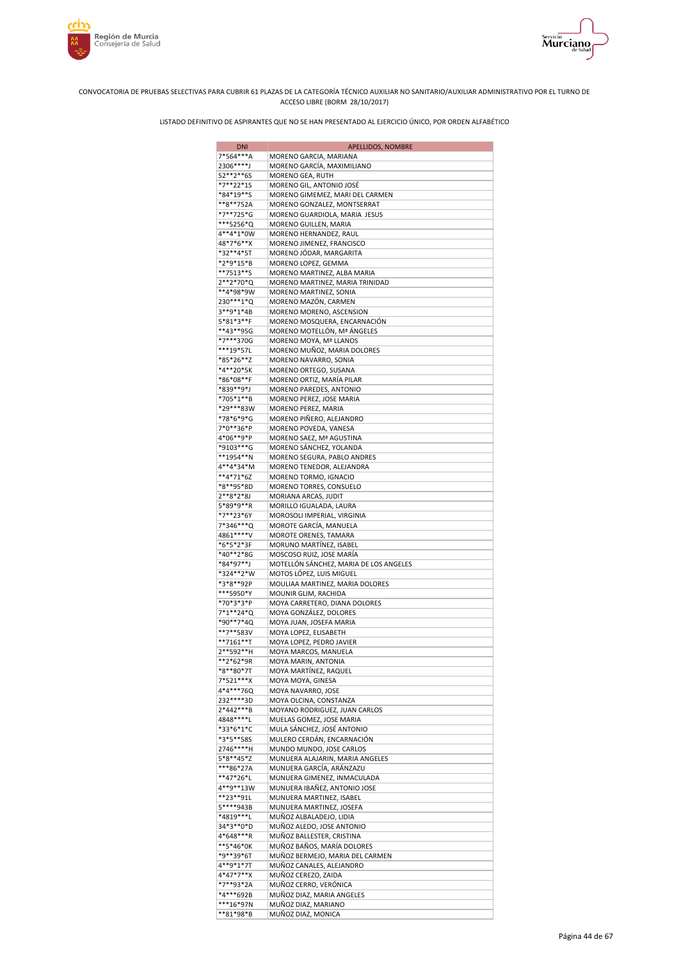





| <b>DNI</b>             | APELLIDOS, NOMBRE                                           |
|------------------------|-------------------------------------------------------------|
| 7*564***A              | MORENO GARCIA, MARIANA                                      |
| 2306****J              | MORENO GARCÍA, MAXIMILIANO                                  |
| 52**2**6S              | MORENO GEA, RUTH                                            |
| *7**22*1S<br>*84*19**S | MORENO GIL, ANTONIO JOSÉ<br>MORENO GIMEMEZ, MARI DEL CARMEN |
| **8**752A              | MORENO GONZALEZ, MONTSERRAT                                 |
| *7**725*G              | MORENO GUARDIOLA, MARIA JESUS                               |
| ***5256*Q              | MORENO GUILLEN, MARIA                                       |
| 4**4*1*0W              | MORENO HERNANDEZ, RAUL                                      |
| 48*7*6**X              | MORENO JIMENEZ, FRANCISCO                                   |
| *32**4*5T<br>*2*9*15*B | MORENO JÓDAR, MARGARITA                                     |
| **7513**S              | MORENO LOPEZ, GEMMA<br>MORENO MARTINEZ, ALBA MARIA          |
| 2**2*70*Q              | MORENO MARTINEZ, MARIA TRINIDAD                             |
| **4*98*9W              | MORENO MARTINEZ, SONIA                                      |
| 230***1*Q              | MORENO MAZÓN, CARMEN                                        |
| 3**9*1*4B              | MORENO MORENO, ASCENSION                                    |
| 5*81*3**F              | MORENO MOSQUERA, ENCARNACIÓN                                |
| **43**95G<br>*7***370G | MORENO MOTELLÓN, Mª ANGELES                                 |
| ***19*57L              | MORENO MOYA, Mª LLANOS<br>MORENO MUÑOZ, MARIA DOLORES       |
| *85*26**Z              | MORENO NAVARRO, SONIA                                       |
| *4**20*5K              | MORENO ORTEGO, SUSANA                                       |
| *86*08**F              | MORENO ORTIZ, MARÍA PILAR                                   |
| *839**9*J              | MORENO PAREDES, ANTONIO                                     |
| *705*1**B              | MORENO PEREZ, JOSE MARIA                                    |
| *29***83W              | MORENO PEREZ, MARIA                                         |
| *78*6*9*G<br>7*0**36*P | MORENO PIÑERO, ALEJANDRO<br>MORENO POVEDA, VANESA           |
| 4*06**9*P              | MORENO SAEZ, Mª AGUSTINA                                    |
| *9103***G              | MORENO SÁNCHEZ, YOLANDA                                     |
| **1954**N              | MORENO SEGURA, PABLO ANDRES                                 |
| 4**4*34*M              | MORENO TENEDOR, ALEJANDRA                                   |
| $**4*71*6Z$            | MORENO TORMO, IGNACIO                                       |
| *8**95*8D              | MORENO TORRES, CONSUELO                                     |
| 2**8*2*8J<br>5*89*9**R | MORIANA ARCAS, JUDIT<br>MORILLO IGUALADA, LAURA             |
| *7**23*6Y              | MOROSOLI IMPERIAL, VIRGINIA                                 |
| 7*346***Q              | MOROTE GARCÍA, MANUELA                                      |
| 4861****V              | MOROTE ORENES, TAMARA                                       |
| *6*5*2*3F              | MORUNO MARTÍNEZ, ISABEL                                     |
| *40**2*8G              | MOSCOSO RUIZ, JOSE MARÍA                                    |
| *84*97**J<br>*324**2*W | MOTELLÓN SÁNCHEZ, MARIA DE LOS ANGELES                      |
| *3*8**92P              | MOTOS LÓPEZ, LUIS MIGUEL<br>MOULIAA MARTINEZ, MARIA DOLORES |
| ***5950*Y              | MOUNIR GLIM, RACHIDA                                        |
| *70*3*3*P              | MOYA CARRETERO, DIANA DOLORES                               |
| 7*1**24*Q              | MOYA GONZÁLEZ, DOLORES                                      |
| *90**7*4Q              | MOYA JUAN, JOSEFA MARIA                                     |
| **7**583V              | MOYA LOPEZ, ELISABETH                                       |
| **7161**T<br>2**592**H | MOYA LOPEZ, PEDRO JAVIER<br>MOYA MARCOS, MANUELA            |
| **2*62*9R              | MOYA MARIN, ANTONIA                                         |
| *8**80*7T              | MOYA MARTÍNEZ, RAQUEL                                       |
| 7*521***X              | MOYA MOYA, GINESA                                           |
| 4*4***760              | MOYA NAVARRO, JOSE                                          |
| 232 **** 3D            | MOYA OLCINA, CONSTANZA                                      |
| 2*442***B<br>4848****L | MOYANO RODRIGUEZ, JUAN CARLOS                               |
| *33*6*1*C              | MUELAS GOMEZ, JOSE MARIA<br>MULA SÁNCHEZ, JOSÉ ANTONIO      |
| *3*5**585              | MULERO CERDÁN, ENCARNACIÓN                                  |
| 2746****H              | MUNDO MUNDO, JOSE CARLOS                                    |
| 5*8**45*Z              | MUNUERA ALAJARIN, MARIA ANGELES                             |
| ***86*27A              | MUNUERA GARCÍA, ARÁNZAZU                                    |
| **47*26*L              | MUNUERA GIMENEZ, INMACULADA                                 |
| 4**9**13W<br>**23**91L | MUNUERA IBAÑEZ, ANTONIO JOSE<br>MUNUERA MARTINEZ, ISABEL    |
| 5****943B              | MUNUERA MARTINEZ, JOSEFA                                    |
| *4819***L              | MUÑOZ ALBALADEJO, LIDIA                                     |
| 34*3**0*D              | MUÑOZ ALEDO, JOSE ANTONIO                                   |
| 4*648***R              | MUÑOZ BALLESTER, CRISTINA                                   |
| **5*46*0K              | MUÑOZ BAÑOS, MARÍA DOLORES                                  |
| *9**39*6T              | MUÑOZ BERMEJO, MARIA DEL CARMEN                             |
| 4**9*1*7T              | MUÑOZ CANALES, ALEJANDRO                                    |
| 4*47*7**X<br>*7**93*2A | MUÑOZ CEREZO, ZAIDA<br>MUÑOZ CERRO, VERÓNICA                |
| *4***692B              | MUÑOZ DIAZ, MARIA ANGELES                                   |
| ***16*97N              | MUÑOZ DIAZ, MARIANO                                         |
| **81*98*B              | MUÑOZ DIAZ, MONICA                                          |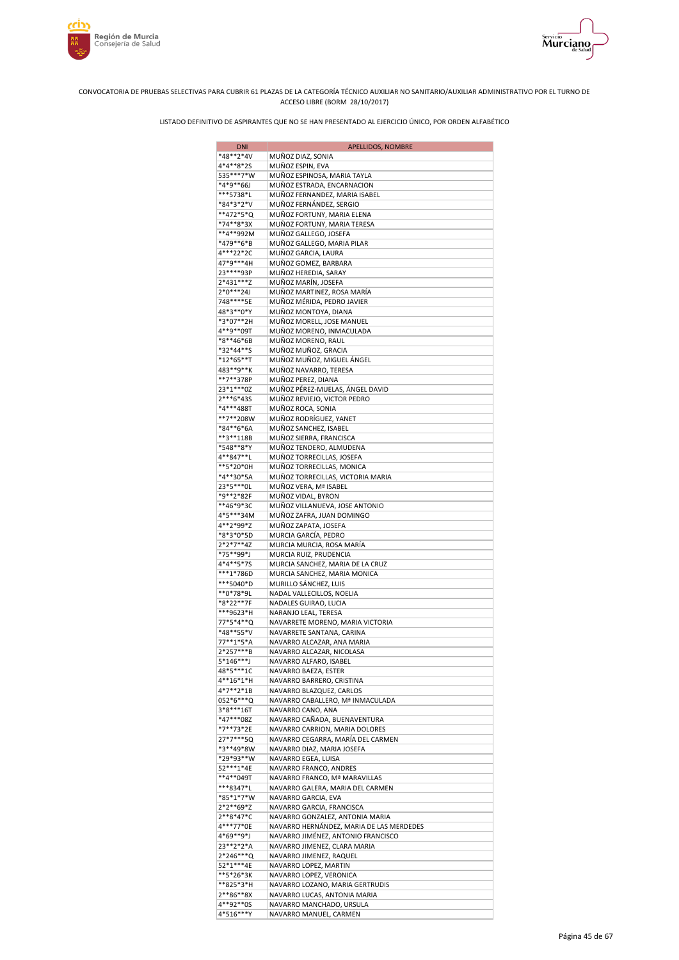



| <b>DNI</b>             | APELLIDOS, NOMBRE                                               |
|------------------------|-----------------------------------------------------------------|
| *48**2*4V              | MUÑOZ DIAZ, SONIA                                               |
| 4*4**8*2S              | MUÑOZ ESPIN, EVA                                                |
| 535***7*W              | MUÑOZ ESPINOSA, MARIA TAYLA                                     |
| *4*9**66J<br>***5738*L | MUÑOZ ESTRADA, ENCARNACION                                      |
| *84*3*2*V              | MUÑOZ FERNANDEZ, MARIA ISABEL<br>MUÑOZ FERNÁNDEZ, SERGIO        |
| **472*5*Q              | MUÑOZ FORTUNY, MARIA ELENA                                      |
| *74**8*3X              | MUÑOZ FORTUNY, MARIA TERESA                                     |
| **4**992M              | MUÑOZ GALLEGO, JOSEFA                                           |
| *479**6*B              | MUÑOZ GALLEGO, MARIA PILAR                                      |
| 4***22*2C              | MUÑOZ GARCIA, LAURA                                             |
| 47*9***4H              | MUÑOZ GOMEZ, BARBARA                                            |
| 23****93P<br>2*431***Z | MUÑOZ HEREDIA, SARAY<br>MUÑOZ MARÍN, JOSEFA                     |
| 2*0***24J              | MUÑOZ MARTINEZ, ROSA MARÍA                                      |
| 748****5E              | MUÑOZ MÉRIDA, PEDRO JAVIER                                      |
| 48*3**0*Y              | MUÑOZ MONTOYA, DIANA                                            |
| *3*07**2H              | MUÑOZ MORELL, JOSE MANUEL                                       |
| 4**9**09T              | MUÑOZ MORENO, INMACULADA                                        |
| *8**46*6B              | MUÑOZ MORENO, RAUL                                              |
| *32*44**S              | MUÑOZ MUÑOZ, GRACIA                                             |
| *12*65**T<br>483**9**K | MUÑOZ MUÑOZ, MIGUEL ÁNGEL<br>MUÑOZ NAVARRO, TERESA              |
| **7**378P              | MUÑOZ PEREZ, DIANA                                              |
| 23*1***0Z              | MUÑOZ PÉREZ-MUELAS, ÁNGEL DAVID                                 |
| 2***6*435              | MUÑOZ REVIEJO, VICTOR PEDRO                                     |
| *4***488T              | MUÑOZ ROCA, SONIA                                               |
| **7**208W              | MUÑOZ RODRÍGUEZ, YANET                                          |
| *84**6*6A              | MUÑOZ SANCHEZ, ISABEL                                           |
| **3**118B              | MUÑOZ SIERRA, FRANCISCA                                         |
| *548**8*Y              | MUÑOZ TENDERO, ALMUDENA                                         |
| 4**847**L<br>**5*20*0H | MUÑOZ TORRECILLAS, JOSEFA<br>MUÑOZ TORRECILLAS, MONICA          |
| *4**30*5A              | MUÑOZ TORRECILLAS, VICTORIA MARIA                               |
| 23*5***0L              | MUÑOZ VERA, Mª ISABEL                                           |
| *9**2*82F              | MUÑOZ VIDAL, BYRON                                              |
| **46*9*3C              | MUÑOZ VILLANUEVA, JOSE ANTONIO                                  |
| 4*5***34M              | MUÑOZ ZAFRA, JUAN DOMINGO                                       |
| 4**2*99*Z              | MUÑOZ ZAPATA, JOSEFA                                            |
| *8*3*0*5D              | MURCIA GARCÍA, PEDRO                                            |
| 2*2*7**4Z<br>*75**99*J | MURCIA MURCIA, ROSA MARÍA<br>MURCIA RUIZ, PRUDENCIA             |
| 4*4**5*7S              | MURCIA SANCHEZ, MARIA DE LA CRUZ                                |
| ***1*786D              | MURCIA SANCHEZ, MARIA MONICA                                    |
| ***5040*D              | MURILLO SÁNCHEZ, LUIS                                           |
| **0*78*9L              | NADAL VALLECILLOS, NOELIA                                       |
| *8*22**7F              | NADALES GUIRAO, LUCIA                                           |
| ***9623*H              | NARANJO LEAL, TERESA                                            |
| 77*5*4**Q              | NAVARRETE MORENO, MARIA VICTORIA                                |
| *48**55*V<br>77**1*5*A | NAVARRETE SANTANA, CARINA<br>NAVARRO ALCAZAR, ANA MARIA         |
| $2*257***$             | NAVARRO ALCAZAR, NICOLASA                                       |
| 5*146***J              | NAVARRO ALFARO, ISABEL                                          |
| 48*5***1C              | NAVARRO BAEZA, ESTER                                            |
| 4**16*1*H              | NAVARRO BARRERO, CRISTINA                                       |
| 4*7**2*1B              | NAVARRO BLAZQUEZ, CARLOS                                        |
| 052*6***Q              | NAVARRO CABALLERO, Mª INMACULADA                                |
| 3*8***16T<br>*47***08Z | NAVARRO CANO, ANA<br>NAVARRO CAÑADA, BUENAVENTURA               |
| *7**73*2E              | NAVARRO CARRION, MARIA DOLORES                                  |
| 27*7***5Q              | NAVARRO CEGARRA, MARÍA DEL CARMEN                               |
| *3**49*8W              | NAVARRO DIAZ, MARIA JOSEFA                                      |
| *29*93**W              | NAVARRO EGEA, LUISA                                             |
| 52***1*4E              | NAVARRO FRANCO, ANDRES                                          |
| **4**049T              | NAVARRO FRANCO, Mª MARAVILLAS                                   |
| ***8347*L              | NAVARRO GALERA, MARIA DEL CARMEN                                |
| *85*1*7*W<br>2*2**69*Z | NAVARRO GARCIA, EVA<br>NAVARRO GARCIA, FRANCISCA                |
| 2**8*47*C              | NAVARRO GONZALEZ, ANTONIA MARIA                                 |
| 4***77*0E              | NAVARRO HERNÁNDEZ, MARIA DE LAS MERDEDES                        |
| 4*69**9*J              | NAVARRO JIMÉNEZ, ANTONIO FRANCISCO                              |
| 23**2*2*A              | NAVARRO JIMENEZ, CLARA MARIA                                    |
| 2*246***Q              | NAVARRO JIMENEZ, RAQUEL                                         |
| 52*1***4E              | NAVARRO LOPEZ, MARTIN                                           |
| **5*26*3K              | NAVARRO LOPEZ, VERONICA                                         |
| **825*3*H<br>2**86**8X | NAVARRO LOZANO, MARIA GERTRUDIS<br>NAVARRO LUCAS, ANTONIA MARIA |
| 4**92**0S              | NAVARRO MANCHADO, URSULA                                        |
| 4*516***Y              | NAVARRO MANUEL, CARMEN                                          |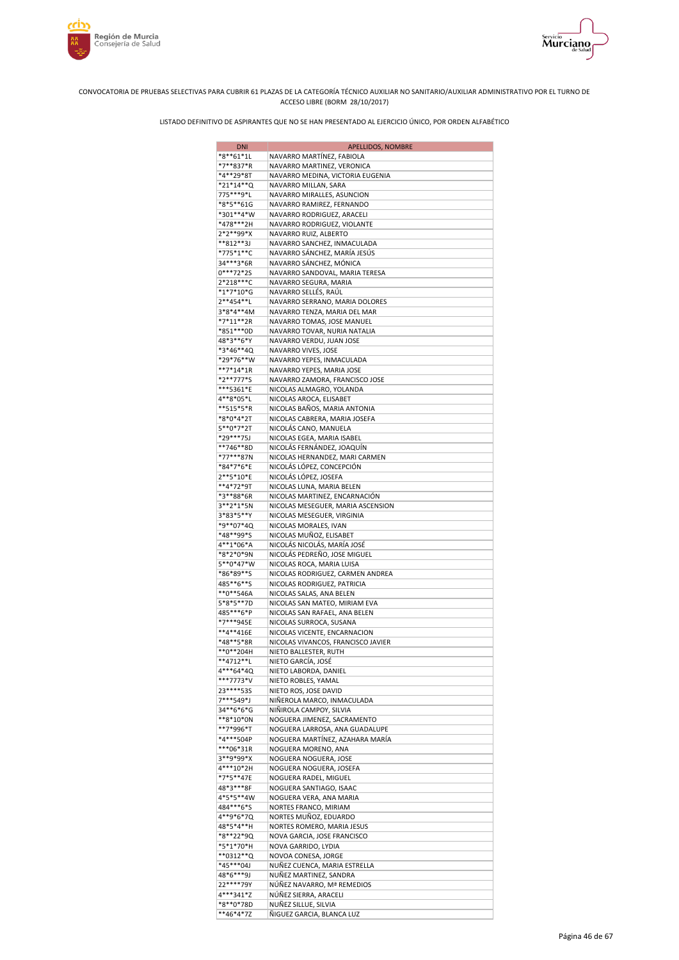



| <b>DNI</b>                | APELLIDOS, NOMBRE                                              |
|---------------------------|----------------------------------------------------------------|
| *8**61*1L                 | NAVARRO MARTÍNEZ, FABIOLA                                      |
| *7**837*R                 | NAVARRO MARTINEZ, VERONICA                                     |
| *4**29*8T                 | NAVARRO MEDINA, VICTORIA EUGENIA                               |
| *21*14**Q                 | NAVARRO MILLAN, SARA                                           |
| 775***9*L                 | NAVARRO MIRALLES, ASUNCION                                     |
| *8*5**61G                 | NAVARRO RAMIREZ, FERNANDO                                      |
| *301**4*W<br>*478***2H    | NAVARRO RODRIGUEZ, ARACELI<br>NAVARRO RODRIGUEZ, VIOLANTE      |
| 2*2**99*X                 | NAVARRO RUIZ, ALBERTO                                          |
| **812**3J                 | NAVARRO SANCHEZ, INMACULADA                                    |
| *775*1**C                 | NAVARRO SÁNCHEZ, MARÍA JESÚS                                   |
| 34***3*6R                 | NAVARRO SÁNCHEZ, MÓNICA                                        |
| $0***72*2S$               | NAVARRO SANDOVAL, MARIA TERESA                                 |
| 2*218***C                 | NAVARRO SEGURA, MARIA                                          |
| *1*7*10*G                 | NAVARRO SELLÉS, RAÚL                                           |
| 2**454**L                 | NAVARRO SERRANO, MARIA DOLORES                                 |
| 3*8*4**4M                 | NAVARRO TENZA, MARIA DEL MAR                                   |
| *7*11**2R                 | NAVARRO TOMAS, JOSE MANUEL                                     |
| *851***0D                 | NAVARRO TOVAR, NURIA NATALIA                                   |
| 48*3**6*Y                 | NAVARRO VERDU, JUAN JOSE                                       |
| *3*46**4Q<br>*29*76**W    | NAVARRO VIVES, JOSE                                            |
| **7*14*1R                 | NAVARRO YEPES, INMACULADA<br>NAVARRO YEPES, MARIA JOSE         |
| *2**777*S                 | NAVARRO ZAMORA, FRANCISCO JOSE                                 |
| ***5361*E                 | NICOLAS ALMAGRO, YOLANDA                                       |
| 4**8*05*L                 | NICOLAS AROCA, ELISABET                                        |
| **515*5*R                 | NICOLAS BAÑOS, MARIA ANTONIA                                   |
| *8*0*4*2T                 | NICOLAS CABRERA, MARIA JOSEFA                                  |
| 5**0*7*2T                 | NICOLÁS CANO, MANUELA                                          |
| *29***75J                 | NICOLAS EGEA, MARIA ISABEL                                     |
| **746**8D                 | NICOLÁS FERNÁNDEZ, JOAQUÍN                                     |
| *77***87N                 | NICOLAS HERNANDEZ, MARI CARMEN                                 |
| *84*7*6*E                 | NICOLÁS LÓPEZ, CONCEPCIÓN                                      |
| 2**5*10*E                 | NICOLÁS LÓPEZ, JOSEFA                                          |
| **4*72*9T<br>*3**88*6R    | NICOLAS LUNA, MARIA BELEN<br>NICOLAS MARTINEZ, ENCARNACIÓN     |
| 3**2*1*5N                 | NICOLAS MESEGUER, MARIA ASCENSION                              |
| 3*83*5**Y                 | NICOLAS MESEGUER, VIRGINIA                                     |
| *9**07*4Q                 | NICOLAS MORALES, IVAN                                          |
| *48**99*S                 | NICOLAS MUÑOZ, ELISABET                                        |
| 4**1*06*A                 | NICOLÁS NICOLÁS, MARÍA JOSÉ                                    |
| *8*2*0*9N                 | NICOLÁS PEDREÑO, JOSE MIGUEL                                   |
| 5**0*47*W                 | NICOLAS ROCA, MARIA LUISA                                      |
| *86*89**S                 | NICOLAS RODRIGUEZ, CARMEN ANDREA                               |
| 485**6**S                 | NICOLAS RODRIGUEZ, PATRICIA                                    |
| $*$ *0**546A<br>5*8*5**7D | NICOLAS SALAS, ANA BELEN                                       |
| 485***6*P                 | NICOLAS SAN MATEO, MIRIAM EVA<br>NICOLAS SAN RAFAEL, ANA BELEN |
| *7***945E                 | NICOLAS SURROCA, SUSANA                                        |
| **4**416E                 | NICOLAS VICENTE, ENCARNACION                                   |
| *48**5*8R                 | NICOLAS VIVANCOS, FRANCISCO JAVIER                             |
| **0**204H                 | NIETO BALLESTER, RUTH                                          |
| **4712**L                 | NIETO GARCÍA, JOSÉ                                             |
| 4***64*4Q                 | NIETO LABORDA, DANIEL                                          |
| ***7773*V                 | NIETO ROBLES, YAMAL                                            |
| 23 **** 535               | NIETO ROS, JOSE DAVID                                          |
| 7***549*J                 | NIÑEROLA MARCO, INMACULADA                                     |
| 34**6*6*G<br>**8*10*0N    | NIÑIROLA CAMPOY, SILVIA                                        |
| **7*996*T                 | NOGUERA JIMENEZ, SACRAMENTO<br>NOGUERA LARROSA, ANA GUADALUPE  |
| *4***504P                 | NOGUERA MARTÍNEZ, AZAHARA MARÍA                                |
| ***06*31R                 | NOGUERA MORENO, ANA                                            |
| 3**9*99*X                 | NOGUERA NOGUERA, JOSE                                          |
| 4***10*2H                 | NOGUERA NOGUERA, JOSEFA                                        |
| *7*5**47E                 | NOGUERA RADEL, MIGUEL                                          |
| 48*3***8F                 | NOGUERA SANTIAGO, ISAAC                                        |
| 4*5*5**4W                 | NOGUERA VERA, ANA MARIA                                        |
| 484***6*S                 | NORTES FRANCO, MIRIAM                                          |
| 4**9*6*7Q                 | NORTES MUÑOZ, EDUARDO                                          |
| 48*5*4**H                 | NORTES ROMERO, MARIA JESUS                                     |
| *8**22*9Q<br>*5*1*70*H    | NOVA GARCIA, JOSE FRANCISCO<br>NOVA GARRIDO, LYDIA             |
| **0312**Q                 | NOVOA CONESA, JORGE                                            |
| *45***04J                 | NUÑEZ CUENCA, MARIA ESTRELLA                                   |
| 48*6***9J                 | NUÑEZ MARTINEZ, SANDRA                                         |
| 22****79Y                 | NÚÑEZ NAVARRO, Mª REMEDIOS                                     |
| 4***341*Z                 | NÚÑEZ SIERRA, ARACELI                                          |
| *8**0*78D                 | NUÑEZ SILLUE, SILVIA                                           |
| **46*4*7Z                 | ÑIGUEZ GARCIA, BLANCA LUZ                                      |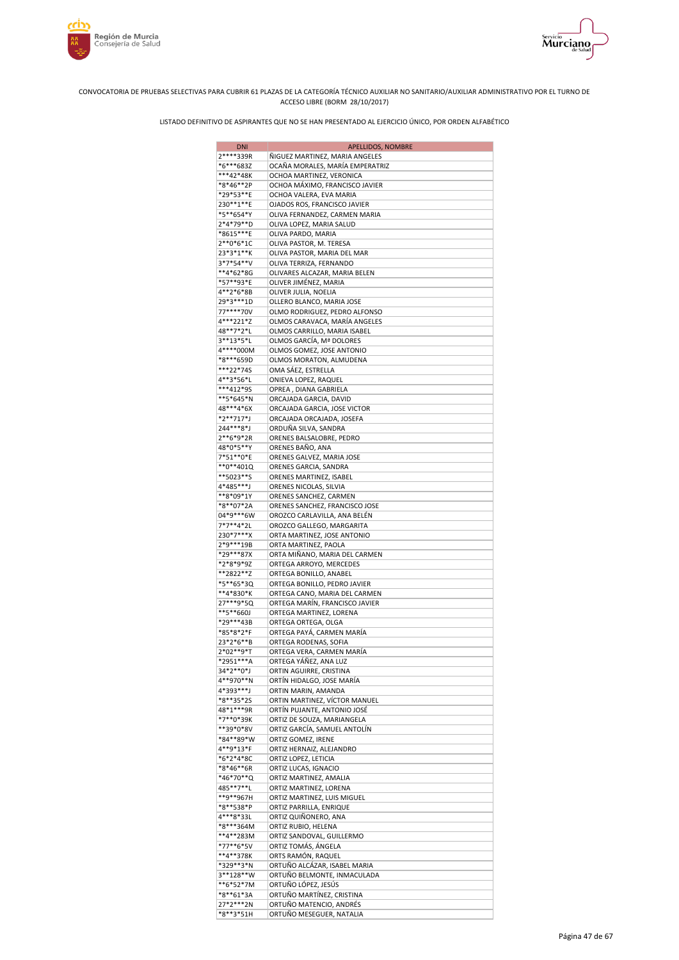



| <b>DNI</b>               | <b>APELLIDOS, NOMBRE</b>                                        |
|--------------------------|-----------------------------------------------------------------|
| 2****339R                | ÑIGUEZ MARTINEZ, MARIA ANGELES                                  |
| *6***683Z                | OCAÑA MORALES, MARÍA EMPERATRIZ                                 |
| ***42*48K<br>*8*46**2P   | OCHOA MARTINEZ, VERONICA<br>OCHOA MÁXIMO, FRANCISCO JAVIER      |
| *29*53**E                | OCHOA VALERA, EVA MARIA                                         |
| 230**1**E                | OJADOS ROS, FRANCISCO JAVIER                                    |
| *5**654*Y                | OLIVA FERNANDEZ, CARMEN MARIA                                   |
| 2*4*79**D                | OLIVA LOPEZ, MARIA SALUD                                        |
| *8615***E                | OLIVA PARDO, MARIA                                              |
| $2**0*6*1C$<br>23*3*1**K | OLIVA PASTOR, M. TERESA                                         |
| 3*7*54**V                | OLIVA PASTOR, MARIA DEL MAR<br>OLIVA TERRIZA, FERNANDO          |
| **4*62*8G                | OLIVARES ALCAZAR, MARIA BELEN                                   |
| *57**93*E                | OLIVER JIMÉNEZ, MARIA                                           |
| 4**2*6*8B                | OLIVER JULIA, NOELIA                                            |
| 29*3***1D                | OLLERO BLANCO, MARIA JOSE                                       |
| 77****70V<br>4***221*Z   | OLMO RODRIGUEZ, PEDRO ALFONSO                                   |
| 48**7*2*L                | OLMOS CARAVACA, MARÍA ANGELES<br>OLMOS CARRILLO, MARIA ISABEL   |
| 3**13*5*L                | OLMOS GARCÍA, Mª DOLORES                                        |
| 4****000M                | OLMOS GOMEZ, JOSE ANTONIO                                       |
| *8***659D                | OLMOS MORATON, ALMUDENA                                         |
| ***22*74S                | OMA SÁEZ, ESTRELLA                                              |
| 4**3*56*L                | ONIEVA LOPEZ, RAQUEL                                            |
| ***412*95<br>**5*645*N   | OPREA, DIANA GABRIELA<br>ORCAJADA GARCIA, DAVID                 |
| 48***4*6X                | ORCAJADA GARCIA, JOSE VICTOR                                    |
| *2**717*J                | ORCAJADA ORCAJADA, JOSEFA                                       |
| 244***8*J                | ORDUÑA SILVA, SANDRA                                            |
| 2**6*9*2R                | ORENES BALSALOBRE, PEDRO                                        |
| 48*0*5**Y                | ORENES BAÑO, ANA                                                |
| 7*51**0*E                | ORENES GALVEZ, MARIA JOSE                                       |
| **0**401Q<br>**5023**S   | ORENES GARCIA, SANDRA<br>ORENES MARTINEZ, ISABEL                |
| 4*485***J                | ORENES NICOLAS, SILVIA                                          |
| **8*09*1Y                | ORENES SANCHEZ, CARMEN                                          |
| *8**07*2A                | ORENES SANCHEZ, FRANCISCO JOSE                                  |
| 04*9***6W                | OROZCO CARLAVILLA, ANA BELÉN                                    |
| 7*7**4*2L                | OROZCO GALLEGO, MARGARITA                                       |
| 230*7***X<br>2*9***19B   | ORTA MARTINEZ, JOSE ANTONIO<br>ORTA MARTINEZ, PAOLA             |
| *29***87X                | ORTA MIÑANO, MARIA DEL CARMEN                                   |
| *2*8*9*9Z                | ORTEGA ARROYO, MERCEDES                                         |
| **2822**Z                | ORTEGA BONILLO, ANABEL                                          |
| *5**65*3Q                | ORTEGA BONILLO, PEDRO JAVIER                                    |
| **4*830*K<br>27***9*5Q   | ORTEGA CANO, MARIA DEL CARMEN<br>ORTEGA MARÍN, FRANCISCO JAVIER |
| **5**660J                | ORTEGA MARTINEZ, LORENA                                         |
| *29***43B                | ORTEGA ORTEGA, OLGA                                             |
| *85*8*2*F                | ORTEGA PAYÁ, CARMEN MARÍA                                       |
| 23*2*6**B                | ORTEGA RODENAS, SOFIA                                           |
| 2*02**9*T<br>*2951***A   | ORTEGA VERA, CARMEN MARÍA<br>ORTEGA YÁÑEZ, ANA LUZ              |
| 34*2**0*J                | ORTIN AGUIRRE, CRISTINA                                         |
| 4**970**N                | ORTÍN HIDALGO, JOSE MARÍA                                       |
| 4*393***J                | ORTIN MARIN, AMANDA                                             |
| *8**35*2S                | ORTIN MARTINEZ, VÍCTOR MANUEL                                   |
| 48*1***9R                | ORTÍN PUJANTE, ANTONIO JOSÉ                                     |
| *7**0*39K<br>**39*0*8V   | ORTIZ DE SOUZA, MARIANGELA<br>ORTIZ GARCÍA, SAMUEL ANTOLÍN      |
| *84**89*W                | ORTIZ GOMEZ, IRENE                                              |
| 4**9*13*F                | ORTIZ HERNAIZ, ALEJANDRO                                        |
| *6*2*4*8C                | ORTIZ LOPEZ, LETICIA                                            |
| *8*46**6R                | ORTIZ LUCAS, IGNACIO                                            |
| *46*70**Q<br>485**7**L   | ORTIZ MARTINEZ, AMALIA<br>ORTIZ MARTINEZ, LORENA                |
| **9**967H                | ORTIZ MARTINEZ, LUIS MIGUEL                                     |
| *8**538*P                | ORTIZ PARRILLA, ENRIQUE                                         |
| 4***8*33L                | ORTIZ QUIÑONERO, ANA                                            |
| *8***364M                | ORTIZ RUBIO, HELENA                                             |
| **4**283M                | ORTIZ SANDOVAL, GUILLERMO                                       |
| *77**6*5V<br>**4**378K   | ORTIZ TOMÁS, ÁNGELA<br>ORTS RAMÓN, RAQUEL                       |
| *329**3*N                | ORTUÑO ALCÁZAR, ISABEL MARIA                                    |
| 3**128**W                | ORTUÑO BELMONTE, INMACULADA                                     |
| **6*52*7M                | ORTUÑO LÓPEZ, JESÚS                                             |
| *8**61*3A                | ORTUÑO MARTÍNEZ, CRISTINA                                       |
| 27*2***2N                | ORTUÑO MATENCIO, ANDRÉS                                         |
| *8**3*51H                | ORTUÑO MESEGUER, NATALIA                                        |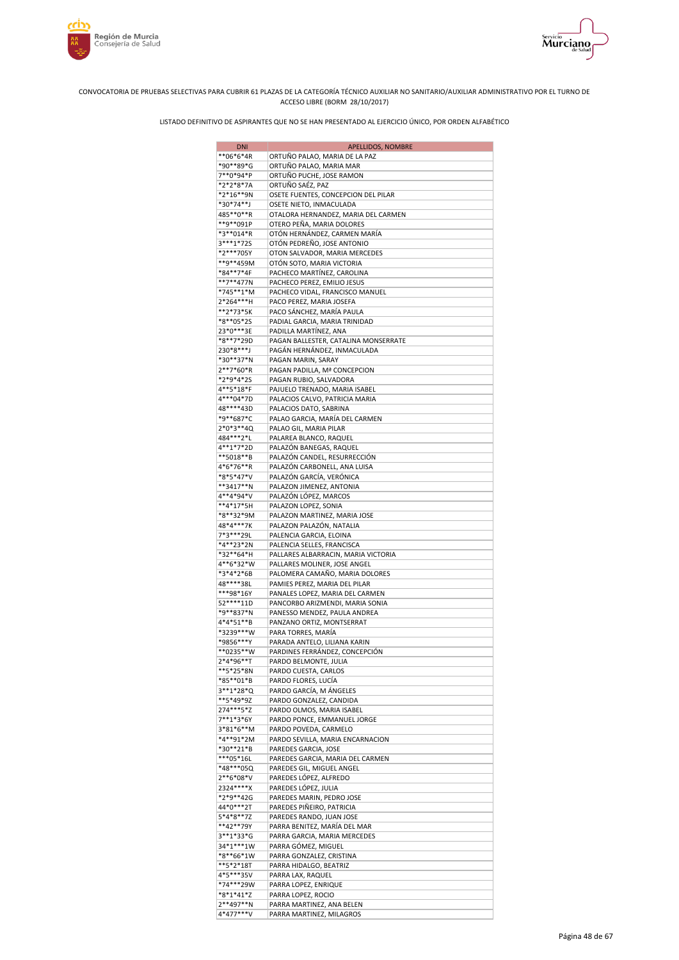





| <b>DNI</b>               | <b>APELLIDOS, NOMBRE</b>                                        |
|--------------------------|-----------------------------------------------------------------|
| **06*6*4R                | ORTUÑO PALAO, MARIA DE LA PAZ                                   |
| *90**89*G                | ORTUÑO PALAO, MARIA MAR                                         |
| 7**0*94*P                | ORTUÑO PUCHE, JOSE RAMON                                        |
| *2*2*8*7A                | ORTUÑO SAÉZ, PAZ                                                |
| *2*16**9N<br>*30*74**J   | OSETE FUENTES, CONCEPCION DEL PILAR<br>OSETE NIETO, INMACULADA  |
| 485**0**R                | OTALORA HERNANDEZ, MARIA DEL CARMEN                             |
| **9**091P                | OTERO PEÑA, MARIA DOLORES                                       |
| *3**014*R                | OTÓN HERNÁNDEZ, CARMEN MARÍA                                    |
| 3***1*725                | OTÓN PEDREÑO, JOSE ANTONIO                                      |
| *2***705Y                | OTON SALVADOR, MARIA MERCEDES                                   |
| **9**459M                | OTÓN SOTO, MARIA VICTORIA                                       |
| *84**7*4F<br>**7**477N   | PACHECO MARTÍNEZ, CAROLINA<br>PACHECO PEREZ, EMILIO JESUS       |
| *745**1*M                | PACHECO VIDAL, FRANCISCO MANUEL                                 |
| 2*264***H                | PACO PEREZ, MARIA JOSEFA                                        |
| **2*73*5K                | PACO SÁNCHEZ, MARÍA PAULA                                       |
| *8**05*2S                | PADIAL GARCIA, MARIA TRINIDAD                                   |
| 23*0***3E                | PADILLA MARTÍNEZ, ANA                                           |
| *8**7*29D                | PAGAN BALLESTER, CATALINA MONSERRATE                            |
| 230*8***J<br>*30**37*N   | PAGÁN HERNÁNDEZ, INMACULADA<br>PAGAN MARIN, SARAY               |
| 2**7*60*R                | PAGAN PADILLA, Mª CONCEPCION                                    |
| *2*9*4*2S                | PAGAN RUBIO, SALVADORA                                          |
| 4**5*18*F                | PAJUELO TRENADO, MARIA ISABEL                                   |
| 4***04*7D                | PALACIOS CALVO, PATRICIA MARIA                                  |
| 48****43D                | PALACIOS DATO, SABRINA                                          |
| *9**687*C                | PALAO GARCIA, MARÍA DEL CARMEN                                  |
| 2*0*3**4Q                | PALAO GIL, MARIA PILAR                                          |
| 484***2*L<br>4**1*7*2D   | PALAREA BLANCO, RAQUEL<br>PALAZÓN BANEGAS, RAQUEL               |
| **5018**B                | PALAZÓN CANDEL, RESURRECCIÓN                                    |
| 4*6*76**R                | PALAZÓN CARBONELL, ANA LUISA                                    |
| *8*5*47*V                | PALAZÓN GARCÍA, VERÓNICA                                        |
| **3417**N                | PALAZON JIMENEZ, ANTONIA                                        |
| 4**4*94*V                | PALAZÓN LÓPEZ, MARCOS                                           |
| **4*17*5H                | PALAZON LOPEZ, SONIA                                            |
| *8**32*9M<br>48*4***7K   | PALAZON MARTINEZ, MARIA JOSE<br>PALAZON PALAZÓN, NATALIA        |
| 7*3***29L                | PALENCIA GARCIA, ELOINA                                         |
| *4**23*2N                | PALENCIA SELLES, FRANCISCA                                      |
| *32**64*H                | PALLARES ALBARRACIN, MARIA VICTORIA                             |
| 4**6*32*W                | PALLARES MOLINER, JOSE ANGEL                                    |
| *3*4*2*6B                | PALOMERA CAMAÑO, MARIA DOLORES                                  |
| 48****38L                | PAMIES PEREZ, MARIA DEL PILAR                                   |
| ***98*16Y<br>52 **** 11D | PANALES LOPEZ, MARIA DEL CARMEN                                 |
| *9**837*N                | PANCORBO ARIZMENDI, MARIA SONIA<br>PANESSO MENDEZ, PAULA ANDREA |
| 4*4*51**B                | PANZANO ORTIZ, MONTSERRAT                                       |
| *3239***W                | PARA TORRES, MARÍA                                              |
| *9856***Y                | PARADA ANTELO, LILIANA KARIN                                    |
| $**0235**W$              | PARDINES FERRÁNDEZ, CONCEPCIÓN                                  |
| 2*4*96**T                | PARDO BELMONTE, JULIA                                           |
| **5*25*8N<br>*85**01*B   | PARDO CUESTA, CARLOS<br>PARDO FLORES, LUCÍA                     |
| 3**1*28*Q                | PARDO GARCÍA, M ÁNGELES                                         |
| **5*49*9Z                | PARDO GONZALEZ, CANDIDA                                         |
| 274***5*Z                | PARDO OLMOS, MARIA ISABEL                                       |
| 7**1*3*6Y                | PARDO PONCE, EMMANUEL JORGE                                     |
| 3*81*6**M                | PARDO POVEDA, CARMELO                                           |
| *4**91*2M                | PARDO SEVILLA, MARIA ENCARNACION                                |
| *30**21*B<br>***05*16L   | PAREDES GARCIA, JOSE<br>PAREDES GARCIA, MARIA DEL CARMEN        |
| *48***05Q                | PAREDES GIL, MIGUEL ANGEL                                       |
| 2**6*08*V                | PAREDES LÓPEZ, ALFREDO                                          |
| 2324****X                | PAREDES LÓPEZ, JULIA                                            |
| *2*9**42G                | PAREDES MARIN, PEDRO JOSE                                       |
| 44*0***2T                | PAREDES PIÑEIRO, PATRICIA                                       |
| 5*4*8**7Z                | PAREDES RANDO, JUAN JOSE                                        |
| **42**79Y<br>3**1*33*G   | PARRA BENITEZ, MARÍA DEL MAR<br>PARRA GARCIA, MARIA MERCEDES    |
| 34*1***1W                | PARRA GÓMEZ, MIGUEL                                             |
| *8**66*1W                | PARRA GONZALEZ, CRISTINA                                        |
| **5*2*18T                | PARRA HIDALGO, BEATRIZ                                          |
| 4*5***35V                | PARRA LAX, RAQUEL                                               |
| *74***29W                | PARRA LOPEZ, ENRIQUE                                            |
| *8*1*41*Z                | PARRA LOPEZ, ROCIO                                              |
| 2**497**N<br>4*477***V   | PARRA MARTINEZ, ANA BELEN<br>PARRA MARTINEZ, MILAGROS           |
|                          |                                                                 |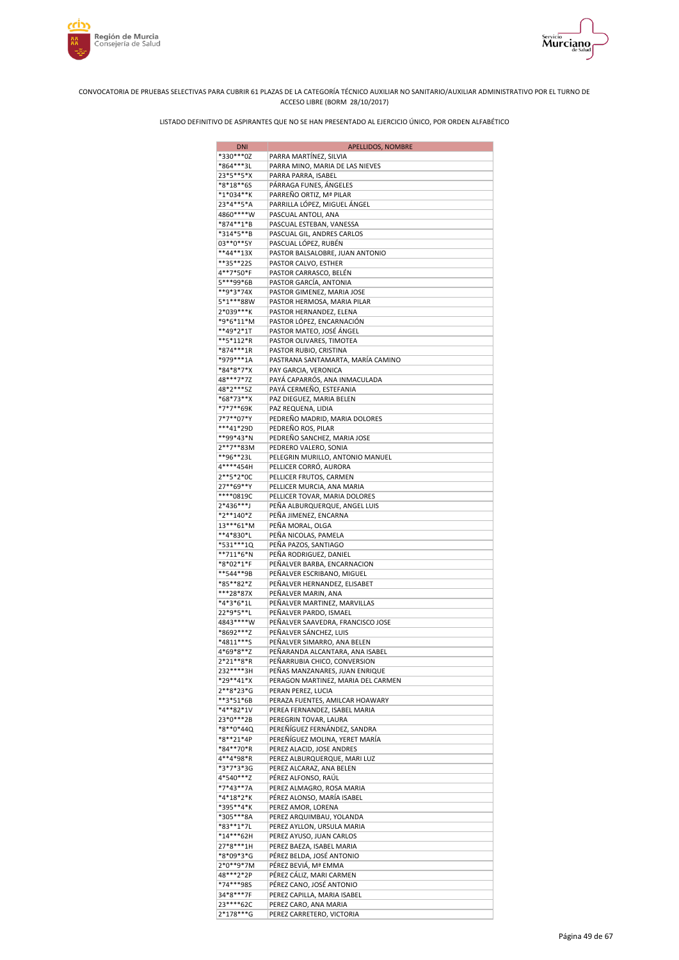



| <b>DNI</b>             | APELLIDOS, NOMBRE                                           |
|------------------------|-------------------------------------------------------------|
| *330***0Z              | PARRA MARTÍNEZ, SILVIA                                      |
| *864***3L              | PARRA MINO, MARIA DE LAS NIEVES                             |
| 23*5**5*X<br>*8*18**65 | PARRA PARRA, ISABEL<br>PÁRRAGA FUNES, ÁNGELES               |
| *1*034**K              | PARREÑO ORTIZ, Mª PILAR                                     |
| 23*4**5*A              | PARRILLA LÓPEZ, MIGUEL ÁNGEL                                |
| 4860****W              | PASCUAL ANTOLI, ANA                                         |
| *874**1*B              | PASCUAL ESTEBAN, VANESSA                                    |
| *314*5**B              | PASCUAL GIL, ANDRES CARLOS                                  |
| 03**0**5Y              | PASCUAL LÓPEZ, RUBÉN                                        |
| **44**13X              | PASTOR BALSALOBRE, JUAN ANTONIO                             |
| **35**22S<br>4**7*50*F | PASTOR CALVO, ESTHER                                        |
| 5***99*6B              | PASTOR CARRASCO, BELÉN<br>PASTOR GARCÍA, ANTONIA            |
| **9*3*74X              | PASTOR GIMENEZ, MARIA JOSE                                  |
| 5*1***88W              | PASTOR HERMOSA, MARIA PILAR                                 |
| 2*039***K              | PASTOR HERNANDEZ, ELENA                                     |
| *9*6*11*M              | PASTOR LÓPEZ, ENCARNACIÓN                                   |
| **49*2*1T              | PASTOR MATEO, JOSÉ ÁNGEL                                    |
| **5*112*R              | PASTOR OLIVARES, TIMOTEA                                    |
| *874***1R<br>*979***1A | PASTOR RUBIO, CRISTINA<br>PASTRANA SANTAMARTA, MARÍA CAMINO |
| *84*8*7*X              | PAY GARCIA, VERONICA                                        |
| 48***7*7Z              | PAYÁ CAPARRÓS, ANA INMACULADA                               |
| 48*2***5Z              | PAYÁ CERMEÑO, ESTEFANIA                                     |
| *68*73**X              | PAZ DIEGUEZ, MARIA BELEN                                    |
| *7*7**69K              | PAZ REQUENA, LIDIA                                          |
| 7*7**07*Y              | PEDREÑO MADRID, MARIA DOLORES                               |
| ***41*29D              | PEDREÑO ROS, PILAR                                          |
| **99*43*N<br>2**7**83M | PEDREÑO SANCHEZ, MARIA JOSE                                 |
| **96**23L              | PEDRERO VALERO, SONIA<br>PELEGRIN MURILLO, ANTONIO MANUEL   |
| 4****454H              | PELLICER CORRÓ, AURORA                                      |
| 2**5*2*0C              | PELLICER FRUTOS, CARMEN                                     |
| 27**69**Y              | PELLICER MURCIA, ANA MARIA                                  |
| ****0819C              | PELLICER TOVAR, MARIA DOLORES                               |
| 2*436***J              | PEÑA ALBURQUERQUE, ANGEL LUIS                               |
| *2**140*Z              | PEÑA JIMENEZ, ENCARNA                                       |
| 13***61*M<br>**4*830*L | PEÑA MORAL, OLGA<br>PEÑA NICOLAS, PAMELA                    |
| *531***1Q              | PEÑA PAZOS, SANTIAGO                                        |
| **711*6*N              | PEÑA RODRIGUEZ, DANIEL                                      |
| *8*02*1*F              | PEÑALVER BARBA, ENCARNACION                                 |
| **544**9B              | PEÑALVER ESCRIBANO, MIGUEL                                  |
| *85**82*Z              | PEÑALVER HERNANDEZ, ELISABET                                |
| ***28*87X              | PEÑALVER MARIN, ANA                                         |
| *4*3*6*1L              | PEÑALVER MARTINEZ, MARVILLAS                                |
| 22*9*5**L<br>4843****W | PEÑALVER PARDO, ISMAEL<br>PEÑALVER SAAVEDRA, FRANCISCO JOSE |
| *8692***Z              | PEÑALVER SÁNCHEZ, LUIS                                      |
| *4811***S              | PEÑALVER SIMARRO, ANA BELEN                                 |
| 4*69*8**Z              | PEÑARANDA ALCANTARA. ANA ISABEL                             |
| 2*21**8*R              | PEÑARRUBIA CHICO, CONVERSION                                |
| 232****3H              | PEÑAS MANZANARES, JUAN ENRIQUE                              |
| *29**41*X              | PERAGON MARTINEZ, MARIA DEL CARMEN                          |
| 2**8*23*G<br>**3*51*6B | PERAN PEREZ, LUCIA<br>PERAZA FUENTES, AMILCAR HOAWARY       |
| *4**82*1V              | PEREA FERNANDEZ, ISABEL MARIA                               |
| 23*0***2B              | PEREGRIN TOVAR, LAURA                                       |
| *8**0*44Q              | PEREÑÍGUEZ FERNÁNDEZ, SANDRA                                |
| *8**21*4P              | PEREÑÍGUEZ MOLINA, YERET MARÍA                              |
| *84**70*R              | PEREZ ALACID, JOSE ANDRES                                   |
| 4**4*98*R              | PEREZ ALBURQUERQUE, MARI LUZ                                |
| *3*7*3*3G              | PEREZ ALCARAZ, ANA BELEN                                    |
| 4*540***Z<br>*7*43**7A | PÉREZ ALFONSO, RAÚL<br>PEREZ ALMAGRO, ROSA MARIA            |
| *4*18*2*K              | PÉREZ ALONSO, MARÍA ISABEL                                  |
| *395**4*K              | PEREZ AMOR, LORENA                                          |
| *305***8A              | PEREZ ARQUIMBAU, YOLANDA                                    |
| *83**1*7L              | PEREZ AYLLON, URSULA MARIA                                  |
| *14***62H              | PEREZ AYUSO, JUAN CARLOS                                    |
| 27*8***1H              | PEREZ BAEZA, ISABEL MARIA                                   |
| *8*09*3*G<br>2*0**9*7M | PÉREZ BELDA, JOSÉ ANTONIO<br>PÉREZ BEVIÁ, Mª EMMA           |
| 48***2*2P              | PÉREZ CÁLIZ, MARI CARMEN                                    |
| *74***98S              | PÉREZ CANO, JOSÉ ANTONIO                                    |
| 34*8***7F              | PEREZ CAPILLA, MARIA ISABEL                                 |
| 23****62C              | PEREZ CARO, ANA MARIA                                       |
| 2*178***G              | PEREZ CARRETERO, VICTORIA                                   |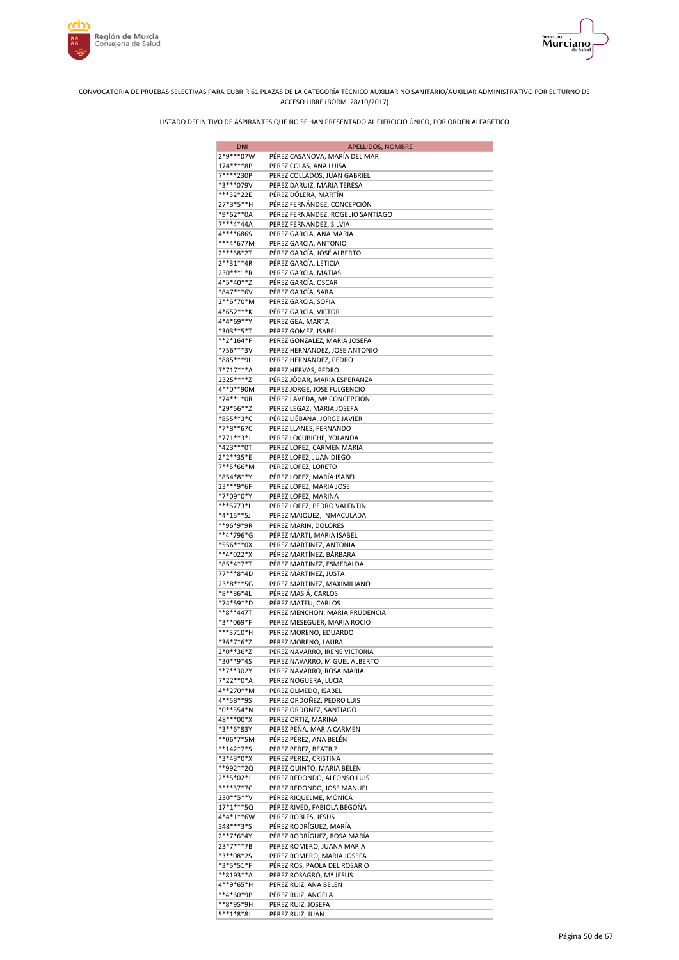





| DNI                    | <b>APELLIDOS, NOMBRE</b>                             |
|------------------------|------------------------------------------------------|
| 2*9***07W              | PÉREZ CASANOVA, MARÍA DEL MAR                        |
| 174****8P              | PEREZ COLAS, ANA LUISA                               |
| 7****230P              | PEREZ COLLADOS, JUAN GABRIEL                         |
| *3***079V              | PEREZ DARUIZ, MARIA TERESA                           |
| ***32*22E              | PÉREZ DÓLERA, MARTÍN                                 |
| 27*3*5**H              | PÉREZ FERNÁNDEZ, CONCEPCIÓN                          |
| *9*62**0A              | PÉREZ FERNÁNDEZ, ROGELIO SANTIAGO                    |
| 7***4*44A              | PEREZ FERNANDEZ, SILVIA                              |
| 4****686S<br>***4*677M | PEREZ GARCIA, ANA MARIA                              |
| 2***58*2T              | PEREZ GARCIA, ANTONIO<br>PÉREZ GARCÍA, JOSÉ ALBERTO  |
| $2***31***4R$          | PÉREZ GARCÍA, LETICIA                                |
| 230***1*R              | PEREZ GARCIA, MATIAS                                 |
| 4*5*40**Z              | PÉREZ GARCÍA, OSCAR                                  |
| *847***6V              | PÉREZ GARCÍA, SARA                                   |
| 2**6*70*M              | PEREZ GARCIA, SOFIA                                  |
| 4*652***K              | PÉREZ GARCÍA, VICTOR                                 |
| 4*4*69**Y              | PEREZ GEA, MARTA                                     |
| *303**5*T              | PEREZ GOMEZ, ISABEL                                  |
| **2*164*F              | PEREZ GONZALEZ, MARIA JOSEFA                         |
| *756***3V              | PEREZ HERNANDEZ, JOSE ANTONIO                        |
| *885***9L              | PEREZ HERNANDEZ, PEDRO                               |
| 7*717***A              | PEREZ HERVAS, PEDRO                                  |
| 2325****Z              | PÉREZ JÓDAR, MARÍA ESPERANZA                         |
| 4**0**90M              | PEREZ JORGE, JOSE FULGENCIO                          |
| *74**1*0R              | PÉREZ LAVEDA, Mª CONCEPCIÓN                          |
| *29*56**Z              | PEREZ LEGAZ, MARIA JOSEFA                            |
| *855**3*C              | PÉREZ LIÉBANA, JORGE JAVIER                          |
| *7*8**67C              | PEREZ LLANES, FERNANDO                               |
| *771**3*J              | PEREZ LOCUBICHE, YOLANDA                             |
| *423***0T              | PEREZ LOPEZ, CARMEN MARIA                            |
| 2*2**35*E              | PEREZ LOPEZ, JUAN DIEGO                              |
| 7**5*66*M<br>*854*8**Y | PEREZ LOPEZ, LORETO                                  |
| 23 *** 9 * 6 F         | PÉREZ LÓPEZ, MARÍA ISABEL<br>PEREZ LOPEZ, MARIA JOSE |
| *7*09*0*Y              | PEREZ LOPEZ, MARINA                                  |
| ***6773*L              | PEREZ LOPEZ, PEDRO VALENTIN                          |
| *4*15**5J              | PEREZ MAIQUEZ, INMACULADA                            |
| **96*9*9R              | PEREZ MARIN, DOLORES                                 |
| **4*796*G              | PÉREZ MARTÍ, MARIA ISABEL                            |
| *556***0X              | PEREZ MARTINEZ, ANTONIA                              |
| **4*022*X              | PÉREZ MARTÍNEZ, BÁRBARA                              |
| *85*4*7*T              | PÉREZ MARTÍNEZ, ESMERALDA                            |
| 77***8*4D              | PEREZ MARTINEZ, JUSTA                                |
| 23*8***5G              | PEREZ MARTINEZ, MAXIMILIANO                          |
| *8**86*4L              | PÉREZ MASIÁ, CARLOS                                  |
| *74*59**D              | PÉREZ MATEU, CARLOS                                  |
| **8**447T              | PEREZ MENCHON, MARIA PRUDENCIA                       |
| *3**069*F              | PEREZ MESEGUER, MARIA ROCIO                          |
| ***3710*H              | PEREZ MORENO, EDUARDO                                |
| *36*7*6*Z              | PEREZ MORENO, LAURA                                  |
| 2*0**36*Z              | PEREZ NAVARRO, IRENE VICTORIA                        |
| *30**9*4S              | PEREZ NAVARRO, MIGUEL ALBERTO                        |
| **7**302Y              | PEREZ NAVARRO, ROSA MARIA                            |
| 7*22**0*A              | PEREZ NOGUERA, LUCIA                                 |
| 4**270**M<br>4**58**9S | PEREZ OLMEDO, ISABEL                                 |
| *0**554*N              | PEREZ ORDOÑEZ, PEDRO LUIS                            |
| 48***00*X              | PEREZ ORDOÑEZ, SANTIAGO<br>PEREZ ORTIZ, MARINA       |
| *3**6*83Y              | PEREZ PEÑA, MARIA CARMEN                             |
| **06*7*5M              | PÉREZ PÉREZ, ANA BELÉN                               |
| **142*7*S              | PEREZ PEREZ, BEATRIZ                                 |
| *3*43*0*X              | PEREZ PEREZ, CRISTINA                                |
| **992**2Q              | PEREZ QUINTO, MARIA BELEN                            |
| 2**5*02*J              | PEREZ REDONDO, ALFONSO LUIS                          |
| 3***37*7C              | PEREZ REDONDO, JOSE MANUEL                           |
| 230**5**V              | PÉREZ RIQUELME, MÓNICA                               |
| 17*1***5Q              | PÉREZ RIVED, FABIOLA BEGOÑA                          |
| 4*4*1**6W              | PEREZ ROBLES, JESUS                                  |
| 348***3*S              | PÉREZ RODRÍGUEZ, MARÍA                               |
| 2**7*6*4Y              | PÉREZ RODRÍGUEZ, ROSA MARÍA                          |
| 23*7***7B              | PEREZ ROMERO, JUANA MARIA                            |
| *3**08*25              | PEREZ ROMERO, MARIA JOSEFA                           |
| *3*5*51*F              | PÉREZ ROS, PAOLA DEL ROSARIO                         |
| **8193**A              | PEREZ ROSAGRO, Mª JESUS                              |
| 4**9*65*H              | PEREZ RUIZ, ANA BELEN                                |
| **4*60*9P              | PÉREZ RUIZ, ANGELA                                   |
| **8*95*9H              | PEREZ RUIZ, JOSEFA                                   |
| $5***1*8*8J$           | PEREZ RUIZ, JUAN                                     |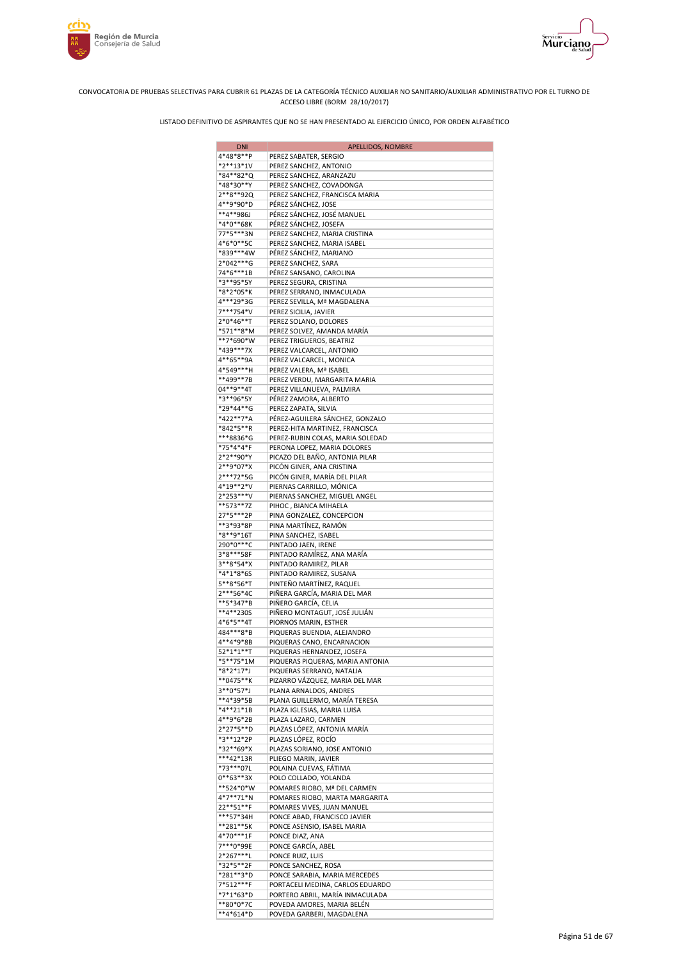



| <b>DNI</b>                 | APELLIDOS, NOMBRE                                                   |
|----------------------------|---------------------------------------------------------------------|
| 4*48*8**P                  | PEREZ SABATER, SERGIO                                               |
| *2**13*1V                  | PEREZ SANCHEZ, ANTONIO                                              |
| *84**82*Q                  | PEREZ SANCHEZ, ARANZAZU                                             |
| *48*30**Y                  | PEREZ SANCHEZ, COVADONGA                                            |
| 2**8**92Q                  | PEREZ SANCHEZ, FRANCISCA MARIA                                      |
| 4**9*90*D                  | PÉREZ SÁNCHEZ, JOSE                                                 |
| **4**986J                  | PÉREZ SÁNCHEZ, JOSÉ MANUEL                                          |
| *4*0**68K<br>77*5***3N     | PÉREZ SÁNCHEZ, JOSEFA                                               |
| 4*6*0**5C                  | PEREZ SANCHEZ, MARIA CRISTINA<br>PEREZ SANCHEZ, MARIA ISABEL        |
| *839***4W                  | PÉREZ SÁNCHEZ, MARIANO                                              |
| 2*042***G                  | PEREZ SANCHEZ, SARA                                                 |
| 74*6***1B                  | PÉREZ SANSANO, CAROLINA                                             |
| *3**95*5Y                  | PEREZ SEGURA, CRISTINA                                              |
| *8*2*05*K                  | PEREZ SERRANO, INMACULADA                                           |
| 4***29*3G                  | PEREZ SEVILLA, Mª MAGDALENA                                         |
| 7***754*V                  | PEREZ SICILIA, JAVIER                                               |
| 2*0*46**T                  | PEREZ SOLANO, DOLORES                                               |
| *571**8*M                  | PEREZ SOLVEZ, AMANDA MARÍA                                          |
| **7*690*W<br>*439***7X     | PEREZ TRIGUEROS, BEATRIZ                                            |
| 4**65**9A                  | PEREZ VALCARCEL, ANTONIO<br>PEREZ VALCARCEL, MONICA                 |
| 4*549***H                  | PEREZ VALERA, Mª ISABEL                                             |
| **499**7B                  | PEREZ VERDU, MARGARITA MARIA                                        |
| 04**9**4T                  | PEREZ VILLANUEVA, PALMIRA                                           |
| *3**96*5Y                  | PÉREZ ZAMORA, ALBERTO                                               |
| *29*44**G                  | PEREZ ZAPATA, SILVIA                                                |
| *422**7*A                  | PÉREZ-AGUILERA SÁNCHEZ, GONZALO                                     |
| *842*5**R                  | PEREZ-HITA MARTINEZ, FRANCISCA                                      |
| ***8836*G                  | PEREZ-RUBIN COLAS, MARIA SOLEDAD                                    |
| *75*4*4*F                  | PERONA LOPEZ, MARIA DOLORES                                         |
| 2*2**90*Y                  | PICAZO DEL BAÑO, ANTONIA PILAR                                      |
| 2**9*07*X                  | PICÓN GINER, ANA CRISTINA                                           |
| 2***72*5G<br>4*19**2*V     | PICÓN GINER, MARÍA DEL PILAR<br>PIERNAS CARRILLO, MÓNICA            |
| 2*253***V                  | PIERNAS SANCHEZ, MIGUEL ANGEL                                       |
| **573**7Z                  | PIHOC, BIANCA MIHAELA                                               |
| 27*5***2P                  | PINA GONZALEZ, CONCEPCION                                           |
| **3*93*8P                  | PINA MARTÍNEZ, RAMÓN                                                |
| *8**9*16T                  | PINA SANCHEZ, ISABEL                                                |
| 290*0****C                 | PINTADO JAEN, IRENE                                                 |
| 3*8***58F                  | PINTADO RAMÍREZ, ANA MARÍA                                          |
| 3**8*54*X                  | PINTADO RAMIREZ, PILAR                                              |
| *4*1*8*6S<br>5**8*56*T     | PINTADO RAMIREZ, SUSANA<br>PINTEÑO MARTÍNEZ, RAQUEL                 |
| 2***56*4C                  | PIÑERA GARCÍA, MARIA DEL MAR                                        |
| **5*347*B                  | PIÑERO GARCÍA, CELIA                                                |
| **4**230S                  | PIÑERO MONTAGUT, JOSÉ JULIÁN                                        |
| 4*6*5**4T                  | PIORNOS MARIN, ESTHER                                               |
| 484***8*B                  | PIQUERAS BUENDIA, ALEJANDRO                                         |
| 4**4*9*8B                  | PIQUERAS CANO, ENCARNACION                                          |
| $52*1*1**T$                | PIQUERAS HERNANDEZ, JOSEFA                                          |
| *5**75*1M                  | PIQUERAS PIQUERAS, MARIA ANTONIA                                    |
| *8*2*17*J<br>**0475**K     | PIQUERAS SERRANO, NATALIA<br>PIZARRO VÁZQUEZ, MARIA DEL MAR         |
| 3**0*57*J                  | PLANA ARNALDOS, ANDRES                                              |
| **4*39*5B                  | PLANA GUILLERMO, MARÍA TERESA                                       |
| *4**21*1B                  | PLAZA IGLESIAS, MARIA LUISA                                         |
| 4**9*6*2B                  | PLAZA LAZARO, CARMEN                                                |
| 2*27*5**D                  | PLAZAS LÓPEZ, ANTONIA MARÍA                                         |
| *3**12*2P                  | PLAZAS LÓPEZ, ROCÍO                                                 |
| *32**69*X                  | PLAZAS SORIANO, JOSE ANTONIO                                        |
| ***42*13R                  | PLIEGO MARIN, JAVIER                                                |
| *73***07L                  | POLAINA CUEVAS, FÁTIMA                                              |
| $0***63***3X$<br>**524*0*W | POLO COLLADO, YOLANDA<br>POMARES RIOBO, Mª DEL CARMEN               |
| 4*7**71*N                  | POMARES RIOBO, MARTA MARGARITA                                      |
| 22**51**F                  | POMARES VIVES, JUAN MANUEL                                          |
| ***57*34H                  | PONCE ABAD, FRANCISCO JAVIER                                        |
| **281**5K                  | PONCE ASENSIO, ISABEL MARIA                                         |
| 4*70***1F                  | PONCE DIAZ, ANA                                                     |
| 7***0*99E                  | PONCE GARCÍA, ABEL                                                  |
| 2*267***L                  | PONCE RUIZ, LUIS                                                    |
| *32*5**2F                  | PONCE SANCHEZ, ROSA                                                 |
| *281**3*D<br>7*512***F     | PONCE SARABIA, MARIA MERCEDES                                       |
| *7*1*63*D                  | PORTACELI MEDINA, CARLOS EDUARDO<br>PORTERO ABRIL, MARÍA INMACULADA |
| **80*0*7C                  | POVEDA AMORES, MARIA BELÉN                                          |
| **4*614*D                  | POVEDA GARBERI, MAGDALENA                                           |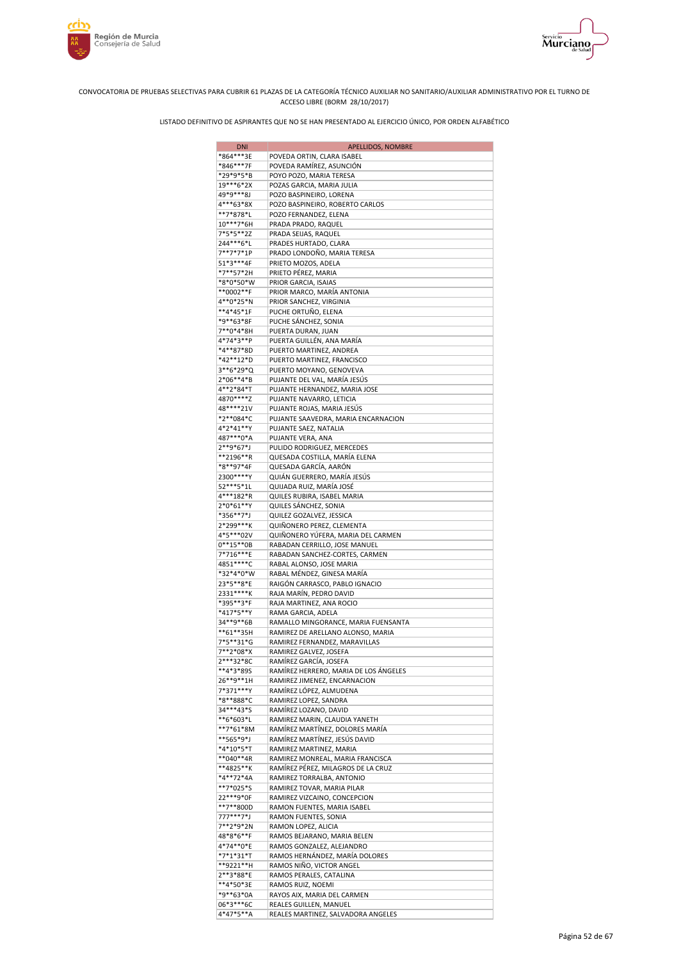



| <b>DNI</b>             | <b>APELLIDOS, NOMBRE</b>                                           |
|------------------------|--------------------------------------------------------------------|
| *864***3E              | POVEDA ORTIN, CLARA ISABEL                                         |
| *846***7F              | POVEDA RAMÍREZ, ASUNCIÓN                                           |
| *29*9*5*B              | POYO POZO, MARIA TERESA                                            |
| 19***6*2X              | POZAS GARCIA, MARIA JULIA                                          |
| 49*9***8J<br>4***63*8X | POZO BASPINEIRO, LORENA<br>POZO BASPINEIRO, ROBERTO CARLOS         |
| **7*878*L              | POZO FERNANDEZ, ELENA                                              |
| 10***7*6H              | PRADA PRADO, RAQUEL                                                |
| 7*5*5**2Z              | PRADA SEIJAS, RAQUEL                                               |
| 244***6*L              | PRADES HURTADO, CLARA                                              |
| 7**7*7*1P              | PRADO LONDOÑO, MARIA TERESA                                        |
| 51*3***4F              | PRIETO MOZOS, ADELA                                                |
| *7**57*2H              | PRIETO PÉREZ, MARIA                                                |
| *8*0*50*W              | PRIOR GARCIA, ISAIAS                                               |
| **0002**F              | PRIOR MARCO, MARÍA ANTONIA                                         |
| 4**0*25*N<br>**4*45*1F | PRIOR SANCHEZ, VIRGINIA<br>PUCHE ORTUÑO, ELENA                     |
| *9**63*8F              | PUCHE SÁNCHEZ, SONIA                                               |
| 7**0*4*8H              | PUERTA DURAN, JUAN                                                 |
| 4*74*3**P              | PUERTA GUILLÉN, ANA MARÍA                                          |
| *4**87*8D              | PUERTO MARTINEZ, ANDREA                                            |
| *42**12*D              | PUERTO MARTINEZ, FRANCISCO                                         |
| 3**6*29*Q              | PUERTO MOYANO, GENOVEVA                                            |
| 2*06**4*B              | PUJANTE DEL VAL, MARÍA JESÚS                                       |
| 4**2*84*T              | PUJANTE HERNANDEZ, MARIA JOSE                                      |
| 4870****Z              | PUJANTE NAVARRO, LETICIA                                           |
| 48****21V              | PUJANTE ROJAS, MARIA JESÚS                                         |
| *2**084*C<br>4*2*41**Y | PUJANTE SAAVEDRA, MARIA ENCARNACION<br>PUJANTE SAEZ, NATALIA       |
| 487***0*A              | PUJANTE VERA, ANA                                                  |
| 2**9*67*J              | PULIDO RODRIGUEZ, MERCEDES                                         |
| **2196**R              | QUESADA COSTILLA, MARÍA ELENA                                      |
| *8**97*4F              | QUESADA GARCÍA, AARÓN                                              |
| 2300****Y              | QUIÁN GUERRERO, MARÍA JESÚS                                        |
| 52 *** 5 * 1L          | QUIJADA RUIZ, MARÍA JOSÉ                                           |
| 4***182*R              | QUILES RUBIRA, ISABEL MARIA                                        |
| 2*0*61**Y              | QUILES SANCHEZ, SONIA                                              |
| *356**7*J<br>2*299***K | QUILEZ GOZALVEZ, JESSICA                                           |
| 4*5***02V              | QUIÑONERO PEREZ, CLEMENTA<br>QUIÑONERO YÚFERA, MARIA DEL CARMEN    |
| $0***15**0B$           | RABADAN CERRILLO, JOSE MANUEL                                      |
| 7*716***E              | RABADAN SANCHEZ-CORTES, CARMEN                                     |
| 4851 **** C            | RABAL ALONSO, JOSE MARIA                                           |
| *32*4*0*W              | RABAL MÉNDEZ, GINESA MARÍA                                         |
| 23*5**8*E              | RAIGÓN CARRASCO, PABLO IGNACIO                                     |
| 2331 ***** K           | RAJA MARÍN, PEDRO DAVID                                            |
| *395**3*F              | RAJA MARTINEZ, ANA ROCIO                                           |
| *417*5**Y              | RAMA GARCIA, ADELA                                                 |
| 34**9**6B              | RAMALLO MINGORANCE, MARIA FUENSANTA                                |
| **61**35H<br>7*5**31*G | RAMIREZ DE ARELLANO ALONSO, MARIA<br>RAMIREZ FERNANDEZ, MARAVILLAS |
| 7**2*08*X              | RAMIREZ GALVEZ, JOSEFA                                             |
| 2***32*8C              | RAMÍREZ GARCÍA, JOSEFA                                             |
| **4*3*895              | RAMÍREZ HERRERO, MARIA DE LOS ÁNGELES                              |
| 26**9**1H              | RAMIREZ JIMENEZ, ENCARNACION                                       |
| 7*371***Y              | RAMÍREZ LÓPEZ, ALMUDENA                                            |
| *8**888*C              | RAMIREZ LOPEZ, SANDRA                                              |
| 34***43*S              | RAMÍREZ LOZANO, DAVID                                              |
| **6*603*L              | RAMIREZ MARIN, CLAUDIA YANETH                                      |
| **7*61*8M              | RAMÍREZ MARTÍNEZ, DOLORES MARÍA                                    |
| **565*9*J<br>*4*10*5*T | RAMÍREZ MARTÍNEZ, JESÚS DAVID<br>RAMIREZ MARTINEZ, MARIA           |
| **040**4R              | RAMIREZ MONREAL, MARIA FRANCISCA                                   |
| **4825**K              | RAMÍREZ PÉREZ, MILAGROS DE LA CRUZ                                 |
| *4**72*4A              | RAMIREZ TORRALBA, ANTONIO                                          |
| **7*025*S              | RAMIREZ TOVAR, MARIA PILAR                                         |
| 22***9*0F              | RAMIREZ VIZCAINO, CONCEPCION                                       |
| **7**800D              | RAMON FUENTES, MARIA ISABEL                                        |
| 777***7*J              | RAMON FUENTES, SONIA                                               |
| 7**2*9*2N              | RAMON LOPEZ, ALICIA                                                |
| 48*8*6**F              | RAMOS BEJARANO, MARIA BELEN                                        |
| 4*74**0*E<br>*7*1*31*T | RAMOS GONZALEZ, ALEJANDRO                                          |
| **9221**H              | RAMOS HERNÁNDEZ, MARÍA DOLORES<br>RAMOS NIÑO, VICTOR ANGEL         |
| 2**3*88*E              | RAMOS PERALES, CATALINA                                            |
| **4*50*3E              | RAMOS RUIZ, NOEMI                                                  |
| *9**63*0A              | RAYOS AIX, MARIA DEL CARMEN                                        |
| 06*3***6C              | REALES GUILLEN, MANUEL                                             |
| 4*47*5**A              | REALES MARTINEZ, SALVADORA ANGELES                                 |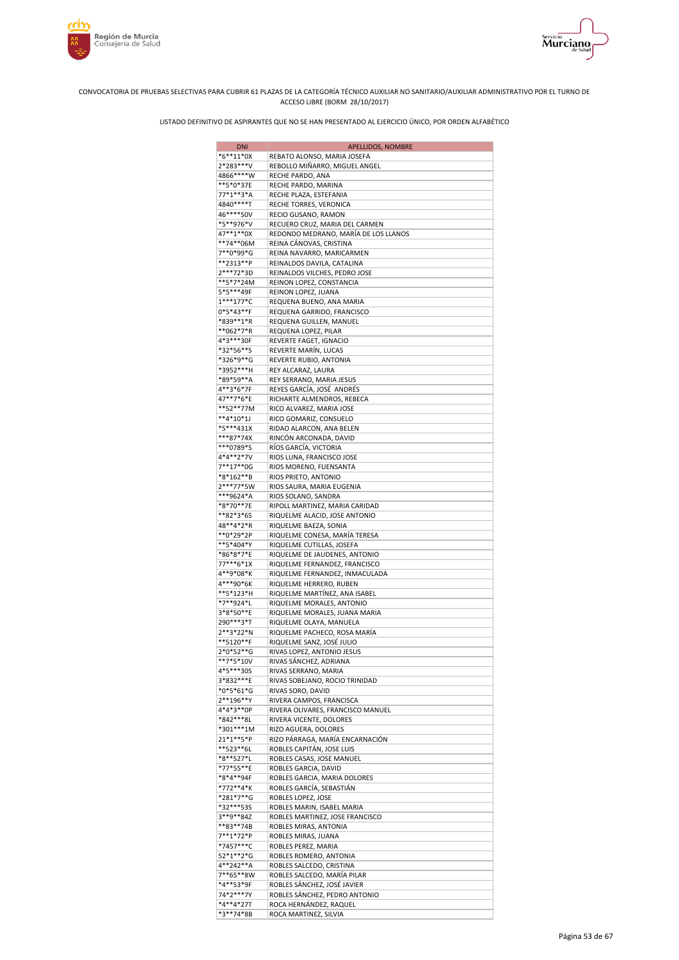



| <b>DNI</b>               | APELLIDOS, NOMBRE                                               |
|--------------------------|-----------------------------------------------------------------|
| $*6**11*0X$              | REBATO ALONSO, MARIA JOSEFA                                     |
| 2*283***V                | REBOLLO MIÑARRO, MIGUEL ANGEL                                   |
| 4866****W                | RECHE PARDO, ANA                                                |
| **5*0*37E<br>77*1**3*A   | RECHE PARDO, MARINA<br>RECHE PLAZA, ESTEFANIA                   |
| 4840****T                | RECHE TORRES, VERONICA                                          |
| 46****50V                | RECIO GUSANO, RAMON                                             |
| *5**976*V                | RECUERO CRUZ, MARIA DEL CARMEN                                  |
| 47**1**0X                | REDONDO MEDRANO, MARÍA DE LOS LLANOS                            |
| **74**06M                | REINA CÁNOVAS, CRISTINA                                         |
| 7**0*99*G                | REINA NAVARRO, MARICARMEN                                       |
| **2313**P<br>2***72*3D   | REINALDOS DAVILA, CATALINA<br>REINALDOS VILCHES, PEDRO JOSE     |
| **5*7*24M                | REINON LOPEZ, CONSTANCIA                                        |
| 5*5***49F                | REINON LOPEZ, JUANA                                             |
| $1***177*C$              | REQUENA BUENO, ANA MARIA                                        |
| $0*5*43**F$              | REQUENA GARRIDO, FRANCISCO                                      |
| *839**1*R                | REQUENA GUILLEN, MANUEL                                         |
| **062*7*R                | REQUENA LOPEZ, PILAR                                            |
| 4*3***30F<br>*32*56**S   | REVERTE FAGET, IGNACIO<br>REVERTE MARÍN, LUCAS                  |
| *326*9**G                | REVERTE RUBIO, ANTONIA                                          |
| *3952***H                | REY ALCARAZ, LAURA                                              |
| *89*59**A                | REY SERRANO, MARIA JESUS                                        |
| 4**3*6*7F                | REYES GARCÍA, JOSÉ ANDRÉS                                       |
| 47**7*6*E                | RICHARTE ALMENDROS, REBECA                                      |
| **52**77M                | RICO ALVAREZ, MARIA JOSE                                        |
| $**4*10*1$               | RICO GOMARIZ, CONSUELO                                          |
| *5***431X<br>***87*74X   | RIDAO ALARCON, ANA BELEN<br>RINCÓN ARCONADA, DAVID              |
| ***0789*S                | RÍOS GARCÍA, VICTORIA                                           |
| 4*4**2*7V                | RIOS LUNA, FRANCISCO JOSE                                       |
| 7**17**0G                | RIOS MORENO, FUENSANTA                                          |
| *8*162**B                | RIOS PRIETO, ANTONIO                                            |
| 2***77*5W                | RIOS SAURA, MARIA EUGENIA                                       |
| ***9624*A                | RIOS SOLANO, SANDRA                                             |
| *8*70**7E<br>**82*3*65   | RIPOLL MARTINEZ, MARIA CARIDAD<br>RIQUELME ALACID, JOSE ANTONIO |
| 48**4*2*R                | RIQUELME BAEZA, SONIA                                           |
| **0*29*2P                | RIQUELME CONESA, MARÍA TERESA                                   |
| **5*404*Y                | RIQUELME CUTILLAS, JOSEFA                                       |
| *86*8*7*E                | RIQUELME DE JAUDENES, ANTONIO                                   |
| 77***6*1X                | RIQUELME FERNANDEZ, FRANCISCO                                   |
| 4**9*08*K<br>4***90*6K   | RIQUELME FERNANDEZ, INMACULADA                                  |
| **5*123*H                | RIQUELME HERRERO, RUBEN<br>RIQUELME MARTÍNEZ, ANA ISABEL        |
| *7**924*L                | RIQUELME MORALES, ANTONIO                                       |
| 3*8*50**E                | RIQUELME MORALES, JUANA MARIA                                   |
| 290***3*T                | RIQUELME OLAYA, MANUELA                                         |
| 2**3*22*N                | RIQUELME PACHECO, ROSA MARÍA                                    |
| **5120**F                | RIQUELME SANZ, JOSÉ JULIO                                       |
| $2*0*52**G$<br>**7*5*10V | RIVAS LOPEZ, ANTONIO JESUS<br>RIVAS SÁNCHEZ, ADRIANA            |
| 4*5***30S                | RIVAS SERRANO, MARIA                                            |
| 3*832***E                | RIVAS SOBEJANO, ROCIO TRINIDAD                                  |
| *0*5*61*G                | RIVAS SORO, DAVID                                               |
| 2**196**Y                | RIVERA CAMPOS, FRANCISCA                                        |
| 4*4*3**0P                | RIVERA OLIVARES, FRANCISCO MANUEL                               |
| *842***8L                | RIVERA VICENTE, DOLORES                                         |
| *301***1M<br>21*1**5*P   | RIZO AGUERA, DOLORES<br>RIZO PÁRRAGA, MARÍA ENCARNACIÓN         |
| **523**6L                | ROBLES CAPITÁN, JOSE LUIS                                       |
| *8**527*L                | ROBLES CASAS, JOSE MANUEL                                       |
| *77*55**E                | ROBLES GARCIA, DAVID                                            |
| *8*4**94F                | ROBLES GARCIA, MARIA DOLORES                                    |
| *772**4*K                | ROBLES GARCÍA, SEBASTIAN                                        |
| *281*7**G                | ROBLES LOPEZ, JOSE                                              |
| *32***53S<br>3**9**84Z   | ROBLES MARIN, ISABEL MARIA<br>ROBLES MARTINEZ, JOSE FRANCISCO   |
| **83**74B                | ROBLES MIRAS, ANTONIA                                           |
| 7**1*72*P                | ROBLES MIRAS, JUANA                                             |
| *7457***C                | ROBLES PEREZ, MARIA                                             |
| 52*1**2*G                | ROBLES ROMERO, ANTONIA                                          |
| 4**242**A                | ROBLES SALCEDO, CRISTINA                                        |
| 7**65**8W                | ROBLES SALCEDO, MARÍA PILAR                                     |
| *4**53*9F<br>74*2***7Y   | ROBLES SÁNCHEZ, JOSÉ JAVIER<br>ROBLES SÁNCHEZ, PEDRO ANTONIO    |
| *4**4*27T                | ROCA HERNÁNDEZ, RAQUEL                                          |
| *3**74*8B                | ROCA MARTINEZ, SILVIA                                           |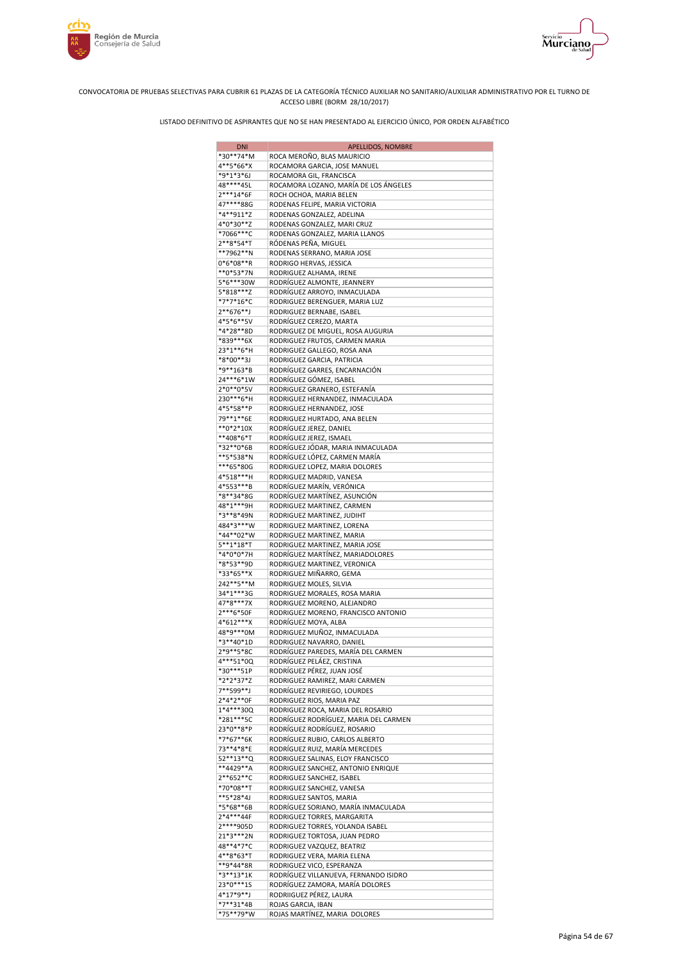



| <b>DNI</b>               | <b>APELLIDOS, NOMBRE</b>                                            |
|--------------------------|---------------------------------------------------------------------|
| *30**74*M                | ROCA MEROÑO, BLAS MAURICIO                                          |
| 4**5*66*X                | ROCAMORA GARCIA, JOSE MANUEL                                        |
| *9*1*3*6J<br>48****45L   | ROCAMORA GIL, FRANCISCA<br>ROCAMORA LOZANO, MARÍA DE LOS ÁNGELES    |
| 2***14*6F                | ROCH OCHOA, MARIA BELEN                                             |
| 47****88G                | RODENAS FELIPE, MARIA VICTORIA                                      |
| *4**911*Z                | RODENAS GONZALEZ, ADELINA                                           |
| 4*0*30**Z                | RODENAS GONZALEZ, MARI CRUZ                                         |
| *7066***C                | RODENAS GONZALEZ, MARIA LLANOS                                      |
| 2**8*54*T                | RÓDENAS PEÑA, MIGUEL                                                |
| **7962**N<br>$0*6*08**R$ | RODENAS SERRANO, MARIA JOSE<br>RODRIGO HERVAS, JESSICA              |
| **0*53*7N                | RODRIGUEZ ALHAMA, IRENE                                             |
| 5*6***30W                | RODRÍGUEZ ALMONTE, JEANNERY                                         |
| 5*818***Z                | RODRÍGUEZ ARROYO, INMACULADA                                        |
| *7*7*16*C                | RODRIGUEZ BERENGUER, MARIA LUZ                                      |
| 2**676**J                | RODRIGUEZ BERNABE, ISABEL                                           |
| 4*5*6**5V<br>*4*28**8D   | RODRÍGUEZ CEREZO, MARTA<br>RODRIGUEZ DE MIGUEL, ROSA AUGURIA        |
| *839***6X                | RODRIGUEZ FRUTOS, CARMEN MARIA                                      |
| 23*1**6*H                | RODRIGUEZ GALLEGO, ROSA ANA                                         |
| *8*00**3J                | RODRIGUEZ GARCIA, PATRICIA                                          |
| *9**163*B                | RODRÍGUEZ GARRES, ENCARNACIÓN                                       |
| 24***6*1W                | RODRÍGUEZ GÓMEZ, ISABEL                                             |
| 2*0**0*5V                | RODRIGUEZ GRANERO, ESTEFANÍA                                        |
| 230***6*H<br>4*5*58**P   | RODRIGUEZ HERNANDEZ, INMACULADA<br>RODRIGUEZ HERNANDEZ, JOSE        |
| 79**1**6E                | RODRIGUEZ HURTADO, ANA BELEN                                        |
| $**0*2*10X$              | RODRÍGUEZ JEREZ, DANIEL                                             |
| **408*6*T                | RODRÍGUEZ JEREZ, ISMAEL                                             |
| *32**0*6B                | RODRÍGUEZ JÓDAR, MARIA INMACULADA                                   |
| **5*538*N                | RODRÍGUEZ LÓPEZ, CARMEN MARÍA                                       |
| ***65*80G                | RODRIGUEZ LOPEZ, MARIA DOLORES                                      |
| 4*518***H<br>4*553***B   | RODRIGUEZ MADRID, VANESA<br>RODRÍGUEZ MARÍN, VERÓNICA               |
| *8**34*8G                | RODRÍGUEZ MARTÍNEZ, ASUNCIÓN                                        |
| 48*1***9H                | RODRIGUEZ MARTINEZ, CARMEN                                          |
| *3**8*49N                | RODRIGUEZ MARTINEZ, JUDIHT                                          |
| 484*3***W                | RODRIGUEZ MARTINEZ, LORENA                                          |
| *44**02*W                | RODRIGUEZ MARTINEZ, MARIA                                           |
| 5**1*18*T<br>*4*0*0*7H   | RODRIGUEZ MARTINEZ, MARIA JOSE<br>RODRÍGUEZ MARTÍNEZ, MARIADOLORES  |
| *8*53**9D                | RODRIGUEZ MARTINEZ, VERONICA                                        |
| *33*65**X                | RODRIGUEZ MIÑARRO, GEMA                                             |
| 242**5**M                | RODRIGUEZ MOLES, SILVIA                                             |
| 34*1***3G                | RODRIGUEZ MORALES, ROSA MARIA                                       |
| 47*8***7X                | RODRIGUEZ MORENO, ALEJANDRO                                         |
| 2***6*50F<br>4*612***X   | RODRIGUEZ MORENO, FRANCISCO ANTONIO<br>RODRÍGUEZ MOYA, ALBA         |
| 48*9***0M                | RODRIGUEZ MUÑOZ, INMACULADA                                         |
| *3**40*1D                | RODRIGUEZ NAVARRO, DANIEL                                           |
| 2*9**5*8C                | RODRÍGUEZ PAREDES, MARÍA DEL CARMEN                                 |
| 4***51*0Q                | RODRÍGUEZ PELÁEZ, CRISTINA                                          |
| *30***51P                | RODRÍGUEZ PÉREZ, JUAN JOSÉ                                          |
| *2*2*37*Z<br>7**599**J   | RODRIGUEZ RAMIREZ, MARI CARMEN<br>RODRÍGUEZ REVIRIEGO, LOURDES      |
| 2*4*2**0F                | RODRIGUEZ RIOS, MARIA PAZ                                           |
| 1*4***30Q                | RODRIGUEZ ROCA, MARIA DEL ROSARIO                                   |
| *281***5C                | RODRÍGUEZ RODRÍGUEZ, MARIA DEL CARMEN                               |
| 23*0**8*P                | RODRÍGUEZ RODRÍGUEZ, ROSARIO                                        |
| *7*67**6K                | RODRÍGUEZ RUBIO, CARLOS ALBERTO                                     |
| 73**4*8*E<br>52**13**Q   | RODRÍGUEZ RUIZ, MARÍA MERCEDES<br>RODRIGUEZ SALINAS, ELOY FRANCISCO |
| **4429**A                | RODRIGUEZ SANCHEZ, ANTONIO ENRIQUE                                  |
| 2**652**C                | RODRIGUEZ SANCHEZ, ISABEL                                           |
| *70*08**T                | RODRIGUEZ SANCHEZ, VANESA                                           |
| **5*28*4J                | RODRIGUEZ SANTOS, MARIA                                             |
| *5*68**6B                | RODRÍGUEZ SORIANO, MARÍA INMACULADA                                 |
| 2*4***44F                | RODRIGUEZ TORRES, MARGARITA                                         |
| 2****905D<br>21*3***2N   | RODRIGUEZ TORRES, YOLANDA ISABEL<br>RODRIGUEZ TORTOSA, JUAN PEDRO   |
| 48**4*7*C                | RODRIGUEZ VAZQUEZ, BEATRIZ                                          |
| 4**8*63*T                | RODRIGUEZ VERA, MARIA ELENA                                         |
| **9*44*8R                | RODRIGUEZ VICO, ESPERANZA                                           |
| *3**13*1K                | RODRÍGUEZ VILLANUEVA, FERNANDO ISIDRO                               |
| 23*0***1S<br>4*17*9**J   | RODRÍGUEZ ZAMORA, MARÍA DOLORES                                     |
| *7**31*4B                | RODRIIGUEZ PÉREZ, LAURA<br>ROJAS GARCIA, IBAN                       |
| *75**79*W                | ROJAS MARTÍNEZ, MARIA DOLORES                                       |
|                          |                                                                     |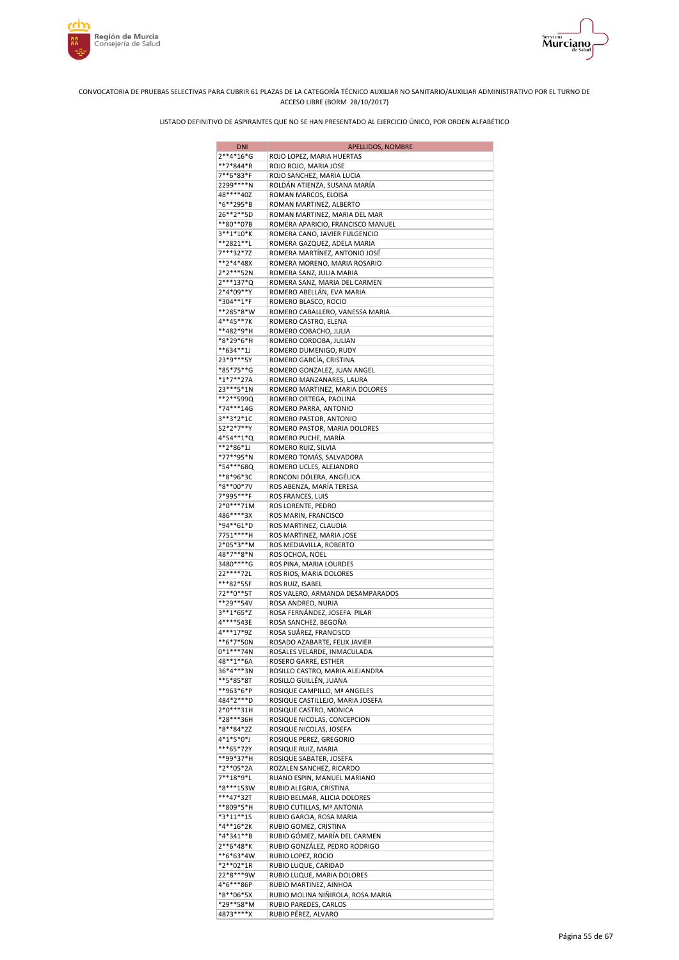





| <b>DNI</b>             | <b>APELLIDOS, NOMBRE</b>                                   |
|------------------------|------------------------------------------------------------|
| $2**4*16*G$            | ROJO LOPEZ, MARIA HUERTAS                                  |
| **7*844*R              | ROJO ROJO, MARIA JOSE                                      |
| 7**6*83*F              | ROJO SANCHEZ, MARIA LUCIA                                  |
| 2299 **** N            | ROLDÁN ATIENZA, SUSANA MARÍA                               |
| 48****40Z<br>*6**295*B | ROMAN MARCOS, ELOISA<br>ROMAN MARTINEZ, ALBERTO            |
| 26**2**5D              | ROMAN MARTINEZ, MARIA DEL MAR                              |
| **80**07B              | ROMERA APARICIO, FRANCISCO MANUEL                          |
| 3**1*10*K              | ROMERA CANO, JAVIER FULGENCIO                              |
| **2821**L              | ROMERA GAZQUEZ, ADELA MARIA                                |
| 7***32*7Z              | ROMERA MARTÍNEZ, ANTONIO JOSÉ                              |
| **2*4*48X              | ROMERA MORENO, MARIA ROSARIO                               |
| 2*2***52N              | ROMERA SANZ, JULIA MARIA                                   |
| 2***137*Q<br>2*4*09**Y | ROMERA SANZ, MARIA DEL CARMEN                              |
| *304**1*F              | ROMERO ABELLÁN, EVA MARIA<br>ROMERO BLASCO, ROCIO          |
| **285*8*W              | ROMERO CABALLERO, VANESSA MARIA                            |
| 4**45**7K              | ROMERO CASTRO, ELENA                                       |
| **482*9*H              | ROMERO COBACHO, JULIA                                      |
| *8*29*6*H              | ROMERO CORDOBA, JULIAN                                     |
| **634**1J              | ROMERO DUMENIGO, RUDY                                      |
| 23*9***5Y              | ROMERO GARCÍA, CRISTINA                                    |
| *85*75**G              | ROMERO GONZALEZ, JUAN ANGEL                                |
| $*1*7**27A$            | ROMERO MANZANARES, LAURA                                   |
| 23 *** 5 * 1 N         | ROMERO MARTINEZ, MARIA DOLORES                             |
| **2**599Q<br>*74***14G | ROMERO ORTEGA, PAOLINA<br>ROMERO PARRA, ANTONIO            |
| 3**3*2*1C              | ROMERO PASTOR, ANTONIO                                     |
| 52*2*7**Y              | ROMERO PASTOR, MARIA DOLORES                               |
| 4*54**1*Q              | ROMERO PUCHE, MARIA                                        |
| **2*86*1J              | ROMERO RUIZ, SILVIA                                        |
| *77**95*N              | ROMERO TOMÁS, SALVADORA                                    |
| *54***68Q              | ROMERO UCLES, ALEJANDRO                                    |
| **8*96*3C              | RONCONI DÓLERA, ANGÉLICA                                   |
| *8**00*7V              | ROS ABENZA, MARÍA TERESA                                   |
| 7*995***F<br>2*0***71M | ROS FRANCES, LUIS<br>ROS LORENTE, PEDRO                    |
| 486****3X              | ROS MARIN, FRANCISCO                                       |
| *94**61*D              | ROS MARTINEZ, CLAUDIA                                      |
| 7751****H              | ROS MARTINEZ, MARIA JOSE                                   |
| 2*05*3**M              | ROS MEDIAVILLA, ROBERTO                                    |
| 48*7**8*N              | ROS OCHOA, NOEL                                            |
| 3480****G              | ROS PINA, MARIA LOURDES                                    |
| 22 **** 72L            | ROS RIOS, MARIA DOLORES                                    |
| ***82*55F              | ROS RUIZ, ISABEL                                           |
| 72**0**5T<br>**29**54V | ROS VALERO, ARMANDA DESAMPARADOS<br>ROSA ANDREO, NURIA     |
| 3**1*65*Z              | ROSA FERNÁNDEZ, JOSEFA PILAR                               |
| 4****543E              | ROSA SANCHEZ, BEGOÑA                                       |
| 4***17*9Z              | ROSA SUÁREZ, FRANCISCO                                     |
| **6*7*50N              | ROSADO AZABARTE, FELIX JAVIER                              |
| $0*1***74N$            | ROSALES VELARDE, INMACULADA                                |
| 48**1**6A              | ROSERO GARRE, ESTHER                                       |
| 36*4***3N              | ROSILLO CASTRO, MARIA ALEJANDRA                            |
| **5*85*8T              | ROSILLO GUILLÉN, JUANA                                     |
| **963*6*P              | ROSIQUE CAMPILLO, Mª ANGELES                               |
| 484*2***D<br>2*0***31H | ROSIQUE CASTILLEJO, MARIA JOSEFA<br>ROSIQUE CASTRO, MONICA |
| *28***36H              | ROSIQUE NICOLAS, CONCEPCION                                |
| *8**84*2Z              | ROSIQUE NICOLAS, JOSEFA                                    |
| $4*1*5*0*$             | ROSIQUE PEREZ, GREGORIO                                    |
| ***65*72Y              | ROSIQUE RUIZ, MARIA                                        |
| **99*37*H              | ROSIQUE SABATER, JOSEFA                                    |
| *2**05*2A              | ROZALEN SANCHEZ, RICARDO                                   |
| 7**18*9*L              | RUANO ESPIN, MANUEL MARIANO                                |
| *8***153W              | RUBIO ALEGRIA, CRISTINA                                    |
| ***47*32T<br>**809*5*H | RUBIO BELMAR, ALICIA DOLORES<br>RUBIO CUTILLAS, Mª ANTONIA |
| *3*11**1S              | RUBIO GARCIA, ROSA MARIA                                   |
| *4**16*2K              | RUBIO GOMEZ, CRISTINA                                      |
| *4*341**B              | RUBIO GÓMEZ, MARÍA DEL CARMEN                              |
| 2**6*48*K              | RUBIO GONZÁLEZ, PEDRO RODRIGO                              |
| **6*63*4W              | RUBIO LOPEZ, ROCIO                                         |
| *2**02*1R              | RUBIO LUQUE, CARIDAD                                       |
| 22*8***9W              | RUBIO LUQUE, MARIA DOLORES                                 |
| 4*6***86P              | RUBIO MARTINEZ, AINHOA                                     |
| *8**06*5X<br>*29**58*M | RUBIO MOLINA NIÑIROLA, ROSA MARIA                          |
| 4873****X              | RUBIO PAREDES, CARLOS<br>RUBIO PÉREZ, ALVARO               |
|                        |                                                            |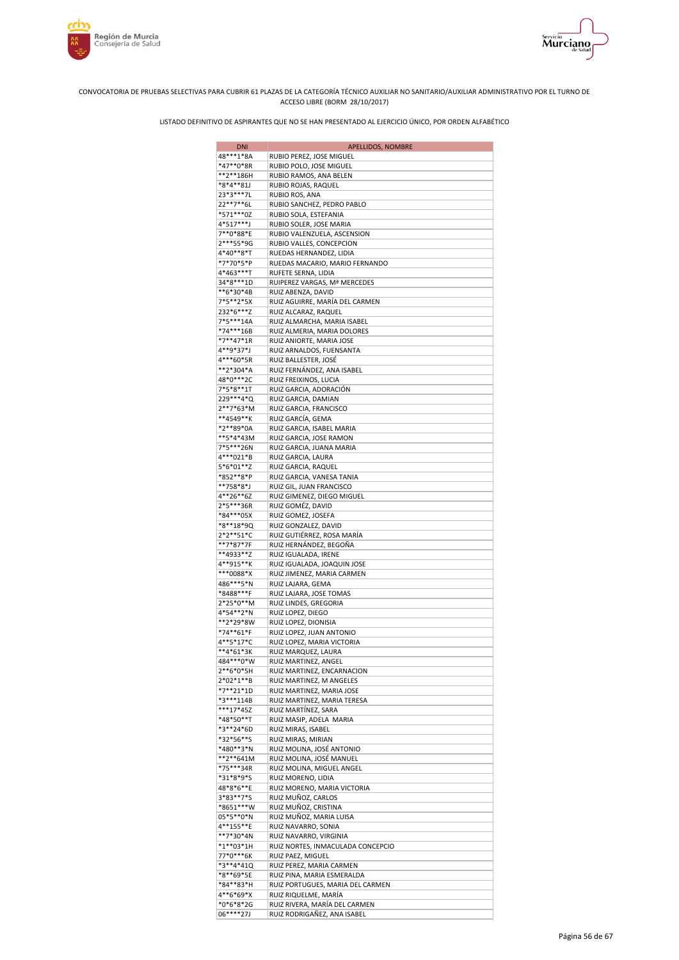



| <b>DNI</b>               | APELLIDOS, NOMBRE                                           |
|--------------------------|-------------------------------------------------------------|
| 48***1*8A                | RUBIO PEREZ, JOSE MIGUEL                                    |
| *47**0*8R                | RUBIO POLO, JOSE MIGUEL                                     |
| **2**186H                | RUBIO RAMOS, ANA BELEN                                      |
| *8*4**81J<br>23*3***7L   | RUBIO ROJAS, RAQUEL<br>RUBIO ROS, ANA                       |
| 22**7**6L                | RUBIO SANCHEZ, PEDRO PABLO                                  |
| *571***0Z                | RUBIO SOLA, ESTEFANIA                                       |
| 4*517***J                | RUBIO SOLER, JOSE MARIA                                     |
| 7**0*88*E                | RUBIO VALENZUELA, ASCENSION                                 |
| 2***55*9G                | RUBIO VALLES, CONCEPCION                                    |
| 4*40**8*T                | RUEDAS HERNANDEZ, LIDIA                                     |
| *7*70*5*P<br>4*463***T   | RUEDAS MACARIO, MARIO FERNANDO                              |
| 34*8***1D                | RUFETE SERNA, LIDIA<br>RUIPEREZ VARGAS, Mª MERCEDES         |
| **6*30*4B                | RUIZ ABENZA, DAVID                                          |
| 7*5**2*5X                | RUIZ AGUIRRE, MARÍA DEL CARMEN                              |
| 232*6***Z                | RUIZ ALCARAZ, RAQUEL                                        |
| 7*5***14A                | RUIZ ALMARCHA, MARIA ISABEL                                 |
| *74***16B                | RUIZ ALMERIA, MARIA DOLORES                                 |
| *7**47*1R<br>4**9*37*J   | RUIZ ANIORTE, MARIA JOSE                                    |
| 4***60*5R                | RUIZ ARNALDOS, FUENSANTA<br>RUIZ BALLESTER, JOSÉ            |
| **2*304*A                | RUIZ FERNÁNDEZ, ANA ISABEL                                  |
| 48*0***2C                | RUIZ FREIXINOS, LUCIA                                       |
| 7*5*8**1T                | RUIZ GARCIA, ADORACIÓN                                      |
| 229 *** 4 * Q            | RUIZ GARCIA, DAMIAN                                         |
| 2**7*63*M                | RUIZ GARCIA, FRANCISCO                                      |
| **4549**K                | RUIZ GARCÍA, GEMA                                           |
| *2**89*0A<br>**5*4*43M   | RUIZ GARCIA, ISABEL MARIA                                   |
| 7*5***26N                | RUIZ GARCIA, JOSE RAMON<br>RUIZ GARCIA, JUANA MARIA         |
| 4***021*B                | RUIZ GARCIA, LAURA                                          |
| 5*6*01**Z                | RUIZ GARCIA, RAQUEL                                         |
| *852**8*P                | RUIZ GARCIA, VANESA TANIA                                   |
| **758*8*J                | RUIZ GIL, JUAN FRANCISCO                                    |
| 4**26**6Z                | RUIZ GIMENEZ, DIEGO MIGUEL                                  |
| 2*5***36R                | RUIZ GOMÉZ, DAVID                                           |
| *84***05X<br>*8**18*9Q   | RUIZ GOMEZ, JOSEFA<br>RUIZ GONZALEZ, DAVID                  |
| 2*2**51*C                | RUIZ GUTIÉRREZ, ROSA MARÍA                                  |
| **7*87*7F                | RUIZ HERNÁNDEZ, BEGOÑA                                      |
| **4933**Z                | RUIZ IGUALADA, IRENE                                        |
| 4**915**K                | RUIZ IGUALADA, JOAQUIN JOSE                                 |
| ***0088*X                | RUIZ JIMENEZ, MARIA CARMEN                                  |
| 486***5*N                | RUIZ LAJARA, GEMA                                           |
| *8488***F<br>2*25*0**M   | RUIZ LAJARA, JOSE TOMAS                                     |
| 4*54**2*N                | RUIZ LINDES, GREGORIA<br>RUIZ LOPEZ, DIEGO                  |
| **2*29*8W                | RUIZ LOPEZ, DIONISIA                                        |
| *74**61*F                | RUIZ LOPEZ, JUAN ANTONIO                                    |
| 4**5*17*C                | RUIZ LOPEZ, MARIA VICTORIA                                  |
| **4*61*3K                | RUIZ MARQUEZ, LAURA                                         |
| 484 *** 0* W             | RUIZ MARTINEZ, ANGEL                                        |
| 2**6*0*5H                | RUIZ MARTINEZ, ENCARNACION                                  |
| 2*02*1**B<br>*7**21*1D   | RUIZ MARTINEZ, M ANGELES<br>RUIZ MARTINEZ, MARIA JOSE       |
| *3***114B                | RUIZ MARTINEZ, MARIA TERESA                                 |
| ***17*45Z                | RUIZ MARTÍNEZ, SARA                                         |
| *48*50**T                | RUIZ MASIP, ADELA MARIA                                     |
| *3**24*6D                | RUIZ MIRAS, ISABEL                                          |
| *32*56**S                | RUIZ MIRAS, MIRIAN                                          |
| *480**3*N                | RUIZ MOLINA, JOSÉ ANTONIO                                   |
| **2**641M<br>*75***34R   | RUIZ MOLINA, JOSÉ MANUEL<br>RUIZ MOLINA, MIGUEL ANGEL       |
| *31*8*9*S                | RUIZ MORENO, LIDIA                                          |
| 48*8*6**E                | RUIZ MORENO, MARIA VICTORIA                                 |
| 3*83**7*S                | RUIZ MUÑOZ, CARLOS                                          |
| *8651***W                | RUIZ MUÑOZ, CRISTINA                                        |
| 05*5**0*N                | RUIZ MUÑOZ, MARIA LUISA                                     |
| 4**155**E                | RUIZ NAVARRO, SONIA                                         |
| **7*30*4N<br>$*1**03*1H$ | RUIZ NAVARRO, VIRGINIA<br>RUIZ NORTES, INMACULADA CONCEPCIO |
| 77*0***6K                | RUIZ PAEZ, MIGUEL                                           |
| *3**4*41Q                | RUIZ PEREZ, MARIA CARMEN                                    |
| *8**69*5E                | RUIZ PINA, MARIA ESMERALDA                                  |
| *84**83*H                | RUIZ PORTUGUES, MARIA DEL CARMEN                            |
| 4**6*69*X                | RUIZ RIQUELME, MARÍA                                        |
| *0*6*8*2G                | RUIZ RIVERA, MARÍA DEL CARMEN                               |
| 06****27J                | RUIZ RODRIGAÑEZ, ANA ISABEL                                 |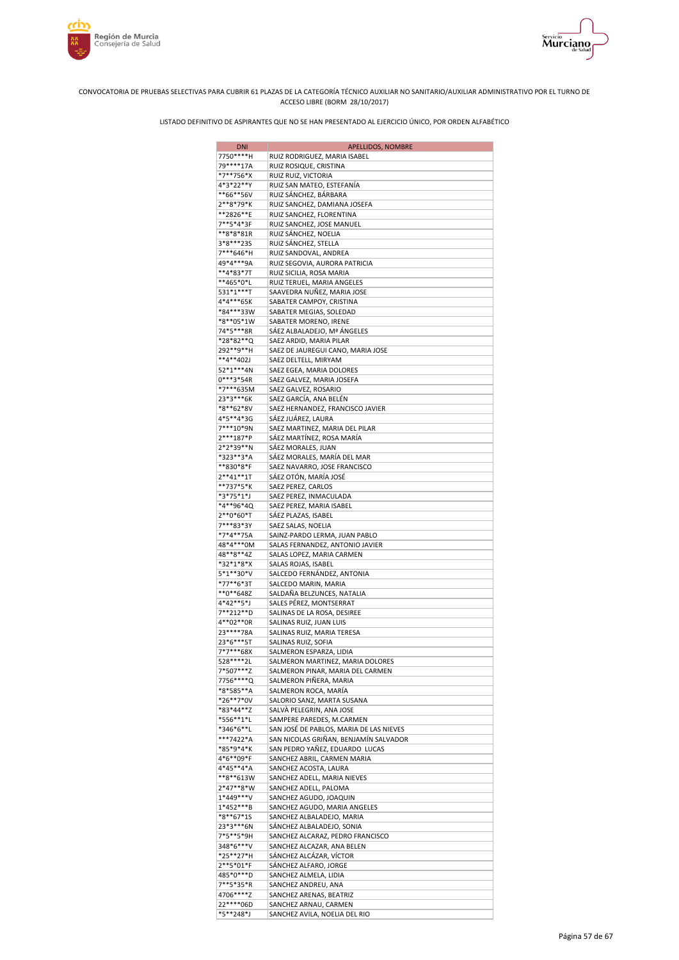



| <b>DNI</b>               | APELLIDOS, NOMBRE                                              |
|--------------------------|----------------------------------------------------------------|
| 7750****H                | RUIZ RODRIGUEZ, MARIA ISABEL                                   |
| 79****17A                | RUIZ ROSIQUE, CRISTINA                                         |
| *7**756*X                | RUIZ RUIZ, VICTORIA                                            |
| 4*3*22**Y                | RUIZ SAN MATEO, ESTEFANÍA                                      |
| **66**56V                | RUIZ SÁNCHEZ, BÁRBARA                                          |
| 2**8*79*K                | RUIZ SANCHEZ, DAMIANA JOSEFA                                   |
| **2826**E                | RUIZ SANCHEZ, FLORENTINA                                       |
| 7**5*4*3F                | RUIZ SANCHEZ, JOSE MANUEL                                      |
| **8*8*81R                | RUIZ SÁNCHEZ, NOELIA                                           |
| 3*8***235<br>7***646*H   | RUIZ SÁNCHEZ, STELLA<br>RUIZ SANDOVAL, ANDREA                  |
| 49*4***9A                | RUIZ SEGOVIA, AURORA PATRICIA                                  |
| **4*83*7T                | RUIZ SICILIA, ROSA MARIA                                       |
| **465*0*L                | RUIZ TERUEL, MARIA ANGELES                                     |
| 531*1***T                | SAAVEDRA NUÑEZ, MARIA JOSE                                     |
| 4*4***65K                | SABATER CAMPOY, CRISTINA                                       |
| *84***33W                | SABATER MEGIAS, SOLEDAD                                        |
| *8**05*1W                | SABATER MORENO, IRENE                                          |
| 74*5***8R                | SÁEZ ALBALADEJO, Mª ÁNGELES                                    |
| *28*82**Q                | SAEZ ARDID, MARIA PILAR                                        |
| 292**9**H                | SAEZ DE JAUREGUI CANO, MARIA JOSE                              |
| **4**402J                | SAEZ DELTELL, MIRYAM                                           |
| 52*1***4N                | SAEZ EGEA, MARIA DOLORES                                       |
| $0***3*54R$              | SAEZ GALVEZ, MARIA JOSEFA                                      |
| *7***635M                | SAEZ GALVEZ, ROSARIO                                           |
| 23*3***6K                | SAEZ GARCÍA, ANA BELÉN                                         |
| *8**62*8V                | SAEZ HERNANDEZ, FRANCISCO JAVIER                               |
| 4*5**4*3G                | SÁEZ JUÁREZ, LAURA                                             |
| 7***10*9N                | SAEZ MARTINEZ, MARIA DEL PILAR                                 |
| 2***187*P                | SÁEZ MARTÍNEZ, ROSA MARÍA                                      |
| 2*2*39**N<br>*323**3*A   | SÁEZ MORALES, JUAN<br>SÁEZ MORALES, MARÍA DEL MAR              |
| **830*8*F                | SAEZ NAVARRO, JOSE FRANCISCO                                   |
| $2**41**1T$              | SÁEZ OTÓN, MARÍA JOSÉ                                          |
| **737*5*K                | SAEZ PEREZ, CARLOS                                             |
| *3*75*1*J                | SAEZ PEREZ, INMACULADA                                         |
| *4**96*4Q                | SAEZ PEREZ, MARIA ISABEL                                       |
| 2**0*60*T                | SÁEZ PLAZAS, ISABEL                                            |
| 7***83*3Y                | SAEZ SALAS, NOELIA                                             |
| *7*4**75A                | SAINZ-PARDO LERMA, JUAN PABLO                                  |
| 48*4***0M                | SALAS FERNANDEZ, ANTONIO JAVIER                                |
| 48**8**4Z                | SALAS LOPEZ, MARIA CARMEN                                      |
| *32*1*8*X                | SALAS ROJAS, ISABEL                                            |
| 5*1**30*V                | SALCEDO FERNÁNDEZ, ANTONIA                                     |
| *77**6*3T                | SALCEDO MARIN, MARIA                                           |
| $*$ *0**648Z             | SALDAÑA BELZUNCES, NATALIA                                     |
| 4*42**5*J                | SALES PÉREZ, MONTSERRAT                                        |
| 7**212**D                | SALINAS DE LA ROSA, DESIREE                                    |
| 4**02**0R                | SALINAS RUIZ, JUAN LUIS                                        |
| 23 **** 78A<br>23*6***5T | SALINAS RUIZ, MARIA TERESA                                     |
| 7*7***68X                | SALINAS RUIZ, SOFIA                                            |
| 528 **** 2L              | SALMERON ESPARZA, LIDIA<br>SALMERON MARTINEZ, MARIA DOLORES    |
| 7*507***Z                | SALMERON PINAR, MARIA DEL CARMEN                               |
| 7756****Q                | SALMERON PIÑERA, MARIA                                         |
| *8*585**A                | SALMERON ROCA, MARÍA                                           |
| *26**7*0V                | SALORIO SANZ, MARTA SUSANA                                     |
| *83*44**Z                | SALVÀ PELEGRIN, ANA JOSE                                       |
| *556**1*L                | SAMPERE PAREDES, M.CARMEN                                      |
| *346*6**L                | SAN JOSÉ DE PABLOS, MARIA DE LAS NIEVES                        |
| ***7422*A                | SAN NICOLAS GRIÑAN, BENJAMÍN SALVADOR                          |
| *85*9*4*K                | SAN PEDRO YAÑEZ, EDUARDO LUCAS                                 |
| 4*6**09*F                | SANCHEZ ABRIL, CARMEN MARIA                                    |
| 4*45**4*A                | SANCHEZ ACOSTA, LAURA                                          |
| **8**613W                | SANCHEZ ADELL, MARIA NIEVES                                    |
| 2*47**8*W                | SANCHEZ ADELL, PALOMA                                          |
| 1*449***V                | SANCHEZ AGUDO, JOAQUIN                                         |
| 1*452***B                | SANCHEZ AGUDO, MARIA ANGELES                                   |
| *8**67*1S<br>23*3***6N   | SANCHEZ ALBALADEJO, MARIA                                      |
| 7*5**5*9H                | SÁNCHEZ ALBALADEJO, SONIA                                      |
| 348*6***V                | SANCHEZ ALCARAZ, PEDRO FRANCISCO<br>SANCHEZ ALCAZAR, ANA BELEN |
| *25**27*H                | SÁNCHEZ ALCÁZAR, VÍCTOR                                        |
| 2**5*01*F                | SÁNCHEZ ALFARO, JORGE                                          |
| 485*0***D                | SANCHEZ ALMELA, LIDIA                                          |
| 7**5*35*R                | SANCHEZ ANDREU, ANA                                            |
| 4706****Z                | SANCHEZ ARENAS, BEATRIZ                                        |
| 22 **** 06D              | SANCHEZ ARNAU, CARMEN                                          |
| *5**248*J                | SANCHEZ AVILA, NOELIA DEL RIO                                  |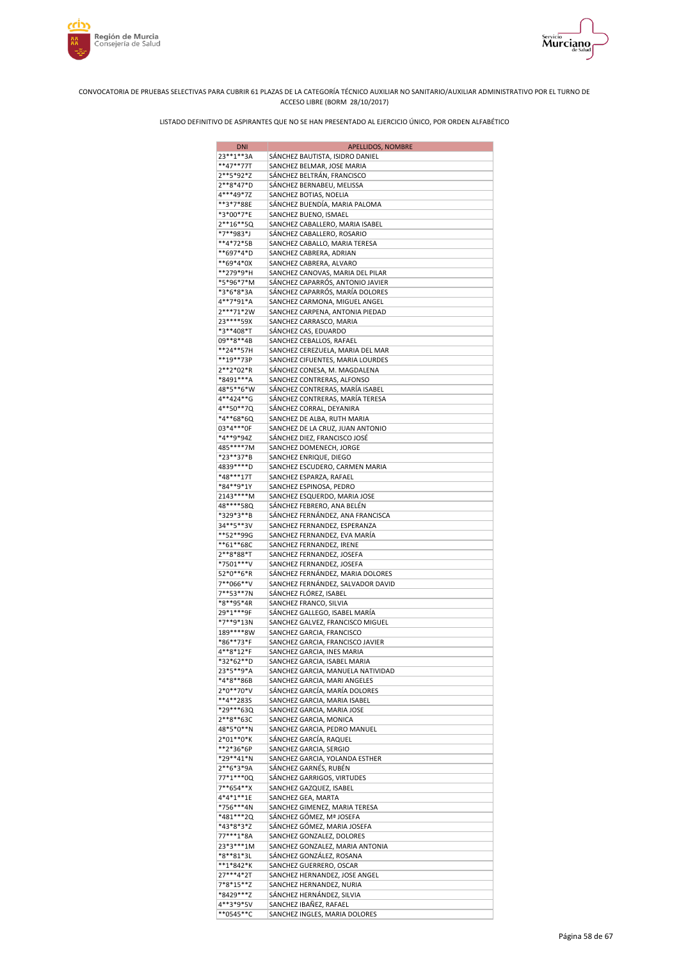



| <b>DNI</b>               | APELLIDOS, NOMBRE                                                     |
|--------------------------|-----------------------------------------------------------------------|
| 23 ** 1 ** 3A            | SÁNCHEZ BAUTISTA, ISIDRO DANIEL                                       |
| **47**77T                | SANCHEZ BELMAR, JOSE MARIA                                            |
| 2**5*92*Z                | SÁNCHEZ BELTRÁN, FRANCISCO                                            |
| 2**8*47*D<br>4***49*7Z   | SÁNCHEZ BERNABEU, MELISSA<br>SANCHEZ BOTIAS, NOELIA                   |
| **3*7*88E                | SÁNCHEZ BUENDÍA, MARIA PALOMA                                         |
| *3*00*7*E                | SANCHEZ BUENO, ISMAEL                                                 |
| $2***16***5Q$            | SANCHEZ CABALLERO, MARIA ISABEL                                       |
| *7**983*J                | SÁNCHEZ CABALLERO, ROSARIO                                            |
| **4*72*5B                | SANCHEZ CABALLO, MARIA TERESA                                         |
| **697*4*D<br>**69*4*0X   | SANCHEZ CABRERA, ADRIAN<br>SANCHEZ CABRERA, ALVARO                    |
| **279*9*H                | SANCHEZ CANOVAS, MARIA DEL PILAR                                      |
| *5*96*7*M                | SÁNCHEZ CAPARRÓS, ANTONIO JAVIER                                      |
| *3*6*8*3A                | SÁNCHEZ CAPARRÓS, MARÍA DOLORES                                       |
| 4**7*91*A                | SANCHEZ CARMONA, MIGUEL ANGEL                                         |
| 2***71*2W<br>23 **** 59X | SANCHEZ CARPENA, ANTONIA PIEDAD                                       |
| *3**408*T                | SANCHEZ CARRASCO, MARIA<br>SÁNCHEZ CAS, EDUARDO                       |
| 09**8**4B                | SANCHEZ CEBALLOS, RAFAEL                                              |
| **24**57H                | SANCHEZ CEREZUELA, MARIA DEL MAR                                      |
| **19**73P                | SANCHEZ CIFUENTES, MARIA LOURDES                                      |
| 2**2*02*R                | SÁNCHEZ CONESA, M. MAGDALENA                                          |
| *8491***A                | SANCHEZ CONTRERAS, ALFONSO                                            |
| 48*5**6*W<br>4**424**G   | SÁNCHEZ CONTRERAS, MARÍA ISABEL<br>SÁNCHEZ CONTRERAS, MARÍA TERESA    |
| 4**50**7Q                | SÁNCHEZ CORRAL, DEYANIRA                                              |
| *4**68*6Q                | SANCHEZ DE ALBA, RUTH MARIA                                           |
| 03*4***0F                | SANCHEZ DE LA CRUZ, JUAN ANTONIO                                      |
| *4**9*94Z                | SÁNCHEZ DIEZ, FRANCISCO JOSÉ                                          |
| 485****7M                | SANCHEZ DOMENECH, JORGE                                               |
| *23**37*B<br>4839 **** D | SANCHEZ ENRIQUE, DIEGO<br>SANCHEZ ESCUDERO, CARMEN MARIA              |
| *48***17T                | SANCHEZ ESPARZA, RAFAEL                                               |
| *84**9*1Y                | SANCHEZ ESPINOSA, PEDRO                                               |
| 2143****M                | SANCHEZ ESQUERDO, MARIA JOSE                                          |
| 48****58Q                | SÁNCHEZ FEBRERO, ANA BELÉN                                            |
| *329*3**B<br>34**5**3V   | SÁNCHEZ FERNÁNDEZ, ANA FRANCISCA<br>SANCHEZ FERNANDEZ, ESPERANZA      |
| **52**99G                | SANCHEZ FERNANDEZ, EVA MARÍA                                          |
| **61**68C                | SANCHEZ FERNANDEZ, IRENE                                              |
| 2**8*88*T                | SANCHEZ FERNANDEZ, JOSEFA                                             |
| *7501***V<br>52*0**6*R   | SANCHEZ FERNANDEZ, JOSEFA                                             |
| 7**066**V                | SÁNCHEZ FERNÁNDEZ, MARIA DOLORES<br>SANCHEZ FERNÁNDEZ, SALVADOR DAVID |
| 7**53**7N                | SÁNCHEZ FLÓREZ, ISABEL                                                |
| *8**95*4R                | SANCHEZ FRANCO, SILVIA                                                |
| 29*1***9F                | SÁNCHEZ GALLEGO, ISABEL MARÍA                                         |
| *7**9*13N                | SANCHEZ GALVEZ, FRANCISCO MIGUEL                                      |
| 189****8W<br>*86**73*F   | SANCHEZ GARCIA, FRANCISCO<br>SANCHEZ GARCIA, FRANCISCO JAVIER         |
| 4**8*12*F                | SANCHEZ GARCIA, INES MARIA                                            |
| *32*62**D                | SANCHEZ GARCIA, ISABEL MARIA                                          |
| 23*5**9*A                | SANCHEZ GARCIA, MANUELA NATIVIDAD                                     |
| *4*8**86B                | SANCHEZ GARCIA, MARI ANGELES                                          |
| 2*0**70*V<br>**4**2835   | SÁNCHEZ GARCÍA, MARÍA DOLORES<br>SANCHEZ GARCIA, MARIA ISABEL         |
| *29***63Q                | SANCHEZ GARCIA, MARIA JOSE                                            |
| 2**8**63C                | SANCHEZ GARCIA, MONICA                                                |
| 48*5*0**N                | SANCHEZ GARCIA, PEDRO MANUEL                                          |
| 2*01**0*K                | SÁNCHEZ GARCÍA, RAQUEL                                                |
| **2*36*6P<br>*29**41*N   | SANCHEZ GARCIA, SERGIO<br>SANCHEZ GARCIA, YOLANDA ESTHER              |
| 2**6*3*9A                | SÁNCHEZ GARNÉS, RUBÉN                                                 |
| 77*1***0Q                | SÁNCHEZ GARRIGOS, VIRTUDES                                            |
| 7**654**X                | SANCHEZ GAZQUEZ, ISABEL                                               |
| 4*4*1**1E                | SANCHEZ GEA, MARTA                                                    |
| *756***4N<br>*481***2Q   | SANCHEZ GIMENEZ, MARIA TERESA<br>SÁNCHEZ GÓMEZ, Mª JOSEFA             |
| *43*8*3*Z                | SÁNCHEZ GÓMEZ, MARIA JOSEFA                                           |
| 77***1*8A                | SANCHEZ GONZALEZ, DOLORES                                             |
| 23*3***1M                | SANCHEZ GONZALEZ, MARIA ANTONIA                                       |
| *8**81*3L<br>$**1*842*K$ | SÁNCHEZ GONZÁLEZ, ROSANA                                              |
| 27***4*2T                | SANCHEZ GUERRERO, OSCAR<br>SANCHEZ HERNANDEZ, JOSE ANGEL              |
| 7*8*15**Z                | SANCHEZ HERNANDEZ, NURIA                                              |
| *8429***Z                | SÁNCHEZ HERNÁNDEZ, SILVIA                                             |
| 4**3*9*5V                | SANCHEZ IBAÑEZ, RAFAEL                                                |
| **0545**C                | SANCHEZ INGLES, MARIA DOLORES                                         |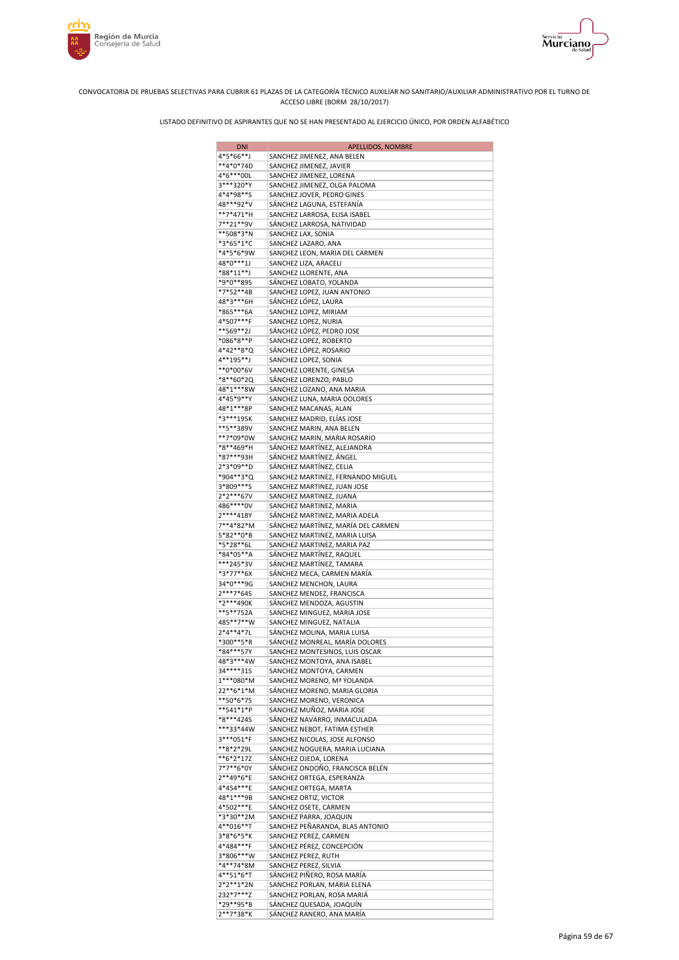



| <b>DNI</b>             | APELLIDOS, NOMBRE                                             |
|------------------------|---------------------------------------------------------------|
| 4*5*66**J              | SANCHEZ JIMENEZ, ANA BELEN                                    |
| **4*0*74D              | SANCHEZ JIMENEZ, JAVIER                                       |
| 4*6***00L<br>3***320*Y | SANCHEZ JIMENEZ, LORENA<br>SANCHEZ JIMENEZ, OLGA PALOMA       |
| 4*4*98**S              | SANCHEZ JOVER, PEDRO GINES                                    |
| 48***92*V              | SÁNCHEZ LAGUNA, ESTEFANÍA                                     |
| **7*471*H              | SANCHEZ LARROSA, ELISA ISABEL                                 |
| 7**21**9V              | SÁNCHEZ LARROSA, NATIVIDAD                                    |
| **508*3*N              | SANCHEZ LAX, SONIA                                            |
| *3*65*1*C<br>*4*5*6*9W | SANCHEZ LAZARO, ANA                                           |
| 48*0***1J              | SANCHEZ LEON, MARIA DEL CARMEN<br>SANCHEZ LIZA, ARACELI       |
| *88*11**J              | SANCHEZ LLORENTE, ANA                                         |
| *9*0**89S              | SÁNCHEZ LOBATO, YOLANDA                                       |
| *7*52**4B              | SANCHEZ LOPEZ, JUAN ANTONIO                                   |
| 48*3***6H              | SÁNCHEZ LÓPEZ, LAURA                                          |
| *865***6A<br>4*507***F | SANCHEZ LOPEZ, MIRIAM<br>SANCHEZ LOPEZ, NURIA                 |
| **569**2J              | SÁNCHEZ LÓPEZ, PEDRO JOSE                                     |
| *086*8**P              | SANCHEZ LOPEZ, ROBERTO                                        |
| 4*42**8*Q              | SÁNCHEZ LÓPEZ, ROSARIO                                        |
| 4**195**J              | SANCHEZ LOPEZ, SONIA                                          |
| **0*00*6V              | SANCHEZ LORENTE, GINESA                                       |
| *8**60*20<br>48*1***8W | SÁNCHEZ LORENZO, PABLO<br>SANCHEZ LOZANO, ANA MARIA           |
| 4*45*9**Y              | SANCHEZ LUNA, MARIA DOLORES                                   |
| 48*1***8P              | SANCHEZ MACANAS, ALAN                                         |
| *3***195K              | SANCHEZ MADRID, ELÍAS JOSE                                    |
| **5**389V              | SANCHEZ MARIN, ANA BELEN                                      |
| **7*09*0W              | SANCHEZ MARIN, MARIA ROSARIO                                  |
| *8**469*H<br>*87***93H | SÁNCHEZ MARTÍNEZ, ALEJANDRA<br>SÁNCHEZ MARTÍNEZ, ÁNGEL        |
| 2*3*09**D              | SÁNCHEZ MARTÍNEZ, CELIA                                       |
| *904**3*Q              | SANCHEZ MARTINEZ, FERNANDO MIGUEL                             |
| 3*809***S              | SANCHEZ MARTINEZ, JUAN JOSE                                   |
| 2*2***67V              | SANCHEZ MARTINEZ, JUANA                                       |
| 486****0V<br>2****418Y | SANCHEZ MARTINEZ, MARIA<br>SÁNCHEZ MARTINEZ, MARIA ADELA      |
| 7**4*82*M              | SÁNCHEZ MARTÍNEZ, MARÍA DEL CARMEN                            |
| 5*82**0*B              | SANCHEZ MARTINEZ, MARIA LUISA                                 |
| *5*28**6L              | SANCHEZ MARTINEZ, MARIA PAZ                                   |
| *84*05**A<br>***245*3V | SÁNCHEZ MARTÍNEZ, RAQUEL                                      |
| *3*77**6X              | SÁNCHEZ MARTÍNEZ, TAMARA<br>SÁNCHEZ MECA, CARMEN MARÍA        |
| 34*0***9G              | SANCHEZ MENCHON, LAURA                                        |
| 2***7*64S              | SANCHEZ MENDEZ, FRANCISCA                                     |
| *2***490K              | SÁNCHEZ MENDOZA, AGUSTIN                                      |
| **5**752A<br>485**7**W | SANCHEZ MINGUEZ, MARIA JOSE                                   |
| 2*4**4*7L              | SANCHEZ MINGUEZ, NATALIA<br>SÁNCHEZ MOLINA, MARIA LUISA       |
| *300**5*R              | SÁNCHEZ MONREAL, MARÍA DOLORES                                |
| *84***57Y              | SANCHEZ MONTESINOS, LUIS OSCAR                                |
| 48*3***4W              | SANCHEZ MONTOYA, ANA ISABEL                                   |
| 34****315<br>1***080*M | SANCHEZ MONTOYA, CARMEN<br>SANCHEZ MORENO, Mª YOLANDA         |
| 22**6*1*M              | SÁNCHEZ MORENO, MARIA GLORIA                                  |
| **50*6*7S              | SANCHEZ MORENO, VERONICA                                      |
| **541*1*P              | SANCHEZ MUÑOZ, MARIA JOSE                                     |
| *8***4245              | SÁNCHEZ NAVARRO, INMACULADA                                   |
| ***33*44W<br>3***051*F | SANCHEZ NEBOT, FATIMA ESTHER<br>SANCHEZ NICOLAS, JOSE ALFONSO |
| **8*2*29L              | SANCHEZ NOGUERA, MARIA LUCIANA                                |
| **6*2*17Z              | SÁNCHEZ OJEDA, LORENA                                         |
| 7*7**6*0Y              | SÁNCHEZ ONDOÑO, FRANCISCA BELÉN                               |
| 2**49*6*E<br>4*454***E | SANCHEZ ORTEGA, ESPERANZA<br>SANCHEZ ORTEGA, MARTA            |
| 48*1***9B              | SANCHEZ ORTIZ, VICTOR                                         |
| 4*502***E              | SÁNCHEZ OSETE, CARMEN                                         |
| *3*30**2M              | SANCHEZ PARRA, JOAQUIN                                        |
| 4**016**T              | SANCHEZ PEÑARANDA, BLAS ANTONIO                               |
| 3*8*6*5*K              | SANCHEZ PEREZ, CARMEN                                         |
| 4*484***F<br>3*806***W | SÁNCHEZ PÉREZ, CONCEPCIÓN<br>SANCHEZ PEREZ, RUTH              |
| *4**74*8M              | SANCHEZ PEREZ, SILVIA                                         |
| 4**51*6*T              | SÁNCHEZ PIÑERO, ROSA MARÍA                                    |
| 2*2**1*2N              | SANCHEZ PORLAN, MARIA ELENA                                   |
| 232*7***Z<br>*29**95*B | SANCHEZ PORLAN, ROSA MARIÁ<br>SÁNCHEZ QUESADA, JOAQUÍN        |
| 2**7*38*K              | SÁNCHEZ RANERO, ANA MARÍA                                     |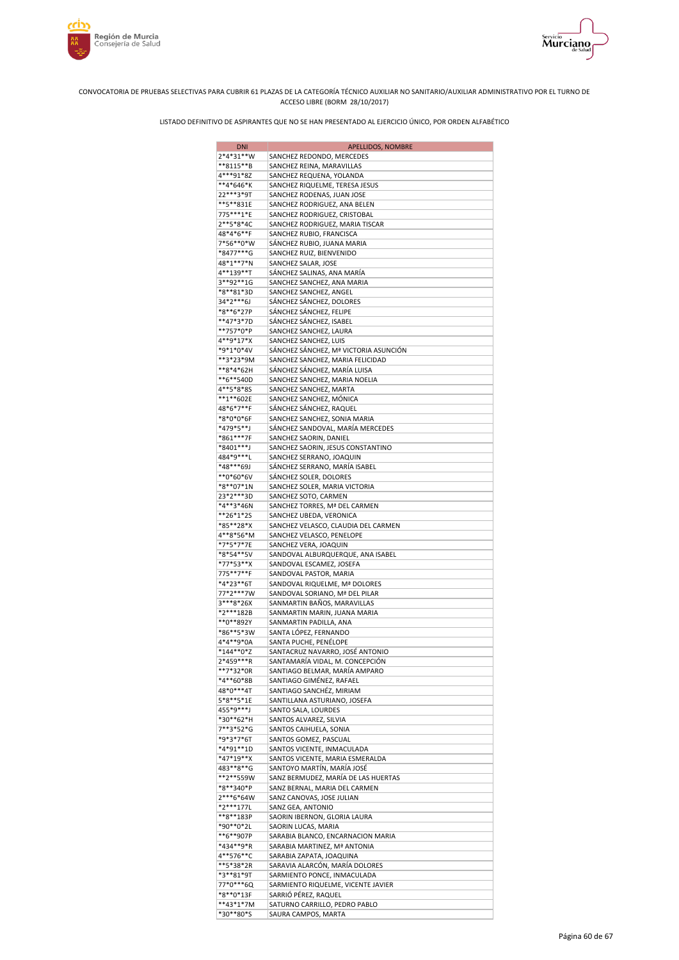



| <b>DNI</b>               | APELLIDOS, NOMBRE                                                |
|--------------------------|------------------------------------------------------------------|
| 2*4*31**W                | SANCHEZ REDONDO, MERCEDES                                        |
| **8115**B                | SANCHEZ REINA, MARAVILLAS                                        |
| 4***91*8Z<br>**4*646*K   | SANCHEZ REQUENA, YOLANDA<br>SANCHEZ RIQUELME, TERESA JESUS       |
| 22***3*9T                | SANCHEZ RODENAS, JUAN JOSE                                       |
| **5**831E                | SANCHEZ RODRIGUEZ, ANA BELEN                                     |
| 775***1*E                | SANCHEZ RODRIGUEZ, CRISTOBAL                                     |
| 2**5*8*4C                | SANCHEZ RODRIGUEZ, MARIA TISCAR                                  |
| 48*4*6**F                | SANCHEZ RUBIO, FRANCISCA                                         |
| 7*56**0*W                | SÁNCHEZ RUBIO, JUANA MARIA                                       |
| *8477***G<br>48*1**7*N   | SANCHEZ RUIZ, BIENVENIDO                                         |
| 4**139**T                | SANCHEZ SALAR, JOSE<br>SÁNCHEZ SALINAS, ANA MARÍA                |
| 3**92**1G                | SANCHEZ SANCHEZ, ANA MARIA                                       |
| *8**81*3D                | SANCHEZ SANCHEZ, ANGEL                                           |
| 34*2***6J                | SÁNCHEZ SÁNCHEZ, DOLORES                                         |
| *8**6*27P                | SÁNCHEZ SÁNCHEZ, FELIPE                                          |
| **47*3*7D                | SÁNCHEZ SÁNCHEZ, ISABEL                                          |
| **757*0*P<br>4**9*17*X   | SANCHEZ SANCHEZ, LAURA                                           |
| *9*1*0*4V                | SANCHEZ SANCHEZ, LUIS<br>SÁNCHEZ SÁNCHEZ, Mª VICTORIA ASUNCIÓN   |
| **3*23*9M                | SANCHEZ SANCHEZ, MARIA FELICIDAD                                 |
| **8*4*62H                | SÁNCHEZ SÁNCHEZ, MARÍA LUISA                                     |
| **6**540D                | SANCHEZ SANCHEZ, MARIA NOELIA                                    |
| 4**5*8*8S                | SANCHEZ SANCHEZ, MARTA                                           |
| **1**602E                | SANCHEZ SANCHEZ, MÓNICA                                          |
| 48*6*7**F                | SÁNCHEZ SÁNCHEZ, RAQUEL                                          |
| *8*0*0*6F<br>*479*5**J   | SANCHEZ SANCHEZ, SONIA MARIA                                     |
| *861***7F                | SÁNCHEZ SANDOVAL, MARÍA MERCEDES<br>SANCHEZ SAORIN, DANIEL       |
| *8401***J                | SANCHEZ SAORIN, JESUS CONSTANTINO                                |
| 484*9***L                | SANCHEZ SERRANO, JOAQUIN                                         |
| *48***69J                | SÁNCHEZ SERRANO, MARÍA ISABEL                                    |
| **0*60*6V                | SÁNCHEZ SOLER, DOLORES                                           |
| *8**07*1N                | SANCHEZ SOLER, MARIA VICTORIA                                    |
| 23*2***3D                | SANCHEZ SOTO, CARMEN                                             |
| *4**3*46N<br>**26*1*2S   | SANCHEZ TORRES, Mª DEL CARMEN<br>SANCHEZ UBEDA, VERONICA         |
| *85**28*X                | SANCHEZ VELASCO, CLAUDIA DEL CARMEN                              |
| 4**8*56*M                | SANCHEZ VELASCO, PENELOPE                                        |
| *7*5*7*7E                | SANCHEZ VERA, JOAQUIN                                            |
| *8*54**5V                | SANDOVAL ALBURQUERQUE, ANA ISABEL                                |
| *77*53**X                | SANDOVAL ESCAMEZ, JOSEFA                                         |
| 775**7**F                | SANDOVAL PASTOR, MARIA                                           |
| *4*23**6T<br>77*2***7W   | SANDOVAL RIQUELME, Mª DOLORES<br>SANDOVAL SORIANO, Mª DEL PILAR  |
| 3***8*26X                | SANMARTIN BAÑOS, MARAVILLAS                                      |
| *2***182B                | SANMARTIN MARIN, JUANA MARIA                                     |
| **0**892Y                | SANMARTIN PADILLA, ANA                                           |
| *86**5*3W                | SANTA LÓPEZ, FERNANDO                                            |
| 4*4**9*0A                | SANTA PUCHE, PENÉLOPE                                            |
| $*144**0*Z$<br>2*459***R | SANTACRUZ NAVARRO, JOSÉ ANTONIO                                  |
| **7*32*0R                | SANTAMARÍA VIDAL, M. CONCEPCIÓN<br>SANTIAGO BELMAR, MARÍA AMPARO |
| *4**60*8B                | SANTIAGO GIMÉNEZ, RAFAEL                                         |
| 48*0***4T                | SANTIAGO SANCHÉZ, MIRIAM                                         |
| 5*8**5*1E                | SANTILLANA ASTURIANO, JOSEFA                                     |
| 455*9***J                | SANTO SALA, LOURDES                                              |
| *30**62*H                | SANTOS ALVAREZ, SILVIA                                           |
| 7**3*52*G                | SANTOS CAIHUELA, SONIA                                           |
| *9*3*7*6T<br>*4*91**1D   | SANTOS GOMEZ, PASCUAL<br>SANTOS VICENTE, INMACULADA              |
| *47*19**X                | SANTOS VICENTE, MARIA ESMERALDA                                  |
| 483**8**G                | SANTOYO MARTÍN, MARÍA JOSÉ                                       |
| **2**559W                | SANZ BERMUDEZ, MARÍA DE LAS HUERTAS                              |
| *8**340*P                | SANZ BERNAL, MARIA DEL CARMEN                                    |
| 2***6*64W                | SANZ CANOVAS, JOSE JULIAN                                        |
| *2***177L                | SANZ GEA, ANTONIO                                                |
| **8**183P<br>*90**0*2L   | SAORIN IBERNON, GLORIA LAURA<br>SAORIN LUCAS, MARIA              |
| **6**907P                | SARABIA BLANCO, ENCARNACION MARIA                                |
| *434**9*R                | SARABIA MARTINEZ, Mª ANTONIA                                     |
| 4**576**C                | SARABIA ZAPATA, JOAQUINA                                         |
| **5*38*2R                | SARAVIA ALARCÓN, MARÍA DOLORES                                   |
| *3**81*9T                | SARMIENTO PONCE, INMACULADA                                      |
| 77*0***6Q                | SARMIENTO RIQUELME, VICENTE JAVIER                               |
| *8**0*13F<br>**43*1*7M   | SARRIÓ PÉREZ, RAQUEL                                             |
| *30**80*S                | SATURNO CARRILLO, PEDRO PABLO<br>SAURA CAMPOS, MARTA             |
|                          |                                                                  |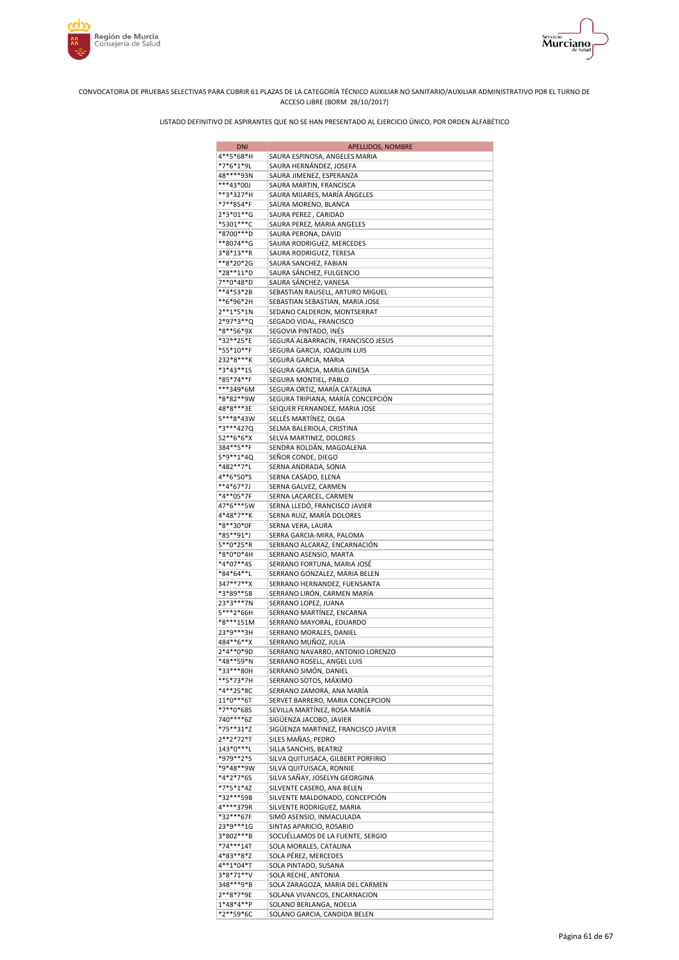



| <b>DNI</b>             | APELLIDOS, NOMBRE                                         |
|------------------------|-----------------------------------------------------------|
| 4**5*68*H              | SAURA ESPINOSA, ANGELES MARIA                             |
| *7*6*1*9L              | SAURA HERNÁNDEZ, JOSEFA                                   |
| 48****93N              | SAURA JIMENEZ, ESPERANZA                                  |
| ***43*00J              | SAURA MARTIN, FRANCISCA                                   |
| **3*327*H              | SAURA MIJARES, MARÍA ÁNGELES                              |
| *7**854*F              | SAURA MORENO, BLANCA                                      |
| 2*3*01**G              | SAURA PEREZ, CARIDAD                                      |
| *5301***C              | SAURA PEREZ, MARIA ANGELES                                |
| *8700***D<br>**8074**G | SAURA PERONA, DAVID                                       |
| 3*8*13**R              | SAURA RODRIGUEZ, MERCEDES<br>SAURA RODRIGUEZ, TERESA      |
| **8*20*2G              | SAURA SANCHEZ, FABIAN                                     |
| *28**11*D              | SAURA SÁNCHEZ, FULGENCIO                                  |
| 7**0*48*D              | SAURA SÁNCHEZ, VANESA                                     |
| **4*53*2B              | SEBASTIAN RAUSELL, ARTURO MIGUEL                          |
| **6*96*2H              | SEBASTIAN SEBASTIAN, MARIA JOSE                           |
| $2**1*5*1N$            | SEDANO CALDERON, MONTSERRAT                               |
| 2*97*3**Q              | SEGADO VIDAL, FRANCISCO                                   |
| *8**56*9X              | SEGOVIA PINTADO, INÉS                                     |
| *32**25*E              | SEGURA ALBARRACIN, FRANCISCO JESUS                        |
| *55*10**F              | SEGURA GARCIA, JOAQUIN LUIS                               |
| 232*8***K              | SEGURA GARCIA, MARIA                                      |
| *3*43**15              | SEGURA GARCIA, MARIA GINESA                               |
| *85*74**F              | SEGURA MONTIEL, PABLO                                     |
| ***349*6M              | SEGURA ORTIZ, MARÍA CATALINA                              |
| *8*82**9W              | SEGURA TRIPIANA, MARÍA CONCEPCIÓN                         |
| 48*8***3E              | SEIQUER FERNANDEZ, MARIA JOSE                             |
| 5***8*43W              | SELLÉS MARTÍNEZ, OLGA<br>SELMA BALERIOLA, CRISTINA        |
| *3***427Q<br>52**6*6*X | SELVA MARTINEZ, DOLORES                                   |
| 384**5**F              | SENDRA ROLDÁN, MAGDALENA                                  |
| 5*9**1*4Q              | SEÑOR CONDE, DIEGO                                        |
| *482**7*L              | SERNA ANDRADA, SONIA                                      |
| 4**6*50*S              | SERNA CASADO, ELENA                                       |
| **4*67*7J              | SERNA GALVEZ, CARMEN                                      |
| *4**05*7F              | SERNA LACARCEL, CARMEN                                    |
| 47*6***5W              | SERNA LLEDÓ, FRANCISCO JAVIER                             |
| 4*48*7**K              | SERNA RUIZ, MARÍA DOLORES                                 |
| *8**30*0F              | SERNA VERA, LAURA                                         |
| *85**91*J              | SERRA GARCIA-MIRA, PALOMA                                 |
| 5**0*25*R              | SERRANO ALCARAZ, ENCARNACIÓN                              |
| *8*0*0*4H              | SERRANO ASENSIO, MARTA                                    |
| *4*07**4S              | SERRANO FORTUNA, MARIA JOSÉ                               |
| *84*64**L              | SERRANO GONZALEZ, MARIA BELEN                             |
| 347**7**X              | SERRANO HERNANDEZ, FUENSANTA                              |
| *3*89**5B<br>23*3***7N | SERRANO LIRÓN, CARMEN MARÍA<br>SERRANO LOPEZ, JUANA       |
| 5***2*66H              | SERRANO MARTÍNEZ, ENCARNA                                 |
| *8***151M              | SERRANO MAYORAL, EDUARDO                                  |
| 23*9***3H              | SERRANO MORALES, DANIEL                                   |
| 484**6**X              | SERRANO MUÑOZ, JULIA                                      |
| $2*4**0*9D$            | SERRANO NAVARRO, ANTONIO LORENZO                          |
| *48**59*N              | SERRANO ROSELL, ANGEL LUIS                                |
| *33***80H              | SERRANO SIMÓN, DANIEL                                     |
| **5*73*7H              | SERRANO SOTOS, MÁXIMO                                     |
| *4**25*8C              | SERRANO ZAMORA, ANA MARÍA                                 |
| 11*0***6T              | SERVET BARRERO, MARIA CONCEPCION                          |
| *7**0*68S              | SEVILLA MARTÍNEZ, ROSA MARÍA                              |
| 740****6Z              | SIGÜENZA JACOBO, JAVIER                                   |
| *75**31*Z              | SIGÜENZA MARTINEZ, FRANCISCO JAVIER                       |
| 2**2*72*T              | SILES MAÑAS, PEDRO                                        |
| 143*0***L<br>*979**2*S | SILLA SANCHIS, BEATRIZ                                    |
| *9*48**9W              | SILVA QUITUISACA, GILBERT PORFIRIO                        |
| *4*2*7*6S              | SILVA QUITUISACA, RONNIE<br>SILVA SAÑAY, JOSELYN GEORGINA |
| *7*5*1*4Z              | SILVENTE CASERO, ANA BELEN                                |
| *32***59B              | SILVENTE MALDONADO, CONCEPCIÓN                            |
| 4****379R              | SILVENTE RODRIGUEZ, MARIA                                 |
| *32***67F              | SIMÓ ASENSIO, INMACULADA                                  |
| 23*9***1G              | SINTAS APARICIO, ROSARIO                                  |
| 3*802***B              | SOCUÉLLAMOS DE LA FUENTE, SERGIO                          |
| *74***14T              | SOLA MORALES, CATALINA                                    |
| 4*83**8*Z              | SOLA PÉREZ, MERCEDES                                      |
| 4**1*04*T              | SOLA PINTADO, SUSANA                                      |
| 3*8*71**V              | SOLA RECHE, ANTONIA                                       |
| 348***9*B              | SOLA ZARAGOZA, MARIA DEL CARMEN                           |
| 2**8*7*9E              | SOLANA VIVANCOS, ENCARNACION                              |
| 1*48*4**P              | SOLANO BERLANGA, NOELIA                                   |
| *2**59*6C              | SOLANO GARCIA, CANDIDA BELEN                              |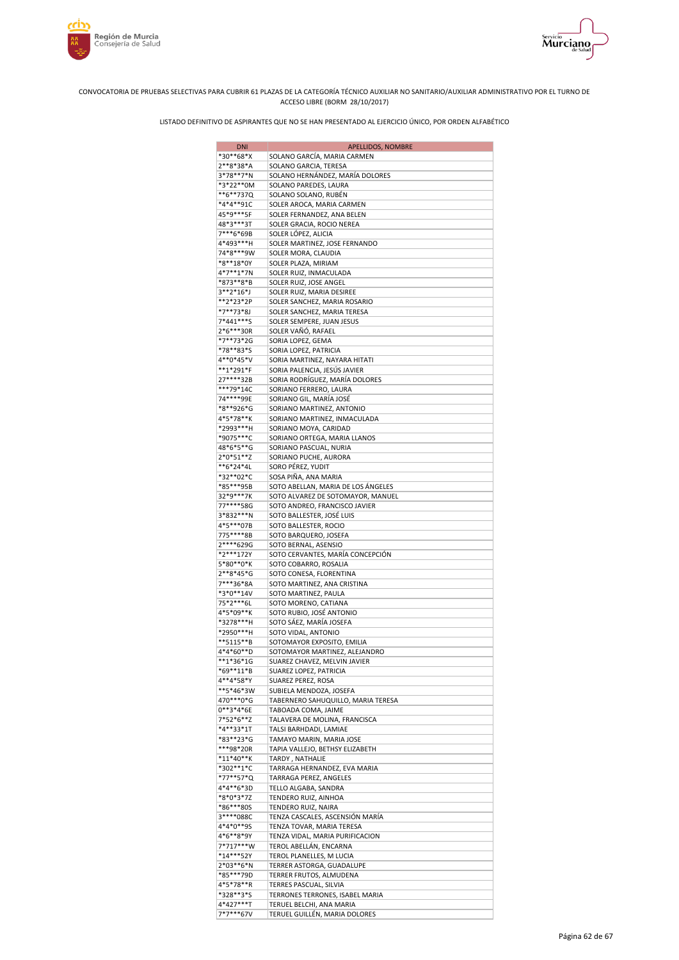



| <b>DNI</b>             | APELLIDOS, NOMBRE                                          |
|------------------------|------------------------------------------------------------|
| *30**68*X              | SOLANO GARCÍA, MARIA CARMEN                                |
| 2**8*38*A              | SOLANO GARCIA, TERESA                                      |
| 3*78**7*N              | SOLANO HERNÁNDEZ, MARÍA DOLORES                            |
| *3*22**0M              | SOLANO PAREDES, LAURA                                      |
| **6**737Q              | SOLANO SOLANO, RUBÉN                                       |
| *4*4**91C              | SOLER AROCA, MARIA CARMEN                                  |
| 45*9***5F<br>48*3***3T | SOLER FERNANDEZ, ANA BELEN                                 |
| 7***6*69B              | SOLER GRACIA, ROCIO NEREA                                  |
| 4*493***H              | SOLER LÓPEZ, ALICIA<br>SOLER MARTINEZ, JOSE FERNANDO       |
| 74*8***9W              | SOLER MORA, CLAUDIA                                        |
| *8**18*0Y              | SOLER PLAZA, MIRIAM                                        |
| 4*7**1*7N              | SOLER RUIZ, INMACULADA                                     |
| *873**8*B              | SOLER RUIZ, JOSE ANGEL                                     |
| 3**2*16*J              | SOLER RUIZ, MARIA DESIREE                                  |
| **2*23*2P              | SOLER SANCHEZ, MARIA ROSARIO                               |
| *7**73*8J              | SOLER SANCHEZ, MARIA TERESA                                |
| 7*441***S              | SOLER SEMPERE, JUAN JESUS                                  |
| 2*6***30R              | SOLER VAÑÓ, RAFAEL                                         |
| *7**73*2G<br>*78**83*S | SORIA LOPEZ, GEMA<br>SORIA LOPEZ, PATRICIA                 |
| 4**0*45*V              | SORIA MARTINEZ, NAYARA HITATI                              |
| **1*291*F              | SORIA PALENCIA, JESÚS JAVIER                               |
| 27****32B              | SORIA RODRÍGUEZ, MARÍA DOLORES                             |
| ***79*14C              | SORIANO FERRERO, LAURA                                     |
| 74****99E              | SORIANO GIL, MARÍA JOSÉ                                    |
| *8**926*G              | SORIANO MARTINEZ, ANTONIO                                  |
| 4*5*78**K              | SORIANO MARTINEZ, INMACULADA                               |
| *2993***H              | SORIANO MOYA, CARIDAD                                      |
| *9075***C              | SORIANO ORTEGA, MARIA LLANOS                               |
| 48*6*5**G              | SORIANO PASCUAL, NURIA                                     |
| 2*0*51**Z              | SORIANO PUCHE, AURORA                                      |
| **6*24*4L<br>*32**02*C | SORO PÉREZ, YUDIT                                          |
| *85***95B              | SOSA PIÑA, ANA MARIA<br>SOTO ABELLAN, MARIA DE LOS ÁNGELES |
| 32*9***7K              | SOTO ALVAREZ DE SOTOMAYOR, MANUEL                          |
| 77****58G              | SOTO ANDREO, FRANCISCO JAVIER                              |
| 3*832***N              | SOTO BALLESTER, JOSÉ LUIS                                  |
| 4*5***07B              | SOTO BALLESTER, ROCIO                                      |
| 775****8B              | SOTO BARQUERO, JOSEFA                                      |
| 2****629G              | SOTO BERNAL, ASENSIO                                       |
| *2***172Y              | SOTO CERVANTES, MARÍA CONCEPCIÓN                           |
| 5*80**0*K<br>2**8*45*G | SOTO COBARRO, ROSALIA                                      |
| 7***36*8A              | SOTO CONESA, FLORENTINA<br>SOTO MARTINEZ, ANA CRISTINA     |
| *3*0**14V              | SOTO MARTINEZ, PAULA                                       |
| 75*2***6L              | SOTO MORENO, CATIANA                                       |
| 4*5*09**K              | SOTO RUBIO, JOSÉ ANTONIO                                   |
| *3278***H              | SOTO SÁEZ, MARÍA JOSEFA                                    |
| *2950***H              | SOTO VIDAL, ANTONIO                                        |
| **5115**B              | SOTOMAYOR EXPOSITO, EMILIA                                 |
| 4*4*60**D              | SOTOMAYOR MARTINEZ, ALEJANDRO                              |
| $**1*36*1G$            | SUAREZ CHAVEZ, MELVIN JAVIER                               |
| *69**11*B              | SUAREZ LOPEZ, PATRICIA                                     |
| 4**4*58*Y<br>**5*46*3W | SUAREZ PEREZ, ROSA<br>SUBIELA MENDOZA, JOSEFA              |
| 470 *** 0 * G          | TABERNERO SAHUQUILLO, MARIA TERESA                         |
| $0***3*4*6E$           | TABOADA COMA, JAIME                                        |
| 7*52*6**Z              | TALAVERA DE MOLINA, FRANCISCA                              |
| *4**33*1T              | TALSI BARHDADI, LAMIAE                                     |
| *83**23*G              | TAMAYO MARIN, MARIA JOSE                                   |
| ***98*20R              | TAPIA VALLEJO, BETHSY ELIZABETH                            |
| $*11*40**K$            | TARDY, NATHALIE                                            |
| *302**1*C              | TARRAGA HERNANDEZ, EVA MARIA                               |
| *77**57*Q<br>4*4**6*3D | TARRAGA PEREZ, ANGELES                                     |
| *8*0*3*7Z              | TELLO ALGABA, SANDRA<br>TENDERO RUIZ, AINHOA               |
| *86***80S              | TENDERO RUIZ, NAIRA                                        |
| 3****088C              | TENZA CASCALES, ASCENSIÓN MARÍA                            |
| 4*4*0**9S              | TENZA TOVAR, MARIA TERESA                                  |
| 4*6**8*9Y              | TENZA VIDAL, MARIA PURIFICACION                            |
| 7*717***W              | TEROL ABELLÁN, ENCARNA                                     |
| *14***52Y              | TEROL PLANELLES, M LUCIA                                   |
| 2*03**6*N              | TERRER ASTORGA, GUADALUPE                                  |
| *85***79D<br>4*5*78**R | TERRER FRUTOS, ALMUDENA<br>TERRES PASCUAL, SILVIA          |
| *328**3*S              | TERRONES TERRONES, ISABEL MARIA                            |
| 4*427***T              | TERUEL BELCHI, ANA MARIA                                   |
| 7*7***67V              | TERUEL GUILLÉN, MARIA DOLORES                              |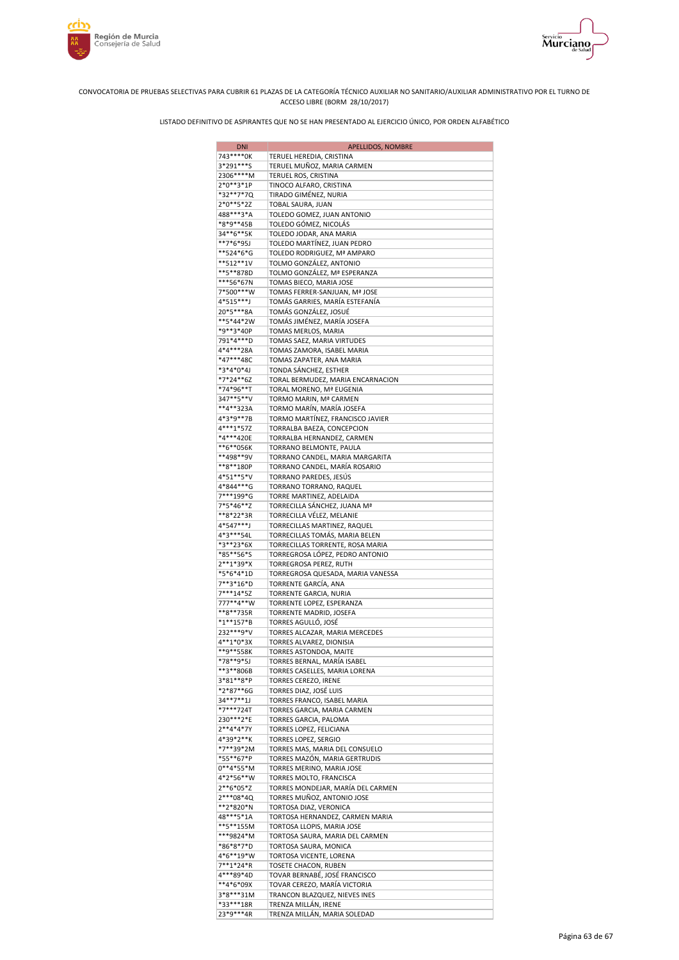



| <b>DNI</b>                | APELLIDOS, NOMBRE                                             |
|---------------------------|---------------------------------------------------------------|
| 743****0K                 | TERUEL HEREDIA, CRISTINA                                      |
| 3*291***S                 | TERUEL MUÑOZ, MARIA CARMEN                                    |
| 2306****M<br>2*0**3*1P    | TERUEL ROS, CRISTINA                                          |
| *32**7*7Q                 | TINOCO ALFARO, CRISTINA<br>TIRADO GIMÉNEZ, NURIA              |
| 2*0**5*2Z                 | TOBAL SAURA, JUAN                                             |
| 488***3*A                 | TOLEDO GOMEZ, JUAN ANTONIO                                    |
| *8*9**45B                 | TOLEDO GÓMEZ, NICOLÁS                                         |
| 34**6**5K                 | TOLEDO JODAR, ANA MARIA                                       |
| **7*6*95J<br>**524*6*G    | TOLEDO MARTÍNEZ, JUAN PEDRO<br>TOLEDO RODRIGUEZ, Mª AMPARO    |
| **512**1V                 | TOLMO GONZÁLEZ, ANTONIO                                       |
| **5**878D                 | TOLMO GONZÁLEZ, Mª ESPERANZA                                  |
| ***56*67N                 | TOMAS BIECO, MARIA JOSE                                       |
| 7*500***W                 | TOMAS FERRER-SANJUAN, Mª JOSE                                 |
| 4*515***J<br>20*5***8A    | TOMÁS GARRIES, MARÍA ESTEFANÍA<br>TOMÁS GONZÁLEZ, JOSUÉ       |
| **5*44*2W                 | TOMÁS JIMÉNEZ, MARÍA JOSEFA                                   |
| *9**3*40P                 | TOMAS MERLOS, MARIA                                           |
| 791*4***D                 | TOMAS SAEZ, MARIA VIRTUDES                                    |
| 4*4***28A                 | TOMAS ZAMORA, ISABEL MARIA                                    |
| *47***48C                 | TOMAS ZAPATER, ANA MARIA                                      |
| *3*4*0*4J<br>*7*24**6Z    | TONDA SÁNCHEZ, ESTHER<br>TORAL BERMUDEZ, MARIA ENCARNACION    |
| *74*96**T                 | TORAL MORENO, Mª EUGENIA                                      |
| 347**5**V                 | TORMO MARIN, Mª CARMEN                                        |
| **4**323A                 | TORMO MARÍN, MARÍA JOSEFA                                     |
| 4*3*9**7B                 | TORMO MARTÍNEZ, FRANCISCO JAVIER                              |
| 4***1*57Z<br>*4***420E    | TORRALBA BAEZA, CONCEPCION<br>TORRALBA HERNANDEZ, CARMEN      |
| **6**056K                 | TORRANO BELMONTE, PAULA                                       |
| **498**9V                 | TORRANO CANDEL, MARIA MARGARITA                               |
| **8**180P                 | TORRANO CANDEL, MARÍA ROSARIO                                 |
| 4*51**5*V                 | TORRANO PAREDES, JESÚS                                        |
| 4*844***G                 | TORRANO TORRANO, RAQUEL                                       |
| 7***199*G<br>7*5*46**Z    | TORRE MARTINEZ, ADELAIDA<br>TORRECILLA SÁNCHEZ, JUANA Mª      |
| **8*22*3R                 | TORRECILLA VÉLEZ, MELANIE                                     |
| 4*547***J                 | TORRECILLAS MARTINEZ, RAQUEL                                  |
| 4*3***54L                 | TORRECILLAS TOMÁS, MARIA BELEN                                |
| *3**23*6X                 | TORRECILLAS TORRENTE, ROSA MARIA                              |
| *85**56*S                 | TORREGROSA LÓPEZ, PEDRO ANTONIO                               |
| 2**1*39*X<br>*5*6*4*1D    | TORREGROSA PEREZ, RUTH<br>TORREGROSA QUESADA, MARIA VANESSA   |
| 7**3*16*D                 | TORRENTE GARCÍA, ANA                                          |
| 7***14*5Z                 | TORRENTE GARCIA, NURIA                                        |
| 777**4**W                 | TORRENTE LOPEZ, ESPERANZA                                     |
| **8**735R                 | TORRENTE MADRID, JOSEFA                                       |
| *1**157*B<br>232 *** 9* V | TORRES AGULLÓ, JOSÉ<br>TORRES ALCAZAR, MARIA MERCEDES         |
| 4**1*0*3X                 | TORRES ALVAREZ, DIONISIA                                      |
| **9**558K                 | TORRES ASTONDOA, MAITE                                        |
| *78**9*5J                 | TORRES BERNAL, MARÍA ISABEL                                   |
| **3**806B                 | TORRES CASELLES, MARIA LORENA                                 |
| 3*81**8*P<br>*2*87**6G    | TORRES CEREZO, IRENE                                          |
| 34**7**1J                 | TORRES DIAZ, JOSÉ LUIS<br>TORRES FRANCO, ISABEL MARIA         |
| *7***724T                 | TORRES GARCIA, MARIA CARMEN                                   |
| 230***2*E                 | TORRES GARCIA, PALOMA                                         |
| $2**4*4*7Y$               | TORRES LOPEZ, FELICIANA                                       |
| 4*39*2**K                 | TORRES LOPEZ, SERGIO<br>TORRES MAS, MARIA DEL CONSUELO        |
| *7**39*2M<br>*55**67*P    | TORRES MAZÓN, MARIA GERTRUDIS                                 |
| $0**4*55*M$               | TORRES MERINO, MARIA JOSE                                     |
| 4*2*56**W                 | TORRES MOLTO, FRANCISCA                                       |
| 2**6*05*Z                 | TORRES MONDEJAR, MARÍA DEL CARMEN                             |
| 2***08*4Q                 | TORRES MUÑOZ, ANTONIO JOSE                                    |
| **2*820*N<br>48***5*1A    | TORTOSA DIAZ, VERONICA<br>TORTOSA HERNANDEZ, CARMEN MARIA     |
| **5**155M                 | TORTOSA LLOPIS, MARIA JOSE                                    |
| ***9824*M                 | TORTOSA SAURA, MARIA DEL CARMEN                               |
| *86*8*7*D                 | TORTOSA SAURA, MONICA                                         |
| 4*6**19*W                 | TORTOSA VICENTE, LORENA                                       |
| 7**1*24*R                 | TOSETE CHACON, RUBEN                                          |
| 4***89*4D<br>**4*6*09X    | TOVAR BERNABÉ, JOSÉ FRANCISCO<br>TOVAR CEREZO, MARÍA VICTORIA |
| 3*8***31M                 | TRANCON BLAZQUEZ, NIEVES INES                                 |
| *33***18R                 | TRENZA MILLÁN, IRENE                                          |
| 23*9***4R                 | TRENZA MILLÁN, MARIA SOLEDAD                                  |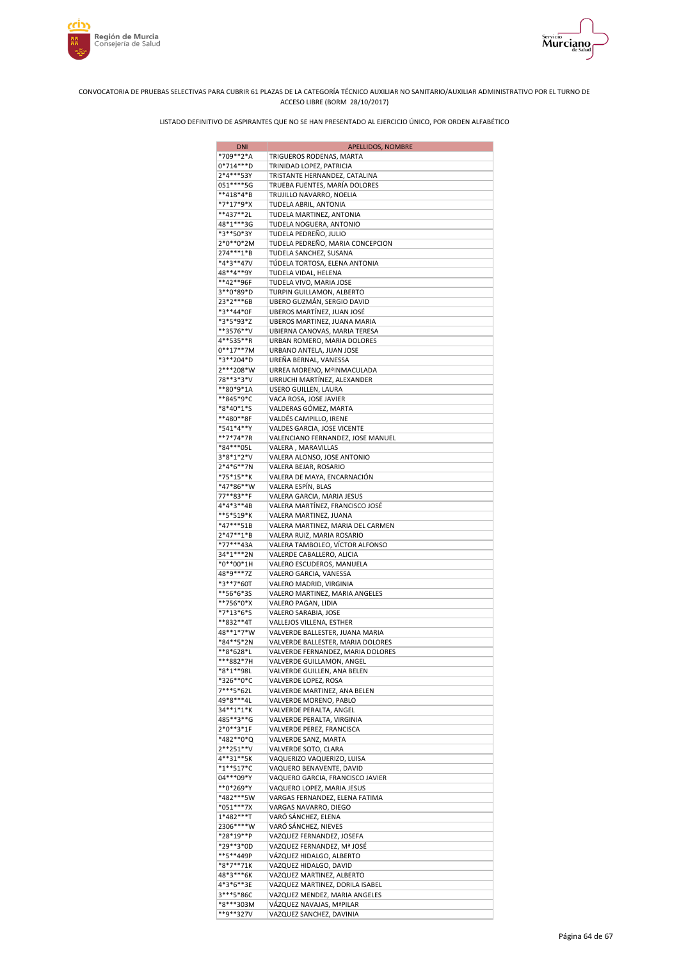



| <b>DNI</b>             | APELLIDOS, NOMBRE                                          |
|------------------------|------------------------------------------------------------|
| *709**2*A              | TRIGUEROS RODENAS, MARTA                                   |
| 0*714***D              | TRINIDAD LOPEZ, PATRICIA                                   |
| 2*4***53Y              | TRISTANTE HERNANDEZ, CATALINA                              |
| 051 **** 5G            | TRUEBA FUENTES, MARÍA DOLORES                              |
| **418*4*B              | TRUJILLO NAVARRO, NOELIA                                   |
| *7*17*9*X              | TUDELA ABRIL, ANTONIA                                      |
| **437**2L              | TUDELA MARTINEZ, ANTONIA                                   |
| 48*1***3G              | TUDELA NOGUERA, ANTONIO                                    |
| *3**50*3Y<br>2*0**0*2M | TUDELA PEDREÑO, JULIO                                      |
| 274***1*B              | TUDELA PEDREÑO, MARIA CONCEPCION<br>TUDELA SANCHEZ, SUSANA |
| *4*3**47V              | TÚDELA TORTOSA, ELENA ANTONIA                              |
| 48**4**9Y              | TUDELA VIDAL, HELENA                                       |
| **42**96F              | TUDELA VIVO, MARIA JOSE                                    |
| 3**0*89*D              | TURPIN GUILLAMON, ALBERTO                                  |
| 23*2***6B              | UBERO GUZMÁN, SERGIO DAVID                                 |
| *3**44*0F              | UBEROS MARTÍNEZ, JUAN JOSÉ                                 |
| *3*5*93*Z              | UBEROS MARTINEZ, JUANA MARIA                               |
| **3576**V              | UBIERNA CANOVAS, MARIA TERESA                              |
| 4**535**R              | URBAN ROMERO, MARIA DOLORES                                |
| $0***17***7M$          | URBANO ANTELA, JUAN JOSE                                   |
| *3**204*D              | UREÑA BERNAL, VANESSA                                      |
| 2***208*W              | URREA MORENO, MªINMACULADA                                 |
| 78**3*3*V              | URRUCHI MARTÍNEZ, ALEXANDER                                |
| **80*9*1A              | USERO GUILLEN, LAURA                                       |
| **845*9*C<br>*8*40*1*S | VACA ROSA, JOSE JAVIER<br>VALDERAS GÓMEZ, MARTA            |
| **480**8F              | VALDÉS CAMPILLO, IRENE                                     |
| *541*4**Y              | VALDES GARCIA, JOSE VICENTE                                |
| **7*74*7R              | VALENCIANO FERNANDEZ, JOSE MANUEL                          |
| *84***05L              | VALERA, MARAVILLAS                                         |
| 3*8*1*2*V              | VALERA ALONSO, JOSE ANTONIO                                |
| $2*4*6**7N$            | VALERA BEJAR, ROSARIO                                      |
| *75*15**K              | VALERA DE MAYA, ENCARNACIÓN                                |
| *47*86**W              | VALERA ESPÍN, BLAS                                         |
| 77**83**F              | VALERA GARCIA, MARIA JESUS                                 |
| 4*4*3**4B              | VALERA MARTÍNEZ, FRANCISCO JOSÉ                            |
| **5*519*K              | VALERA MARTINEZ, JUANA                                     |
| $*47***51B$            | VALERA MARTINEZ, MARIA DEL CARMEN                          |
| $2*47**1*B$            | VALERA RUIZ, MARIA ROSARIO                                 |
| *77***43A              | VALERA TAMBOLEO, VÍCTOR ALFONSO                            |
| 34*1***2N<br>*0**00*1H | VALERDE CABALLERO, ALICIA<br>VALERO ESCUDEROS, MANUELA     |
| 48*9***7Z              | VALERO GARCIA, VANESSA                                     |
| *3**7*60T              | VALERO MADRID, VIRGINIA                                    |
| **56*6*3S              | VALERO MARTINEZ, MARIA ANGELES                             |
| **756*0*X              | VALERO PAGAN, LIDIA                                        |
| *7*13*6*S              | VALERO SARABIA, JOSE                                       |
| **832**4T              | VALLEJOS VILLENA, ESTHER                                   |
| 48**1*7*W              | VALVERDE BALLESTER, JUANA MARIA                            |
| *84**5*2N              | VALVERDE BALLESTER, MARIA DOLORES                          |
| **8*628*L              | VALVERDE FERNANDEZ, MARIA DOLORES                          |
| ***882*7H              | VALVERDE GUILLAMON, ANGEL                                  |
| *8*1**98L              | VALVERDE GUILLEN, ANA BELEN                                |
| *326**0*C              | VALVERDE LOPEZ, ROSA                                       |
| 7***5*62L              | VALVERDE MARTINEZ, ANA BELEN<br>VALVERDE MORENO, PABLO     |
| 49*8***4L<br>34**1*1*K | VALVERDE PERALTA, ANGEL                                    |
| 485**3**G              | VALVERDE PERALTA, VIRGINIA                                 |
| 2*0**3*1F              | VALVERDE PEREZ, FRANCISCA                                  |
| *482**0*Q              | VALVERDE SANZ, MARTA                                       |
| 2**251**V              | VALVERDE SOTO, CLARA                                       |
| 4**31**5K              | VAQUERIZO VAQUERIZO, LUISA                                 |
| $*1**517*C$            | VAQUERO BENAVENTE, DAVID                                   |
| 04***09*Y              | VAQUERO GARCIA, FRANCISCO JAVIER                           |
| **0*269*Y              | VAQUERO LOPEZ, MARIA JESUS                                 |
| *482***5W              | VARGAS FERNANDEZ, ELENA FATIMA                             |
| *051***7X              | VARGAS NAVARRO, DIEGO                                      |
| $1*482***$ T           | VARÓ SÁNCHEZ, ELENA                                        |
| 2306****W              | VARÓ SÁNCHEZ, NIEVES                                       |
| *28*19**P<br>*29**3*0D | VAZQUEZ FERNANDEZ, JOSEFA<br>VAZQUEZ FERNANDEZ, Mª JOSÉ    |
| **5**449P              | VÁZQUEZ HIDALGO, ALBERTO                                   |
| *8*7**71K              | VAZQUEZ HIDALGO, DAVID                                     |
| 48*3***6K              | VAZQUEZ MARTINEZ, ALBERTO                                  |
| 4*3*6**3E              | VAZQUEZ MARTINEZ, DORILA ISABEL                            |
| 3***5*86C              | VAZQUEZ MENDEZ, MARIA ANGELES                              |
| *8***303M              | VÁZQUEZ NAVAJAS, MªPILAR                                   |
| **9**327V              | VAZQUEZ SANCHEZ, DAVINIA                                   |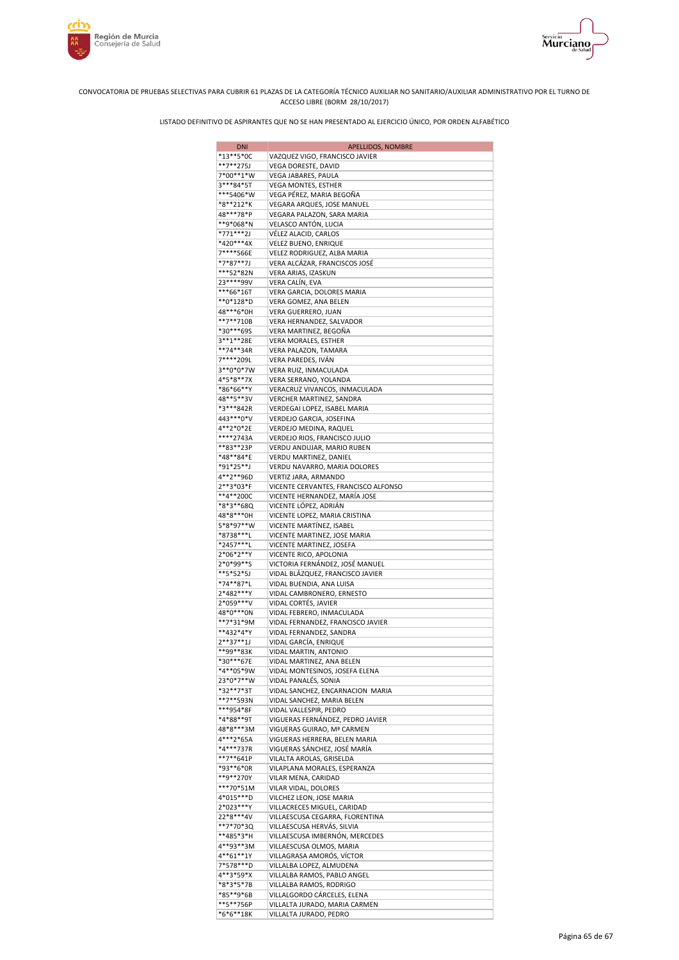





| <b>DNI</b>             | APELLIDOS, NOMBRE                                            |
|------------------------|--------------------------------------------------------------|
| *13**5*0C              | VAZQUEZ VIGO, FRANCISCO JAVIER                               |
| **7**275J              | VEGA DORESTE, DAVID                                          |
| 7*00**1*W<br>3***84*5T | VEGA JABARES, PAULA<br>VEGA MONTES, ESTHER                   |
| ***5406*W              | VEGA PÉREZ, MARIA BEGOÑA                                     |
| *8**212*K              | VEGARA ARQUES, JOSE MANUEL                                   |
| 48***78*P              | VEGARA PALAZON, SARA MARIA                                   |
| **9*068*N              | VELASCO ANTÓN, LUCIA                                         |
| *771***2J<br>*420***4X | VÉLEZ ALACID, CARLOS                                         |
| 7****566E              | VELEZ BUENO, ENRIQUE<br>VELEZ RODRIGUEZ, ALBA MARIA          |
| *7*87**7J              | VERA ALCÁZAR, FRANCISCOS JOSÉ                                |
| ***52*82N              | VERA ARIAS, IZASKUN                                          |
| 23 **** 99 V           | VERA CALÍN, EVA                                              |
| ***66*16T              | VERA GARCIA, DOLORES MARIA                                   |
| **0*128*D<br>48***6*0H | VERA GOMEZ, ANA BELEN<br>VERA GUERRERO, JUAN                 |
| **7**710B              | VERA HERNANDEZ, SALVADOR                                     |
| *30***69S              | VERA MARTINEZ, BEGONA                                        |
| 3**1**28E              | VERA MORALES, ESTHER                                         |
| **74**34R              | VERA PALAZON, TAMARA                                         |
| 7****209L              | VERA PAREDES, IVÁN                                           |
| 3**0*0*7W<br>4*5*8**7X | VERA RUIZ, INMACULADA<br>VERA SERRANO, YOLANDA               |
| *86*66**Y              | VERACRUZ VIVANCOS, INMACULADA                                |
| 48**5**3V              | VERCHER MARTINEZ, SANDRA                                     |
| *3***842R              | VERDEGAI LOPEZ, ISABEL MARIA                                 |
| 443***0*V              | VERDEJO GARCIA, JOSEFINA                                     |
| 4**2*0*2E              | VERDEJO MEDINA, RAQUEL                                       |
| ****2743A              | VERDEJO RIOS, FRANCISCO JULIO                                |
| **83**23P<br>*48**84*E | VERDU ANDUJAR, MARIO RUBEN                                   |
| *91*25**J              | VERDU MARTINEZ, DANIEL<br>VERDU NAVARRO, MARIA DOLORES       |
| 4**2**96D              | VERTIZ JARA, ARMANDO                                         |
| 2**3*03*F              | VICENTE CERVANTES, FRANCISCO ALFONSO                         |
| **4**200C              | VICENTE HERNANDEZ, MARÍA JOSE                                |
| *8*3**68Q              | VICENTE LÓPEZ, ADRIÁN                                        |
| 48*8***0H              | VICENTE LOPEZ, MARIA CRISTINA                                |
| 5*8*97**W              | VICENTE MARTÍNEZ, ISABEL                                     |
| *8738***L<br>*2457***L | VICENTE MARTINEZ, JOSE MARIA                                 |
| 2*06*2**Y              | VICENTE MARTINEZ, JOSEFA<br>VICENTE RICO, APOLONIA           |
| 2*0*99**S              | VICTORIA FERNÁNDEZ, JOSÉ MANUEL                              |
| **5*52*5J              | VIDAL BLÁZQUEZ, FRANCISCO JAVIER                             |
| *74**87*L              | VIDAL BUENDIA, ANA LUISA                                     |
| 2*482***Y              | VIDAL CAMBRONERO, ERNESTO                                    |
| 2*059***V              | VIDAL CORTÉS, JAVIER                                         |
| 48*0***0N<br>**7*31*9M | VIDAL FEBRERO, INMACULADA                                    |
| **432*4*Y              | VIDAL FERNANDEZ, FRANCISCO JAVIER<br>VIDAL FERNANDEZ, SANDRA |
| $2***37**1J$           | VIDAL GARCÍA, ENRIQUE                                        |
| **99**83K              | VIDAL MARTIN, ANTONIO                                        |
| *30***67E              | VIDAL MARTINEZ, ANA BELEN                                    |
| *4**05*9W              | VIDAL MONTESINOS, JOSEFA ELENA                               |
| 23*0*7**W              | VIDAL PANALÉS, SONIA                                         |
| *32**7*3T              | VIDAL SANCHEZ, ENCARNACION MARIA                             |
| **7**593N<br>***954*8F | VIDAL SANCHEZ, MARIA BELEN<br>VIDAL VALLESPIR, PEDRO         |
| *4*88**9T              | VIGUERAS FERNÁNDEZ, PEDRO JAVIER                             |
| 48*8***3M              | VIGUERAS GUIRAO, Mª CARMEN                                   |
| 4***2*65A              | VIGUERAS HERRERA, BELEN MARIA                                |
| *4***737R              | VIGUERAS SÁNCHEZ, JOSÉ MARÍA                                 |
| **7**641P              | VILALTA AROLAS, GRISELDA                                     |
| *93**6*0R              | VILAPLANA MORALES, ESPERANZA                                 |
| **9**270Y<br>***70*51M | VILAR MENA, CARIDAD<br>VILAR VIDAL, DOLORES                  |
| 4*015***D              | VILCHEZ LEON, JOSE MARIA                                     |
| 2*023***Y              | VILLACRECES MIGUEL, CARIDAD                                  |
| 22*8***4V              | VILLAESCUSA CEGARRA, FLORENTINA                              |
| **7*70*3Q              | VILLAESCUSA HERVÁS, SILVIA                                   |
| **485*3*H              | VILLAESCUSA IMBERNÓN, MERCEDES                               |
| 4**93**3M              | VILLAESCUSA OLMOS, MARIA                                     |
| 4**61**1Y              | VILLAGRASA AMORÓS, VÍCTOR                                    |
| 7*578***D<br>4**3*59*X | VILLALBA LOPEZ, ALMUDENA<br>VILLALBA RAMOS, PABLO ANGEL      |
| *8*3*5*7B              | VILLALBA RAMOS, RODRIGO                                      |
| *85**9*6B              | VILLALGORDO CÁRCELES, ELENA                                  |
| **5**756P              | VILLALTA JURADO, MARIA CARMEN                                |
| *6*6**18K              | VILLALTA JURADO, PEDRO                                       |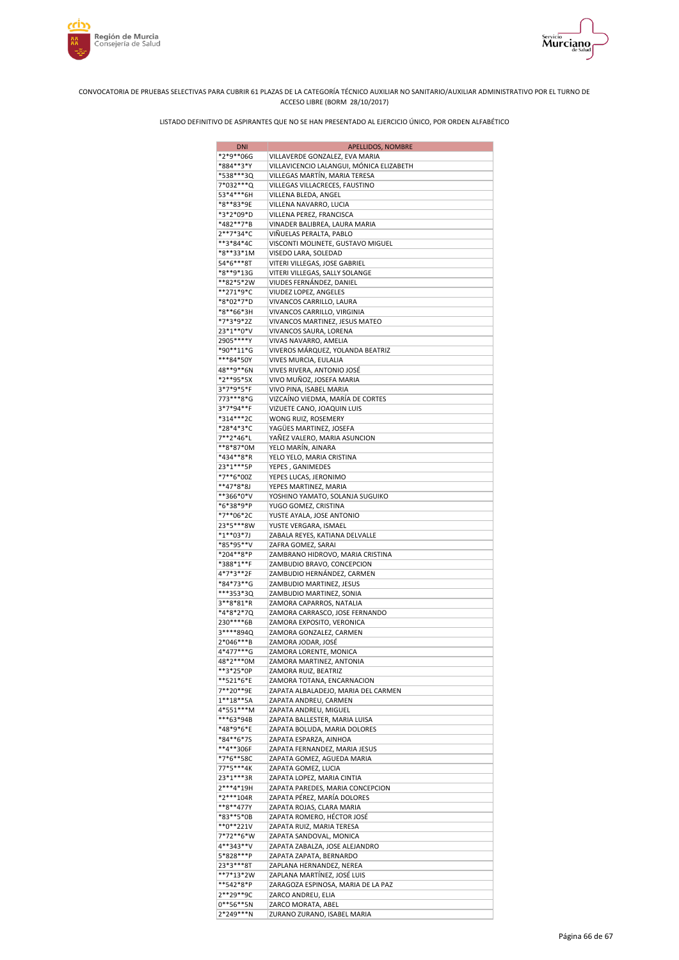



| <b>DNI</b>                 | APELLIDOS, NOMBRE                                           |
|----------------------------|-------------------------------------------------------------|
| *2*9**06G                  | VILLAVERDE GONZALEZ, EVA MARIA                              |
| *884**3*Y                  | VILLAVICENCIO LALANGUI, MÓNICA ELIZABETH                    |
| *538***3Q                  | VILLEGAS MARTÍN, MARIA TERESA                               |
| 7*032***Q<br>53*4***6H     | VILLEGAS VILLACRECES, FAUSTINO<br>VILLENA BLEDA, ANGEL      |
| *8**83*9E                  | VILLENA NAVARRO, LUCIA                                      |
| *3*2*09*D                  | VILLENA PEREZ, FRANCISCA                                    |
| *482**7*B                  | VINADER BALIBREA, LAURA MARIA                               |
| 2**7*34*C                  | VIÑUELAS PERALTA, PABLO                                     |
| **3*84*4C                  | VISCONTI MOLINETE, GUSTAVO MIGUEL                           |
| *8**33*1M                  | VISEDO LARA, SOLEDAD                                        |
| 54*6***8T<br>*8**9*13G     | VITERI VILLEGAS, JOSE GABRIEL                               |
| **82*5*2W                  | VITERI VILLEGAS, SALLY SOLANGE<br>VIUDES FERNÁNDEZ, DANIEL  |
| **271*9*C                  | VIUDEZ LOPEZ, ANGELES                                       |
| *8*02*7*D                  | VIVANCOS CARRILLO, LAURA                                    |
| *8**66*3H                  | VIVANCOS CARRILLO, VIRGINIA                                 |
| *7*3*9*2Z                  | VIVANCOS MARTINEZ, JESUS MATEO                              |
| 23*1**0*V                  | VIVANCOS SAURA, LORENA                                      |
| 2905****Y<br>*90**11*G     | VIVAS NAVARRO, AMELIA                                       |
| ***84*50Y                  | VIVEROS MÁRQUEZ, YOLANDA BEATRIZ<br>VIVES MURCIA, EULALIA   |
| 48**9**6N                  | VIVES RIVERA, ANTONIO JOSÉ                                  |
| *2**95*5X                  | VIVO MUÑOZ, JOSEFA MARIA                                    |
| 3*7*9*5*F                  | VIVO PINA, ISABEL MARIA                                     |
| 773***8*G                  | VIZCAÍNO VIEDMA, MARÍA DE CORTES                            |
| 3*7*94**F                  | VIZUETE CANO, JOAQUIN LUIS                                  |
| *314***2C                  | WONG RUIZ, ROSEMERY                                         |
| *28*4*3*C<br>7**2*46*L     | YAGÜES MARTINEZ, JOSEFA<br>YAÑEZ VALERO, MARIA ASUNCION     |
| **8*87*0M                  | YELO MARÍN, AINARA                                          |
| *434**8*R                  | YELO YELO, MARIA CRISTINA                                   |
| 23*1***5P                  | YEPES, GANIMEDES                                            |
| *7**6*00Z                  | YEPES LUCAS, JERONIMO                                       |
| **47*8*8J                  | YEPES MARTINEZ, MARIA                                       |
| **366*0*V                  | YOSHINO YAMATO, SOLANJA SUGUIKO                             |
| *6*38*9*P<br>*7**06*2C     | YUGO GOMEZ, CRISTINA                                        |
| 23*5***8W                  | YUSTE AYALA, JOSE ANTONIO<br>YUSTE VERGARA, ISMAEL          |
| $*1**03*7J$                | ZABALA REYES, KATIANA DELVALLE                              |
| *85*95**V                  | ZAFRA GOMEZ, SARAI                                          |
| *204**8*P                  | ZAMBRANO HIDROVO, MARIA CRISTINA                            |
| *388*1**F                  | ZAMBUDIO BRAVO, CONCEPCION                                  |
| 4*7*3**2F                  | ZAMBUDIO HERNÁNDEZ, CARMEN                                  |
| *84*73**G<br>***353*3Q     | ZAMBUDIO MARTINEZ, JESUS                                    |
| 3**8*81*R                  | ZAMBUDIO MARTINEZ, SONIA<br>ZAMORA CAPARROS, NATALIA        |
| *4*8*2*7Q                  | ZAMORA CARRASCO, JOSE FERNANDO                              |
| 230****6B                  | ZAMORA EXPOSITO, VERONICA                                   |
| 3****894Q                  | ZAMORA GONZALEZ, CARMEN                                     |
| 2*046***B                  | ZAMORA JODAR, JOSÉ                                          |
| 4*477***G                  | ZAMORA LORENTE, MONICA                                      |
| 48*2***0M                  | ZAMORA MARTINEZ, ANTONIA                                    |
| **3*25*0P<br>**521*6*E     | ZAMORA RUIZ, BEATRIZ<br>ZAMORA TOTANA, ENCARNACION          |
| 7**20**9E                  | ZAPATA ALBALADEJO, MARIA DEL CARMEN                         |
| $1***18***5A$              | ZAPATA ANDREU, CARMEN                                       |
| 4*551***M                  | ZAPATA ANDREU, MIGUEL                                       |
| ***63*94B                  | ZAPATA BALLESTER, MARIA LUISA                               |
| *48*9*6*E                  | ZAPATA BOLUDA, MARIA DOLORES                                |
| *84**6*75<br>**4**306F     | ZAPATA ESPARZA, AINHOA                                      |
| *7*6**58C                  | ZAPATA FERNANDEZ, MARIA JESUS<br>ZAPATA GOMEZ, AGUEDA MARIA |
| 77*5***4K                  | ZAPATA GOMEZ, LUCIA                                         |
| 23*1***3R                  | ZAPATA LOPEZ, MARIA CINTIA                                  |
| 2***4*19H                  | ZAPATA PAREDES, MARIA CONCEPCION                            |
| *2***104R                  | ZAPATA PÉREZ, MARÍA DOLORES                                 |
| **8**477Y                  | ZAPATA ROJAS, CLARA MARIA                                   |
| *83**5*0B<br>$**0**221V$   | ZAPATA ROMERO, HÉCTOR JOSÉ<br>ZAPATA RUIZ, MARIA TERESA     |
| 7*72**6*W                  | ZAPATA SANDOVAL, MONICA                                     |
| 4**343**V                  | ZAPATA ZABALZA, JOSE ALEJANDRO                              |
| 5*828***P                  | ZAPATA ZAPATA, BERNARDO                                     |
| 23*3***8T                  | ZAPLANA HERNANDEZ, NEREA                                    |
| **7*13*2W                  | ZAPLANA MARTÍNEZ, JOSÉ LUIS                                 |
| **542*8*P                  | ZARAGOZA ESPINOSA, MARIA DE LA PAZ                          |
| 2**29**9C<br>$0***$ 56**5N | ZARCO ANDREU, ELIA<br>ZARCO MORATA, ABEL                    |
| 2*249***N                  | ZURANO ZURANO, ISABEL MARIA                                 |
|                            |                                                             |